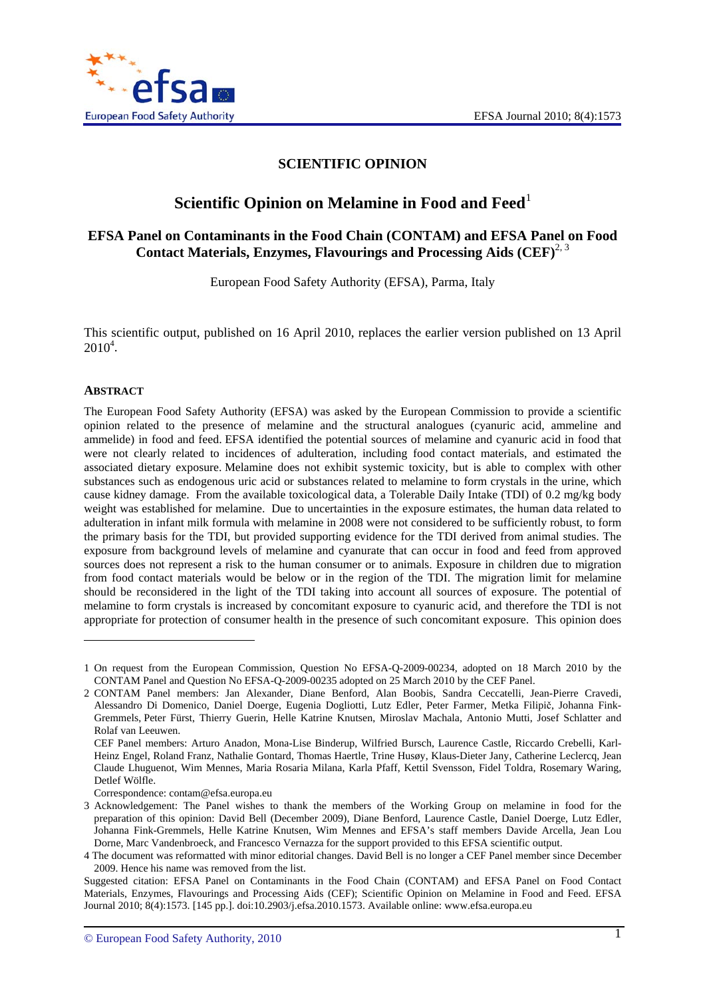

# **SCIENTIFIC OPINION**

# **Scientific Opinion on Melamine in Food and Feed**<sup>1</sup>

# **EFSA Panel on Contaminants in the Food Chain (CONTAM) and EFSA Panel on Food Contact Materials, Enzymes, Flavourings and Processing Aids (CEF)**2, 3

European Food Safety Authority (EFSA), Parma, Italy

This scientific output, published on 16 April 2010, replaces the earlier version published on 13 April  $2010^4$ .

#### **ABSTRACT**

l

The European Food Safety Authority (EFSA) was asked by the European Commission to provide a scientific opinion related to the presence of melamine and the structural analogues (cyanuric acid, ammeline and ammelide) in food and feed. EFSA identified the potential sources of melamine and cyanuric acid in food that were not clearly related to incidences of adulteration, including food contact materials, and estimated the associated dietary exposure. Melamine does not exhibit systemic toxicity, but is able to complex with other substances such as endogenous uric acid or substances related to melamine to form crystals in the urine, which cause kidney damage. From the available toxicological data, a Tolerable Daily Intake (TDI) of 0.2 mg/kg body weight was established for melamine. Due to uncertainties in the exposure estimates, the human data related to adulteration in infant milk formula with melamine in 2008 were not considered to be sufficiently robust, to form the primary basis for the TDI, but provided supporting evidence for the TDI derived from animal studies. The exposure from background levels of melamine and cyanurate that can occur in food and feed from approved sources does not represent a risk to the human consumer or to animals. Exposure in children due to migration from food contact materials would be below or in the region of the TDI. The migration limit for melamine should be reconsidered in the light of the TDI taking into account all sources of exposure. The potential of melamine to form crystals is increased by concomitant exposure to cyanuric acid, and therefore the TDI is not appropriate for protection of consumer health in the presence of such concomitant exposure. This opinion does

<sup>1</sup> On request from the European Commission, Question No EFSA-Q-2009-00234, adopted on 18 March 2010 by the CONTAM Panel and Question No EFSA-Q-2009-00235 adopted on 25 March 2010 by the CEF Panel.

<sup>2</sup> CONTAM Panel members: Jan Alexander, Diane Benford, Alan Boobis, Sandra Ceccatelli, Jean-Pierre Cravedi, Alessandro Di Domenico, Daniel Doerge, Eugenia Dogliotti, Lutz Edler, Peter Farmer, Metka Filipič, Johanna Fink-Gremmels, Peter Fürst, Thierry Guerin, Helle Katrine Knutsen, Miroslav Machala, Antonio Mutti, Josef Schlatter and Rolaf van Leeuwen.

CEF Panel members: Arturo Anadon, Mona-Lise Binderup, Wilfried Bursch, Laurence Castle, Riccardo Crebelli, Karl-Heinz Engel, Roland Franz, Nathalie Gontard, Thomas Haertle, Trine Husøy, Klaus-Dieter Jany, Catherine Leclercq, Jean Claude Lhuguenot, Wim Mennes, Maria Rosaria Milana, Karla Pfaff, Kettil Svensson, Fidel Toldra, Rosemary Waring, Detlef Wölfle.

Correspondence: contam@efsa.europa.eu

<sup>3</sup> Acknowledgement: The Panel wishes to thank the members of the Working Group on melamine in food for the preparation of this opinion: David Bell (December 2009), Diane Benford, Laurence Castle, Daniel Doerge, Lutz Edler, Johanna Fink-Gremmels, Helle Katrine Knutsen, Wim Mennes and EFSA's staff members Davide Arcella, Jean Lou Dorne, Marc Vandenbroeck, and Francesco Vernazza for the support provided to this EFSA scientific output.

<sup>4</sup> The document was reformatted with minor editorial changes. David Bell is no longer a CEF Panel member since December 2009. Hence his name was removed from the list.

Suggested citation: EFSA Panel on Contaminants in the Food Chain (CONTAM) and EFSA Panel on Food Contact Materials, Enzymes, Flavourings and Processing Aids (CEF); Scientific Opinion on Melamine in Food and Feed. EFSA Journal 2010; 8(4):1573. [145 pp.]. doi:10.2903/j.efsa.2010.1573. Available online: www.efsa.europa.eu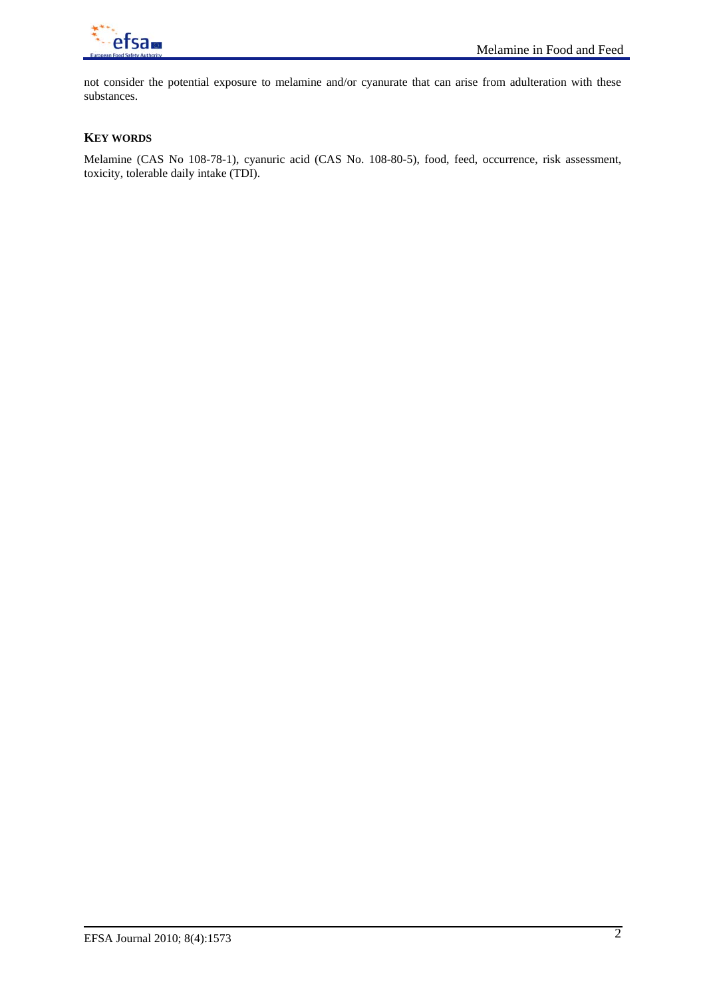

not consider the potential exposure to melamine and/or cyanurate that can arise from adulteration with these substances.

### **KEY WORDS**

Melamine (CAS No 108-78-1), cyanuric acid (CAS No. 108-80-5), food, feed, occurrence, risk assessment, toxicity, tolerable daily intake (TDI).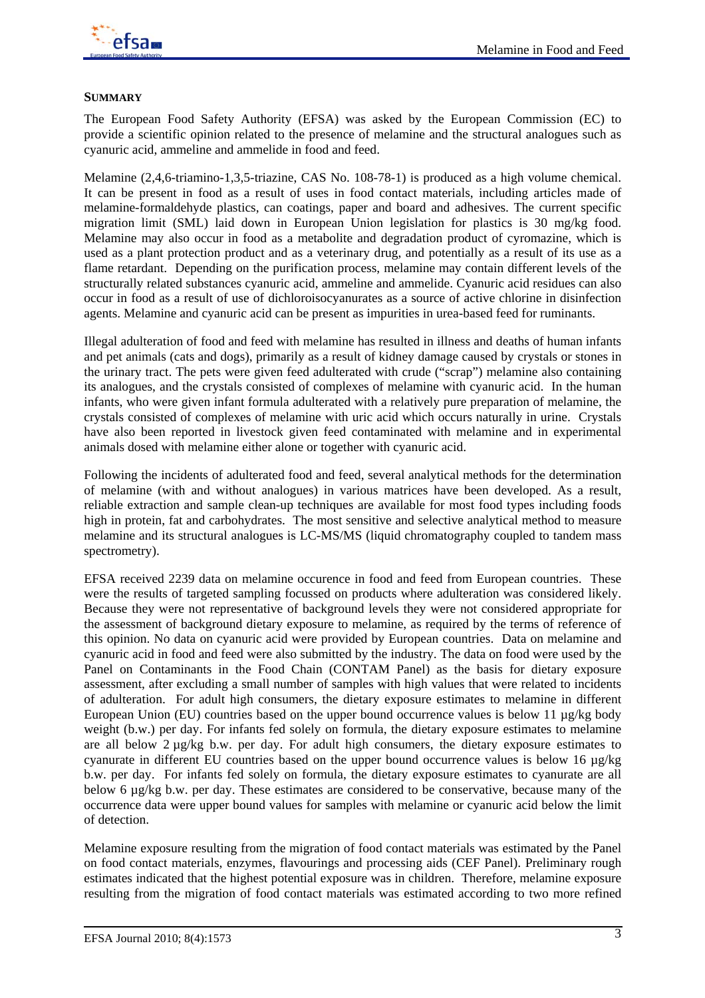

#### **SUMMARY**

The European Food Safety Authority (EFSA) was asked by the European Commission (EC) to provide a scientific opinion related to the presence of melamine and the structural analogues such as cyanuric acid, ammeline and ammelide in food and feed.

Melamine (2,4,6-triamino-1,3,5-triazine, CAS No. 108-78-1) is produced as a high volume chemical. It can be present in food as a result of uses in food contact materials, including articles made of melamine-formaldehyde plastics, can coatings, paper and board and adhesives. The current specific migration limit (SML) laid down in European Union legislation for plastics is 30 mg/kg food. Melamine may also occur in food as a metabolite and degradation product of cyromazine, which is used as a plant protection product and as a veterinary drug, and potentially as a result of its use as a flame retardant. Depending on the purification process, melamine may contain different levels of the structurally related substances cyanuric acid, ammeline and ammelide. Cyanuric acid residues can also occur in food as a result of use of dichloroisocyanurates as a source of active chlorine in disinfection agents. Melamine and cyanuric acid can be present as impurities in urea-based feed for ruminants.

Illegal adulteration of food and feed with melamine has resulted in illness and deaths of human infants and pet animals (cats and dogs), primarily as a result of kidney damage caused by crystals or stones in the urinary tract. The pets were given feed adulterated with crude ("scrap") melamine also containing its analogues, and the crystals consisted of complexes of melamine with cyanuric acid. In the human infants, who were given infant formula adulterated with a relatively pure preparation of melamine, the crystals consisted of complexes of melamine with uric acid which occurs naturally in urine. Crystals have also been reported in livestock given feed contaminated with melamine and in experimental animals dosed with melamine either alone or together with cyanuric acid.

Following the incidents of adulterated food and feed, several analytical methods for the determination of melamine (with and without analogues) in various matrices have been developed. As a result, reliable extraction and sample clean-up techniques are available for most food types including foods high in protein, fat and carbohydrates. The most sensitive and selective analytical method to measure melamine and its structural analogues is LC-MS/MS (liquid chromatography coupled to tandem mass spectrometry).

EFSA received 2239 data on melamine occurence in food and feed from European countries. These were the results of targeted sampling focussed on products where adulteration was considered likely. Because they were not representative of background levels they were not considered appropriate for the assessment of background dietary exposure to melamine, as required by the terms of reference of this opinion. No data on cyanuric acid were provided by European countries. Data on melamine and cyanuric acid in food and feed were also submitted by the industry. The data on food were used by the Panel on Contaminants in the Food Chain (CONTAM Panel) as the basis for dietary exposure assessment, after excluding a small number of samples with high values that were related to incidents of adulteration. For adult high consumers, the dietary exposure estimates to melamine in different European Union (EU) countries based on the upper bound occurrence values is below 11 µg/kg body weight (b.w.) per day. For infants fed solely on formula, the dietary exposure estimates to melamine are all below 2 µg/kg b.w. per day. For adult high consumers, the dietary exposure estimates to cyanurate in different EU countries based on the upper bound occurrence values is below 16 µg/kg b.w. per day. For infants fed solely on formula, the dietary exposure estimates to cyanurate are all below 6 µg/kg b.w. per day. These estimates are considered to be conservative, because many of the occurrence data were upper bound values for samples with melamine or cyanuric acid below the limit of detection.

Melamine exposure resulting from the migration of food contact materials was estimated by the Panel on food contact materials, enzymes, flavourings and processing aids (CEF Panel). Preliminary rough estimates indicated that the highest potential exposure was in children. Therefore, melamine exposure resulting from the migration of food contact materials was estimated according to two more refined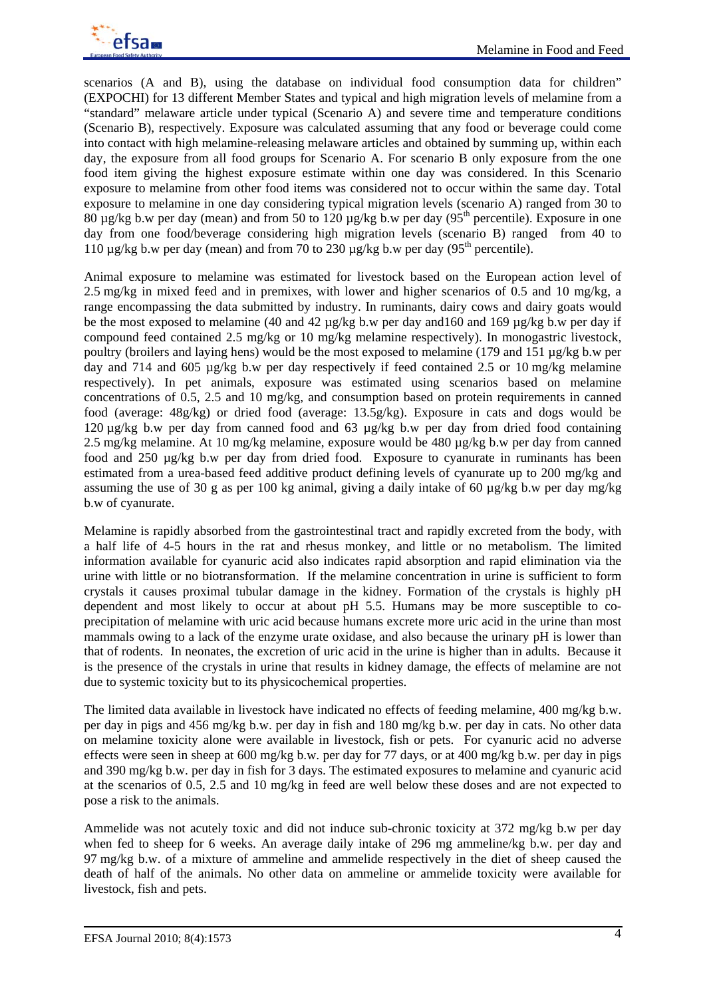

scenarios (A and B), using the database on individual food consumption data for children" (EXPOCHI) for 13 different Member States and typical and high migration levels of melamine from a "standard" melaware article under typical (Scenario A) and severe time and temperature conditions (Scenario B), respectively. Exposure was calculated assuming that any food or beverage could come into contact with high melamine-releasing melaware articles and obtained by summing up, within each day, the exposure from all food groups for Scenario A. For scenario B only exposure from the one food item giving the highest exposure estimate within one day was considered. In this Scenario exposure to melamine from other food items was considered not to occur within the same day. Total exposure to melamine in one day considering typical migration levels (scenario A) ranged from 30 to 80  $\mu$ g/kg b.w per day (mean) and from 50 to 120  $\mu$ g/kg b.w per day (95<sup>th</sup> percentile). Exposure in one day from one food/beverage considering high migration levels (scenario B) ranged from 40 to 110  $\mu$ g/kg b.w per day (mean) and from 70 to 230  $\mu$ g/kg b.w per day (95<sup>th</sup> percentile).

Animal exposure to melamine was estimated for livestock based on the European action level of 2.5 mg/kg in mixed feed and in premixes, with lower and higher scenarios of 0.5 and 10 mg/kg, a range encompassing the data submitted by industry. In ruminants, dairy cows and dairy goats would be the most exposed to melamine (40 and 42  $\mu$ g/kg b.w per day and 160 and 169  $\mu$ g/kg b.w per day if compound feed contained 2.5 mg/kg or 10 mg/kg melamine respectively). In monogastric livestock, poultry (broilers and laying hens) would be the most exposed to melamine (179 and 151 µg/kg b.w per day and 714 and 605  $\mu$ g/kg b.w per day respectively if feed contained 2.5 or 10 mg/kg melamine respectively). In pet animals, exposure was estimated using scenarios based on melamine concentrations of 0.5, 2.5 and 10 mg/kg, and consumption based on protein requirements in canned food (average: 48g/kg) or dried food (average: 13.5g/kg). Exposure in cats and dogs would be 120 µg/kg b.w per day from canned food and 63 µg/kg b.w per day from dried food containing 2.5 mg/kg melamine. At 10 mg/kg melamine, exposure would be 480 µg/kg b.w per day from canned food and 250 µg/kg b.w per day from dried food. Exposure to cyanurate in ruminants has been estimated from a urea-based feed additive product defining levels of cyanurate up to 200 mg/kg and assuming the use of 30 g as per 100 kg animal, giving a daily intake of 60 µg/kg b.w per day mg/kg b.w of cyanurate.

Melamine is rapidly absorbed from the gastrointestinal tract and rapidly excreted from the body, with a half life of 4-5 hours in the rat and rhesus monkey, and little or no metabolism. The limited information available for cyanuric acid also indicates rapid absorption and rapid elimination via the urine with little or no biotransformation. If the melamine concentration in urine is sufficient to form crystals it causes proximal tubular damage in the kidney. Formation of the crystals is highly pH dependent and most likely to occur at about pH 5.5. Humans may be more susceptible to coprecipitation of melamine with uric acid because humans excrete more uric acid in the urine than most mammals owing to a lack of the enzyme urate oxidase, and also because the urinary pH is lower than that of rodents. In neonates, the excretion of uric acid in the urine is higher than in adults. Because it is the presence of the crystals in urine that results in kidney damage, the effects of melamine are not due to systemic toxicity but to its physicochemical properties.

The limited data available in livestock have indicated no effects of feeding melamine, 400 mg/kg b.w. per day in pigs and 456 mg/kg b.w. per day in fish and 180 mg/kg b.w. per day in cats. No other data on melamine toxicity alone were available in livestock, fish or pets. For cyanuric acid no adverse effects were seen in sheep at 600 mg/kg b.w. per day for 77 days, or at 400 mg/kg b.w. per day in pigs and 390 mg/kg b.w. per day in fish for 3 days. The estimated exposures to melamine and cyanuric acid at the scenarios of 0.5, 2.5 and 10 mg/kg in feed are well below these doses and are not expected to pose a risk to the animals.

Ammelide was not acutely toxic and did not induce sub-chronic toxicity at 372 mg/kg b.w per day when fed to sheep for 6 weeks. An average daily intake of 296 mg ammeline/kg b.w. per day and 97 mg/kg b.w. of a mixture of ammeline and ammelide respectively in the diet of sheep caused the death of half of the animals. No other data on ammeline or ammelide toxicity were available for livestock, fish and pets.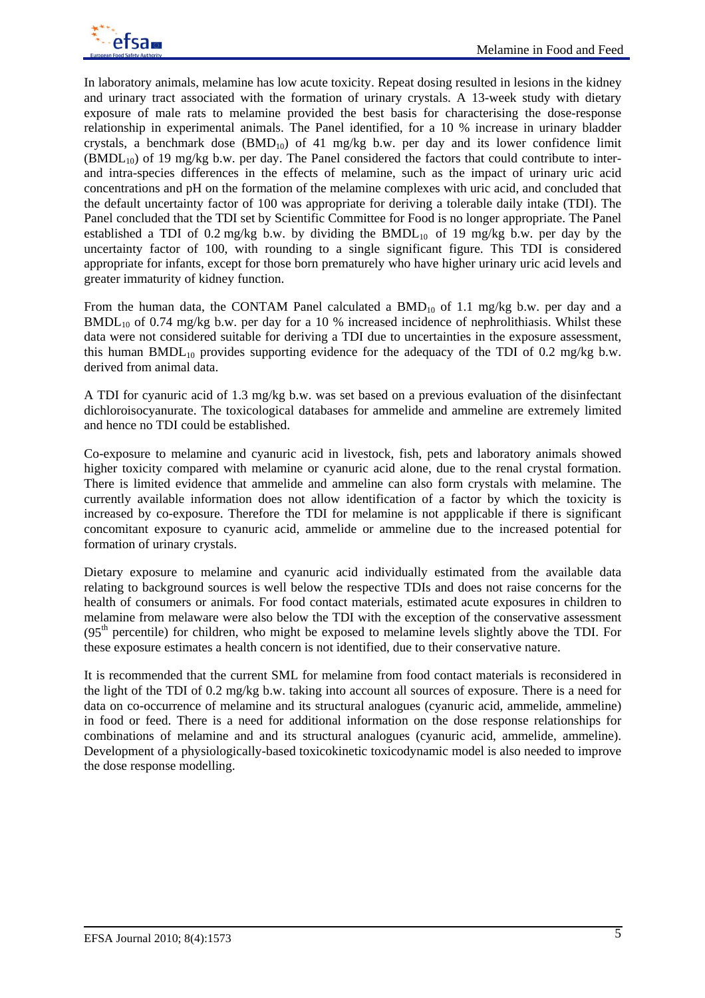

In laboratory animals, melamine has low acute toxicity. Repeat dosing resulted in lesions in the kidney and urinary tract associated with the formation of urinary crystals. A 13-week study with dietary exposure of male rats to melamine provided the best basis for characterising the dose-response relationship in experimental animals. The Panel identified, for a 10 % increase in urinary bladder crystals, a benchmark dose  $(BMD_{10})$  of 41 mg/kg b.w. per day and its lower confidence limit  $(BMDL_{10})$  of 19 mg/kg b.w. per day. The Panel considered the factors that could contribute to interand intra-species differences in the effects of melamine, such as the impact of urinary uric acid concentrations and pH on the formation of the melamine complexes with uric acid, and concluded that the default uncertainty factor of 100 was appropriate for deriving a tolerable daily intake (TDI). The Panel concluded that the TDI set by Scientific Committee for Food is no longer appropriate. The Panel established a TDI of 0.2 mg/kg b.w. by dividing the  $BMDL_{10}$  of 19 mg/kg b.w. per day by the uncertainty factor of 100, with rounding to a single significant figure. This TDI is considered appropriate for infants, except for those born prematurely who have higher urinary uric acid levels and greater immaturity of kidney function.

From the human data, the CONTAM Panel calculated a  $BMD_{10}$  of 1.1 mg/kg b.w. per day and a BMDL<sub>10</sub> of 0.74 mg/kg b.w. per day for a 10 % increased incidence of nephrolithiasis. Whilst these data were not considered suitable for deriving a TDI due to uncertainties in the exposure assessment, this human BMDL<sub>10</sub> provides supporting evidence for the adequacy of the TDI of 0.2 mg/kg b.w. derived from animal data.

A TDI for cyanuric acid of 1.3 mg/kg b.w. was set based on a previous evaluation of the disinfectant dichloroisocyanurate. The toxicological databases for ammelide and ammeline are extremely limited and hence no TDI could be established.

Co-exposure to melamine and cyanuric acid in livestock, fish, pets and laboratory animals showed higher toxicity compared with melamine or cyanuric acid alone, due to the renal crystal formation. There is limited evidence that ammelide and ammeline can also form crystals with melamine. The currently available information does not allow identification of a factor by which the toxicity is increased by co-exposure. Therefore the TDI for melamine is not appplicable if there is significant concomitant exposure to cyanuric acid, ammelide or ammeline due to the increased potential for formation of urinary crystals.

Dietary exposure to melamine and cyanuric acid individually estimated from the available data relating to background sources is well below the respective TDIs and does not raise concerns for the health of consumers or animals. For food contact materials, estimated acute exposures in children to melamine from melaware were also below the TDI with the exception of the conservative assessment  $(95<sup>th</sup>$  percentile) for children, who might be exposed to melamine levels slightly above the TDI. For these exposure estimates a health concern is not identified, due to their conservative nature.

It is recommended that the current SML for melamine from food contact materials is reconsidered in the light of the TDI of 0.2 mg/kg b.w. taking into account all sources of exposure. There is a need for data on co-occurrence of melamine and its structural analogues (cyanuric acid, ammelide, ammeline) in food or feed. There is a need for additional information on the dose response relationships for combinations of melamine and and its structural analogues (cyanuric acid, ammelide, ammeline). Development of a physiologically-based toxicokinetic toxicodynamic model is also needed to improve the dose response modelling.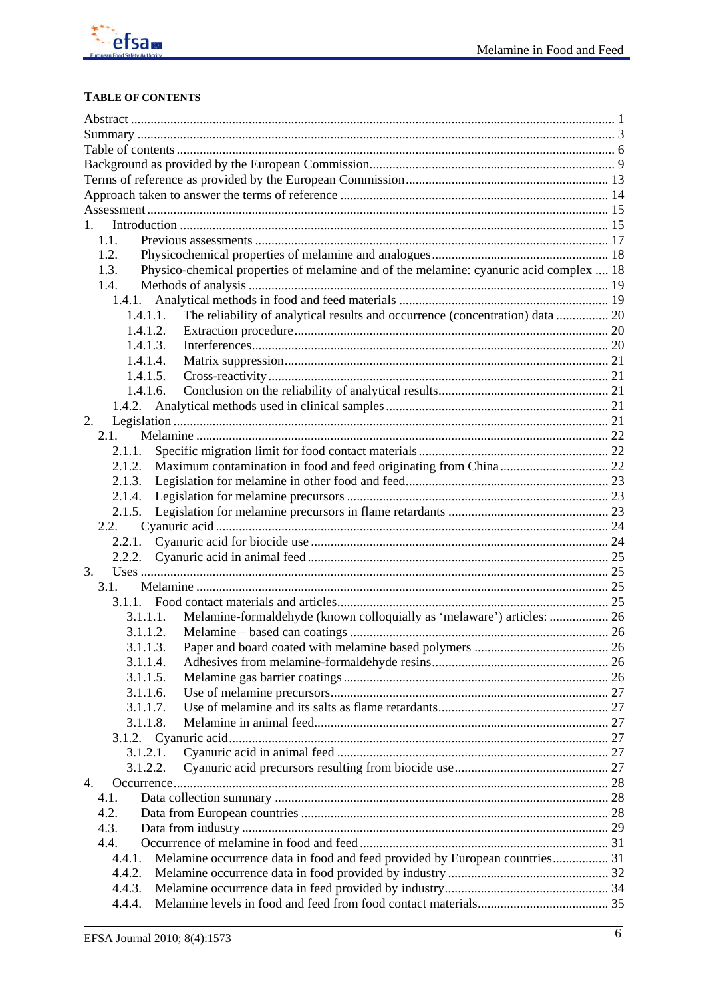

# **TABLE OF CONTENTS**

| 1 <sup>1</sup>                                                                                 |  |
|------------------------------------------------------------------------------------------------|--|
| 1.1.                                                                                           |  |
| 1.2.                                                                                           |  |
| Physico-chemical properties of melamine and of the melamine: cyanuric acid complex  18<br>1.3. |  |
| 14                                                                                             |  |
| 1.4.1.                                                                                         |  |
| The reliability of analytical results and occurrence (concentration) data  20<br>1.4.1.1.      |  |
| 1.4.1.2.                                                                                       |  |
| 1.4.1.3.                                                                                       |  |
| 1.4.1.4.                                                                                       |  |
| 1.4.1.5.                                                                                       |  |
| 1.4.1.6.                                                                                       |  |
|                                                                                                |  |
| 2.                                                                                             |  |
| 2.1.                                                                                           |  |
| 2.1.1.                                                                                         |  |
|                                                                                                |  |
| 2.1.3.                                                                                         |  |
|                                                                                                |  |
| 2.1.5.                                                                                         |  |
| 2.2.                                                                                           |  |
| 2.2.1.                                                                                         |  |
|                                                                                                |  |
| 3.                                                                                             |  |
| 3.1.                                                                                           |  |
|                                                                                                |  |
| Melamine-formaldehyde (known colloquially as 'melaware') articles:  26<br>3.1.1.1.             |  |
| 3.1.1.2.                                                                                       |  |
| 3.1.1.3.                                                                                       |  |
| 3.1.1.4.                                                                                       |  |
| 3.1.1.5.                                                                                       |  |
| 3.1.1.6.                                                                                       |  |
| 3.1.1.7.                                                                                       |  |
| 3.1.1.8.                                                                                       |  |
|                                                                                                |  |
| 3.1.2.1.                                                                                       |  |
| 3.1.2.2.                                                                                       |  |
| 4.                                                                                             |  |
| 4.1.                                                                                           |  |
| 4.2.                                                                                           |  |
| 4.3.                                                                                           |  |
| 4.4.                                                                                           |  |
| Melamine occurrence data in food and feed provided by European countries 31<br>4.4.1.          |  |
| 4.4.2.                                                                                         |  |
| 4.4.3.                                                                                         |  |
| 4.4.4.                                                                                         |  |
|                                                                                                |  |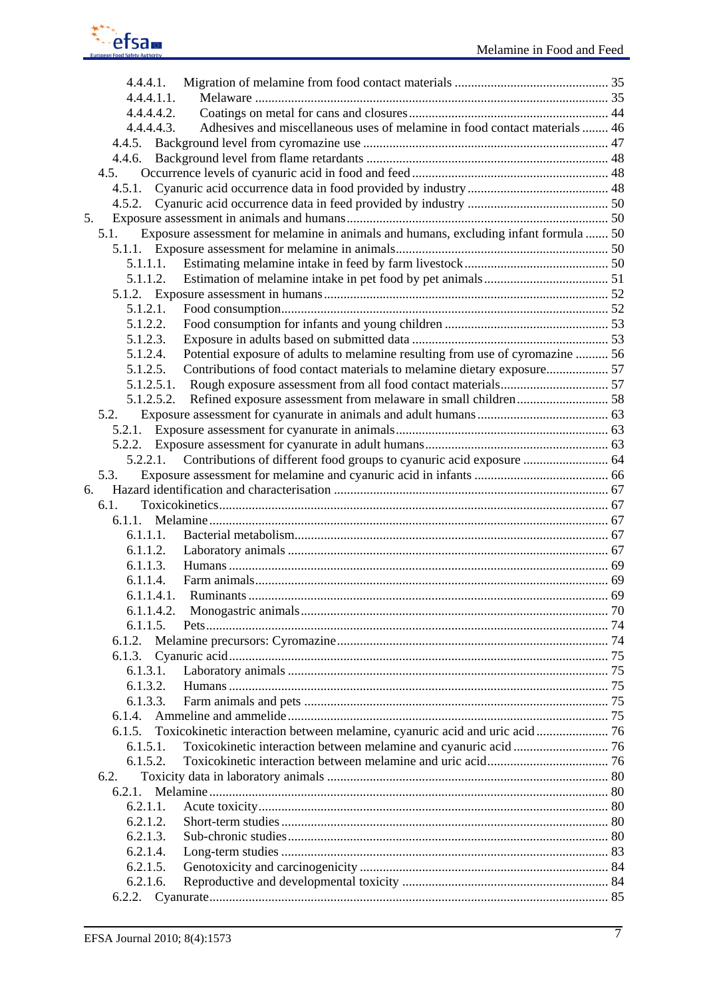| 4.4.4.1.   |                                                                                      |  |
|------------|--------------------------------------------------------------------------------------|--|
| 4.4.4.1.1. |                                                                                      |  |
| 4.4.4.4.2. |                                                                                      |  |
| 4.4.4.4.3. | Adhesives and miscellaneous uses of melamine in food contact materials  46           |  |
|            |                                                                                      |  |
|            |                                                                                      |  |
| 4.5.       |                                                                                      |  |
|            |                                                                                      |  |
|            |                                                                                      |  |
| 5.         |                                                                                      |  |
| 5.1.       | Exposure assessment for melamine in animals and humans, excluding infant formula  50 |  |
|            |                                                                                      |  |
| 5.1.1.1.   |                                                                                      |  |
| 5.1.1.2.   |                                                                                      |  |
|            |                                                                                      |  |
| 5.1.2.1.   |                                                                                      |  |
| 5.1.2.2.   |                                                                                      |  |
| 5.1.2.3.   |                                                                                      |  |
| 5.1.2.4.   | Potential exposure of adults to melamine resulting from use of cyromazine  56        |  |
| 5.1.2.5.   | Contributions of food contact materials to melamine dietary exposure 57              |  |
| 5.1.2.5.1. |                                                                                      |  |
| 5.1.2.5.2. |                                                                                      |  |
| 5.2.       |                                                                                      |  |
|            |                                                                                      |  |
|            |                                                                                      |  |
| 5.2.2.1.   | Contributions of different food groups to cyanuric acid exposure  64                 |  |
| 5.3.       |                                                                                      |  |
| 6.         |                                                                                      |  |
| 6.1.       |                                                                                      |  |
| $6.1.1$ .  |                                                                                      |  |
| 6.1.1.1.   |                                                                                      |  |
| 6.1.1.2.   |                                                                                      |  |
| 6.1.1.3.   |                                                                                      |  |
| 6.1.1.4.   |                                                                                      |  |
| 6.1.1.4.1. |                                                                                      |  |
| 6.1.1.4.2. |                                                                                      |  |
| 6.1.1.5.   |                                                                                      |  |
| 6.1.2.     |                                                                                      |  |
| 6.1.3.     |                                                                                      |  |
| 6.1.3.1.   |                                                                                      |  |
| 6.1.3.2.   |                                                                                      |  |
| 6.1.3.3.   |                                                                                      |  |
|            |                                                                                      |  |
| 6.1.4.     |                                                                                      |  |
| 615        |                                                                                      |  |
| 6.1.5.1.   | Toxicokinetic interaction between melamine, cyanuric acid and uric acid  76          |  |
| 6.1.5.2.   |                                                                                      |  |
| 6.2.       |                                                                                      |  |
| 6.2.1      |                                                                                      |  |
| 6.2.1.1.   |                                                                                      |  |
| 6.2.1.2.   |                                                                                      |  |
| 6.2.1.3.   |                                                                                      |  |
| 6.2.1.4.   |                                                                                      |  |
| 6.2.1.5.   |                                                                                      |  |
| 6.2.1.6.   |                                                                                      |  |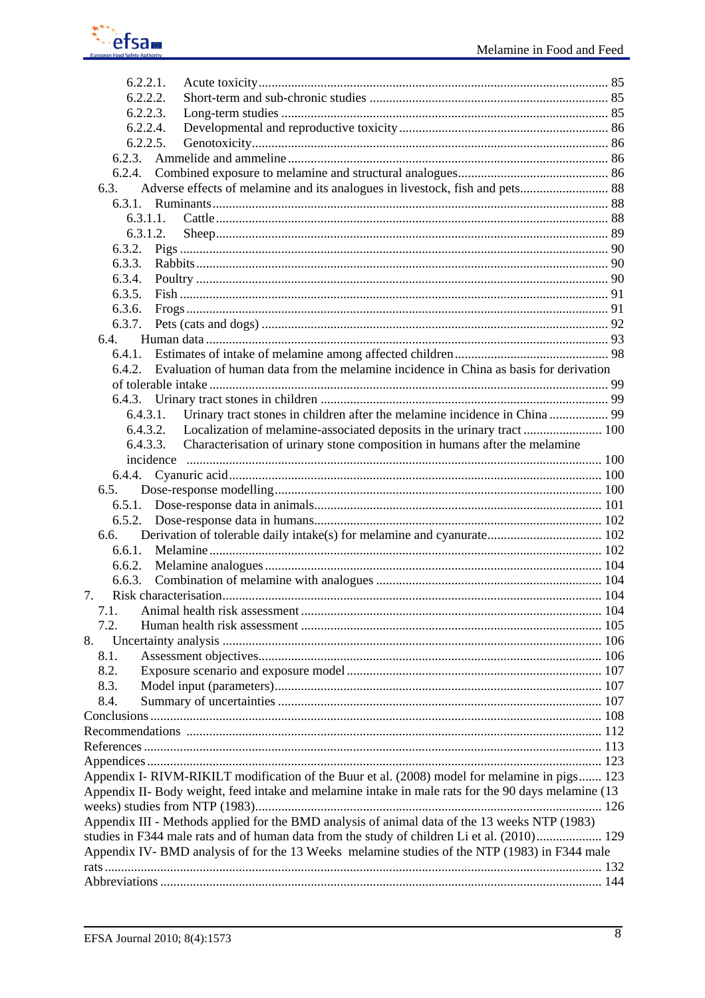| 6.2.2.1.                                                                                                                                                                                     |  |
|----------------------------------------------------------------------------------------------------------------------------------------------------------------------------------------------|--|
| 6.2.2.2.                                                                                                                                                                                     |  |
| 6.2.2.3.                                                                                                                                                                                     |  |
| 6.2.2.4.                                                                                                                                                                                     |  |
| 6.2.2.5.                                                                                                                                                                                     |  |
|                                                                                                                                                                                              |  |
|                                                                                                                                                                                              |  |
| Adverse effects of melamine and its analogues in livestock, fish and pets 88<br>6.3.                                                                                                         |  |
|                                                                                                                                                                                              |  |
| 6.3.1.1.                                                                                                                                                                                     |  |
| 6.3.1.2.<br>6.3.2.                                                                                                                                                                           |  |
| 6.3.3.                                                                                                                                                                                       |  |
| 6.3.4.                                                                                                                                                                                       |  |
| 6.3.5.                                                                                                                                                                                       |  |
| 6.3.6.                                                                                                                                                                                       |  |
| 6.3.7.                                                                                                                                                                                       |  |
| 6.4.                                                                                                                                                                                         |  |
| 6.4.1.                                                                                                                                                                                       |  |
| Evaluation of human data from the melamine incidence in China as basis for derivation<br>6.4.2.                                                                                              |  |
|                                                                                                                                                                                              |  |
|                                                                                                                                                                                              |  |
| 6.4.3.1. Urinary tract stones in children after the melamine incidence in China 99                                                                                                           |  |
| 6.4.3.2. Localization of melamine-associated deposits in the urinary tract 100                                                                                                               |  |
| Characterisation of urinary stone composition in humans after the melamine<br>6.4.3.3.                                                                                                       |  |
|                                                                                                                                                                                              |  |
|                                                                                                                                                                                              |  |
| 6.5.                                                                                                                                                                                         |  |
| 6.5.1.                                                                                                                                                                                       |  |
| 6.6.                                                                                                                                                                                         |  |
|                                                                                                                                                                                              |  |
|                                                                                                                                                                                              |  |
|                                                                                                                                                                                              |  |
| 7.                                                                                                                                                                                           |  |
| 7.1.                                                                                                                                                                                         |  |
| 7.2.                                                                                                                                                                                         |  |
|                                                                                                                                                                                              |  |
| 8.1.                                                                                                                                                                                         |  |
| 8.2.                                                                                                                                                                                         |  |
| 8.3.                                                                                                                                                                                         |  |
| 8.4.                                                                                                                                                                                         |  |
|                                                                                                                                                                                              |  |
|                                                                                                                                                                                              |  |
|                                                                                                                                                                                              |  |
|                                                                                                                                                                                              |  |
| Appendix I- RIVM-RIKILT modification of the Buur et al. (2008) model for melamine in pigs 123                                                                                                |  |
| Appendix II- Body weight, feed intake and melamine intake in male rats for the 90 days melamine (13                                                                                          |  |
|                                                                                                                                                                                              |  |
| Appendix III - Methods applied for the BMD analysis of animal data of the 13 weeks NTP (1983)<br>studies in F344 male rats and of human data from the study of children Li et al. (2010) 129 |  |
| Appendix IV-BMD analysis of for the 13 Weeks melamine studies of the NTP (1983) in F344 male                                                                                                 |  |
|                                                                                                                                                                                              |  |
|                                                                                                                                                                                              |  |
|                                                                                                                                                                                              |  |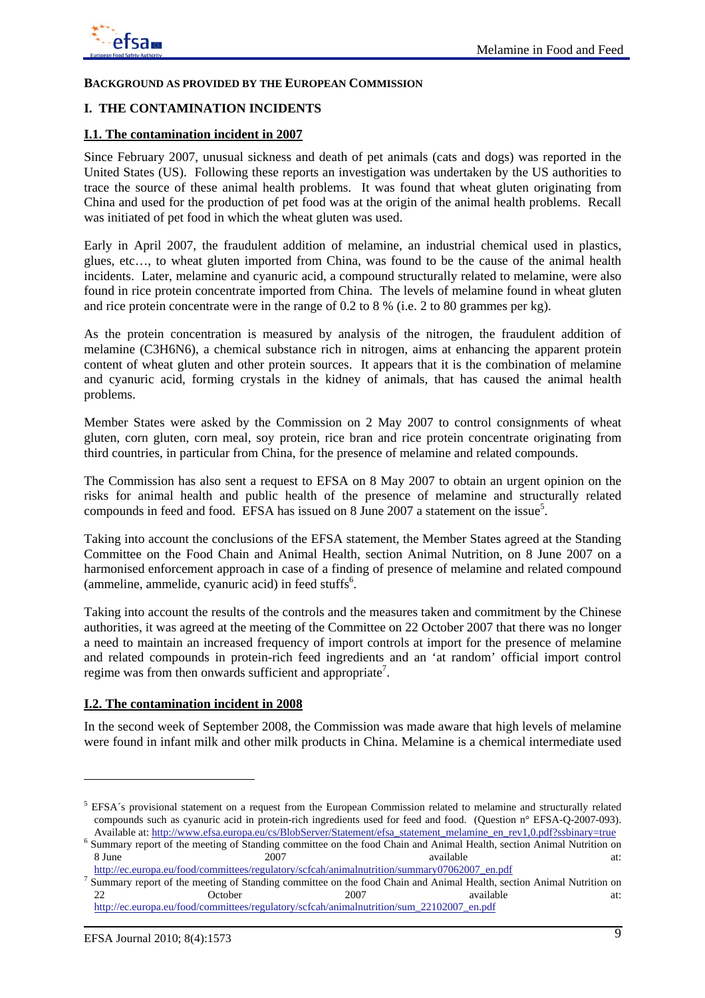

#### **BACKGROUND AS PROVIDED BY THE EUROPEAN COMMISSION**

#### **I. THE CONTAMINATION INCIDENTS**

#### **I.1. The contamination incident in 2007**

Since February 2007, unusual sickness and death of pet animals (cats and dogs) was reported in the United States (US). Following these reports an investigation was undertaken by the US authorities to trace the source of these animal health problems. It was found that wheat gluten originating from China and used for the production of pet food was at the origin of the animal health problems. Recall was initiated of pet food in which the wheat gluten was used.

Early in April 2007, the fraudulent addition of melamine, an industrial chemical used in plastics, glues, etc…, to wheat gluten imported from China, was found to be the cause of the animal health incidents. Later, melamine and cyanuric acid, a compound structurally related to melamine, were also found in rice protein concentrate imported from China. The levels of melamine found in wheat gluten and rice protein concentrate were in the range of 0.2 to 8 % (i.e. 2 to 80 grammes per kg).

As the protein concentration is measured by analysis of the nitrogen, the fraudulent addition of melamine (C3H6N6), a chemical substance rich in nitrogen, aims at enhancing the apparent protein content of wheat gluten and other protein sources. It appears that it is the combination of melamine and cyanuric acid, forming crystals in the kidney of animals, that has caused the animal health problems.

Member States were asked by the Commission on 2 May 2007 to control consignments of wheat gluten, corn gluten, corn meal, soy protein, rice bran and rice protein concentrate originating from third countries, in particular from China, for the presence of melamine and related compounds.

The Commission has also sent a request to EFSA on 8 May 2007 to obtain an urgent opinion on the risks for animal health and public health of the presence of melamine and structurally related compounds in feed and food. EFSA has issued on  $8$  June 2007 a statement on the issue<sup>5</sup>.

Taking into account the conclusions of the EFSA statement, the Member States agreed at the Standing Committee on the Food Chain and Animal Health, section Animal Nutrition, on 8 June 2007 on a harmonised enforcement approach in case of a finding of presence of melamine and related compound  $(ammeline, ammelide, cyanuric acid)$  in feed stuffs $<sup>6</sup>$ .</sup>

Taking into account the results of the controls and the measures taken and commitment by the Chinese authorities, it was agreed at the meeting of the Committee on 22 October 2007 that there was no longer a need to maintain an increased frequency of import controls at import for the presence of melamine and related compounds in protein-rich feed ingredients and an 'at random' official import control regime was from then onwards sufficient and appropriate<sup>7</sup>.

#### **I.2. The contamination incident in 2008**

In the second week of September 2008, the Commission was made aware that high levels of melamine were found in infant milk and other milk products in China. Melamine is a chemical intermediate used

 $\overline{\phantom{a}}$ 

<sup>&</sup>lt;sup>5</sup> EFSA´s provisional statement on a request from the European Commission related to melamine and structurally related compounds such as cyanuric acid in protein-rich ingredients used for feed and food. (Question n° EFSA-Q-2007-093). Available at: http://www.efsa.europa.eu/cs/BlobServer/Statement/efsa\_statement\_melamine\_en\_rev1,0.pdf?ssbinary=true <sup>6</sup>

<sup>&</sup>lt;sup>6</sup> Summary report of the meeting of Standing committee on the food Chain and Animal Health, section Animal Nutrition on 8 June 2007 2007 available at:

http://ec.europa.eu/food/committees/regulatory/scfcah/animalnutrition/summary07062007\_en.pdf<br><sup>7</sup> Summary report of the meeting of Standing committee on the food Chain and Animal Health, section Animal Nutrition on 22 **October 2007** available at: http://ec.europa.eu/food/committees/regulatory/scfcah/animalnutrition/sum\_22102007\_en.pdf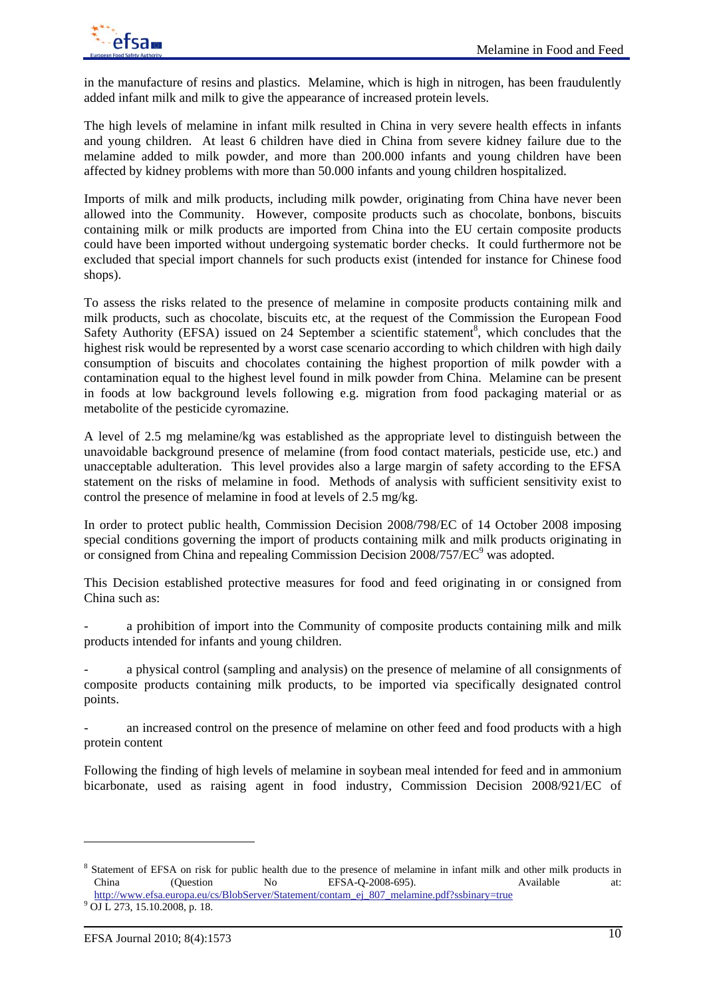in the manufacture of resins and plastics. Melamine, which is high in nitrogen, has been fraudulently added infant milk and milk to give the appearance of increased protein levels.

The high levels of melamine in infant milk resulted in China in very severe health effects in infants and young children. At least 6 children have died in China from severe kidney failure due to the melamine added to milk powder, and more than 200.000 infants and young children have been affected by kidney problems with more than 50.000 infants and young children hospitalized.

Imports of milk and milk products, including milk powder, originating from China have never been allowed into the Community. However, composite products such as chocolate, bonbons, biscuits containing milk or milk products are imported from China into the EU certain composite products could have been imported without undergoing systematic border checks. It could furthermore not be excluded that special import channels for such products exist (intended for instance for Chinese food shops).

To assess the risks related to the presence of melamine in composite products containing milk and milk products, such as chocolate, biscuits etc, at the request of the Commission the European Food Safety Authority (EFSA) issued on 24 September a scientific statement<sup>8</sup>, which concludes that the highest risk would be represented by a worst case scenario according to which children with high daily consumption of biscuits and chocolates containing the highest proportion of milk powder with a contamination equal to the highest level found in milk powder from China. Melamine can be present in foods at low background levels following e.g. migration from food packaging material or as metabolite of the pesticide cyromazine.

A level of 2.5 mg melamine/kg was established as the appropriate level to distinguish between the unavoidable background presence of melamine (from food contact materials, pesticide use, etc.) and unacceptable adulteration. This level provides also a large margin of safety according to the EFSA statement on the risks of melamine in food. Methods of analysis with sufficient sensitivity exist to control the presence of melamine in food at levels of 2.5 mg/kg.

In order to protect public health, Commission Decision 2008/798/EC of 14 October 2008 imposing special conditions governing the import of products containing milk and milk products originating in or consigned from China and repealing Commission Decision 2008/757/EC<sup>9</sup> was adopted.

This Decision established protective measures for food and feed originating in or consigned from China such as:

- a prohibition of import into the Community of composite products containing milk and milk products intended for infants and young children.

a physical control (sampling and analysis) on the presence of melamine of all consignments of composite products containing milk products, to be imported via specifically designated control points.

an increased control on the presence of melamine on other feed and food products with a high protein content

Following the finding of high levels of melamine in soybean meal intended for feed and in ammonium bicarbonate, used as raising agent in food industry, Commission Decision 2008/921/EC of

 $\overline{\phantom{a}}$ 

<sup>&</sup>lt;sup>8</sup> Statement of EFSA on risk for public health due to the presence of melamine in infant milk and other milk products in China (Question No EFSA-Q-2008-695). Available at:

http://www.efsa.europa.eu/cs/BlobServer/Statement/contam\_ej\_807\_melamine.pdf?ssbinary=true

<sup>&</sup>lt;sup>9</sup> OJ L 273, 15.10.2008, p. 18.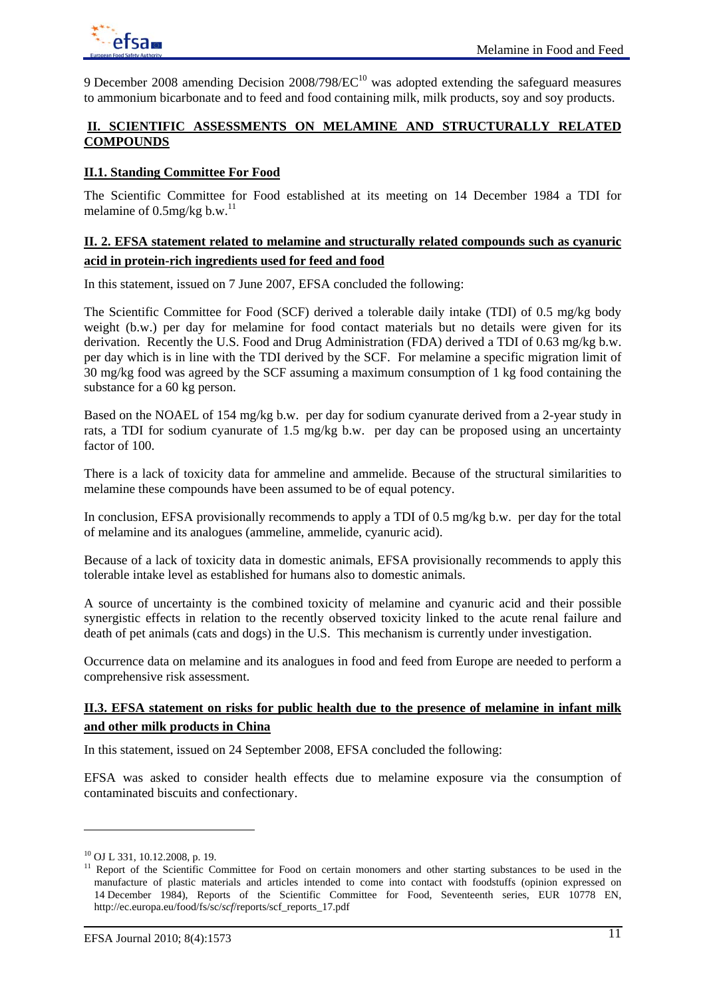9 December 2008 amending Decision 2008/798/EC<sup>10</sup> was adopted extending the safeguard measures to ammonium bicarbonate and to feed and food containing milk, milk products, soy and soy products.

# **II. SCIENTIFIC ASSESSMENTS ON MELAMINE AND STRUCTURALLY RELATED COMPOUNDS**

# **II.1. Standing Committee For Food**

The Scientific Committee for Food established at its meeting on 14 December 1984 a TDI for melamine of  $0.5$ mg/kg b.w.<sup>11</sup>

# **II. 2. EFSA statement related to melamine and structurally related compounds such as cyanuric acid in protein-rich ingredients used for feed and food**

In this statement, issued on 7 June 2007, EFSA concluded the following:

The Scientific Committee for Food (SCF) derived a tolerable daily intake (TDI) of 0.5 mg/kg body weight (b.w.) per day for melamine for food contact materials but no details were given for its derivation. Recently the U.S. Food and Drug Administration (FDA) derived a TDI of 0.63 mg/kg b.w. per day which is in line with the TDI derived by the SCF. For melamine a specific migration limit of 30 mg/kg food was agreed by the SCF assuming a maximum consumption of 1 kg food containing the substance for a 60 kg person.

Based on the NOAEL of 154 mg/kg b.w. per day for sodium cyanurate derived from a 2-year study in rats, a TDI for sodium cyanurate of 1.5 mg/kg b.w. per day can be proposed using an uncertainty factor of 100.

There is a lack of toxicity data for ammeline and ammelide. Because of the structural similarities to melamine these compounds have been assumed to be of equal potency.

In conclusion, EFSA provisionally recommends to apply a TDI of 0.5 mg/kg b.w. per day for the total of melamine and its analogues (ammeline, ammelide, cyanuric acid).

Because of a lack of toxicity data in domestic animals, EFSA provisionally recommends to apply this tolerable intake level as established for humans also to domestic animals.

A source of uncertainty is the combined toxicity of melamine and cyanuric acid and their possible synergistic effects in relation to the recently observed toxicity linked to the acute renal failure and death of pet animals (cats and dogs) in the U.S. This mechanism is currently under investigation.

Occurrence data on melamine and its analogues in food and feed from Europe are needed to perform a comprehensive risk assessment.

# **II.3. EFSA statement on risks for public health due to the presence of melamine in infant milk and other milk products in China**

In this statement, issued on 24 September 2008, EFSA concluded the following:

EFSA was asked to consider health effects due to melamine exposure via the consumption of contaminated biscuits and confectionary.

<sup>10</sup> OJ L 331, 10.12.2008, p. 19.

<sup>&</sup>lt;sup>11</sup> Report of the Scientific Committee for Food on certain monomers and other starting substances to be used in the manufacture of plastic materials and articles intended to come into contact with foodstuffs (opinion expressed on 14 December 1984), Reports of the Scientific Committee for Food, Seventeenth series, EUR 10778 EN, http://ec.europa.eu/food/fs/sc/*scf*/reports/scf\_reports\_17.pdf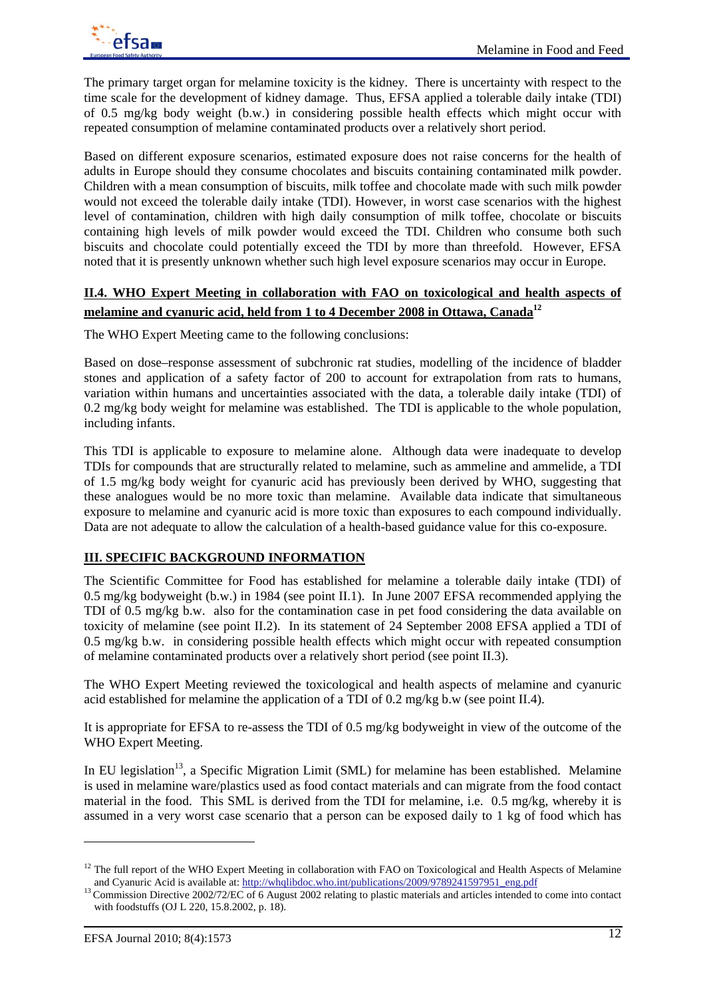

The primary target organ for melamine toxicity is the kidney. There is uncertainty with respect to the time scale for the development of kidney damage. Thus, EFSA applied a tolerable daily intake (TDI) of 0.5 mg/kg body weight (b.w.) in considering possible health effects which might occur with repeated consumption of melamine contaminated products over a relatively short period.

Based on different exposure scenarios, estimated exposure does not raise concerns for the health of adults in Europe should they consume chocolates and biscuits containing contaminated milk powder. Children with a mean consumption of biscuits, milk toffee and chocolate made with such milk powder would not exceed the tolerable daily intake (TDI). However, in worst case scenarios with the highest level of contamination, children with high daily consumption of milk toffee, chocolate or biscuits containing high levels of milk powder would exceed the TDI. Children who consume both such biscuits and chocolate could potentially exceed the TDI by more than threefold. However, EFSA noted that it is presently unknown whether such high level exposure scenarios may occur in Europe.

# **II.4. WHO Expert Meeting in collaboration with FAO on toxicological and health aspects of**  melamine and cyanuric acid, held from 1 to 4 December 2008 in Ottawa, Canada<sup>12</sup>

The WHO Expert Meeting came to the following conclusions:

Based on dose–response assessment of subchronic rat studies, modelling of the incidence of bladder stones and application of a safety factor of 200 to account for extrapolation from rats to humans, variation within humans and uncertainties associated with the data, a tolerable daily intake (TDI) of 0.2 mg/kg body weight for melamine was established. The TDI is applicable to the whole population, including infants.

This TDI is applicable to exposure to melamine alone. Although data were inadequate to develop TDIs for compounds that are structurally related to melamine, such as ammeline and ammelide, a TDI of 1.5 mg/kg body weight for cyanuric acid has previously been derived by WHO, suggesting that these analogues would be no more toxic than melamine. Available data indicate that simultaneous exposure to melamine and cyanuric acid is more toxic than exposures to each compound individually. Data are not adequate to allow the calculation of a health-based guidance value for this co-exposure.

# **III. SPECIFIC BACKGROUND INFORMATION**

The Scientific Committee for Food has established for melamine a tolerable daily intake (TDI) of 0.5 mg/kg bodyweight (b.w.) in 1984 (see point II.1). In June 2007 EFSA recommended applying the TDI of 0.5 mg/kg b.w. also for the contamination case in pet food considering the data available on toxicity of melamine (see point II.2). In its statement of 24 September 2008 EFSA applied a TDI of 0.5 mg/kg b.w. in considering possible health effects which might occur with repeated consumption of melamine contaminated products over a relatively short period (see point II.3).

The WHO Expert Meeting reviewed the toxicological and health aspects of melamine and cyanuric acid established for melamine the application of a TDI of 0.2 mg/kg b.w (see point II.4).

It is appropriate for EFSA to re-assess the TDI of 0.5 mg/kg bodyweight in view of the outcome of the WHO Expert Meeting.

In EU legislation<sup>13</sup>, a Specific Migration Limit (SML) for melamine has been established. Melamine is used in melamine ware/plastics used as food contact materials and can migrate from the food contact material in the food. This SML is derived from the TDI for melamine, i.e. 0.5 mg/kg, whereby it is assumed in a very worst case scenario that a person can be exposed daily to 1 kg of food which has

 $\overline{\phantom{a}}$ 

<sup>&</sup>lt;sup>12</sup> The full report of the WHO Expert Meeting in collaboration with FAO on Toxicological and Health Aspects of Melamine

and Cyanuric Acid is available at: http://whqlibdoc.who.int/publications/2009/9789241597951\_eng.pdf 13 Commission Directive 2002/72/EC of 6 August 2002 relating to plastic materials and articles intended to come into conta with foodstuffs (OJ L 220, 15.8.2002, p. 18).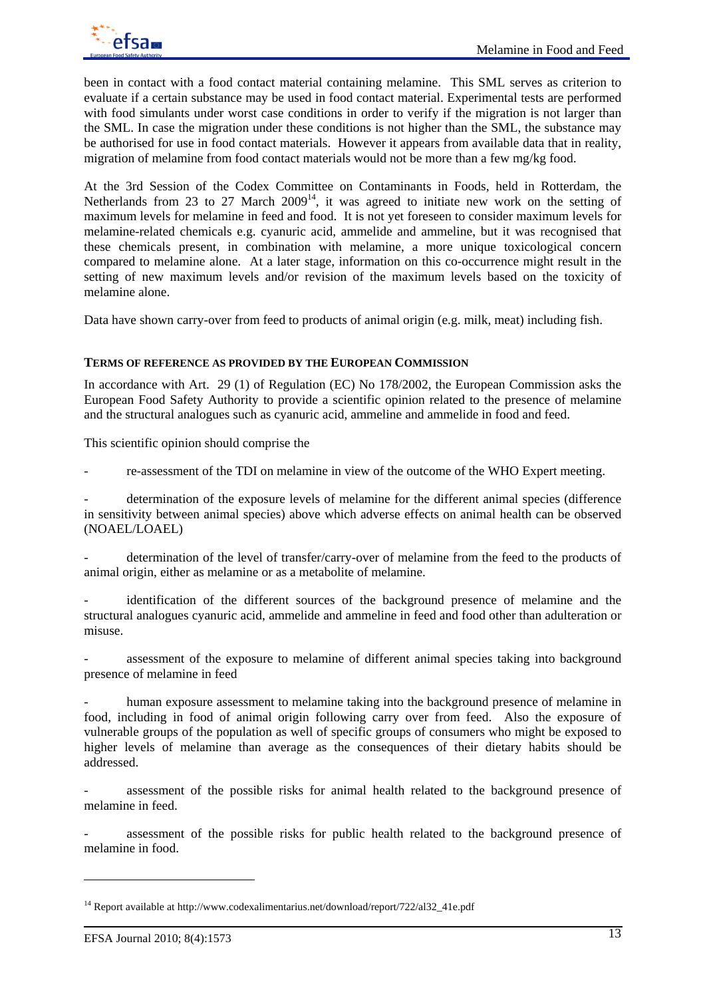been in contact with a food contact material containing melamine. This SML serves as criterion to evaluate if a certain substance may be used in food contact material. Experimental tests are performed with food simulants under worst case conditions in order to verify if the migration is not larger than the SML. In case the migration under these conditions is not higher than the SML, the substance may be authorised for use in food contact materials. However it appears from available data that in reality, migration of melamine from food contact materials would not be more than a few mg/kg food.

At the 3rd Session of the Codex Committee on Contaminants in Foods, held in Rotterdam, the Netherlands from 23 to 27 March 2009<sup>14</sup>, it was agreed to initiate new work on the setting of maximum levels for melamine in feed and food. It is not yet foreseen to consider maximum levels for melamine-related chemicals e.g. cyanuric acid, ammelide and ammeline, but it was recognised that these chemicals present, in combination with melamine, a more unique toxicological concern compared to melamine alone. At a later stage, information on this co-occurrence might result in the setting of new maximum levels and/or revision of the maximum levels based on the toxicity of melamine alone.

Data have shown carry-over from feed to products of animal origin (e.g. milk, meat) including fish.

### **TERMS OF REFERENCE AS PROVIDED BY THE EUROPEAN COMMISSION**

In accordance with Art. 29 (1) of Regulation (EC) No 178/2002, the European Commission asks the European Food Safety Authority to provide a scientific opinion related to the presence of melamine and the structural analogues such as cyanuric acid, ammeline and ammelide in food and feed.

This scientific opinion should comprise the

- re-assessment of the TDI on melamine in view of the outcome of the WHO Expert meeting.

- determination of the exposure levels of melamine for the different animal species (difference in sensitivity between animal species) above which adverse effects on animal health can be observed (NOAEL/LOAEL)

determination of the level of transfer/carry-over of melamine from the feed to the products of animal origin, either as melamine or as a metabolite of melamine.

identification of the different sources of the background presence of melamine and the structural analogues cyanuric acid, ammelide and ammeline in feed and food other than adulteration or misuse.

assessment of the exposure to melamine of different animal species taking into background presence of melamine in feed

human exposure assessment to melamine taking into the background presence of melamine in food, including in food of animal origin following carry over from feed. Also the exposure of vulnerable groups of the population as well of specific groups of consumers who might be exposed to higher levels of melamine than average as the consequences of their dietary habits should be addressed.

assessment of the possible risks for animal health related to the background presence of melamine in feed.

assessment of the possible risks for public health related to the background presence of melamine in food.

<sup>&</sup>lt;sup>14</sup> Report available at http://www.codexalimentarius.net/download/report/722/al32\_41e.pdf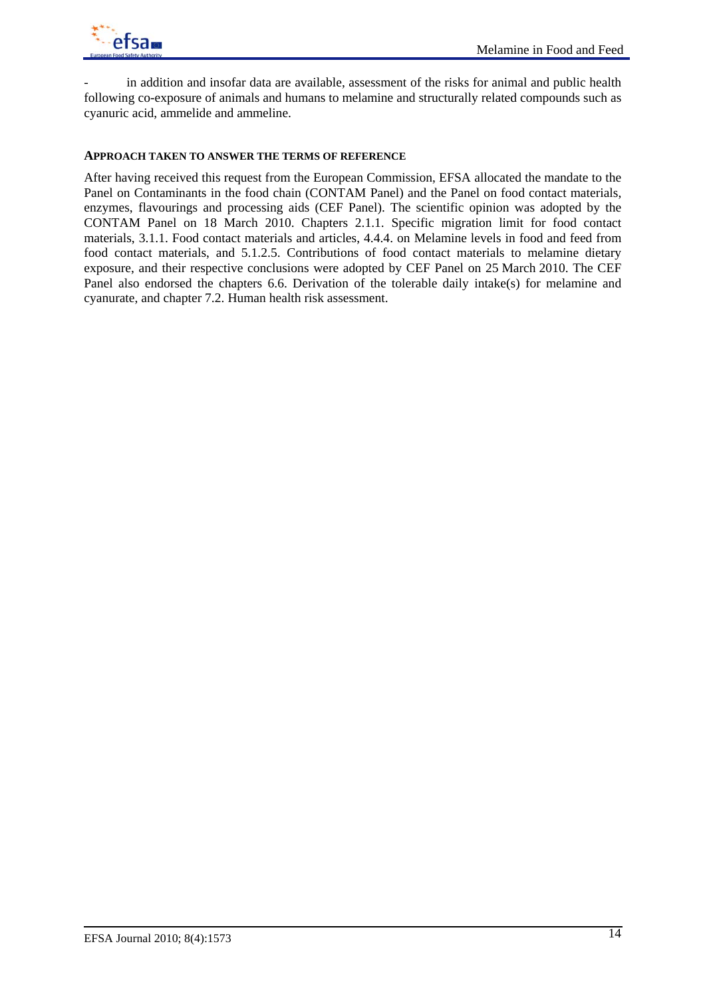

in addition and insofar data are available, assessment of the risks for animal and public health following co-exposure of animals and humans to melamine and structurally related compounds such as cyanuric acid, ammelide and ammeline.

#### **APPROACH TAKEN TO ANSWER THE TERMS OF REFERENCE**

After having received this request from the European Commission, EFSA allocated the mandate to the Panel on Contaminants in the food chain (CONTAM Panel) and the Panel on food contact materials, enzymes, flavourings and processing aids (CEF Panel). The scientific opinion was adopted by the CONTAM Panel on 18 March 2010. Chapters 2.1.1. Specific migration limit for food contact materials, 3.1.1. Food contact materials and articles, 4.4.4. on Melamine levels in food and feed from food contact materials, and 5.1.2.5. Contributions of food contact materials to melamine dietary exposure, and their respective conclusions were adopted by CEF Panel on 25 March 2010. The CEF Panel also endorsed the chapters 6.6. Derivation of the tolerable daily intake(s) for melamine and cyanurate, and chapter 7.2. Human health risk assessment.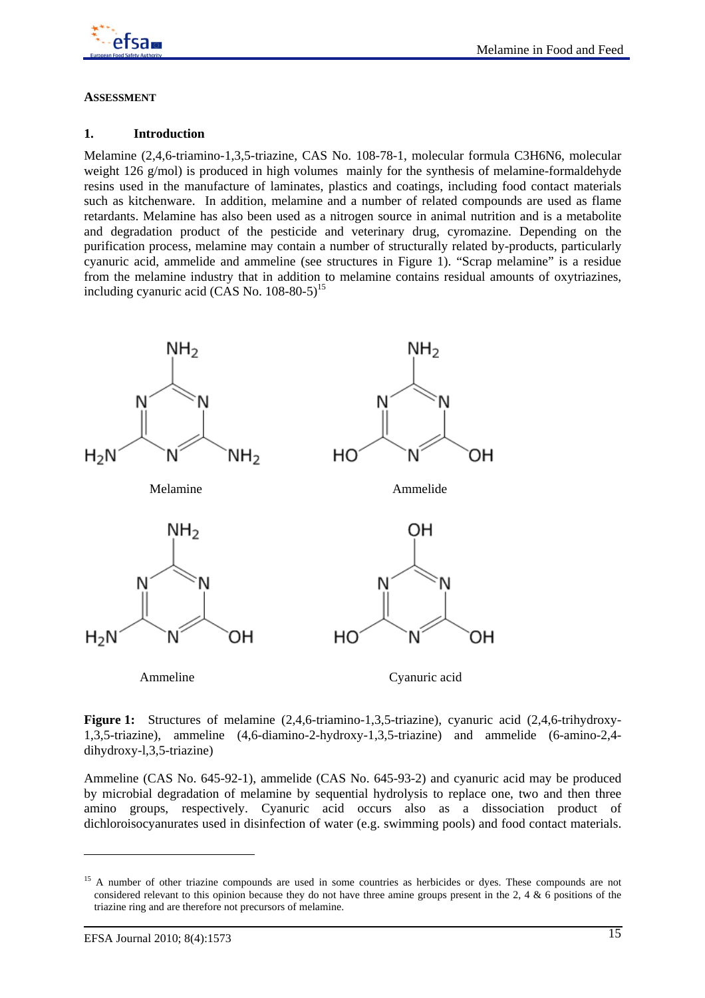

### **ASSESSMENT**

### **1. Introduction**

Melamine (2,4,6-triamino-1,3,5-triazine, CAS No. 108-78-1, molecular formula C3H6N6, molecular weight 126  $g/mol$ ) is produced in high volumes mainly for the synthesis of melamine-formaldehyde resins used in the manufacture of laminates, plastics and coatings, including food contact materials such as kitchenware. In addition, melamine and a number of related compounds are used as flame retardants. Melamine has also been used as a nitrogen source in animal nutrition and is a metabolite and degradation product of the pesticide and veterinary drug, cyromazine. Depending on the purification process, melamine may contain a number of structurally related by-products, particularly cyanuric acid, ammelide and ammeline (see structures in Figure 1). "Scrap melamine" is a residue from the melamine industry that in addition to melamine contains residual amounts of oxytriazines, including cyanuric acid (CAS No.  $108-80-5$ )<sup>15</sup>



Figure 1: Structures of melamine (2,4,6-triamino-1,3,5-triazine), cyanuric acid (2,4,6-trihydroxy-1,3,5-triazine), ammeline (4,6-diamino-2-hydroxy-1,3,5-triazine) and ammelide (6-amino-2,4 dihydroxy-l,3,5-triazine)

Ammeline (CAS No. 645-92-1), ammelide (CAS No. 645-93-2) and cyanuric acid may be produced by microbial degradation of melamine by sequential hydrolysis to replace one, two and then three amino groups, respectively. Cyanuric acid occurs also as a dissociation product of dichloroisocyanurates used in disinfection of water (e.g. swimming pools) and food contact materials.

 $\overline{a}$ 

<sup>&</sup>lt;sup>15</sup> A number of other triazine compounds are used in some countries as herbicides or dyes. These compounds are not considered relevant to this opinion because they do not have three amine groups present in the  $2, 4, \& 6$  positions of the triazine ring and are therefore not precursors of melamine.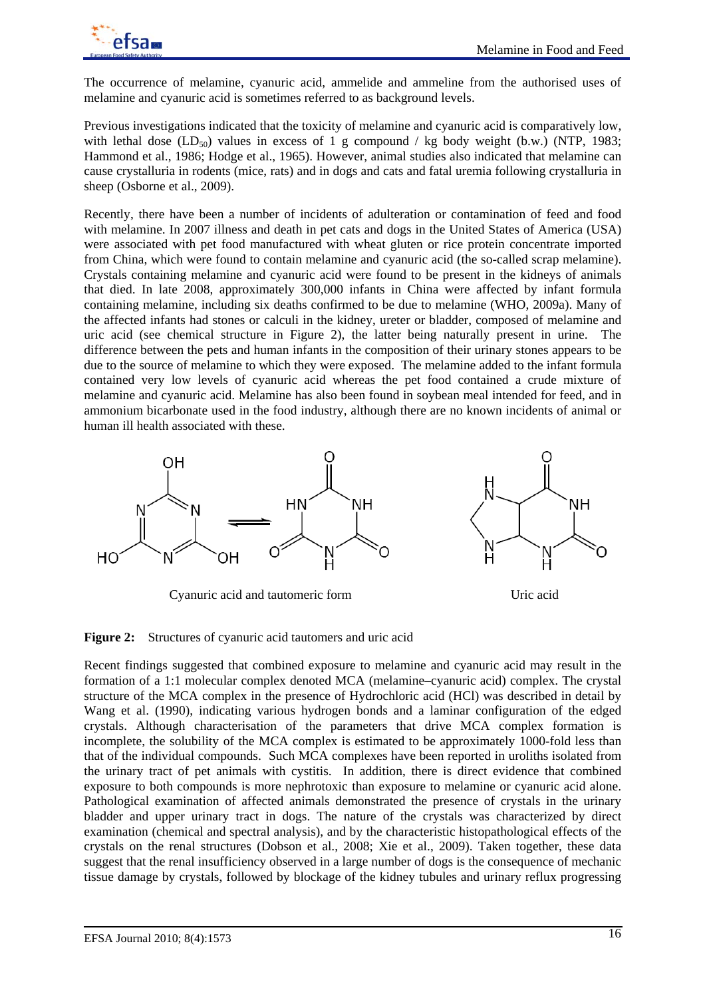

The occurrence of melamine, cyanuric acid, ammelide and ammeline from the authorised uses of melamine and cyanuric acid is sometimes referred to as background levels.

Previous investigations indicated that the toxicity of melamine and cyanuric acid is comparatively low, with lethal dose  $(LD_{50})$  values in excess of 1 g compound / kg body weight (b.w.) (NTP, 1983; Hammond et al., 1986; Hodge et al., 1965). However, animal studies also indicated that melamine can cause crystalluria in rodents (mice, rats) and in dogs and cats and fatal uremia following crystalluria in sheep (Osborne et al., 2009).

Recently, there have been a number of incidents of adulteration or contamination of feed and food with melamine. In 2007 illness and death in pet cats and dogs in the United States of America (USA) were associated with pet food manufactured with wheat gluten or rice protein concentrate imported from China, which were found to contain melamine and cyanuric acid (the so-called scrap melamine). Crystals containing melamine and cyanuric acid were found to be present in the kidneys of animals that died. In late 2008, approximately 300,000 infants in China were affected by infant formula containing melamine, including six deaths confirmed to be due to melamine (WHO, 2009a). Many of the affected infants had stones or calculi in the kidney, ureter or bladder, composed of melamine and uric acid (see chemical structure in Figure 2), the latter being naturally present in urine. The difference between the pets and human infants in the composition of their urinary stones appears to be due to the source of melamine to which they were exposed. The melamine added to the infant formula contained very low levels of cyanuric acid whereas the pet food contained a crude mixture of melamine and cyanuric acid. Melamine has also been found in soybean meal intended for feed, and in ammonium bicarbonate used in the food industry, although there are no known incidents of animal or human ill health associated with these.



Cyanuric acid and tautomeric form Uric acid



#### **Figure 2:** Structures of cyanuric acid tautomers and uric acid

Recent findings suggested that combined exposure to melamine and cyanuric acid may result in the formation of a 1:1 molecular complex denoted MCA (melamine–cyanuric acid) complex. The crystal structure of the MCA complex in the presence of Hydrochloric acid (HCl) was described in detail by Wang et al. (1990), indicating various hydrogen bonds and a laminar configuration of the edged crystals. Although characterisation of the parameters that drive MCA complex formation is incomplete, the solubility of the MCA complex is estimated to be approximately 1000-fold less than that of the individual compounds. Such MCA complexes have been reported in uroliths isolated from the urinary tract of pet animals with cystitis. In addition, there is direct evidence that combined exposure to both compounds is more nephrotoxic than exposure to melamine or cyanuric acid alone. Pathological examination of affected animals demonstrated the presence of crystals in the urinary bladder and upper urinary tract in dogs. The nature of the crystals was characterized by direct examination (chemical and spectral analysis), and by the characteristic histopathological effects of the crystals on the renal structures (Dobson et al., 2008; Xie et al., 2009). Taken together, these data suggest that the renal insufficiency observed in a large number of dogs is the consequence of mechanic tissue damage by crystals, followed by blockage of the kidney tubules and urinary reflux progressing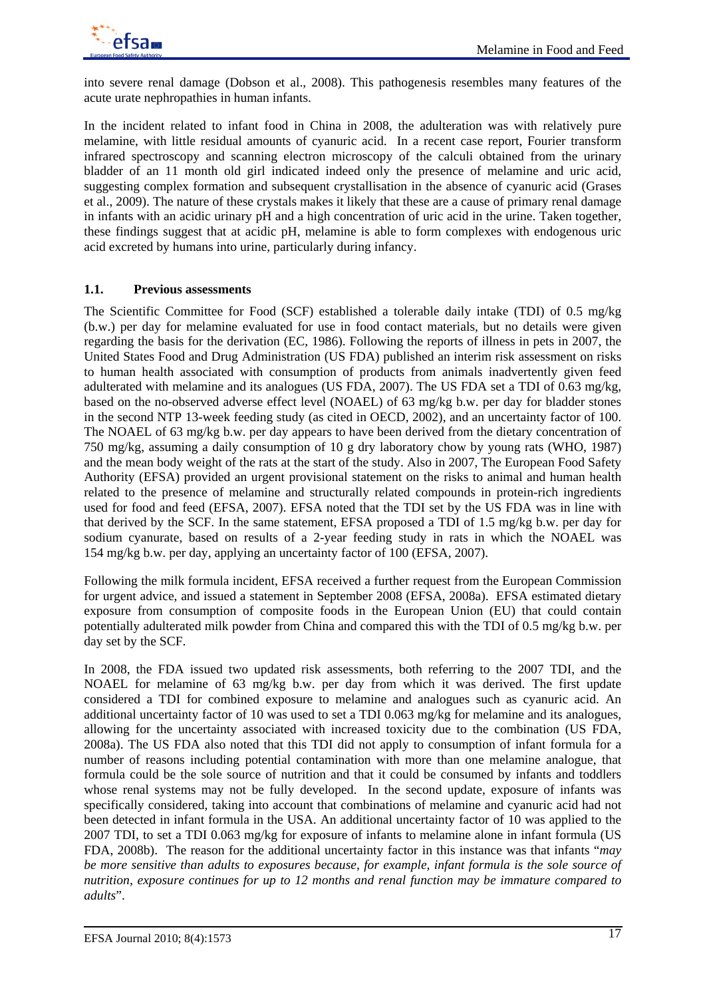into severe renal damage (Dobson et al., 2008). This pathogenesis resembles many features of the acute urate nephropathies in human infants.

In the incident related to infant food in China in 2008, the adulteration was with relatively pure melamine, with little residual amounts of cyanuric acid. In a recent case report, Fourier transform infrared spectroscopy and scanning electron microscopy of the calculi obtained from the urinary bladder of an 11 month old girl indicated indeed only the presence of melamine and uric acid, suggesting complex formation and subsequent crystallisation in the absence of cyanuric acid (Grases et al., 2009). The nature of these crystals makes it likely that these are a cause of primary renal damage in infants with an acidic urinary pH and a high concentration of uric acid in the urine. Taken together, these findings suggest that at acidic pH, melamine is able to form complexes with endogenous uric acid excreted by humans into urine, particularly during infancy.

# **1.1. Previous assessments**

The Scientific Committee for Food (SCF) established a tolerable daily intake (TDI) of 0.5 mg/kg (b.w.) per day for melamine evaluated for use in food contact materials, but no details were given regarding the basis for the derivation (EC, 1986). Following the reports of illness in pets in 2007, the United States Food and Drug Administration (US FDA) published an interim risk assessment on risks to human health associated with consumption of products from animals inadvertently given feed adulterated with melamine and its analogues (US FDA, 2007). The US FDA set a TDI of 0.63 mg/kg, based on the no-observed adverse effect level (NOAEL) of 63 mg/kg b.w. per day for bladder stones in the second NTP 13-week feeding study (as cited in OECD, 2002), and an uncertainty factor of 100. The NOAEL of 63 mg/kg b.w. per day appears to have been derived from the dietary concentration of 750 mg/kg, assuming a daily consumption of 10 g dry laboratory chow by young rats (WHO, 1987) and the mean body weight of the rats at the start of the study. Also in 2007, The European Food Safety Authority (EFSA) provided an urgent provisional statement on the risks to animal and human health related to the presence of melamine and structurally related compounds in protein-rich ingredients used for food and feed (EFSA, 2007). EFSA noted that the TDI set by the US FDA was in line with that derived by the SCF. In the same statement, EFSA proposed a TDI of 1.5 mg/kg b.w. per day for sodium cyanurate, based on results of a 2-year feeding study in rats in which the NOAEL was 154 mg/kg b.w. per day, applying an uncertainty factor of 100 (EFSA, 2007).

Following the milk formula incident, EFSA received a further request from the European Commission for urgent advice, and issued a statement in September 2008 (EFSA, 2008a). EFSA estimated dietary exposure from consumption of composite foods in the European Union (EU) that could contain potentially adulterated milk powder from China and compared this with the TDI of 0.5 mg/kg b.w. per day set by the SCF.

In 2008, the FDA issued two updated risk assessments, both referring to the 2007 TDI, and the NOAEL for melamine of 63 mg/kg b.w. per day from which it was derived. The first update considered a TDI for combined exposure to melamine and analogues such as cyanuric acid. An additional uncertainty factor of 10 was used to set a TDI 0.063 mg/kg for melamine and its analogues, allowing for the uncertainty associated with increased toxicity due to the combination (US FDA, 2008a). The US FDA also noted that this TDI did not apply to consumption of infant formula for a number of reasons including potential contamination with more than one melamine analogue, that formula could be the sole source of nutrition and that it could be consumed by infants and toddlers whose renal systems may not be fully developed. In the second update, exposure of infants was specifically considered, taking into account that combinations of melamine and cyanuric acid had not been detected in infant formula in the USA. An additional uncertainty factor of 10 was applied to the 2007 TDI, to set a TDI 0.063 mg/kg for exposure of infants to melamine alone in infant formula (US FDA, 2008b). The reason for the additional uncertainty factor in this instance was that infants "*may be more sensitive than adults to exposures because, for example, infant formula is the sole source of nutrition, exposure continues for up to 12 months and renal function may be immature compared to adults*".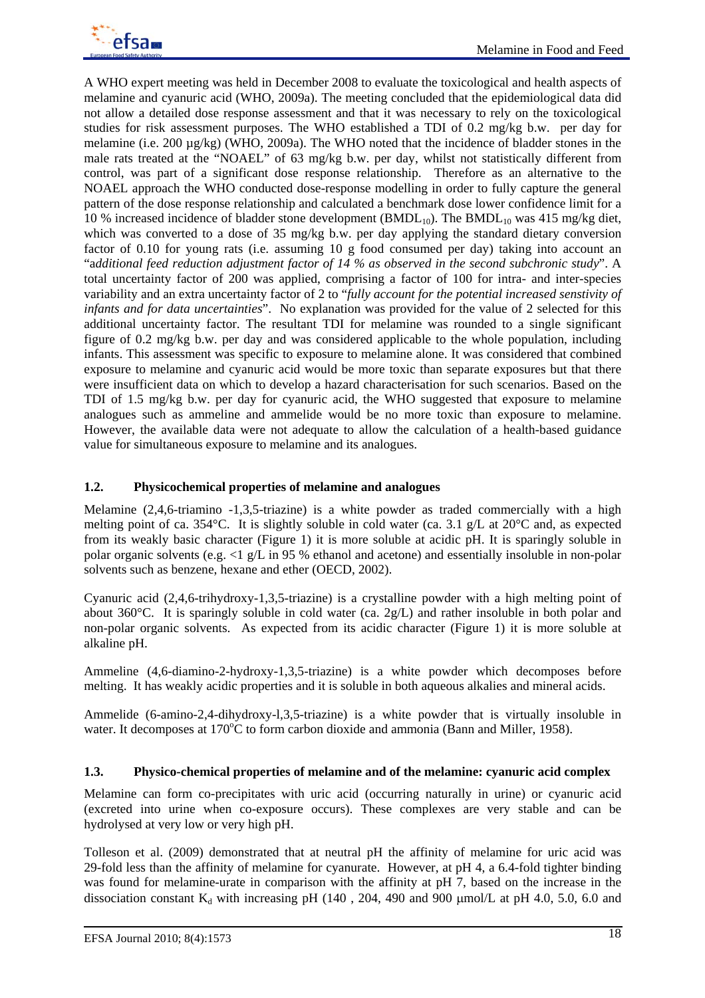

A WHO expert meeting was held in December 2008 to evaluate the toxicological and health aspects of melamine and cyanuric acid (WHO, 2009a). The meeting concluded that the epidemiological data did not allow a detailed dose response assessment and that it was necessary to rely on the toxicological studies for risk assessment purposes. The WHO established a TDI of 0.2 mg/kg b.w. per day for melamine (i.e. 200 µg/kg) (WHO, 2009a). The WHO noted that the incidence of bladder stones in the male rats treated at the "NOAEL" of 63 mg/kg b.w. per day, whilst not statistically different from control, was part of a significant dose response relationship. Therefore as an alternative to the NOAEL approach the WHO conducted dose-response modelling in order to fully capture the general pattern of the dose response relationship and calculated a benchmark dose lower confidence limit for a 10 % increased incidence of bladder stone development  $(BMDL_{10})$ . The  $BMDL_{10}$  was 415 mg/kg diet, which was converted to a dose of 35 mg/kg b.w. per day applying the standard dietary conversion factor of 0.10 for young rats (i.e. assuming 10 g food consumed per day) taking into account an "a*dditional feed reduction adjustment factor of 14 % as observed in the second subchronic study*". A total uncertainty factor of 200 was applied, comprising a factor of 100 for intra- and inter-species variability and an extra uncertainty factor of 2 to "*fully account for the potential increased senstivity of infants and for data uncertainties*". No explanation was provided for the value of 2 selected for this additional uncertainty factor. The resultant TDI for melamine was rounded to a single significant figure of 0.2 mg/kg b.w. per day and was considered applicable to the whole population, including infants. This assessment was specific to exposure to melamine alone. It was considered that combined exposure to melamine and cyanuric acid would be more toxic than separate exposures but that there were insufficient data on which to develop a hazard characterisation for such scenarios. Based on the TDI of 1.5 mg/kg b.w. per day for cyanuric acid, the WHO suggested that exposure to melamine analogues such as ammeline and ammelide would be no more toxic than exposure to melamine. However, the available data were not adequate to allow the calculation of a health-based guidance value for simultaneous exposure to melamine and its analogues.

# **1.2. Physicochemical properties of melamine and analogues**

Melamine (2,4,6-triamino -1,3,5-triazine) is a white powder as traded commercially with a high melting point of ca. 354°C. It is slightly soluble in cold water (ca. 3.1 g/L at 20°C and, as expected from its weakly basic character (Figure 1) it is more soluble at acidic pH. It is sparingly soluble in polar organic solvents (e.g. <1 g/L in 95 % ethanol and acetone) and essentially insoluble in non-polar solvents such as benzene, hexane and ether (OECD, 2002).

Cyanuric acid (2,4,6-trihydroxy-1,3,5-triazine) is a crystalline powder with a high melting point of about 360°C. It is sparingly soluble in cold water (ca. 2g/L) and rather insoluble in both polar and non-polar organic solvents. As expected from its acidic character (Figure 1) it is more soluble at alkaline pH.

Ammeline (4,6-diamino-2-hydroxy-1,3,5-triazine) is a white powder which decomposes before melting. It has weakly acidic properties and it is soluble in both aqueous alkalies and mineral acids.

Ammelide (6-amino-2,4-dihydroxy-l,3,5-triazine) is a white powder that is virtually insoluble in water. It decomposes at 170°C to form carbon dioxide and ammonia (Bann and Miller, 1958).

# **1.3. Physico-chemical properties of melamine and of the melamine: cyanuric acid complex**

Melamine can form co-precipitates with uric acid (occurring naturally in urine) or cyanuric acid (excreted into urine when co-exposure occurs). These complexes are very stable and can be hydrolysed at very low or very high pH.

Tolleson et al. (2009) demonstrated that at neutral pH the affinity of melamine for uric acid was 29-fold less than the affinity of melamine for cyanurate. However, at pH 4, a 6.4-fold tighter binding was found for melamine-urate in comparison with the affinity at pH 7, based on the increase in the dissociation constant  $K_d$  with increasing pH (140, 204, 490 and 900 µmol/L at pH 4.0, 5.0, 6.0 and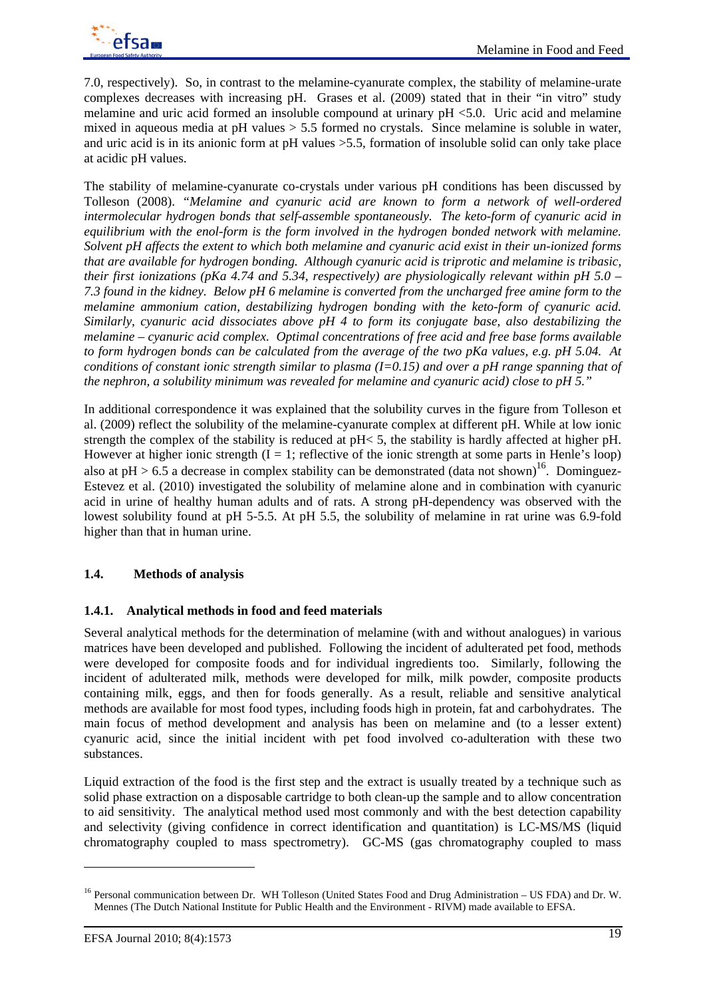7.0, respectively). So, in contrast to the melamine-cyanurate complex, the stability of melamine-urate complexes decreases with increasing pH. Grases et al. (2009) stated that in their "in vitro" study melamine and uric acid formed an insoluble compound at urinary pH <5.0. Uric acid and melamine mixed in aqueous media at pH values > 5.5 formed no crystals. Since melamine is soluble in water, and uric acid is in its anionic form at pH values >5.5, formation of insoluble solid can only take place at acidic pH values.

The stability of melamine-cyanurate co-crystals under various pH conditions has been discussed by Tolleson (2008). *"Melamine and cyanuric acid are known to form a network of well-ordered intermolecular hydrogen bonds that self-assemble spontaneously. The keto-form of cyanuric acid in equilibrium with the enol-form is the form involved in the hydrogen bonded network with melamine. Solvent pH affects the extent to which both melamine and cyanuric acid exist in their un-ionized forms that are available for hydrogen bonding. Although cyanuric acid is triprotic and melamine is tribasic, their first ionizations (pKa 4.74 and 5.34, respectively) are physiologically relevant within pH 5.0 – 7.3 found in the kidney. Below pH 6 melamine is converted from the uncharged free amine form to the melamine ammonium cation, destabilizing hydrogen bonding with the keto-form of cyanuric acid. Similarly, cyanuric acid dissociates above pH 4 to form its conjugate base, also destabilizing the melamine – cyanuric acid complex. Optimal concentrations of free acid and free base forms available to form hydrogen bonds can be calculated from the average of the two pKa values, e.g. pH 5.04. At conditions of constant ionic strength similar to plasma (I=0.15) and over a pH range spanning that of the nephron, a solubility minimum was revealed for melamine and cyanuric acid) close to pH 5."*

In additional correspondence it was explained that the solubility curves in the figure from Tolleson et al. (2009) reflect the solubility of the melamine-cyanurate complex at different pH. While at low ionic strength the complex of the stability is reduced at pH< 5, the stability is hardly affected at higher pH. However at higher ionic strength  $(I = 1$ ; reflective of the ionic strength at some parts in Henle's loop) also at  $pH > 6.5$  a decrease in complex stability can be demonstrated (data not shown)<sup>16</sup>. Dominguez-Estevez et al. (2010) investigated the solubility of melamine alone and in combination with cyanuric acid in urine of healthy human adults and of rats. A strong pH-dependency was observed with the lowest solubility found at pH 5-5.5. At pH 5.5, the solubility of melamine in rat urine was 6.9-fold higher than that in human urine.

# **1.4. Methods of analysis**

# **1.4.1. Analytical methods in food and feed materials**

Several analytical methods for the determination of melamine (with and without analogues) in various matrices have been developed and published. Following the incident of adulterated pet food, methods were developed for composite foods and for individual ingredients too. Similarly, following the incident of adulterated milk, methods were developed for milk, milk powder, composite products containing milk, eggs, and then for foods generally. As a result, reliable and sensitive analytical methods are available for most food types, including foods high in protein, fat and carbohydrates. The main focus of method development and analysis has been on melamine and (to a lesser extent) cyanuric acid, since the initial incident with pet food involved co-adulteration with these two substances.

Liquid extraction of the food is the first step and the extract is usually treated by a technique such as solid phase extraction on a disposable cartridge to both clean-up the sample and to allow concentration to aid sensitivity. The analytical method used most commonly and with the best detection capability and selectivity (giving confidence in correct identification and quantitation) is LC-MS/MS (liquid chromatography coupled to mass spectrometry). GC-MS (gas chromatography coupled to mass

<sup>&</sup>lt;sup>16</sup> Personal communication between Dr. WH Tolleson (United States Food and Drug Administration – US FDA) and Dr. W. Mennes (The Dutch National Institute for Public Health and the Environment - RIVM) made available to EFSA.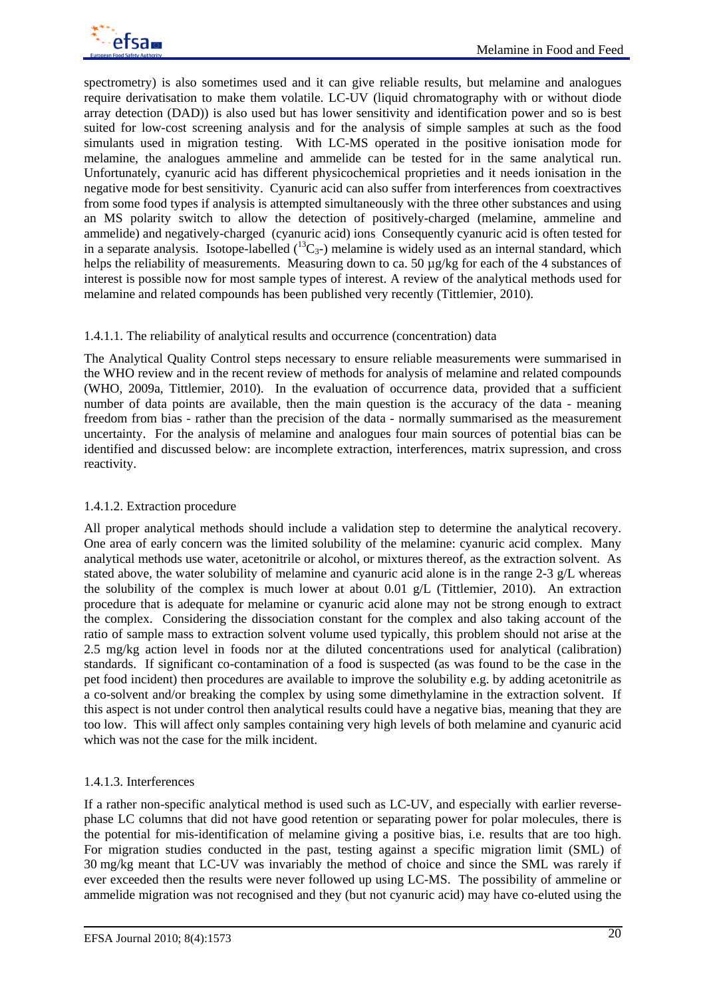

spectrometry) is also sometimes used and it can give reliable results, but melamine and analogues require derivatisation to make them volatile. LC-UV (liquid chromatography with or without diode array detection (DAD)) is also used but has lower sensitivity and identification power and so is best suited for low-cost screening analysis and for the analysis of simple samples at such as the food simulants used in migration testing. With LC-MS operated in the positive ionisation mode for melamine, the analogues ammeline and ammelide can be tested for in the same analytical run. Unfortunately, cyanuric acid has different physicochemical proprieties and it needs ionisation in the negative mode for best sensitivity. Cyanuric acid can also suffer from interferences from coextractives from some food types if analysis is attempted simultaneously with the three other substances and using an MS polarity switch to allow the detection of positively-charged (melamine, ammeline and ammelide) and negatively-charged (cyanuric acid) ions Consequently cyanuric acid is often tested for in a separate analysis. Isotope-labelled  $(^{13}C_3$ -) melamine is widely used as an internal standard, which helps the reliability of measurements. Measuring down to ca. 50 µg/kg for each of the 4 substances of interest is possible now for most sample types of interest. A review of the analytical methods used for melamine and related compounds has been published very recently (Tittlemier, 2010).

# 1.4.1.1. The reliability of analytical results and occurrence (concentration) data

The Analytical Quality Control steps necessary to ensure reliable measurements were summarised in the WHO review and in the recent review of methods for analysis of melamine and related compounds (WHO, 2009a, Tittlemier, 2010). In the evaluation of occurrence data, provided that a sufficient number of data points are available, then the main question is the accuracy of the data - meaning freedom from bias - rather than the precision of the data - normally summarised as the measurement uncertainty. For the analysis of melamine and analogues four main sources of potential bias can be identified and discussed below: are incomplete extraction, interferences, matrix supression, and cross reactivity.

# 1.4.1.2. Extraction procedure

All proper analytical methods should include a validation step to determine the analytical recovery. One area of early concern was the limited solubility of the melamine: cyanuric acid complex. Many analytical methods use water, acetonitrile or alcohol, or mixtures thereof, as the extraction solvent. As stated above, the water solubility of melamine and cyanuric acid alone is in the range 2-3 g/L whereas the solubility of the complex is much lower at about 0.01 g/L (Tittlemier, 2010). An extraction procedure that is adequate for melamine or cyanuric acid alone may not be strong enough to extract the complex. Considering the dissociation constant for the complex and also taking account of the ratio of sample mass to extraction solvent volume used typically, this problem should not arise at the 2.5 mg/kg action level in foods nor at the diluted concentrations used for analytical (calibration) standards. If significant co-contamination of a food is suspected (as was found to be the case in the pet food incident) then procedures are available to improve the solubility e.g. by adding acetonitrile as a co-solvent and/or breaking the complex by using some dimethylamine in the extraction solvent. If this aspect is not under control then analytical results could have a negative bias, meaning that they are too low. This will affect only samples containing very high levels of both melamine and cyanuric acid which was not the case for the milk incident.

# 1.4.1.3. Interferences

If a rather non-specific analytical method is used such as LC-UV, and especially with earlier reversephase LC columns that did not have good retention or separating power for polar molecules, there is the potential for mis-identification of melamine giving a positive bias, i.e. results that are too high. For migration studies conducted in the past, testing against a specific migration limit (SML) of 30 mg/kg meant that LC-UV was invariably the method of choice and since the SML was rarely if ever exceeded then the results were never followed up using LC-MS. The possibility of ammeline or ammelide migration was not recognised and they (but not cyanuric acid) may have co-eluted using the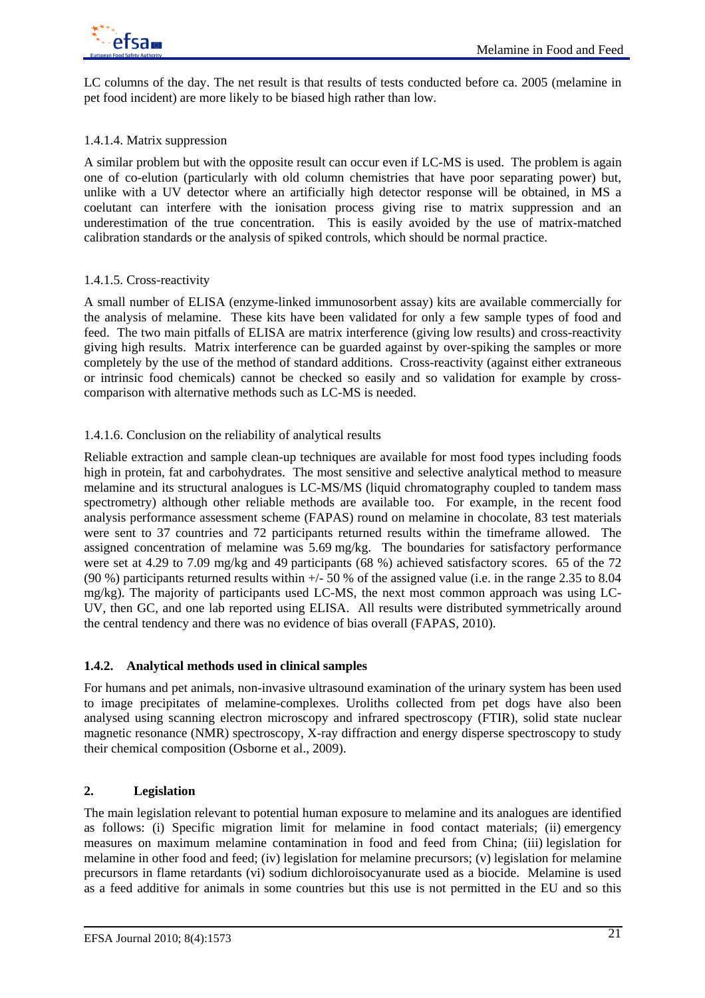

LC columns of the day. The net result is that results of tests conducted before ca. 2005 (melamine in pet food incident) are more likely to be biased high rather than low.

### 1.4.1.4. Matrix suppression

A similar problem but with the opposite result can occur even if LC-MS is used. The problem is again one of co-elution (particularly with old column chemistries that have poor separating power) but, unlike with a UV detector where an artificially high detector response will be obtained, in MS a coelutant can interfere with the ionisation process giving rise to matrix suppression and an underestimation of the true concentration. This is easily avoided by the use of matrix-matched calibration standards or the analysis of spiked controls, which should be normal practice.

### 1.4.1.5. Cross-reactivity

A small number of ELISA (enzyme-linked immunosorbent assay) kits are available commercially for the analysis of melamine. These kits have been validated for only a few sample types of food and feed. The two main pitfalls of ELISA are matrix interference (giving low results) and cross-reactivity giving high results. Matrix interference can be guarded against by over-spiking the samples or more completely by the use of the method of standard additions. Cross-reactivity (against either extraneous or intrinsic food chemicals) cannot be checked so easily and so validation for example by crosscomparison with alternative methods such as LC-MS is needed.

### 1.4.1.6. Conclusion on the reliability of analytical results

Reliable extraction and sample clean-up techniques are available for most food types including foods high in protein, fat and carbohydrates. The most sensitive and selective analytical method to measure melamine and its structural analogues is LC-MS/MS (liquid chromatography coupled to tandem mass spectrometry) although other reliable methods are available too. For example, in the recent food analysis performance assessment scheme (FAPAS) round on melamine in chocolate, 83 test materials were sent to 37 countries and 72 participants returned results within the timeframe allowed. The assigned concentration of melamine was 5.69 mg/kg. The boundaries for satisfactory performance were set at 4.29 to 7.09 mg/kg and 49 participants (68 %) achieved satisfactory scores. 65 of the 72 (90 %) participants returned results within +/- 50 % of the assigned value (i.e. in the range 2.35 to 8.04 mg/kg). The majority of participants used LC-MS, the next most common approach was using LC-UV, then GC, and one lab reported using ELISA. All results were distributed symmetrically around the central tendency and there was no evidence of bias overall (FAPAS, 2010).

# **1.4.2. Analytical methods used in clinical samples**

For humans and pet animals, non-invasive ultrasound examination of the urinary system has been used to image precipitates of melamine-complexes. Uroliths collected from pet dogs have also been analysed using scanning electron microscopy and infrared spectroscopy (FTIR), solid state nuclear magnetic resonance (NMR) spectroscopy, X-ray diffraction and energy disperse spectroscopy to study their chemical composition (Osborne et al., 2009).

# **2. Legislation**

The main legislation relevant to potential human exposure to melamine and its analogues are identified as follows: (i) Specific migration limit for melamine in food contact materials; (ii) emergency measures on maximum melamine contamination in food and feed from China; (iii) legislation for melamine in other food and feed; (iv) legislation for melamine precursors; (v) legislation for melamine precursors in flame retardants (vi) sodium dichloroisocyanurate used as a biocide. Melamine is used as a feed additive for animals in some countries but this use is not permitted in the EU and so this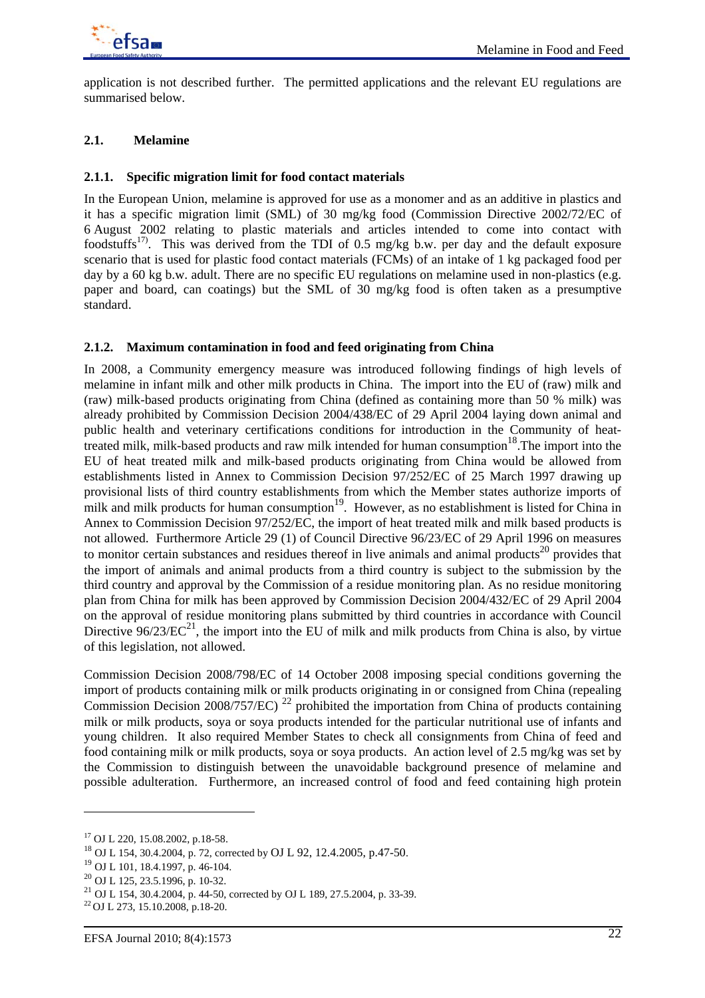

application is not described further. The permitted applications and the relevant EU regulations are summarised below.

# **2.1. Melamine**

### **2.1.1. Specific migration limit for food contact materials**

In the European Union, melamine is approved for use as a monomer and as an additive in plastics and it has a specific migration limit (SML) of 30 mg/kg food (Commission Directive 2002/72/EC of 6 August 2002 relating to plastic materials and articles intended to come into contact with foodstuffs<sup>17)</sup>. This was derived from the TDI of 0.5 mg/kg b.w. per day and the default exposure scenario that is used for plastic food contact materials (FCMs) of an intake of 1 kg packaged food per day by a 60 kg b.w. adult. There are no specific EU regulations on melamine used in non-plastics (e.g. paper and board, can coatings) but the SML of 30 mg/kg food is often taken as a presumptive standard.

# **2.1.2. Maximum contamination in food and feed originating from China**

In 2008, a Community emergency measure was introduced following findings of high levels of melamine in infant milk and other milk products in China. The import into the EU of (raw) milk and (raw) milk-based products originating from China (defined as containing more than 50 % milk) was already prohibited by Commission Decision 2004/438/EC of 29 April 2004 laying down animal and public health and veterinary certifications conditions for introduction in the Community of heattreated milk, milk-based products and raw milk intended for human consumption<sup>18</sup>. The import into the EU of heat treated milk and milk-based products originating from China would be allowed from establishments listed in Annex to Commission Decision 97/252/EC of 25 March 1997 drawing up provisional lists of third country establishments from which the Member states authorize imports of milk and milk products for human consumption<sup>19</sup>. However, as no establishment is listed for China in Annex to Commission Decision 97/252/EC, the import of heat treated milk and milk based products is not allowed. Furthermore Article 29 (1) of Council Directive 96/23/EC of 29 April 1996 on measures to monitor certain substances and residues thereof in live animals and animal products<sup>20</sup> provides that the import of animals and animal products from a third country is subject to the submission by the third country and approval by the Commission of a residue monitoring plan. As no residue monitoring plan from China for milk has been approved by Commission Decision 2004/432/EC of 29 April 2004 on the approval of residue monitoring plans submitted by third countries in accordance with Council Directive  $96/23/EC^{21}$ , the import into the EU of milk and milk products from China is also, by virtue of this legislation, not allowed.

Commission Decision 2008/798/EC of 14 October 2008 imposing special conditions governing the import of products containing milk or milk products originating in or consigned from China (repealing Commission Decision 2008/757/EC)<sup>22</sup> prohibited the importation from China of products containing milk or milk products, soya or soya products intended for the particular nutritional use of infants and young children. It also required Member States to check all consignments from China of feed and food containing milk or milk products, soya or soya products. An action level of 2.5 mg/kg was set by the Commission to distinguish between the unavoidable background presence of melamine and possible adulteration. Furthermore, an increased control of food and feed containing high protein

<sup>17</sup> OJ L 220, 15.08.2002, p.18-58.

<sup>18</sup> OJ L 154, 30.4.2004, p. 72, corrected by OJ L 92, 12.4.2005, p.47-50.

<sup>19</sup> OJ L 101, 18.4.1997, p. 46-104.

<sup>20</sup> OJ L 125, 23.5.1996, p. 10-32.

<sup>21</sup> OJ L 154, 30.4.2004, p. 44-50, corrected by OJ L 189, 27.5.2004, p. 33-39.

 $22$  OJ L 273, 15.10.2008, p.18-20.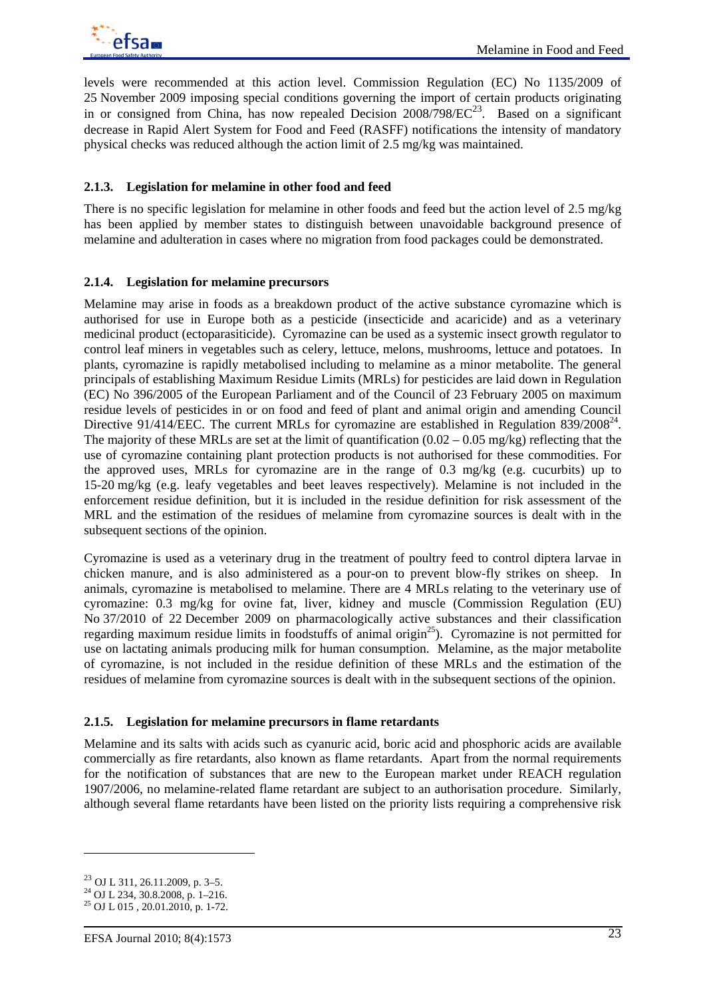levels were recommended at this action level. Commission Regulation (EC) No 1135/2009 of 25 November 2009 imposing special conditions governing the import of certain products originating in or consigned from China, has now repealed Decision  $2008/798/EC^{23}$ . Based on a significant decrease in Rapid Alert System for Food and Feed (RASFF) notifications the intensity of mandatory physical checks was reduced although the action limit of 2.5 mg/kg was maintained.

# **2.1.3. Legislation for melamine in other food and feed**

There is no specific legislation for melamine in other foods and feed but the action level of 2.5 mg/kg has been applied by member states to distinguish between unavoidable background presence of melamine and adulteration in cases where no migration from food packages could be demonstrated.

# **2.1.4. Legislation for melamine precursors**

Melamine may arise in foods as a breakdown product of the active substance cyromazine which is authorised for use in Europe both as a pesticide (insecticide and acaricide) and as a veterinary medicinal product (ectoparasiticide). Cyromazine can be used as a systemic insect growth regulator to control leaf miners in vegetables such as celery, lettuce, melons, mushrooms, lettuce and potatoes. In plants, cyromazine is rapidly metabolised including to melamine as a minor metabolite. The general principals of establishing Maximum Residue Limits (MRLs) for pesticides are laid down in Regulation (EC) No 396/2005 of the European Parliament and of the Council of 23 February 2005 on maximum residue levels of pesticides in or on food and feed of plant and animal origin and amending Council Directive 91/414/EEC. The current MRLs for cyromazine are established in Regulation 839/2008<sup>24</sup>. The majority of these MRLs are set at the limit of quantification  $(0.02 - 0.05 \text{ mg/kg})$  reflecting that the use of cyromazine containing plant protection products is not authorised for these commodities. For the approved uses, MRLs for cyromazine are in the range of 0.3 mg/kg (e.g. cucurbits) up to 15-20 mg/kg (e.g. leafy vegetables and beet leaves respectively). Melamine is not included in the enforcement residue definition, but it is included in the residue definition for risk assessment of the MRL and the estimation of the residues of melamine from cyromazine sources is dealt with in the subsequent sections of the opinion.

Cyromazine is used as a veterinary drug in the treatment of poultry feed to control diptera larvae in chicken manure, and is also administered as a pour-on to prevent blow-fly strikes on sheep. In animals, cyromazine is metabolised to melamine. There are 4 MRLs relating to the veterinary use of cyromazine: 0.3 mg/kg for ovine fat, liver, kidney and muscle (Commission Regulation (EU) No 37/2010 of 22 December 2009 on pharmacologically active substances and their classification regarding maximum residue limits in foodstuffs of animal origin<sup>25</sup>). Cyromazine is not permitted for use on lactating animals producing milk for human consumption. Melamine, as the major metabolite of cyromazine, is not included in the residue definition of these MRLs and the estimation of the residues of melamine from cyromazine sources is dealt with in the subsequent sections of the opinion.

#### **2.1.5. Legislation for melamine precursors in flame retardants**

Melamine and its salts with acids such as cyanuric acid, boric acid and phosphoric acids are available commercially as fire retardants, also known as flame retardants. Apart from the normal requirements for the notification of substances that are new to the European market under REACH regulation 1907/2006, no melamine-related flame retardant are subject to an authorisation procedure. Similarly, although several flame retardants have been listed on the priority lists requiring a comprehensive risk

<sup>23</sup> OJ L 311, 26.11.2009, p. 3–5. 24 OJ L 234, 30.8.2008, p. 1–216.

<sup>25</sup> OJ L 015 , 20.01.2010, p. 1-72.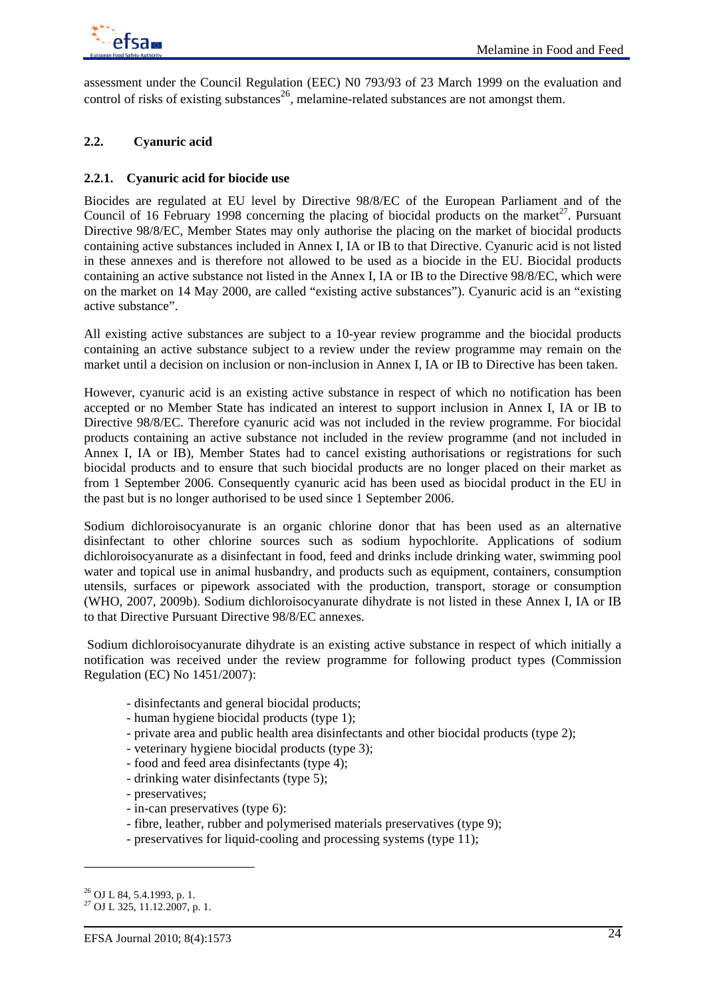

assessment under the Council Regulation (EEC) N0 793/93 of 23 March 1999 on the evaluation and control of risks of existing substances<sup>26</sup>, melamine-related substances are not amongst them.

# **2.2. Cyanuric acid**

# **2.2.1. Cyanuric acid for biocide use**

Biocides are regulated at EU level by Directive 98/8/EC of the European Parliament and of the Council of 16 February 1998 concerning the placing of biocidal products on the market<sup>27</sup>. Pursuant Directive 98/8/EC, Member States may only authorise the placing on the market of biocidal products containing active substances included in Annex I, IA or IB to that Directive. Cyanuric acid is not listed in these annexes and is therefore not allowed to be used as a biocide in the EU. Biocidal products containing an active substance not listed in the Annex I, IA or IB to the Directive 98/8/EC, which were on the market on 14 May 2000, are called "existing active substances"). Cyanuric acid is an "existing active substance".

All existing active substances are subject to a 10-year review programme and the biocidal products containing an active substance subject to a review under the review programme may remain on the market until a decision on inclusion or non-inclusion in Annex I, IA or IB to Directive has been taken.

However, cyanuric acid is an existing active substance in respect of which no notification has been accepted or no Member State has indicated an interest to support inclusion in Annex I, IA or IB to Directive 98/8/EC. Therefore cyanuric acid was not included in the review programme. For biocidal products containing an active substance not included in the review programme (and not included in Annex I, IA or IB), Member States had to cancel existing authorisations or registrations for such biocidal products and to ensure that such biocidal products are no longer placed on their market as from 1 September 2006. Consequently cyanuric acid has been used as biocidal product in the EU in the past but is no longer authorised to be used since 1 September 2006.

Sodium dichloroisocyanurate is an organic chlorine donor that has been used as an alternative disinfectant to other chlorine sources such as sodium hypochlorite. Applications of sodium dichloroisocyanurate as a disinfectant in food, feed and drinks include drinking water, swimming pool water and topical use in animal husbandry, and products such as equipment, containers, consumption utensils, surfaces or pipework associated with the production, transport, storage or consumption (WHO, 2007, 2009b). Sodium dichloroisocyanurate dihydrate is not listed in these Annex I, IA or IB to that Directive Pursuant Directive 98/8/EC annexes.

 Sodium dichloroisocyanurate dihydrate is an existing active substance in respect of which initially a notification was received under the review programme for following product types (Commission Regulation (EC) No 1451/2007):

- disinfectants and general biocidal products;
- human hygiene biocidal products (type 1);
- private area and public health area disinfectants and other biocidal products (type 2);
- veterinary hygiene biocidal products (type 3);
- food and feed area disinfectants (type 4);
- drinking water disinfectants (type 5);
- preservatives;
- in-can preservatives (type 6):
- fibre, leather, rubber and polymerised materials preservatives (type 9);
- preservatives for liquid-cooling and processing systems (type 11);

 $^{26}$  OJ L 84, 5.4.1993, p. 1.

 $^{27}$  OJ L 325, 11.12.2007, p. 1.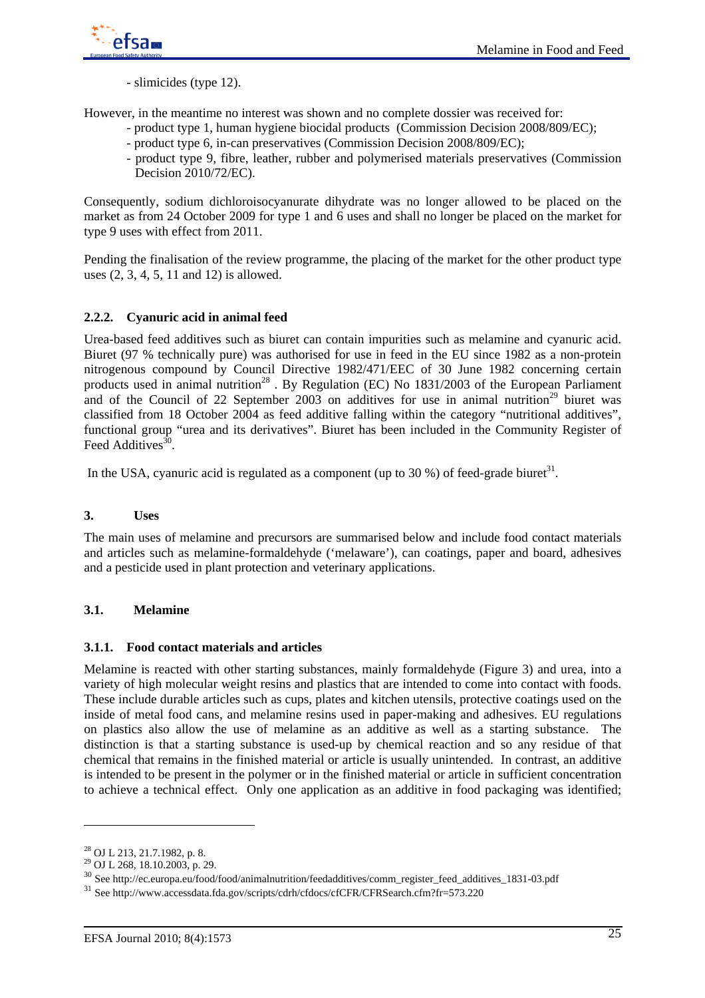

- slimicides (type 12).

However, in the meantime no interest was shown and no complete dossier was received for:

- product type 1, human hygiene biocidal products (Commission Decision 2008/809/EC);
- product type 6, in-can preservatives (Commission Decision 2008/809/EC);
- product type 9, fibre, leather, rubber and polymerised materials preservatives (Commission Decision 2010/72/EC).

Consequently, sodium dichloroisocyanurate dihydrate was no longer allowed to be placed on the market as from 24 October 2009 for type 1 and 6 uses and shall no longer be placed on the market for type 9 uses with effect from 2011.

Pending the finalisation of the review programme, the placing of the market for the other product type uses (2, 3, 4, 5, 11 and 12) is allowed.

# **2.2.2. Cyanuric acid in animal feed**

Urea-based feed additives such as biuret can contain impurities such as melamine and cyanuric acid. Biuret (97 % technically pure) was authorised for use in feed in the EU since 1982 as a non-protein nitrogenous compound by Council Directive 1982/471/EEC of 30 June 1982 concerning certain products used in animal nutrition<sup>28</sup>. By Regulation (EC) No 1831/2003 of the European Parliament and of the Council of 22 September 2003 on additives for use in animal nutrition<sup>29</sup> biuret was classified from 18 October 2004 as feed additive falling within the category "nutritional additives", functional group "urea and its derivatives". Biuret has been included in the Community Register of Feed Additives $30$ .

In the USA, cyanuric acid is regulated as a component (up to 30 %) of feed-grade biuret<sup>31</sup>.

# **3. Uses**

The main uses of melamine and precursors are summarised below and include food contact materials and articles such as melamine-formaldehyde ('melaware'), can coatings, paper and board, adhesives and a pesticide used in plant protection and veterinary applications.

# **3.1. Melamine**

#### **3.1.1. Food contact materials and articles**

Melamine is reacted with other starting substances, mainly formaldehyde (Figure 3) and urea, into a variety of high molecular weight resins and plastics that are intended to come into contact with foods. These include durable articles such as cups, plates and kitchen utensils, protective coatings used on the inside of metal food cans, and melamine resins used in paper-making and adhesives. EU regulations on plastics also allow the use of melamine as an additive as well as a starting substance. The distinction is that a starting substance is used-up by chemical reaction and so any residue of that chemical that remains in the finished material or article is usually unintended. In contrast, an additive is intended to be present in the polymer or in the finished material or article in sufficient concentration to achieve a technical effect. Only one application as an additive in food packaging was identified;

 $\overline{a}$ 

<sup>28</sup> OJ L 213, 21.7.1982, p. 8.

<sup>29</sup> OJ L 268, 18.10.2003, p. 29.

<sup>30</sup> See http://ec.europa.eu/food/food/animalnutrition/feedadditives/comm\_register\_feed\_additives\_1831-03.pdf

<sup>31</sup> See http://www.accessdata.fda.gov/scripts/cdrh/cfdocs/cfCFR/CFRSearch.cfm?fr=573.220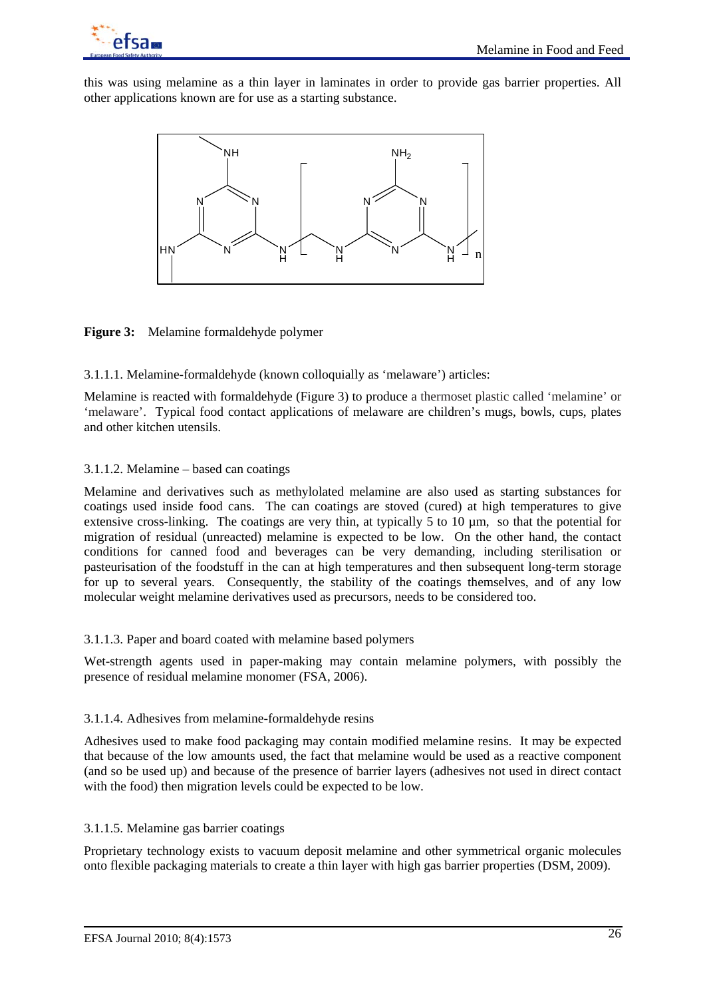

this was using melamine as a thin layer in laminates in order to provide gas barrier properties. All other applications known are for use as a starting substance.



**Figure 3:** Melamine formaldehyde polymer

3.1.1.1. Melamine-formaldehyde (known colloquially as 'melaware') articles:

Melamine is reacted with formaldehyde (Figure 3) to produce a thermoset plastic called 'melamine' or 'melaware'. Typical food contact applications of melaware are children's mugs, bowls, cups, plates and other kitchen utensils.

# 3.1.1.2. Melamine – based can coatings

Melamine and derivatives such as methylolated melamine are also used as starting substances for coatings used inside food cans. The can coatings are stoved (cured) at high temperatures to give extensive cross-linking. The coatings are very thin, at typically 5 to 10 µm, so that the potential for migration of residual (unreacted) melamine is expected to be low. On the other hand, the contact conditions for canned food and beverages can be very demanding, including sterilisation or pasteurisation of the foodstuff in the can at high temperatures and then subsequent long-term storage for up to several years. Consequently, the stability of the coatings themselves, and of any low molecular weight melamine derivatives used as precursors, needs to be considered too.

#### 3.1.1.3. Paper and board coated with melamine based polymers

Wet-strength agents used in paper-making may contain melamine polymers, with possibly the presence of residual melamine monomer (FSA, 2006).

#### 3.1.1.4. Adhesives from melamine-formaldehyde resins

Adhesives used to make food packaging may contain modified melamine resins. It may be expected that because of the low amounts used, the fact that melamine would be used as a reactive component (and so be used up) and because of the presence of barrier layers (adhesives not used in direct contact with the food) then migration levels could be expected to be low.

# 3.1.1.5. Melamine gas barrier coatings

Proprietary technology exists to vacuum deposit melamine and other symmetrical organic molecules onto flexible packaging materials to create a thin layer with high gas barrier properties (DSM, 2009).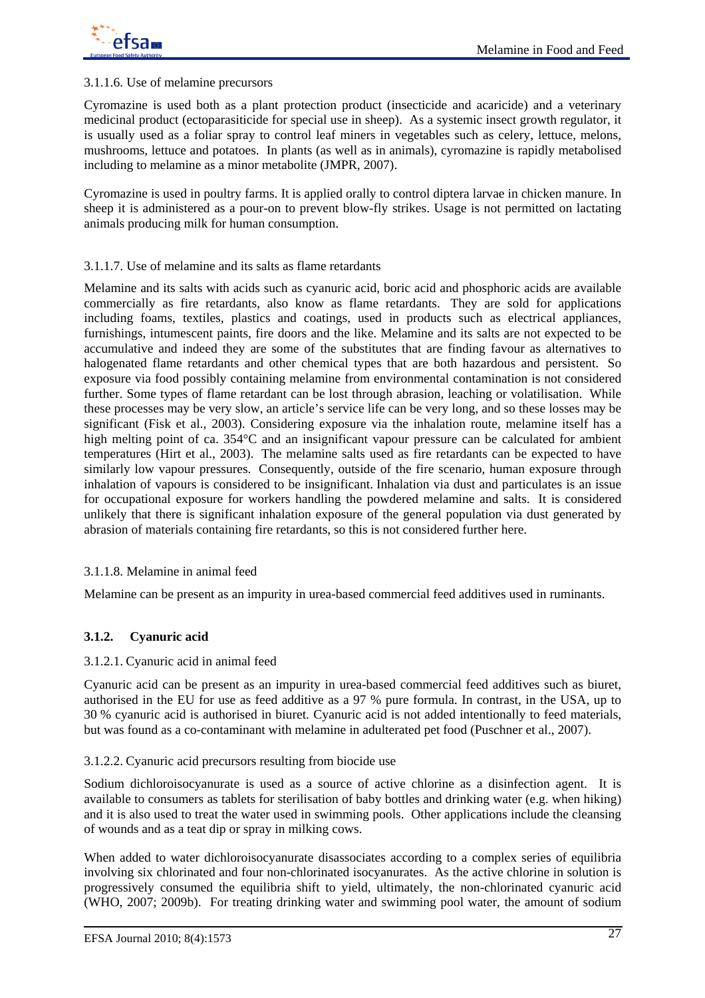#### 3.1.1.6. Use of melamine precursors

Cyromazine is used both as a plant protection product (insecticide and acaricide) and a veterinary medicinal product (ectoparasiticide for special use in sheep). As a systemic insect growth regulator, it is usually used as a foliar spray to control leaf miners in vegetables such as celery, lettuce, melons, mushrooms, lettuce and potatoes. In plants (as well as in animals), cyromazine is rapidly metabolised including to melamine as a minor metabolite (JMPR, 2007).

Cyromazine is used in poultry farms. It is applied orally to control diptera larvae in chicken manure. In sheep it is administered as a pour-on to prevent blow-fly strikes. Usage is not permitted on lactating animals producing milk for human consumption.

### 3.1.1.7. Use of melamine and its salts as flame retardants

Melamine and its salts with acids such as cyanuric acid, boric acid and phosphoric acids are available commercially as fire retardants, also know as flame retardants. They are sold for applications including foams, textiles, plastics and coatings, used in products such as electrical appliances, furnishings, intumescent paints, fire doors and the like. Melamine and its salts are not expected to be accumulative and indeed they are some of the substitutes that are finding favour as alternatives to halogenated flame retardants and other chemical types that are both hazardous and persistent. So exposure via food possibly containing melamine from environmental contamination is not considered further. Some types of flame retardant can be lost through abrasion, leaching or volatilisation. While these processes may be very slow, an article's service life can be very long, and so these losses may be significant (Fisk et al., 2003). Considering exposure via the inhalation route, melamine itself has a high melting point of ca. 354 °C and an insignificant vapour pressure can be calculated for ambient temperatures (Hirt et al., 2003). The melamine salts used as fire retardants can be expected to have similarly low vapour pressures. Consequently, outside of the fire scenario, human exposure through inhalation of vapours is considered to be insignificant. Inhalation via dust and particulates is an issue for occupational exposure for workers handling the powdered melamine and salts. It is considered unlikely that there is significant inhalation exposure of the general population via dust generated by abrasion of materials containing fire retardants, so this is not considered further here.

#### 3.1.1.8. Melamine in animal feed

Melamine can be present as an impurity in urea-based commercial feed additives used in ruminants.

# **3.1.2. Cyanuric acid**

#### 3.1.2.1. Cyanuric acid in animal feed

Cyanuric acid can be present as an impurity in urea-based commercial feed additives such as biuret, authorised in the EU for use as feed additive as a 97 % pure formula. In contrast, in the USA, up to 30 % cyanuric acid is authorised in biuret. Cyanuric acid is not added intentionally to feed materials, but was found as a co-contaminant with melamine in adulterated pet food (Puschner et al., 2007).

#### 3.1.2.2. Cyanuric acid precursors resulting from biocide use

Sodium dichloroisocyanurate is used as a source of active chlorine as a disinfection agent. It is available to consumers as tablets for sterilisation of baby bottles and drinking water (e.g. when hiking) and it is also used to treat the water used in swimming pools. Other applications include the cleansing of wounds and as a teat dip or spray in milking cows.

When added to water dichloroisocyanurate disassociates according to a complex series of equilibria involving six chlorinated and four non-chlorinated isocyanurates. As the active chlorine in solution is progressively consumed the equilibria shift to yield, ultimately, the non-chlorinated cyanuric acid (WHO, 2007; 2009b). For treating drinking water and swimming pool water, the amount of sodium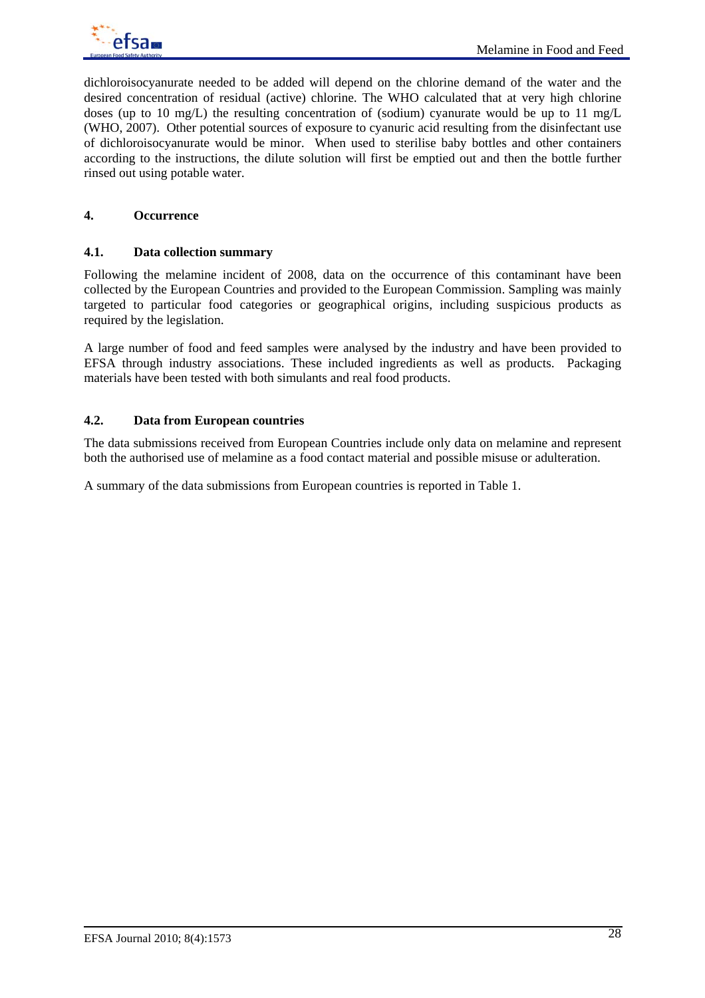

dichloroisocyanurate needed to be added will depend on the chlorine demand of the water and the desired concentration of residual (active) chlorine. The WHO calculated that at very high chlorine doses (up to 10 mg/L) the resulting concentration of (sodium) cyanurate would be up to 11 mg/L (WHO, 2007). Other potential sources of exposure to cyanuric acid resulting from the disinfectant use of dichloroisocyanurate would be minor. When used to sterilise baby bottles and other containers according to the instructions, the dilute solution will first be emptied out and then the bottle further rinsed out using potable water.

### **4. Occurrence**

#### **4.1. Data collection summary**

Following the melamine incident of 2008, data on the occurrence of this contaminant have been collected by the European Countries and provided to the European Commission. Sampling was mainly targeted to particular food categories or geographical origins, including suspicious products as required by the legislation.

A large number of food and feed samples were analysed by the industry and have been provided to EFSA through industry associations. These included ingredients as well as products. Packaging materials have been tested with both simulants and real food products.

### **4.2. Data from European countries**

The data submissions received from European Countries include only data on melamine and represent both the authorised use of melamine as a food contact material and possible misuse or adulteration.

A summary of the data submissions from European countries is reported in Table 1.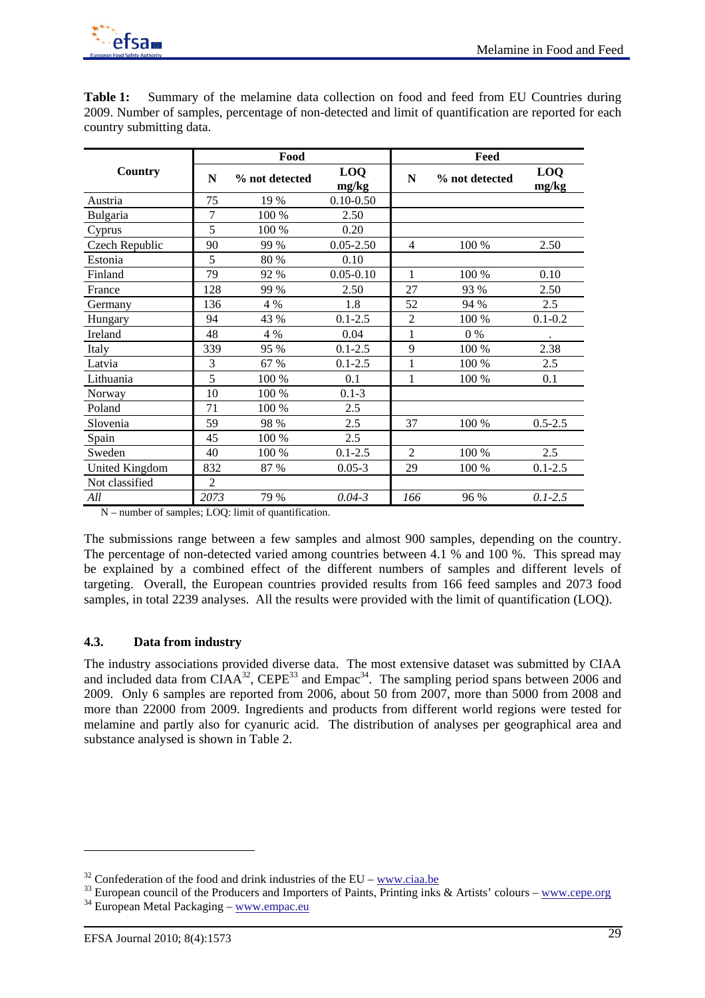

|                       |                | Food           |                     | Feed           |                |                     |  |
|-----------------------|----------------|----------------|---------------------|----------------|----------------|---------------------|--|
| Country               | N              | % not detected | <b>LOQ</b><br>mg/kg |                | % not detected | <b>LOO</b><br>mg/kg |  |
| Austria               | 75             | 19 %           | $0.10 - 0.50$       |                |                |                     |  |
| Bulgaria              | 7              | 100 %          | 2.50                |                |                |                     |  |
| Cyprus                | 5              | 100 %          | 0.20                |                |                |                     |  |
| Czech Republic        | 90             | 99 %           | $0.05 - 2.50$       | $\overline{4}$ | 100 %          | 2.50                |  |
| Estonia               | 5              | 80 %           | 0.10                |                |                |                     |  |
| Finland               | 79             | 92 %           | $0.05 - 0.10$       | 1              | 100 %          | 0.10                |  |
| France                | 128            | 99 %           | 2.50                | 27             | 93 %           | 2.50                |  |
| Germany               | 136            | 4 %            | 1.8                 | 52             | 94 %           | 2.5                 |  |
| Hungary               | 94             | 43 %           | $0.1 - 2.5$         | $\overline{2}$ | 100 %          | $0.1 - 0.2$         |  |
| Ireland               | 48             | 4 %            | 0.04                | $\mathbf{1}$   | $0\%$          |                     |  |
| Italy                 | 339            | 95 %           | $0.1 - 2.5$         | 9              | 100 %          | 2.38                |  |
| Latvia                | 3              | 67 %           | $0.1 - 2.5$         | 1              | 100 %          | 2.5                 |  |
| Lithuania             | 5              | 100 %          | 0.1                 | 1              | 100 %          | 0.1                 |  |
| Norway                | 10             | 100 %          | $0.1 - 3$           |                |                |                     |  |
| Poland                | 71             | 100 %          | 2.5                 |                |                |                     |  |
| Slovenia              | 59             | 98 %           | 2.5                 | 37             | 100 %          | $0.5 - 2.5$         |  |
| Spain                 | 45             | 100 %          | 2.5                 |                |                |                     |  |
| Sweden                | 40             | 100 %          | $0.1 - 2.5$         | $\overline{2}$ | 100 %          | 2.5                 |  |
| <b>United Kingdom</b> | 832            | 87 %           | $0.05 - 3$          | 29             | 100 %          | $0.1 - 2.5$         |  |
| Not classified        | $\overline{2}$ |                |                     |                |                |                     |  |
| All                   | 2073           | 79 %           | $0.04 - 3$          | 166            | 96 %           | $0.1 - 2.5$         |  |

**Table 1:** Summary of the melamine data collection on food and feed from EU Countries during 2009. Number of samples, percentage of non-detected and limit of quantification are reported for each country submitting data.

N – number of samples; LOQ: limit of quantification.

The submissions range between a few samples and almost 900 samples, depending on the country. The percentage of non-detected varied among countries between 4.1 % and 100 %. This spread may be explained by a combined effect of the different numbers of samples and different levels of targeting. Overall, the European countries provided results from 166 feed samples and 2073 food samples, in total 2239 analyses. All the results were provided with the limit of quantification (LOQ).

# **4.3. Data from industry**

The industry associations provided diverse data. The most extensive dataset was submitted by CIAA and included data from CIAA<sup>32</sup>, CEPE<sup>33</sup> and Empac<sup>34</sup>. The sampling period spans between 2006 and 2009. Only 6 samples are reported from 2006, about 50 from 2007, more than 5000 from 2008 and more than 22000 from 2009. Ingredients and products from different world regions were tested for melamine and partly also for cyanuric acid. The distribution of analyses per geographical area and substance analysed is shown in Table 2.

 $\overline{a}$ 

<sup>&</sup>lt;sup>32</sup> Confederation of the food and drink industries of the EU – www.ciaa.be<br><sup>33</sup> European council of the Producers and Importers of Paints, Printing inks & Artists' colours – www.cepe.org<br><sup>34</sup> European Metal Packaging – w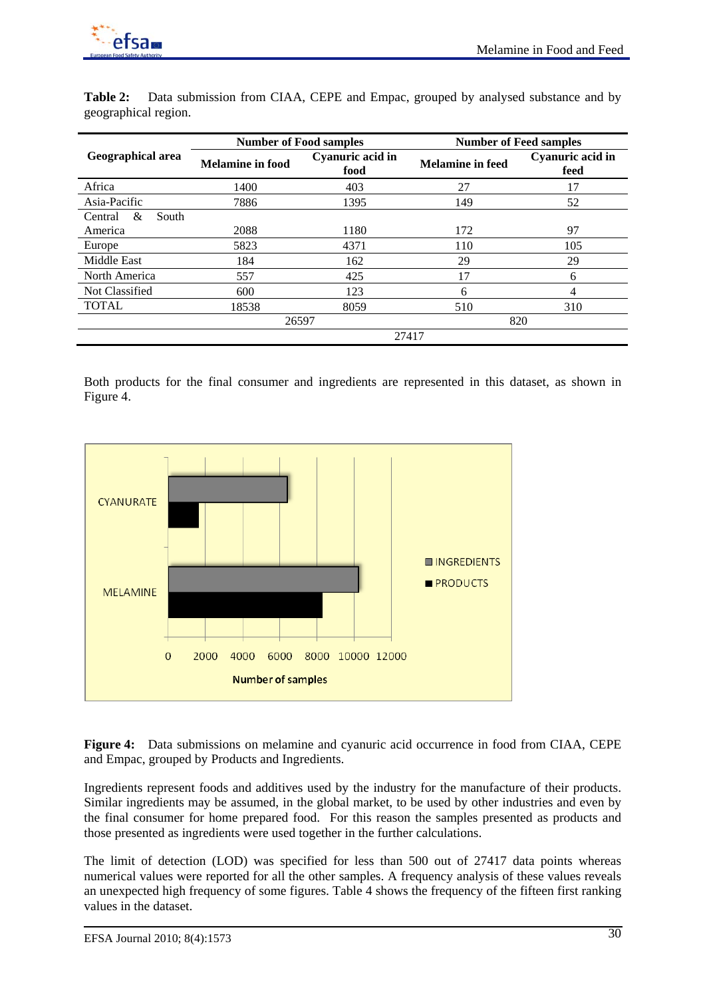

|                       | <b>Number of Food samples</b> |                                                     | <b>Number of Feed samples</b> |                          |  |  |
|-----------------------|-------------------------------|-----------------------------------------------------|-------------------------------|--------------------------|--|--|
| Geographical area     | <b>Melamine in food</b>       | Cyanuric acid in<br><b>Melamine in feed</b><br>food |                               | Cyanuric acid in<br>feed |  |  |
| Africa                | 1400                          | 403                                                 | 27                            | 17                       |  |  |
| Asia-Pacific          | 7886                          | 1395                                                | 149                           | 52                       |  |  |
| &<br>South<br>Central |                               |                                                     |                               |                          |  |  |
| America               | 2088                          | 1180                                                | 172                           | 97                       |  |  |
| Europe                | 5823                          | 4371                                                | 110                           | 105                      |  |  |
| Middle East           | 184                           | 162                                                 | 29                            | 29                       |  |  |
| North America         | 557                           | 425                                                 | 17                            | 6                        |  |  |
| Not Classified        | 600                           | 123                                                 | 6                             | 4                        |  |  |
| <b>TOTAL</b>          | 18538                         | 8059                                                | 510                           | 310                      |  |  |
|                       | 26597                         |                                                     | 820                           |                          |  |  |
|                       |                               |                                                     | 27417                         |                          |  |  |

**Table 2:** Data submission from CIAA, CEPE and Empac, grouped by analysed substance and by geographical region.

Both products for the final consumer and ingredients are represented in this dataset, as shown in Figure 4.



**Figure 4:** Data submissions on melamine and cyanuric acid occurrence in food from CIAA, CEPE and Empac, grouped by Products and Ingredients.

Ingredients represent foods and additives used by the industry for the manufacture of their products. Similar ingredients may be assumed, in the global market, to be used by other industries and even by the final consumer for home prepared food. For this reason the samples presented as products and those presented as ingredients were used together in the further calculations.

The limit of detection (LOD) was specified for less than 500 out of 27417 data points whereas numerical values were reported for all the other samples. A frequency analysis of these values reveals an unexpected high frequency of some figures. Table 4 shows the frequency of the fifteen first ranking values in the dataset.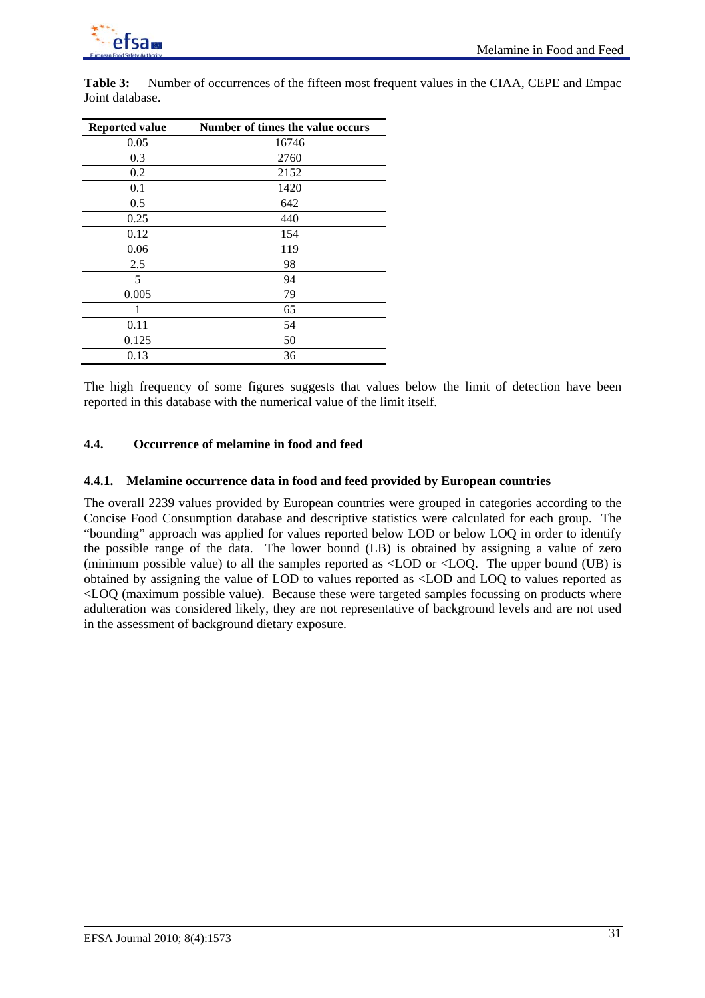

| <b>Reported value</b> | Number of times the value occurs |
|-----------------------|----------------------------------|
| 0.05                  | 16746                            |
| 0.3                   | 2760                             |
| 0.2                   | 2152                             |
| 0.1                   | 1420                             |
| 0.5                   | 642                              |
| 0.25                  | 440                              |
| 0.12                  | 154                              |
| 0.06                  | 119                              |
| 2.5                   | 98                               |
| 5                     | 94                               |
| 0.005                 | 79                               |
|                       | 65                               |
| 0.11                  | 54                               |
| 0.125                 | 50                               |
| 0.13                  | 36                               |

**Table 3:** Number of occurrences of the fifteen most frequent values in the CIAA, CEPE and Empac Joint database.

The high frequency of some figures suggests that values below the limit of detection have been reported in this database with the numerical value of the limit itself.

# **4.4. Occurrence of melamine in food and feed**

#### **4.4.1. Melamine occurrence data in food and feed provided by European countries**

The overall 2239 values provided by European countries were grouped in categories according to the Concise Food Consumption database and descriptive statistics were calculated for each group. The "bounding" approach was applied for values reported below LOD or below LOQ in order to identify the possible range of the data. The lower bound (LB) is obtained by assigning a value of zero (minimum possible value) to all the samples reported as <LOD or <LOQ. The upper bound (UB) is obtained by assigning the value of LOD to values reported as <LOD and LOQ to values reported as <LOQ (maximum possible value). Because these were targeted samples focussing on products where adulteration was considered likely, they are not representative of background levels and are not used in the assessment of background dietary exposure.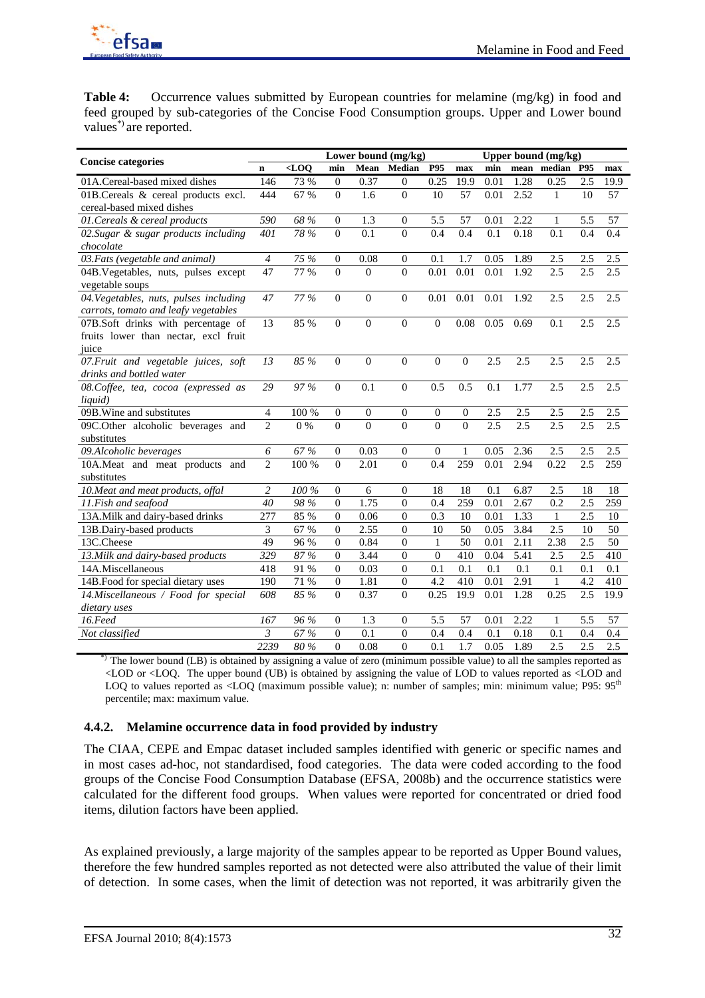

Table 4: Occurrence values submitted by European countries for melamine (mg/kg) in food and feed grouped by sub-categories of the Concise Food Consumption groups. Upper and Lower bound values<sup>\*</sup>) are reported.

|                                        |                |         |                  |                  | Lower bound (mg/kg) |                  |                  | Upper bound (mg/kg) |      |              |     |      |
|----------------------------------------|----------------|---------|------------------|------------------|---------------------|------------------|------------------|---------------------|------|--------------|-----|------|
| <b>Concise categories</b>              | $\mathbf n$    | $<$ LOO | min              | Mean             | Median              | P95              | max              | min                 |      | mean median  | P95 | max  |
| 01A.Cereal-based mixed dishes          | 146            | 73 %    | $\mathbf{0}$     | 0.37             | $\overline{0}$      | 0.25             | 19.9             | 0.01                | 1.28 | 0.25         | 2.5 | 19.9 |
| 01B.Cereals & cereal products excl.    | 444            | 67 %    | $\mathbf{0}$     | 1.6              | $\overline{0}$      | 10               | 57               | 0.01                | 2.52 | $\mathbf{1}$ | 10  | 57   |
| cereal-based mixed dishes              |                |         |                  |                  |                     |                  |                  |                     |      |              |     |      |
| 01. Cereals & cereal products          | 590            | 68 %    | $\mathbf{0}$     | 1.3              | $\boldsymbol{0}$    | 5.5              | 57               | 0.01                | 2.22 | $\mathbf{1}$ | 5.5 | 57   |
| 02. Sugar & sugar products including   | 401            | 78 %    | $\Omega$         | 0.1              | $\theta$            | 0.4              | 0.4              | 0.1                 | 0.18 | 0.1          | 0.4 | 0.4  |
| chocolate                              |                |         |                  |                  |                     |                  |                  |                     |      |              |     |      |
| 03. Fats (vegetable and animal)        | $\overline{4}$ | 75 %    | $\mathbf{0}$     | 0.08             | $\overline{0}$      | 0.1              | 1.7              | 0.05                | 1.89 | 2.5          | 2.5 | 2.5  |
| 04B. Vegetables, nuts, pulses except   | 47             | 77 %    | $\theta$         | $\theta$         | $\theta$            | 0.01             | 0.01             | 0.01                | 1.92 | 2.5          | 2.5 | 2.5  |
| vegetable soups                        |                |         |                  |                  |                     |                  |                  |                     |      |              |     |      |
| 04. Vegetables, nuts, pulses including | 47             | 77 %    | $\mathbf{0}$     | $\theta$         | $\boldsymbol{0}$    | 0.01             | 0.01             | 0.01                | 1.92 | 2.5          | 2.5 | 2.5  |
| carrots, tomato and leafy vegetables   |                |         |                  |                  |                     |                  |                  |                     |      |              |     |      |
| 07B.Soft drinks with percentage of     | 13             | 85 %    | $\Omega$         | $\mathbf{0}$     | $\overline{0}$      | $\boldsymbol{0}$ | 0.08             | 0.05                | 0.69 | 0.1          | 2.5 | 2.5  |
| fruits lower than nectar, excl fruit   |                |         |                  |                  |                     |                  |                  |                     |      |              |     |      |
| juice                                  |                |         |                  |                  |                     |                  |                  |                     |      |              |     |      |
| 07. Fruit and vegetable juices, soft   | 13             | 85 %    | $\Omega$         | $\theta$         | $\overline{0}$      | $\overline{0}$   | $\mathbf{0}$     | 2.5                 | 2.5  | 2.5          | 2.5 | 2.5  |
| drinks and bottled water               |                |         |                  |                  |                     |                  |                  |                     |      |              |     |      |
| 08. Coffee, tea, cocoa (expressed as   | 29             | 97%     | $\Omega$         | 0.1              | $\overline{0}$      | 0.5              | 0.5              | 0.1                 | 1.77 | 2.5          | 2.5 | 2.5  |
| liquid)                                |                |         |                  |                  |                     |                  |                  |                     |      |              |     |      |
| 09B. Wine and substitutes              | $\overline{4}$ | 100 %   | $\theta$         | $\boldsymbol{0}$ | $\boldsymbol{0}$    | $\mathbf{0}$     | $\mathbf{0}$     | 2.5                 | 2.5  | 2.5          | 2.5 | 2.5  |
| 09C.Other alcoholic beverages and      | $\overline{2}$ | $0\%$   | $\theta$         | $\theta$         | $\theta$            | $\theta$         | $\Omega$         | 2.5                 | 2.5  | 2.5          | 2.5 | 2.5  |
| substitutes                            |                |         |                  |                  |                     |                  |                  |                     |      |              |     |      |
| 09. Alcoholic beverages                | 6              | 67%     | $\boldsymbol{0}$ | 0.03             | $\boldsymbol{0}$    | $\boldsymbol{0}$ | $\mathbf{1}$     | 0.05                | 2.36 | 2.5          | 2.5 | 2.5  |
| 10A.Meat and meat products and         | $\overline{2}$ | 100 %   | $\Omega$         | 2.01             | $\theta$            | 0.4              | $\overline{259}$ | 0.01                | 2.94 | 0.22         | 2.5 | 259  |
| substitutes                            |                |         |                  |                  |                     |                  |                  |                     |      |              |     |      |
| 10. Meat and meat products, offal      | $\overline{c}$ | 100 %   | $\Omega$         | 6                | $\mathbf{0}$        | 18               | 18               | 0.1                 | 6.87 | 2.5          | 18  | 18   |
| 11. Fish and seafood                   | 40             | 98 %    | $\Omega$         | 1.75             | $\mathbf{0}$        | 0.4              | 259              | 0.01                | 2.67 | 0.2          | 2.5 | 259  |
| 13A.Milk and dairy-based drinks        | 277            | 85 %    | $\Omega$         | 0.06             | $\overline{0}$      | 0.3              | 10               | 0.01                | 1.33 | $\mathbf{1}$ | 2.5 | 10   |
| 13B.Dairy-based products               | 3              | 67 %    | $\mathbf{0}$     | 2.55             | $\boldsymbol{0}$    | 10               | 50               | 0.05                | 3.84 | 2.5          | 10  | 50   |
| 13C.Cheese                             | 49             | 96 %    | $\Omega$         | 0.84             | $\overline{0}$      | $\mathbf{1}$     | 50               | 0.01                | 2.11 | 2.38         | 2.5 | 50   |
| 13. Milk and dairy-based products      | 329            | 87%     | $\Omega$         | 3.44             | $\theta$            | $\mathbf{0}$     | 410              | 0.04                | 5.41 | 2.5          | 2.5 | 410  |
| 14A.Miscellaneous                      | 418            | 91 %    | $\overline{0}$   | 0.03             | $\boldsymbol{0}$    | 0.1              | 0.1              | 0.1                 | 0.1  | 0.1          | 0.1 | 0.1  |
| 14B. Food for special dietary uses     | 190            | 71 %    | $\mathbf{0}$     | 1.81             | $\boldsymbol{0}$    | 4.2              | 410              | 0.01                | 2.91 | $\mathbf{1}$ | 4.2 | 410  |
| 14. Miscellaneous / Food for special   | 608            | 85 %    | $\Omega$         | 0.37             | $\overline{0}$      | 0.25             | 19.9             | 0.01                | 1.28 | 0.25         | 2.5 | 19.9 |
| dietary uses                           |                |         |                  |                  |                     |                  |                  |                     |      |              |     |      |
| $16.$ Feed                             | 167            | 96 %    | $\mathbf{0}$     | 1.3              | $\boldsymbol{0}$    | 5.5              | 57               | 0.01                | 2.22 | $\mathbf{1}$ | 5.5 | 57   |
| Not classified                         | 3              | 67%     | $\theta$         | 0.1              | $\mathbf{0}$        | 0.4              | 0.4              | 0.1                 | 0.18 | 0.1          | 0.4 | 0.4  |
|                                        | 2239           | 80 %    | $\Omega$         | 0.08             | $\mathbf{0}$        | 0.1              | 1.7              | 0.05                | 1.89 | 2.5          | 2.5 | 2.5  |

 $^{\prime}$  The lower bound (LB) is obtained by assigning a value of zero (minimum possible value) to all the samples reported as <LOD or <LOQ. The upper bound (UB) is obtained by assigning the value of LOD to values reported as <LOD and LOQ to values reported as  $\langle$ LOQ (maximum possible value); n: number of samples; min: minimum value; P95: 95<sup>th</sup> percentile; max: maximum value.

# **4.4.2. Melamine occurrence data in food provided by industry**

The CIAA, CEPE and Empac dataset included samples identified with generic or specific names and in most cases ad-hoc, not standardised, food categories. The data were coded according to the food groups of the Concise Food Consumption Database (EFSA, 2008b) and the occurrence statistics were calculated for the different food groups. When values were reported for concentrated or dried food items, dilution factors have been applied.

As explained previously, a large majority of the samples appear to be reported as Upper Bound values, therefore the few hundred samples reported as not detected were also attributed the value of their limit of detection. In some cases, when the limit of detection was not reported, it was arbitrarily given the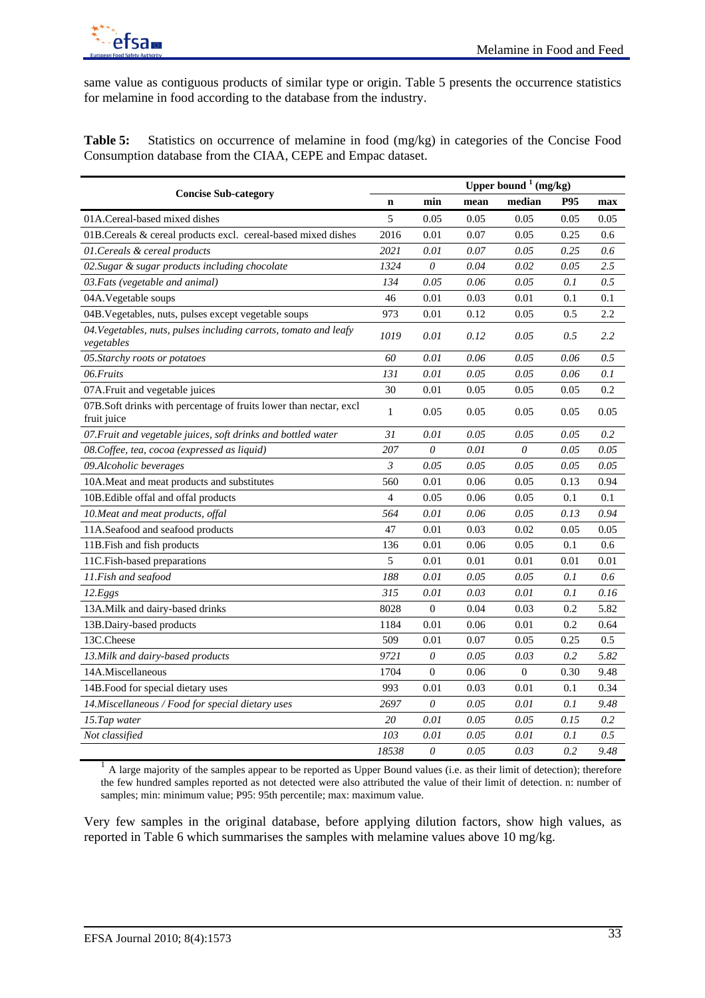same value as contiguous products of similar type or origin. Table 5 presents the occurrence statistics for melamine in food according to the database from the industry.

**Table 5:** Statistics on occurrence of melamine in food (mg/kg) in categories of the Concise Food Consumption database from the CIAA, CEPE and Empac dataset.

|                                                                                  |                |                  |      | Upper bound $\frac{1}{1}$ (mg/kg) |          |      |
|----------------------------------------------------------------------------------|----------------|------------------|------|-----------------------------------|----------|------|
| <b>Concise Sub-category</b>                                                      | $\mathbf n$    | min              | mean | median                            | P95      | max  |
| 01A.Cereal-based mixed dishes                                                    | 5              | 0.05             | 0.05 | 0.05                              | 0.05     | 0.05 |
| 01B. Cereals & cereal products excl. cereal-based mixed dishes                   | 2016           | 0.01             | 0.07 | 0.05                              | 0.25     | 0.6  |
| 01. Cereals & cereal products                                                    | 2021           | 0.01             | 0.07 | 0.05                              | 0.25     | 0.6  |
| 02. Sugar & sugar products including chocolate                                   | 1324           | 0                | 0.04 | 0.02                              | 0.05     | 2.5  |
| 03. Fats (vegetable and animal)                                                  | 134            | 0.05             | 0.06 | 0.05                              | 0.1      | 0.5  |
| 04A.Vegetable soups                                                              | 46             | 0.01             | 0.03 | 0.01                              | 0.1      | 0.1  |
| 04B. Vegetables, nuts, pulses except vegetable soups                             | 973            | 0.01             | 0.12 | 0.05                              | 0.5      | 2.2  |
| 04. Vegetables, nuts, pulses including carrots, tomato and leafy<br>vegetables   | 1019           | 0.01             | 0.12 | 0.05                              | 0.5      | 2.2  |
| 05. Starchy roots or potatoes                                                    | 60             | 0.01             | 0.06 | 0.05                              | 0.06     | 0.5  |
| 06.Fruits                                                                        | 131            | 0.01             | 0.05 | 0.05                              | 0.06     | 0.1  |
| 07A.Fruit and vegetable juices                                                   | 30             | 0.01             | 0.05 | 0.05                              | 0.05     | 0.2  |
| 07B.Soft drinks with percentage of fruits lower than nectar, excl<br>fruit juice | $\mathbf{1}$   | 0.05             | 0.05 | 0.05                              | 0.05     | 0.05 |
| 07. Fruit and vegetable juices, soft drinks and bottled water                    | 31             | 0.01             | 0.05 | 0.05                              | 0.05     | 0.2  |
| 08. Coffee, tea, cocoa (expressed as liquid)                                     | 207            | $\theta$         | 0.01 | $\theta$                          | 0.05     | 0.05 |
| 09.Alcoholic beverages                                                           | $\mathfrak{Z}$ | 0.05             | 0.05 | 0.05                              | $0.05\,$ | 0.05 |
| 10A. Meat and meat products and substitutes                                      | 560            | $0.01\,$         | 0.06 | 0.05                              | 0.13     | 0.94 |
| 10B.Edible offal and offal products                                              | $\overline{4}$ | 0.05             | 0.06 | 0.05                              | 0.1      | 0.1  |
| 10. Meat and meat products, offal                                                | 564            | 0.01             | 0.06 | 0.05                              | 0.13     | 0.94 |
| 11A.Seafood and seafood products                                                 | 47             | 0.01             | 0.03 | 0.02                              | 0.05     | 0.05 |
| 11B. Fish and fish products                                                      | 136            | 0.01             | 0.06 | 0.05                              | 0.1      | 0.6  |
| 11C.Fish-based preparations                                                      | 5              | 0.01             | 0.01 | 0.01                              | 0.01     | 0.01 |
| 11.Fish and seafood                                                              | 188            | 0.01             | 0.05 | 0.05                              | 0.1      | 0.6  |
| 12.Eggs                                                                          | 315            | 0.01             | 0.03 | 0.01                              | 0.1      | 0.16 |
| 13A.Milk and dairy-based drinks                                                  | 8028           | $\boldsymbol{0}$ | 0.04 | 0.03                              | 0.2      | 5.82 |
| 13B.Dairy-based products                                                         | 1184           | 0.01             | 0.06 | 0.01                              | 0.2      | 0.64 |
| 13C.Cheese                                                                       | 509            | 0.01             | 0.07 | 0.05                              | 0.25     | 0.5  |
| 13. Milk and dairy-based products                                                | 9721           | 0                | 0.05 | 0.03                              | 0.2      | 5.82 |
| 14A.Miscellaneous                                                                | 1704           | $\boldsymbol{0}$ | 0.06 | $\boldsymbol{0}$                  | 0.30     | 9.48 |
| 14B. Food for special dietary uses                                               | 993            | 0.01             | 0.03 | 0.01                              | 0.1      | 0.34 |
| 14. Miscellaneous / Food for special dietary uses                                | 2697           | 0                | 0.05 | 0.01                              | 0.1      | 9.48 |
| 15.Tap water                                                                     | 20             | 0.01             | 0.05 | 0.05                              | 0.15     | 0.2  |
| Not classified                                                                   | 103            | 0.01             | 0.05 | 0.01                              | 0.1      | 0.5  |
|                                                                                  | 18538          | $\theta$         | 0.05 | 0.03                              | 0.2      | 9.48 |

<sup>1</sup> A large majority of the samples appear to be reported as Upper Bound values (i.e. as their limit of detection); therefore the few hundred samples reported as not detected were also attributed the value of their limit of detection. n: number of samples; min: minimum value; P95: 95th percentile; max: maximum value.

Very few samples in the original database, before applying dilution factors, show high values, as reported in Table 6 which summarises the samples with melamine values above 10 mg/kg.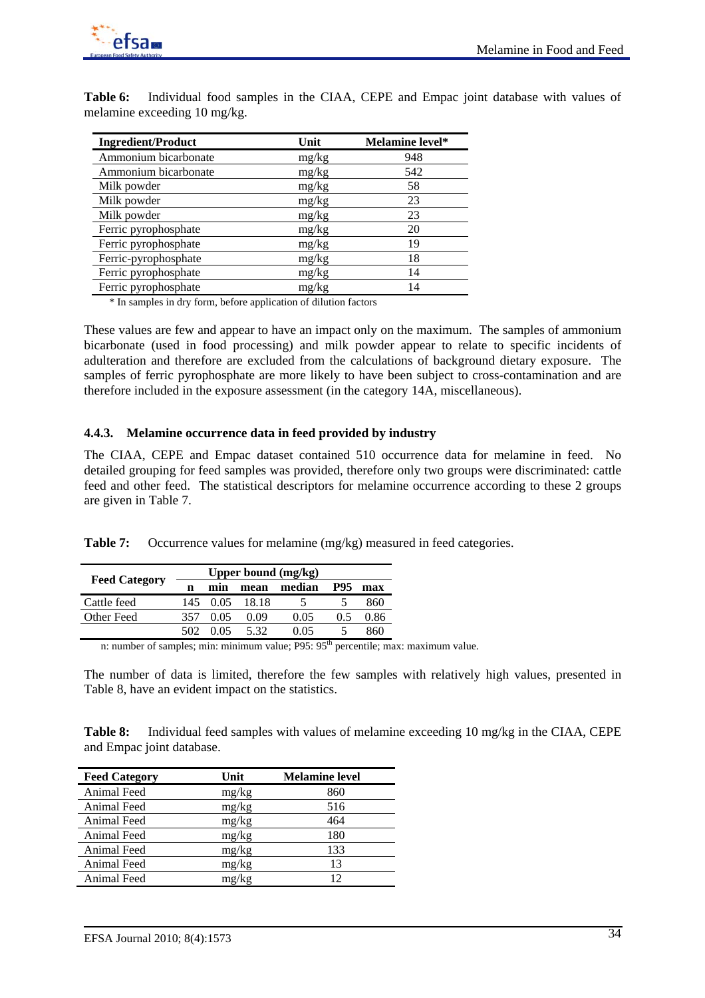

| <b>Ingredient/Product</b> | Unit  | Melamine level* |
|---------------------------|-------|-----------------|
| Ammonium bicarbonate      | mg/kg | 948             |
| Ammonium bicarbonate      | mg/kg | 542             |
| Milk powder               | mg/kg | 58              |
| Milk powder               | mg/kg | 23              |
| Milk powder               | mg/kg | 23              |
| Ferric pyrophosphate      | mg/kg | 20              |
| Ferric pyrophosphate      | mg/kg | 19              |
| Ferric-pyrophosphate      | mg/kg | 18              |
| Ferric pyrophosphate      | mg/kg | 14              |
| Ferric pyrophosphate      | mg/kg | 14              |

**Table 6:** Individual food samples in the CIAA, CEPE and Empac joint database with values of melamine exceeding 10 mg/kg.

\* In samples in dry form, before application of dilution factors

These values are few and appear to have an impact only on the maximum. The samples of ammonium bicarbonate (used in food processing) and milk powder appear to relate to specific incidents of adulteration and therefore are excluded from the calculations of background dietary exposure. The samples of ferric pyrophosphate are more likely to have been subject to cross-contamination and are therefore included in the exposure assessment (in the category 14A, miscellaneous).

#### **4.4.3. Melamine occurrence data in feed provided by industry**

The CIAA, CEPE and Empac dataset contained 510 occurrence data for melamine in feed. No detailed grouping for feed samples was provided, therefore only two groups were discriminated: cattle feed and other feed. The statistical descriptors for melamine occurrence according to these 2 groups are given in Table 7.

Table 7: Occurrence values for melamine (mg/kg) measured in feed categories.

|                      |     |      |       | Upper bound $(mg/kg)$ |     |      |
|----------------------|-----|------|-------|-----------------------|-----|------|
| <b>Feed Category</b> | n   | min  | mean  | median                | P95 | max  |
| Cattle feed          | 145 | 0.05 | 18.18 |                       |     | 860  |
| Other Feed           |     | 0.05 | 0.09  | 0.05                  | 05  | 0.86 |
|                      |     | 0 05 | 5.32  | 0.05                  |     | 860  |

n: number of samples; min: minimum value; P95: 95<sup>th</sup> percentile; max: maximum value.

The number of data is limited, therefore the few samples with relatively high values, presented in Table 8, have an evident impact on the statistics.

**Table 8:** Individual feed samples with values of melamine exceeding 10 mg/kg in the CIAA, CEPE and Empac joint database.

| <b>Feed Category</b> | Unit                          | <b>Melamine level</b> |
|----------------------|-------------------------------|-----------------------|
| Animal Feed          | mg/kg                         | 860                   |
| Animal Feed          | mg/kg                         | 516                   |
| Animal Feed          | mg/kg                         | 464                   |
| Animal Feed          | mg/kg                         | 180                   |
| Animal Feed          | mg/kg                         | 133                   |
| Animal Feed          | mg/kg                         | 13                    |
| Animal Feed          | $m\mathfrak{e}/k\mathfrak{e}$ | 12                    |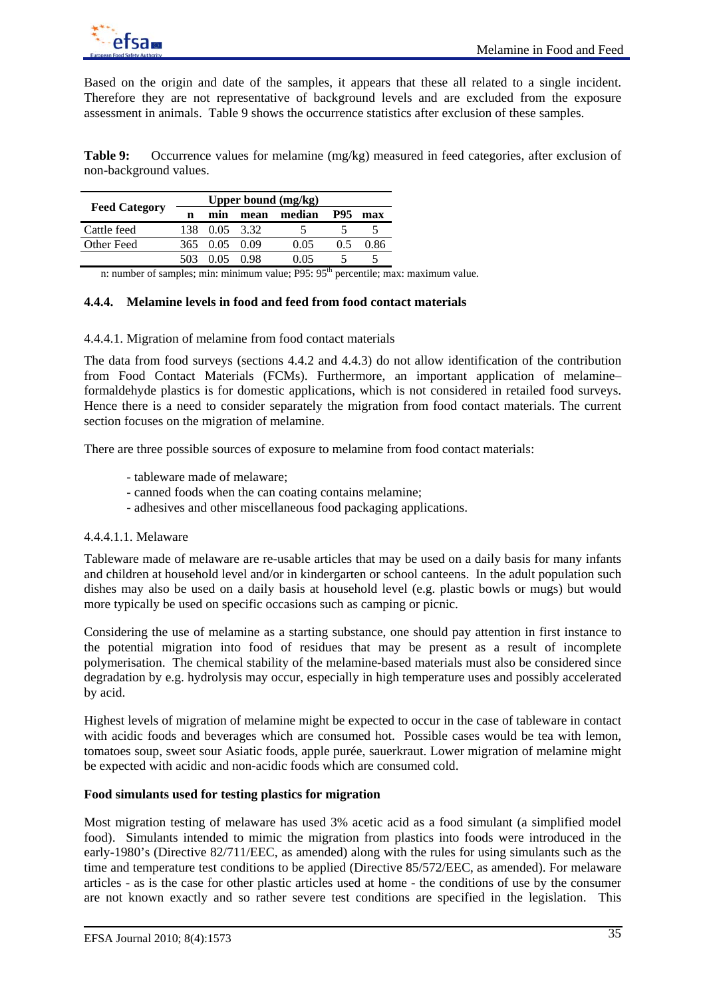

Based on the origin and date of the samples, it appears that these all related to a single incident. Therefore they are not representative of background levels and are excluded from the exposure assessment in animals. Table 9 shows the occurrence statistics after exclusion of these samples.

**Table 9:** Occurrence values for melamine (mg/kg) measured in feed categories, after exclusion of non-background values.

| <b>Feed Category</b> |     |      |                   | Upper bound $(mg/kg)$ |     |      |
|----------------------|-----|------|-------------------|-----------------------|-----|------|
|                      | n   | min  | mean              | median                | P95 | max  |
| Cattle feed          | 138 |      | 0.05 3.32         |                       |     |      |
| Other Feed           | 365 |      | $0.05 \quad 0.09$ | 0.05                  | 05  | 0.86 |
|                      |     | በ በና | () 98             | ) በና                  |     |      |

n: number of samples; min: minimum value; P95: 95<sup>th</sup> percentile; max: maximum value.

#### **4.4.4. Melamine levels in food and feed from food contact materials**

#### 4.4.4.1. Migration of melamine from food contact materials

The data from food surveys (sections 4.4.2 and 4.4.3) do not allow identification of the contribution from Food Contact Materials (FCMs). Furthermore, an important application of melamine– formaldehyde plastics is for domestic applications, which is not considered in retailed food surveys. Hence there is a need to consider separately the migration from food contact materials. The current section focuses on the migration of melamine.

There are three possible sources of exposure to melamine from food contact materials:

- tableware made of melaware;
- canned foods when the can coating contains melamine;
- adhesives and other miscellaneous food packaging applications.

#### 4.4.4.1.1. Melaware

Tableware made of melaware are re-usable articles that may be used on a daily basis for many infants and children at household level and/or in kindergarten or school canteens. In the adult population such dishes may also be used on a daily basis at household level (e.g. plastic bowls or mugs) but would more typically be used on specific occasions such as camping or picnic.

Considering the use of melamine as a starting substance, one should pay attention in first instance to the potential migration into food of residues that may be present as a result of incomplete polymerisation. The chemical stability of the melamine-based materials must also be considered since degradation by e.g. hydrolysis may occur, especially in high temperature uses and possibly accelerated by acid.

Highest levels of migration of melamine might be expected to occur in the case of tableware in contact with acidic foods and beverages which are consumed hot. Possible cases would be tea with lemon, tomatoes soup, sweet sour Asiatic foods, apple purée, sauerkraut. Lower migration of melamine might be expected with acidic and non-acidic foods which are consumed cold.

#### **Food simulants used for testing plastics for migration**

Most migration testing of melaware has used 3% acetic acid as a food simulant (a simplified model food). Simulants intended to mimic the migration from plastics into foods were introduced in the early-1980's (Directive 82/711/EEC, as amended) along with the rules for using simulants such as the time and temperature test conditions to be applied (Directive 85/572/EEC, as amended). For melaware articles - as is the case for other plastic articles used at home - the conditions of use by the consumer are not known exactly and so rather severe test conditions are specified in the legislation. This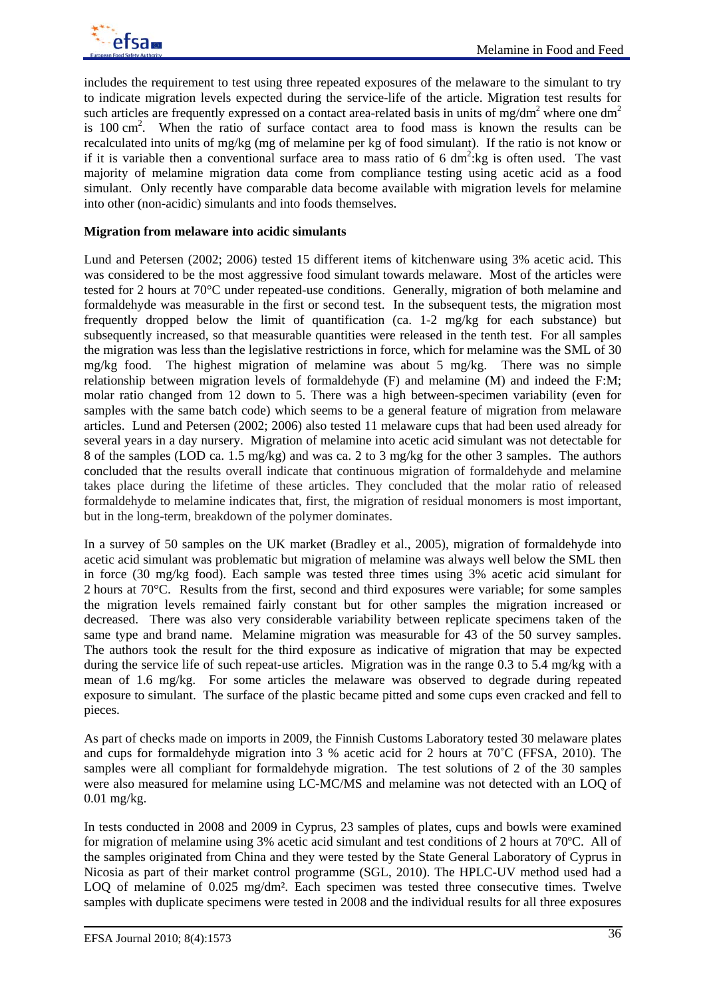

includes the requirement to test using three repeated exposures of the melaware to the simulant to try to indicate migration levels expected during the service-life of the article. Migration test results for such articles are frequently expressed on a contact area-related basis in units of mg/dm<sup>2</sup> where one dm<sup>2</sup> is  $100 \text{ cm}^2$ . When the ratio of surface contact area to food mass is known the results can be recalculated into units of mg/kg (mg of melamine per kg of food simulant). If the ratio is not know or if it is variable then a conventional surface area to mass ratio of 6  $dm^2$ : kg is often used. The vast majority of melamine migration data come from compliance testing using acetic acid as a food simulant. Only recently have comparable data become available with migration levels for melamine into other (non-acidic) simulants and into foods themselves.

#### **Migration from melaware into acidic simulants**

Lund and Petersen (2002; 2006) tested 15 different items of kitchenware using 3% acetic acid. This was considered to be the most aggressive food simulant towards melaware. Most of the articles were tested for 2 hours at 70°C under repeated-use conditions. Generally, migration of both melamine and formaldehyde was measurable in the first or second test. In the subsequent tests, the migration most frequently dropped below the limit of quantification (ca. 1-2 mg/kg for each substance) but subsequently increased, so that measurable quantities were released in the tenth test. For all samples the migration was less than the legislative restrictions in force, which for melamine was the SML of 30 mg/kg food. The highest migration of melamine was about 5 mg/kg. There was no simple relationship between migration levels of formaldehyde (F) and melamine (M) and indeed the F:M; molar ratio changed from 12 down to 5. There was a high between-specimen variability (even for samples with the same batch code) which seems to be a general feature of migration from melaware articles. Lund and Petersen (2002; 2006) also tested 11 melaware cups that had been used already for several years in a day nursery. Migration of melamine into acetic acid simulant was not detectable for 8 of the samples (LOD ca. 1.5 mg/kg) and was ca. 2 to 3 mg/kg for the other 3 samples. The authors concluded that the results overall indicate that continuous migration of formaldehyde and melamine takes place during the lifetime of these articles. They concluded that the molar ratio of released formaldehyde to melamine indicates that, first, the migration of residual monomers is most important, but in the long-term, breakdown of the polymer dominates.

In a survey of 50 samples on the UK market (Bradley et al., 2005), migration of formaldehyde into acetic acid simulant was problematic but migration of melamine was always well below the SML then in force (30 mg/kg food). Each sample was tested three times using 3% acetic acid simulant for 2 hours at 70°C. Results from the first, second and third exposures were variable; for some samples the migration levels remained fairly constant but for other samples the migration increased or decreased. There was also very considerable variability between replicate specimens taken of the same type and brand name. Melamine migration was measurable for 43 of the 50 survey samples. The authors took the result for the third exposure as indicative of migration that may be expected during the service life of such repeat-use articles. Migration was in the range 0.3 to 5.4 mg/kg with a mean of 1.6 mg/kg. For some articles the melaware was observed to degrade during repeated exposure to simulant. The surface of the plastic became pitted and some cups even cracked and fell to pieces.

As part of checks made on imports in 2009, the Finnish Customs Laboratory tested 30 melaware plates and cups for formaldehyde migration into 3 % acetic acid for 2 hours at 70˚C (FFSA, 2010). The samples were all compliant for formaldehyde migration. The test solutions of 2 of the 30 samples were also measured for melamine using LC-MC/MS and melamine was not detected with an LOQ of 0.01 mg/kg.

In tests conducted in 2008 and 2009 in Cyprus, 23 samples of plates, cups and bowls were examined for migration of melamine using 3% acetic acid simulant and test conditions of 2 hours at 70ºC. All of the samples originated from China and they were tested by the State General Laboratory of Cyprus in Nicosia as part of their market control programme (SGL, 2010). The HPLC-UV method used had a LOQ of melamine of 0.025 mg/dm<sup>2</sup>. Each specimen was tested three consecutive times. Twelve samples with duplicate specimens were tested in 2008 and the individual results for all three exposures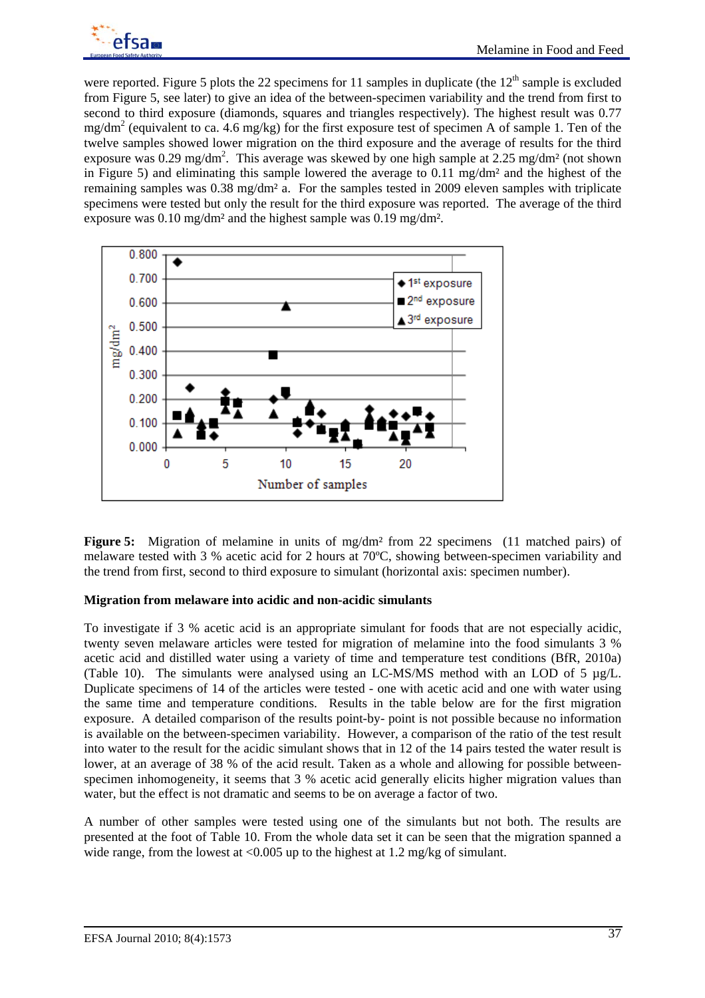

were reported. Figure 5 plots the 22 specimens for 11 samples in duplicate (the  $12<sup>th</sup>$  sample is excluded from Figure 5, see later) to give an idea of the between-specimen variability and the trend from first to second to third exposure (diamonds, squares and triangles respectively). The highest result was 0.77  $mg/dm<sup>2</sup>$  (equivalent to ca. 4.6 mg/kg) for the first exposure test of specimen A of sample 1. Ten of the twelve samples showed lower migration on the third exposure and the average of results for the third exposure was 0.29 mg/dm<sup>2</sup>. This average was skewed by one high sample at 2.25 mg/dm<sup>2</sup> (not shown in Figure 5) and eliminating this sample lowered the average to 0.11 mg/dm² and the highest of the remaining samples was 0.38 mg/dm² a. For the samples tested in 2009 eleven samples with triplicate specimens were tested but only the result for the third exposure was reported. The average of the third exposure was 0.10 mg/dm² and the highest sample was 0.19 mg/dm².



**Figure 5:** Migration of melamine in units of mg/dm<sup>2</sup> from 22 specimens (11 matched pairs) of melaware tested with 3 % acetic acid for 2 hours at 70ºC, showing between-specimen variability and the trend from first, second to third exposure to simulant (horizontal axis: specimen number).

# **Migration from melaware into acidic and non-acidic simulants**

To investigate if 3 % acetic acid is an appropriate simulant for foods that are not especially acidic, twenty seven melaware articles were tested for migration of melamine into the food simulants 3 % acetic acid and distilled water using a variety of time and temperature test conditions (BfR, 2010a) (Table 10). The simulants were analysed using an LC-MS/MS method with an LOD of 5 µg/L. Duplicate specimens of 14 of the articles were tested - one with acetic acid and one with water using the same time and temperature conditions. Results in the table below are for the first migration exposure. A detailed comparison of the results point-by- point is not possible because no information is available on the between-specimen variability. However, a comparison of the ratio of the test result into water to the result for the acidic simulant shows that in 12 of the 14 pairs tested the water result is lower, at an average of 38 % of the acid result. Taken as a whole and allowing for possible betweenspecimen inhomogeneity, it seems that 3 % acetic acid generally elicits higher migration values than water, but the effect is not dramatic and seems to be on average a factor of two.

A number of other samples were tested using one of the simulants but not both. The results are presented at the foot of Table 10. From the whole data set it can be seen that the migration spanned a wide range, from the lowest at  $\langle 0.005 \text{ up to the highest at } 1.2 \text{ mg/kg of simulator.}$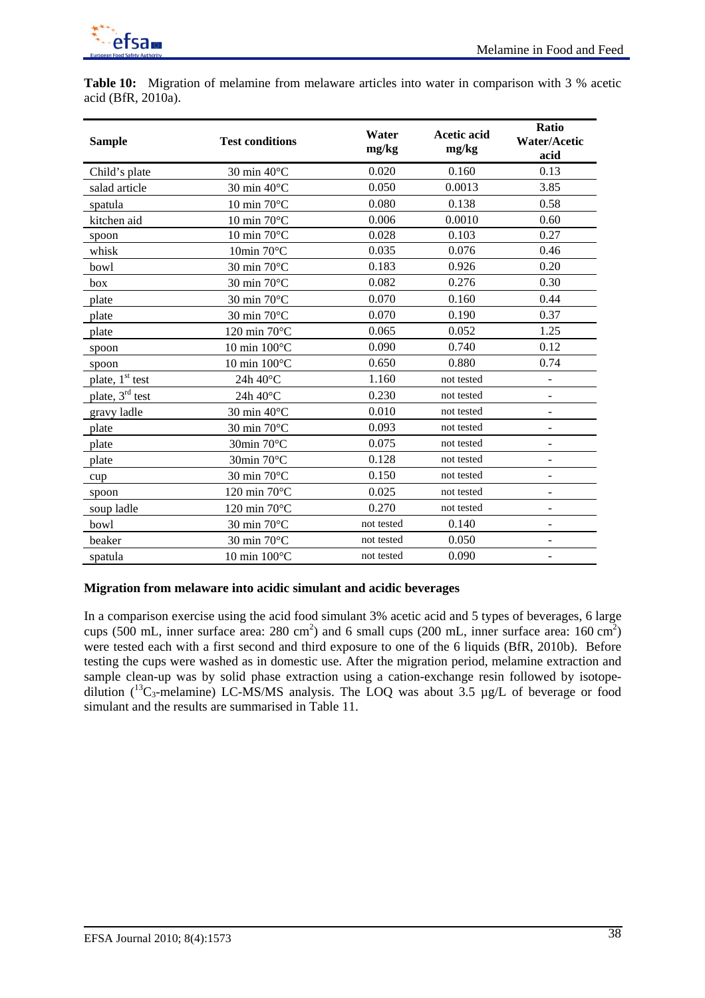

**Table 10:** Migration of melamine from melaware articles into water in comparison with 3 % acetic acid (BfR, 2010a).

| <b>Sample</b>               | <b>Test conditions</b>                | Water<br>mg/kg | <b>Acetic acid</b><br>mg/kg | Ratio<br><b>Water/Acetic</b><br>acid |
|-----------------------------|---------------------------------------|----------------|-----------------------------|--------------------------------------|
| Child's plate               | $30 \text{ min } 40^{\circ} \text{C}$ | 0.020          | 0.160                       | 0.13                                 |
| salad article               | 30 min 40°C                           | 0.050          | 0.0013                      | 3.85                                 |
| spatula                     | $10 \text{ min } 70^{\circ} \text{C}$ | 0.080          | 0.138                       | 0.58                                 |
| kitchen aid                 | 10 min 70°C                           | 0.006          | 0.0010                      | 0.60                                 |
| spoon                       | $10 \text{ min } 70^{\circ} \text{C}$ | 0.028          | 0.103                       | 0.27                                 |
| whisk                       | 10min $70^{\circ}$ C                  | 0.035          | 0.076                       | 0.46                                 |
| bowl                        | 30 min 70°C                           | 0.183          | 0.926                       | 0.20                                 |
| box                         | 30 min 70°C                           | 0.082          | 0.276                       | 0.30                                 |
| plate                       | $30 \text{ min} 70^{\circ} \text{C}$  | 0.070          | 0.160                       | 0.44                                 |
| plate                       | $30 \text{ min} 70^{\circ} \text{C}$  | 0.070          | 0.190                       | 0.37                                 |
| plate                       | 120 min 70°C                          | 0.065          | 0.052                       | 1.25                                 |
| spoon                       | $10 \text{ min } 100^{\circ}$ C       | 0.090          | 0.740                       | 0.12                                 |
| spoon                       | $10 \text{ min } 100^{\circ}$ C       | 0.650          | 0.880                       | 0.74                                 |
| plate, 1 <sup>st</sup> test | 24h 40°C                              | 1.160          | not tested                  |                                      |
| plate, 3 <sup>rd</sup> test | $24h 40^{\circ}C$                     | 0.230          | not tested                  | $\overline{a}$                       |
| gravy ladle                 | 30 min 40°C                           | 0.010          | not tested                  |                                      |
| plate                       | 30 min 70°C                           | 0.093          | not tested                  |                                      |
| plate                       | $30$ min $70^{\circ}$ C               | 0.075          | not tested                  | $\overline{\phantom{0}}$             |
| plate                       | $30\text{min}$ 70 $\textdegree$ C     | 0.128          | not tested                  |                                      |
| cup                         | $30 \text{ min} 70^{\circ} \text{C}$  | 0.150          | not tested                  |                                      |
| spoon                       | 120 min 70°C                          | 0.025          | not tested                  |                                      |
| soup ladle                  | 120 min $70^{\circ}$ C                | 0.270          | not tested                  | -                                    |
| bowl                        | $30 \text{ min} 70^{\circ} \text{C}$  | not tested     | 0.140                       |                                      |
| beaker                      | 30 min 70°C                           | not tested     | 0.050                       | $\overline{\phantom{0}}$             |
| spatula                     | 10 min 100°C                          | not tested     | 0.090                       | -                                    |

#### **Migration from melaware into acidic simulant and acidic beverages**

In a comparison exercise using the acid food simulant 3% acetic acid and 5 types of beverages, 6 large cups (500 mL, inner surface area: 280 cm<sup>2</sup>) and 6 small cups (200 mL, inner surface area: 160 cm<sup>2</sup>) were tested each with a first second and third exposure to one of the 6 liquids (BfR, 2010b). Before testing the cups were washed as in domestic use. After the migration period, melamine extraction and sample clean-up was by solid phase extraction using a cation-exchange resin followed by isotopedilution  $({}^{13}C_3$ -melamine) LC-MS/MS analysis. The LOQ was about 3.5 µg/L of beverage or food simulant and the results are summarised in Table 11.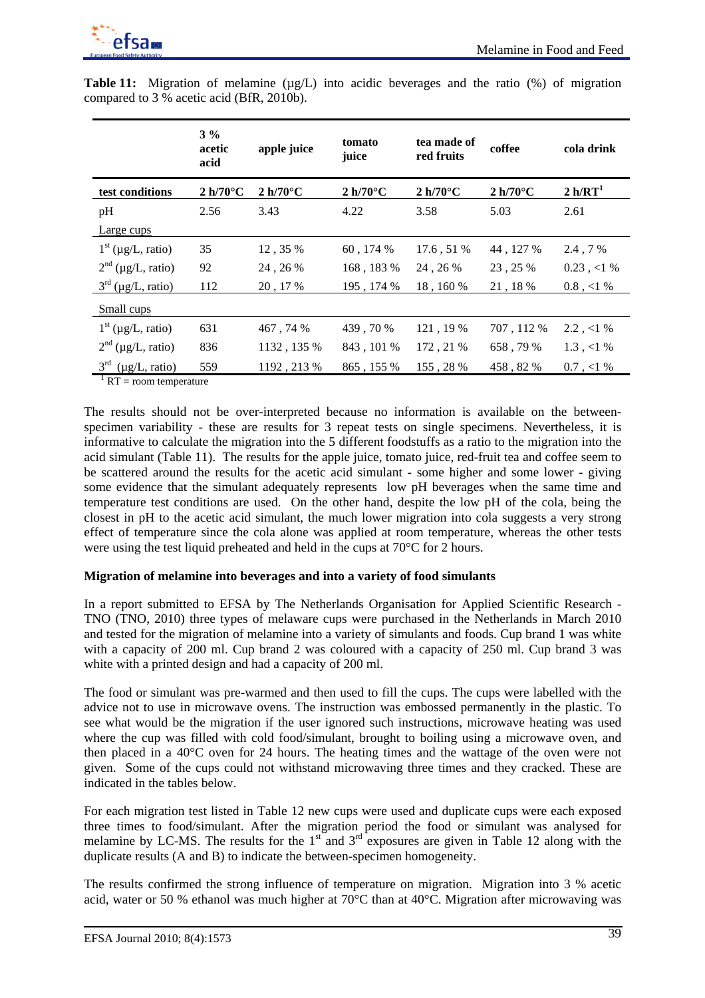|                                    | $3\%$<br>acetic<br>acid | apple juice | tomato<br>juice    | tea made of<br>red fruits | coffee      | cola drink          |
|------------------------------------|-------------------------|-------------|--------------------|---------------------------|-------------|---------------------|
| test conditions                    | $2 h/70^{\circ}$ C      | $2 h/70$ °C | $2 h/70^{\circ}$ C | $2 h/70^{\circ}$ C        | $2 h/70$ °C | 2 h/RT <sup>1</sup> |
| pH                                 | 2.56                    | 3.43        | 4.22               | 3.58                      | 5.03        | 2.61                |
| Large cups                         |                         |             |                    |                           |             |                     |
| $1st$ (µg/L, ratio)                | 35                      | 12, 35 %    | 60, 174 %          | 17.6, 51 %                | 44, 127 %   | 2.4, 7 %            |
| $2nd$ (µg/L, ratio)                | 92                      | 24, 26 %    | 168, 183 %         | 24, 26 %                  | 23, 25 %    | $0.23$ , <1 %       |
| $3rd$ (µg/L, ratio)                | 112                     | 20, 17 %    | 195, 174 %         | 18, 160 %                 | 21, 18 %    | $0.8$ , <1 %        |
| <b>Small cups</b>                  |                         |             |                    |                           |             |                     |
| $1st$ (µg/L, ratio)                | 631                     | 467, 74 %   | 439, 70 %          | 121, 19 %                 | 707, 112 %  | $2.2$ , <1 %        |
| $2nd$ (µg/L, ratio)                | 836                     | 1132, 135 % | 843, 101 %         | 172, 21 %                 | 658,79%     | $1.3$ , <1 %        |
| $3^{rd}$<br>$(\mu g/L, ratio)$     | 559                     | 1192, 213 % | 865, 155 %         | 155, 28 %                 | 458, 82%    | $0.7$ , $<\!\!1$ %  |
| $\frac{1}{2}DT =$ room tamparatura |                         |             |                    |                           |             |                     |

**Table 11:** Migration of melamine ( $\mu$ g/L) into acidic beverages and the ratio (%) of migration compared to 3 % acetic acid (BfR, 2010b).

 $RT =$  room temperature

The results should not be over-interpreted because no information is available on the betweenspecimen variability - these are results for 3 repeat tests on single specimens. Nevertheless, it is informative to calculate the migration into the 5 different foodstuffs as a ratio to the migration into the acid simulant (Table 11). The results for the apple juice, tomato juice, red-fruit tea and coffee seem to be scattered around the results for the acetic acid simulant - some higher and some lower - giving some evidence that the simulant adequately represents low pH beverages when the same time and temperature test conditions are used. On the other hand, despite the low pH of the cola, being the closest in pH to the acetic acid simulant, the much lower migration into cola suggests a very strong effect of temperature since the cola alone was applied at room temperature, whereas the other tests were using the test liquid preheated and held in the cups at 70°C for 2 hours.

# **Migration of melamine into beverages and into a variety of food simulants**

In a report submitted to EFSA by The Netherlands Organisation for Applied Scientific Research - TNO (TNO, 2010) three types of melaware cups were purchased in the Netherlands in March 2010 and tested for the migration of melamine into a variety of simulants and foods. Cup brand 1 was white with a capacity of 200 ml. Cup brand 2 was coloured with a capacity of 250 ml. Cup brand 3 was white with a printed design and had a capacity of 200 ml.

The food or simulant was pre-warmed and then used to fill the cups. The cups were labelled with the advice not to use in microwave ovens. The instruction was embossed permanently in the plastic. To see what would be the migration if the user ignored such instructions, microwave heating was used where the cup was filled with cold food/simulant, brought to boiling using a microwave oven, and then placed in a 40°C oven for 24 hours. The heating times and the wattage of the oven were not given. Some of the cups could not withstand microwaving three times and they cracked. These are indicated in the tables below.

For each migration test listed in Table 12 new cups were used and duplicate cups were each exposed three times to food/simulant. After the migration period the food or simulant was analysed for melamine by LC-MS. The results for the  $1<sup>st</sup>$  and  $3<sup>rd</sup>$  exposures are given in Table 12 along with the duplicate results (A and B) to indicate the between-specimen homogeneity.

The results confirmed the strong influence of temperature on migration. Migration into 3 % acetic acid, water or 50 % ethanol was much higher at 70°C than at 40°C. Migration after microwaving was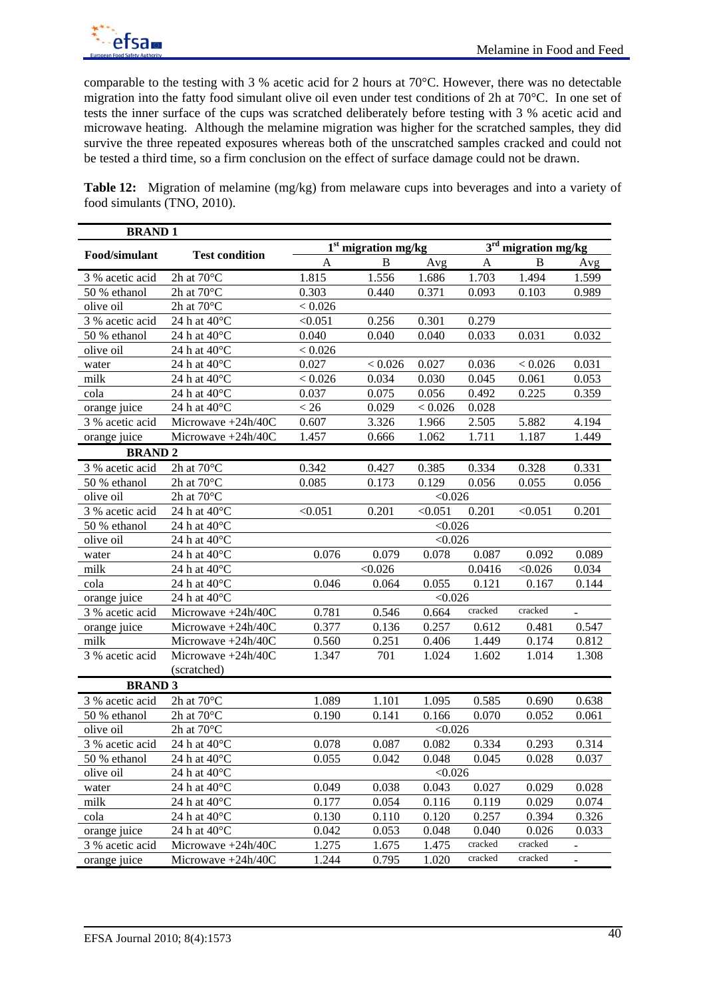

comparable to the testing with 3 % acetic acid for 2 hours at 70°C. However, there was no detectable migration into the fatty food simulant olive oil even under test conditions of 2h at 70°C. In one set of tests the inner surface of the cups was scratched deliberately before testing with 3 % acetic acid and microwave heating. Although the melamine migration was higher for the scratched samples, they did survive the three repeated exposures whereas both of the unscratched samples cracked and could not be tested a third time, so a firm conclusion on the effect of surface damage could not be drawn.

| <b>Table 12:</b> Migration of melamine (mg/kg) from melaware cups into beverages and into a variety of |  |  |  |
|--------------------------------------------------------------------------------------------------------|--|--|--|
| food simulants (TNO, 2010).                                                                            |  |  |  |

| <b>BRAND1</b>   |                                  |         |                                 |         |              |                       |       |
|-----------------|----------------------------------|---------|---------------------------------|---------|--------------|-----------------------|-------|
| Food/simulant   | <b>Test condition</b>            |         | 1 <sup>st</sup> migration mg/kg |         |              | $3rd$ migration mg/kg |       |
|                 |                                  | A       | B                               | Avg     | $\mathbf{A}$ | B                     | Avg   |
| 3 % acetic acid | 2h at $70^{\circ}$ C             | 1.815   | 1.556                           | 1.686   | 1.703        | 1.494                 | 1.599 |
| 50 % ethanol    | 2h at $70^{\circ}$ C             | 0.303   | 0.440                           | 0.371   | 0.093        | 0.103                 | 0.989 |
| olive oil       | 2h at $70^{\circ}$ C             | < 0.026 |                                 |         |              |                       |       |
| 3 % acetic acid | 24 h at 40°C                     | < 0.051 | 0.256                           | 0.301   | 0.279        |                       |       |
| 50 % ethanol    | 24 h at $40^{\circ}$ C           | 0.040   | 0.040                           | 0.040   | 0.033        | 0.031                 | 0.032 |
| olive oil       | 24 h at 40°C                     | < 0.026 |                                 |         |              |                       |       |
| water           | 24 h at 40°C                     | 0.027   | < 0.026                         | 0.027   | 0.036        | < 0.026               | 0.031 |
| milk            | 24 h at 40°C                     | < 0.026 | 0.034                           | 0.030   | 0.045        | 0.061                 | 0.053 |
| cola            | 24 h at $40^{\circ}$ C           | 0.037   | 0.075                           | 0.056   | 0.492        | 0.225                 | 0.359 |
| orange juice    | 24 h at 40°C                     | < 26    | 0.029                           | < 0.026 | 0.028        |                       |       |
| 3 % acetic acid | Microwave +24h/40C               | 0.607   | 3.326                           | 1.966   | 2.505        | 5.882                 | 4.194 |
| orange juice    | Microwave +24h/40C               | 1.457   | 0.666                           | 1.062   | 1.711        | 1.187                 | 1.449 |
| <b>BRAND 2</b>  |                                  |         |                                 |         |              |                       |       |
| 3 % acetic acid | 2h at $70^{\circ}$ C             | 0.342   | 0.427                           | 0.385   | 0.334        | 0.328                 | 0.331 |
| 50 % ethanol    | 2h at $70^{\circ}$ C             | 0.085   | 0.173                           | 0.129   | 0.056        | 0.055                 | 0.056 |
| olive oil       | 2h at 70°C                       |         |                                 | < 0.026 |              |                       |       |
| 3 % acetic acid | 24 h at $40^{\circ}$ C           | < 0.051 | 0.201                           | < 0.051 | 0.201        | < 0.051               | 0.201 |
| 50 % ethanol    | 24 h at 40°C                     |         |                                 | < 0.026 |              |                       |       |
| olive oil       | 24 h at 40°C                     | < 0.026 |                                 |         |              |                       |       |
| water           | 24 h at 40°C                     | 0.076   | 0.079                           | 0.078   | 0.087        | 0.092                 | 0.089 |
| milk            | 24 h at 40°C                     |         | < 0.026                         |         | 0.0416       | < 0.026               | 0.034 |
| cola            | 24 h at $40^{\circ}$ C           | 0.046   | 0.064                           | 0.055   | 0.121        | 0.167                 | 0.144 |
| orange juice    | 24 h at $40^{\circ}$ C           |         |                                 | < 0.026 |              |                       |       |
| 3 % acetic acid | Microwave $+24h/40C$             | 0.781   | 0.546                           | 0.664   | cracked      | cracked               |       |
| orange juice    | Microwave +24h/40C               | 0.377   | 0.136                           | 0.257   | 0.612        | 0.481                 | 0.547 |
| milk            | Microwave +24h/40C               | 0.560   | 0.251                           | 0.406   | 1.449        | 0.174                 | 0.812 |
| 3 % acetic acid | Microwave $+24h/40C$             | 1.347   | 701                             | 1.024   | 1.602        | 1.014                 | 1.308 |
|                 | (scratched)                      |         |                                 |         |              |                       |       |
| <b>BRAND 3</b>  |                                  |         |                                 |         |              |                       |       |
| 3 % acetic acid | 2h at $70^{\circ}$ C             | 1.089   | 1.101                           | 1.095   | 0.585        | 0.690                 | 0.638 |
| 50 % ethanol    | 2h at $70^{\circ}$ C             | 0.190   | 0.141                           | 0.166   | 0.070        | 0.052                 | 0.061 |
| olive oil       | 2h at $70^{\circ}$ C             |         |                                 | < 0.026 |              |                       |       |
| 3 % acetic acid | 24 h at $40^{\circ}$ C           | 0.078   | 0.087                           | 0.082   | 0.334        | 0.293                 | 0.314 |
| 50 % ethanol    | $24$ h at $40^{\circ}\mathrm{C}$ | 0.055   | 0.042                           | 0.048   | 0.045        | 0.028                 | 0.037 |
| olive oil       | 24 h at $40^{\circ}$ C           |         |                                 | < 0.026 |              |                       |       |
| water           | 24 h at $40^{\circ}$ C           | 0.049   | 0.038                           | 0.043   | 0.027        | 0.029                 | 0.028 |
| milk            | 24 h at $40^{\circ}$ C           | 0.177   | 0.054                           | 0.116   | 0.119        | 0.029                 | 0.074 |
| cola            | 24 h at $40^{\circ}$ C           | 0.130   | 0.110                           | 0.120   | 0.257        | 0.394                 | 0.326 |
| orange juice    | 24 h at $40^{\circ}$ C           | 0.042   | 0.053                           | 0.048   | 0.040        | 0.026                 | 0.033 |
| 3 % acetic acid | Microwave +24h/40C               | 1.275   | 1.675                           | 1.475   | cracked      | cracked               |       |
| orange juice    | Microwave $+24h/40C$             | 1.244   | 0.795                           | 1.020   | cracked      | cracked               |       |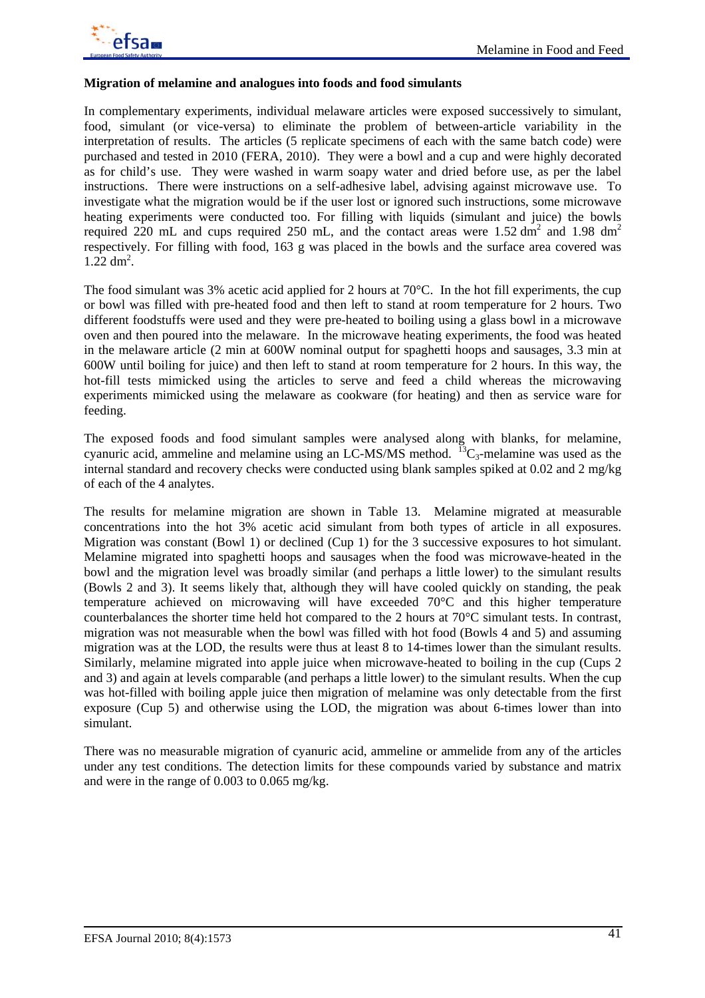

#### **Migration of melamine and analogues into foods and food simulants**

In complementary experiments, individual melaware articles were exposed successively to simulant, food, simulant (or vice-versa) to eliminate the problem of between-article variability in the interpretation of results. The articles (5 replicate specimens of each with the same batch code) were purchased and tested in 2010 (FERA, 2010). They were a bowl and a cup and were highly decorated as for child's use. They were washed in warm soapy water and dried before use, as per the label instructions. There were instructions on a self-adhesive label, advising against microwave use. To investigate what the migration would be if the user lost or ignored such instructions, some microwave heating experiments were conducted too. For filling with liquids (simulant and juice) the bowls required 220 mL and cups required 250 mL, and the contact areas were  $1.52 \text{ dm}^2$  and  $1.98 \text{ dm}^2$ respectively. For filling with food, 163 g was placed in the bowls and the surface area covered was  $1.22$  dm<sup>2</sup>.

The food simulant was 3% acetic acid applied for 2 hours at 70°C. In the hot fill experiments, the cup or bowl was filled with pre-heated food and then left to stand at room temperature for 2 hours. Two different foodstuffs were used and they were pre-heated to boiling using a glass bowl in a microwave oven and then poured into the melaware. In the microwave heating experiments, the food was heated in the melaware article (2 min at 600W nominal output for spaghetti hoops and sausages, 3.3 min at 600W until boiling for juice) and then left to stand at room temperature for 2 hours. In this way, the hot-fill tests mimicked using the articles to serve and feed a child whereas the microwaving experiments mimicked using the melaware as cookware (for heating) and then as service ware for feeding.

The exposed foods and food simulant samples were analysed along with blanks, for melamine, cyanuric acid, ammeline and melamine using an LC-MS/MS method.  ${}^{13}C_3$ -melamine was used as the internal standard and recovery checks were conducted using blank samples spiked at 0.02 and 2 mg/kg of each of the 4 analytes.

The results for melamine migration are shown in Table 13. Melamine migrated at measurable concentrations into the hot 3% acetic acid simulant from both types of article in all exposures. Migration was constant (Bowl 1) or declined (Cup 1) for the 3 successive exposures to hot simulant. Melamine migrated into spaghetti hoops and sausages when the food was microwave-heated in the bowl and the migration level was broadly similar (and perhaps a little lower) to the simulant results (Bowls 2 and 3). It seems likely that, although they will have cooled quickly on standing, the peak temperature achieved on microwaving will have exceeded 70°C and this higher temperature counterbalances the shorter time held hot compared to the 2 hours at 70°C simulant tests. In contrast, migration was not measurable when the bowl was filled with hot food (Bowls 4 and 5) and assuming migration was at the LOD, the results were thus at least 8 to 14-times lower than the simulant results. Similarly, melamine migrated into apple juice when microwave-heated to boiling in the cup (Cups 2 and 3) and again at levels comparable (and perhaps a little lower) to the simulant results. When the cup was hot-filled with boiling apple juice then migration of melamine was only detectable from the first exposure (Cup 5) and otherwise using the LOD, the migration was about 6-times lower than into simulant.

There was no measurable migration of cyanuric acid, ammeline or ammelide from any of the articles under any test conditions. The detection limits for these compounds varied by substance and matrix and were in the range of 0.003 to 0.065 mg/kg.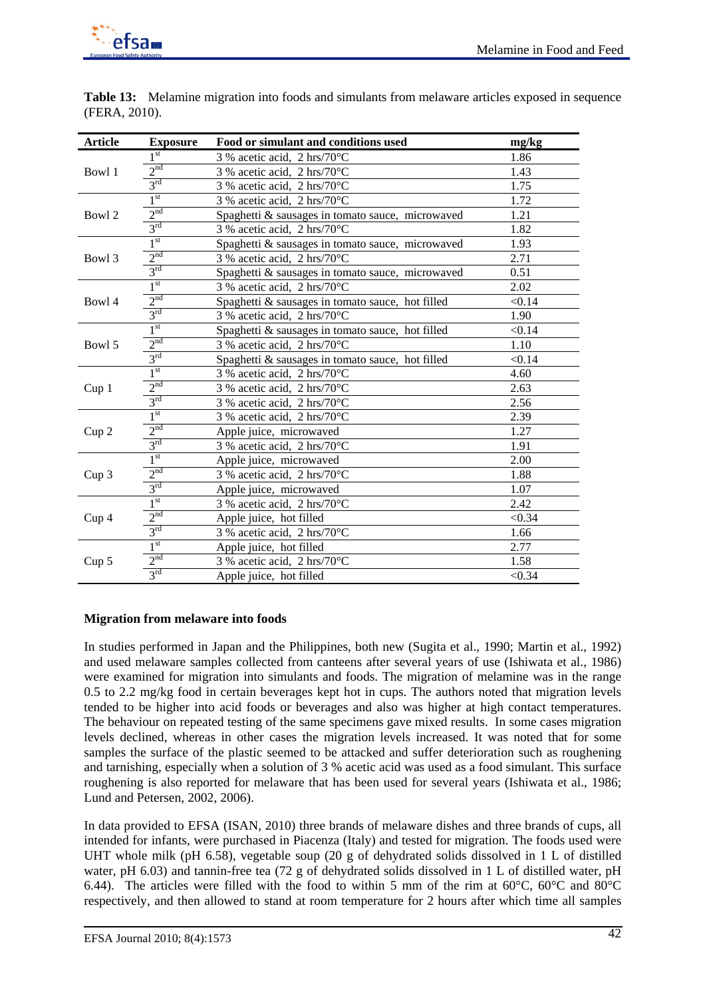

| <b>Article</b>   | <b>Exposure</b>            | Food or simulant and conditions used                | mg/kg  |
|------------------|----------------------------|-----------------------------------------------------|--------|
|                  | 1 <sup>st</sup>            | 3 % acetic acid. $2 \text{ hrs}/70^{\circ}\text{C}$ | 1.86   |
| Bowl 1           | 2 <sup>nd</sup>            | 3 % acetic acid, 2 hrs/70°C                         | 1.43   |
|                  | $3^{\text{rd}}$            | 3 % acetic acid, 2 hrs/70°C                         | 1.75   |
|                  | 1 <sup>st</sup>            | 3 % acetic acid, $2 \text{ hrs}/70^{\circ}\text{C}$ | 1.72   |
| Bowl 2           | 2 <sup>nd</sup>            | Spaghetti & sausages in tomato sauce, microwaved    | 1.21   |
|                  | $3^{\text{rd}}$            | 3 % acetic acid, 2 hrs/70°C                         | 1.82   |
|                  | 1 <sup>st</sup>            | Spaghetti & sausages in tomato sauce, microwaved    | 1.93   |
| Bowl 3           | 2 <sup>nd</sup>            | 3 % acetic acid, 2 hrs/70°C                         | 2.71   |
|                  | 3 <sup>rd</sup>            | Spaghetti & sausages in tomato sauce, microwaved    | 0.51   |
|                  | 1 <sup>st</sup>            | 3 % acetic acid, 2 hrs/70°C                         | 2.02   |
| Bowl 4           | 2 <sup>nd</sup>            | Spaghetti & sausages in tomato sauce, hot filled    | < 0.14 |
|                  | 3 <sup>rd</sup>            | 3 % acetic acid, $2 \text{ hrs}/70^{\circ}\text{C}$ | 1.90   |
|                  | 1 <sup>st</sup>            | Spaghetti & sausages in tomato sauce, hot filled    | < 0.14 |
| Bowl 5           | 2 <sup>nd</sup>            | 3 % acetic acid, 2 hrs/70°C                         | 1.10   |
|                  | $3^{\text{rd}}$            | Spaghetti & sausages in tomato sauce, hot filled    | < 0.14 |
|                  | 1 <sup>st</sup>            | 3 % acetic acid, 2 hrs/70°C                         | 4.60   |
| Cup1             | 2 <sup>nd</sup>            | 3 % acetic acid, 2 hrs/70°C                         | 2.63   |
|                  | $3^{\text{rd}}$            | 3 % acetic acid, 2 hrs/70°C                         | 2.56   |
|                  | 1 <sup>st</sup>            | 3 % acetic acid, $2 \text{ hrs}/70^{\circ}\text{C}$ | 2.39   |
| Cup <sub>2</sub> | 2 <sup>nd</sup>            | Apple juice, microwaved                             | 1.27   |
|                  | 3 <sup>rd</sup>            | 3 % acetic acid, $2 \text{ hrs}/70^{\circ}\text{C}$ | 1.91   |
|                  | $1^{\overline{\text{st}}}$ | Apple juice, microwaved                             | 2.00   |
| Cup <sub>3</sub> | 2 <sup>nd</sup>            | 3 % acetic acid, 2 hrs/70°C                         | 1.88   |
|                  | $3^{\text{rd}}$            | Apple juice, microwaved                             | 1.07   |
|                  | 1 <sup>st</sup>            | 3 % acetic acid, 2 hrs/70°C                         | 2.42   |
| Cup <sub>4</sub> | 2 <sup>nd</sup>            | Apple juice, hot filled                             | < 0.34 |
|                  | 3 <sup>rd</sup>            | 3 % acetic acid, 2 hrs/70°C                         | 1.66   |
|                  | $1^{st}$                   | Apple juice, hot filled                             | 2.77   |
| Cup <sub>5</sub> | 2 <sup>nd</sup>            | 3 % acetic acid, 2 hrs/70°C                         | 1.58   |
|                  | 3 <sup>rd</sup>            | Apple juice, hot filled                             | < 0.34 |

**Table 13:** Melamine migration into foods and simulants from melaware articles exposed in sequence (FERA, 2010).

# **Migration from melaware into foods**

In studies performed in Japan and the Philippines, both new (Sugita et al., 1990; Martin et al., 1992) and used melaware samples collected from canteens after several years of use (Ishiwata et al., 1986) were examined for migration into simulants and foods. The migration of melamine was in the range 0.5 to 2.2 mg/kg food in certain beverages kept hot in cups. The authors noted that migration levels tended to be higher into acid foods or beverages and also was higher at high contact temperatures. The behaviour on repeated testing of the same specimens gave mixed results. In some cases migration levels declined, whereas in other cases the migration levels increased. It was noted that for some samples the surface of the plastic seemed to be attacked and suffer deterioration such as roughening and tarnishing, especially when a solution of 3 % acetic acid was used as a food simulant. This surface roughening is also reported for melaware that has been used for several years (Ishiwata et al., 1986; Lund and Petersen, 2002, 2006).

In data provided to EFSA (ISAN, 2010) three brands of melaware dishes and three brands of cups, all intended for infants, were purchased in Piacenza (Italy) and tested for migration. The foods used were UHT whole milk (pH 6.58), vegetable soup (20 g of dehydrated solids dissolved in 1 L of distilled water, pH 6.03) and tannin-free tea (72 g of dehydrated solids dissolved in 1 L of distilled water, pH 6.44). The articles were filled with the food to within 5 mm of the rim at 60°C, 60°C and 80°C respectively, and then allowed to stand at room temperature for 2 hours after which time all samples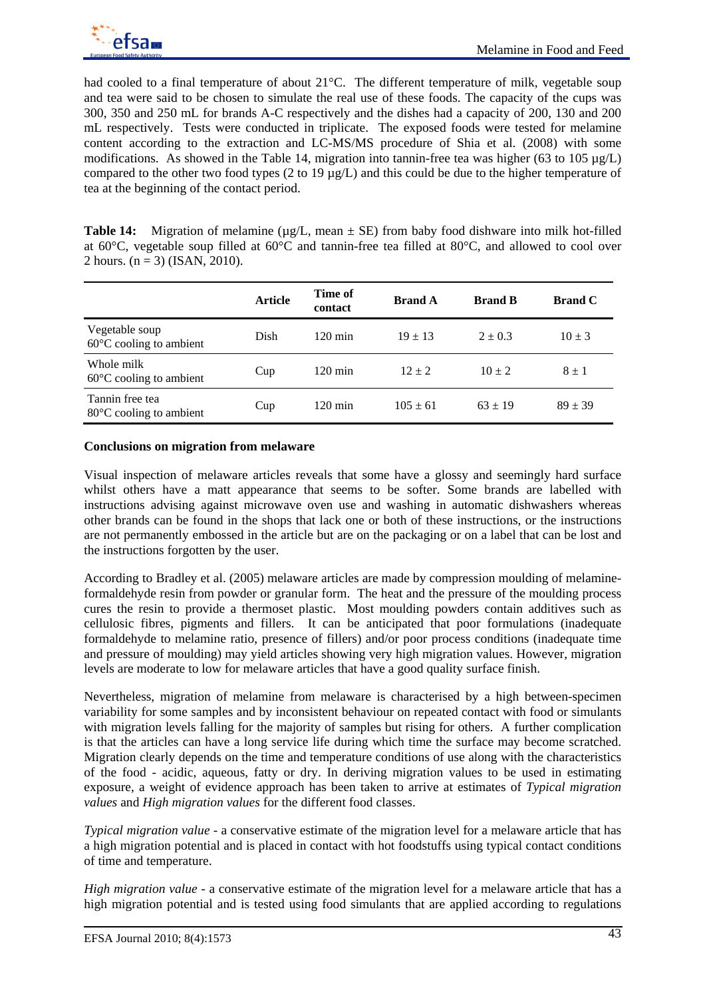

had cooled to a final temperature of about 21°C. The different temperature of milk, vegetable soup and tea were said to be chosen to simulate the real use of these foods. The capacity of the cups was 300, 350 and 250 mL for brands A-C respectively and the dishes had a capacity of 200, 130 and 200 mL respectively. Tests were conducted in triplicate. The exposed foods were tested for melamine content according to the extraction and LC-MS/MS procedure of Shia et al. (2008) with some modifications. As showed in the Table 14, migration into tannin-free tea was higher (63 to 105 µg/L) compared to the other two food types (2 to 19 µg/L) and this could be due to the higher temperature of tea at the beginning of the contact period.

Table 14: Migration of melamine (µg/L, mean  $\pm$  SE) from baby food dishware into milk hot-filled at 60°C, vegetable soup filled at 60°C and tannin-free tea filled at 80°C, and allowed to cool over 2 hours.  $(n = 3)$  (ISAN, 2010).

|                                                      | <b>Article</b> | Time of<br>contact | <b>Brand A</b> | <b>Brand B</b> | <b>Brand C</b> |
|------------------------------------------------------|----------------|--------------------|----------------|----------------|----------------|
| Vegetable soup<br>$60^{\circ}$ C cooling to ambient  | Dish           | $120 \text{ min}$  | $19 \pm 13$    | $2 \pm 0.3$    | $10 \pm 3$     |
| Whole milk<br>$60^{\circ}$ C cooling to ambient      | Cup            | $120 \text{ min}$  | $12 \pm 2$     | $10 \pm 2$     | $8 + 1$        |
| Tannin free tea<br>$80^{\circ}$ C cooling to ambient | Cup            | $120 \text{ min}$  | $105 \pm 61$   | $63 \pm 19$    | $89 \pm 39$    |

#### **Conclusions on migration from melaware**

Visual inspection of melaware articles reveals that some have a glossy and seemingly hard surface whilst others have a matt appearance that seems to be softer. Some brands are labelled with instructions advising against microwave oven use and washing in automatic dishwashers whereas other brands can be found in the shops that lack one or both of these instructions, or the instructions are not permanently embossed in the article but are on the packaging or on a label that can be lost and the instructions forgotten by the user.

According to Bradley et al. (2005) melaware articles are made by compression moulding of melamineformaldehyde resin from powder or granular form. The heat and the pressure of the moulding process cures the resin to provide a thermoset plastic. Most moulding powders contain additives such as cellulosic fibres, pigments and fillers. It can be anticipated that poor formulations (inadequate formaldehyde to melamine ratio, presence of fillers) and/or poor process conditions (inadequate time and pressure of moulding) may yield articles showing very high migration values. However, migration levels are moderate to low for melaware articles that have a good quality surface finish.

Nevertheless, migration of melamine from melaware is characterised by a high between-specimen variability for some samples and by inconsistent behaviour on repeated contact with food or simulants with migration levels falling for the majority of samples but rising for others. A further complication is that the articles can have a long service life during which time the surface may become scratched. Migration clearly depends on the time and temperature conditions of use along with the characteristics of the food - acidic, aqueous, fatty or dry. In deriving migration values to be used in estimating exposure, a weight of evidence approach has been taken to arrive at estimates of *Typical migration values* and *High migration values* for the different food classes.

*Typical migration value* - a conservative estimate of the migration level for a melaware article that has a high migration potential and is placed in contact with hot foodstuffs using typical contact conditions of time and temperature.

*High migration value* - a conservative estimate of the migration level for a melaware article that has a high migration potential and is tested using food simulants that are applied according to regulations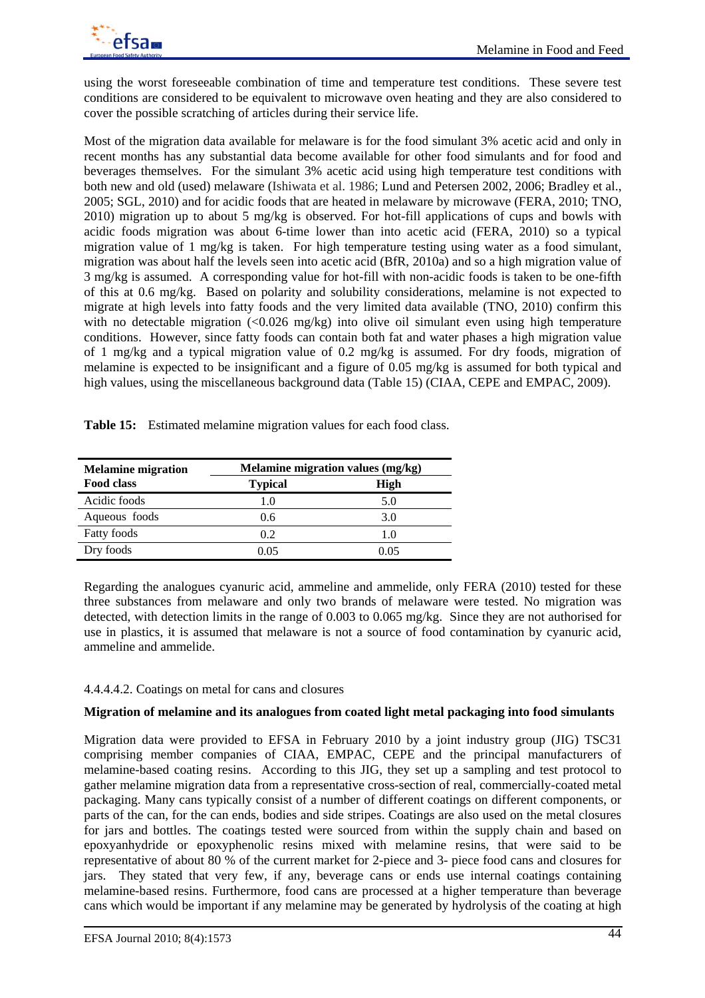

using the worst foreseeable combination of time and temperature test conditions. These severe test conditions are considered to be equivalent to microwave oven heating and they are also considered to cover the possible scratching of articles during their service life.

Most of the migration data available for melaware is for the food simulant 3% acetic acid and only in recent months has any substantial data become available for other food simulants and for food and beverages themselves. For the simulant 3% acetic acid using high temperature test conditions with both new and old (used) melaware (Ishiwata et al. 1986; Lund and Petersen 2002, 2006; Bradley et al., 2005; SGL, 2010) and for acidic foods that are heated in melaware by microwave (FERA, 2010; TNO, 2010) migration up to about 5 mg/kg is observed. For hot-fill applications of cups and bowls with acidic foods migration was about 6-time lower than into acetic acid (FERA, 2010) so a typical migration value of 1 mg/kg is taken. For high temperature testing using water as a food simulant, migration was about half the levels seen into acetic acid (BfR, 2010a) and so a high migration value of 3 mg/kg is assumed. A corresponding value for hot-fill with non-acidic foods is taken to be one-fifth of this at 0.6 mg/kg. Based on polarity and solubility considerations, melamine is not expected to migrate at high levels into fatty foods and the very limited data available (TNO, 2010) confirm this with no detectable migration  $\left($ <0.026 mg/kg) into olive oil simulant even using high temperature conditions. However, since fatty foods can contain both fat and water phases a high migration value of 1 mg/kg and a typical migration value of 0.2 mg/kg is assumed. For dry foods, migration of melamine is expected to be insignificant and a figure of 0.05 mg/kg is assumed for both typical and high values, using the miscellaneous background data (Table 15) (CIAA, CEPE and EMPAC, 2009).

| <b>Melamine migration</b> |                | Melamine migration values (mg/kg) |
|---------------------------|----------------|-----------------------------------|
| <b>Food class</b>         | <b>Typical</b> | High                              |
| Acidic foods              | 1.0            | 5.0                               |
| Aqueous foods             | 0.6            | 3.0                               |
| <b>Fatty foods</b>        | 0.2            | 1.0                               |
| Dry foods                 | 0.05           | 0.05                              |

**Table 15:** Estimated melamine migration values for each food class.

Regarding the analogues cyanuric acid, ammeline and ammelide, only FERA (2010) tested for these three substances from melaware and only two brands of melaware were tested. No migration was detected, with detection limits in the range of 0.003 to 0.065 mg/kg. Since they are not authorised for use in plastics, it is assumed that melaware is not a source of food contamination by cyanuric acid, ammeline and ammelide.

# 4.4.4.4.2. Coatings on metal for cans and closures

# **Migration of melamine and its analogues from coated light metal packaging into food simulants**

Migration data were provided to EFSA in February 2010 by a joint industry group (JIG) TSC31 comprising member companies of CIAA, EMPAC, CEPE and the principal manufacturers of melamine-based coating resins. According to this JIG, they set up a sampling and test protocol to gather melamine migration data from a representative cross-section of real, commercially-coated metal packaging. Many cans typically consist of a number of different coatings on different components, or parts of the can, for the can ends, bodies and side stripes. Coatings are also used on the metal closures for jars and bottles. The coatings tested were sourced from within the supply chain and based on epoxyanhydride or epoxyphenolic resins mixed with melamine resins, that were said to be representative of about 80 % of the current market for 2-piece and 3- piece food cans and closures for jars. They stated that very few, if any, beverage cans or ends use internal coatings containing melamine-based resins. Furthermore, food cans are processed at a higher temperature than beverage cans which would be important if any melamine may be generated by hydrolysis of the coating at high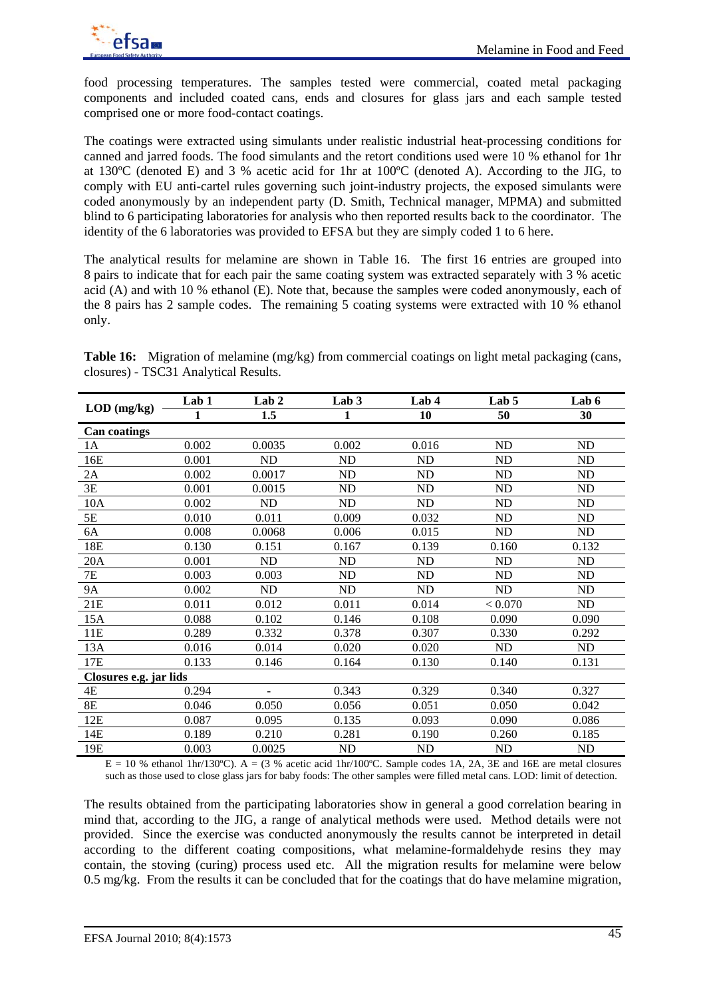food processing temperatures. The samples tested were commercial, coated metal packaging components and included coated cans, ends and closures for glass jars and each sample tested comprised one or more food-contact coatings.

The coatings were extracted using simulants under realistic industrial heat-processing conditions for canned and jarred foods. The food simulants and the retort conditions used were 10 % ethanol for 1hr at 130ºC (denoted E) and 3 % acetic acid for 1hr at 100ºC (denoted A). According to the JIG, to comply with EU anti-cartel rules governing such joint-industry projects, the exposed simulants were coded anonymously by an independent party (D. Smith, Technical manager, MPMA) and submitted blind to 6 participating laboratories for analysis who then reported results back to the coordinator. The identity of the 6 laboratories was provided to EFSA but they are simply coded 1 to 6 here.

The analytical results for melamine are shown in Table 16. The first 16 entries are grouped into 8 pairs to indicate that for each pair the same coating system was extracted separately with 3 % acetic acid (A) and with 10 % ethanol (E). Note that, because the samples were coded anonymously, each of the 8 pairs has 2 sample codes. The remaining 5 coating systems were extracted with 10 % ethanol only.

**Table 16:** Migration of melamine (mg/kg) from commercial coatings on light metal packaging (cans, closures) - TSC31 Analytical Results.

|                        | Lab 1 | Lab 2  | Lab 3     | Lab 4 | Lab 5   | Lab 6 |
|------------------------|-------|--------|-----------|-------|---------|-------|
| $LOD$ (mg/kg)          | 1     | 1.5    | 1         | 10    | 50      | 30    |
| <b>Can coatings</b>    |       |        |           |       |         |       |
| 1A                     | 0.002 | 0.0035 | 0.002     | 0.016 | ND      | ND    |
| 16E                    | 0.001 | ND     | ND        | ND    | ND      | ND    |
| 2A                     | 0.002 | 0.0017 | ND        | ND    | ND      | ND    |
| 3E                     | 0.001 | 0.0015 | ND        | ND    | ND      | ND    |
| 10A                    | 0.002 | ND     | ND        | ND    | ND      | ND    |
| 5E                     | 0.010 | 0.011  | 0.009     | 0.032 | ND      | ND    |
| 6A                     | 0.008 | 0.0068 | 0.006     | 0.015 | ND      | ND    |
| 18E                    | 0.130 | 0.151  | 0.167     | 0.139 | 0.160   | 0.132 |
| 20A                    | 0.001 | ND     | ND        | ND    | ND      | ND    |
| 7Е                     | 0.003 | 0.003  | <b>ND</b> | ND    | ND      | ND    |
| 9A                     | 0.002 | ND     | ND        | ND    | ND      | ND    |
| 21E                    | 0.011 | 0.012  | 0.011     | 0.014 | < 0.070 | ND    |
| 15A                    | 0.088 | 0.102  | 0.146     | 0.108 | 0.090   | 0.090 |
| 11E                    | 0.289 | 0.332  | 0.378     | 0.307 | 0.330   | 0.292 |
| 13A                    | 0.016 | 0.014  | 0.020     | 0.020 | ND      | ND    |
| 17E                    | 0.133 | 0.146  | 0.164     | 0.130 | 0.140   | 0.131 |
| Closures e.g. jar lids |       |        |           |       |         |       |
| 4E                     | 0.294 |        | 0.343     | 0.329 | 0.340   | 0.327 |
| $8E$                   | 0.046 | 0.050  | 0.056     | 0.051 | 0.050   | 0.042 |
| 12E                    | 0.087 | 0.095  | 0.135     | 0.093 | 0.090   | 0.086 |
| 14E                    | 0.189 | 0.210  | 0.281     | 0.190 | 0.260   | 0.185 |
| 19E                    | 0.003 | 0.0025 | ND        | ND    | ND      | ND    |

 $E = 10\%$  ethanol 1hr/130°C). A = (3 % acetic acid 1hr/100°C. Sample codes 1A, 2A, 3E and 16E are metal closures such as those used to close glass jars for baby foods: The other samples were filled metal cans. LOD: limit of detection.

The results obtained from the participating laboratories show in general a good correlation bearing in mind that, according to the JIG, a range of analytical methods were used. Method details were not provided. Since the exercise was conducted anonymously the results cannot be interpreted in detail according to the different coating compositions, what melamine-formaldehyde resins they may contain, the stoving (curing) process used etc. All the migration results for melamine were below 0.5 mg/kg. From the results it can be concluded that for the coatings that do have melamine migration,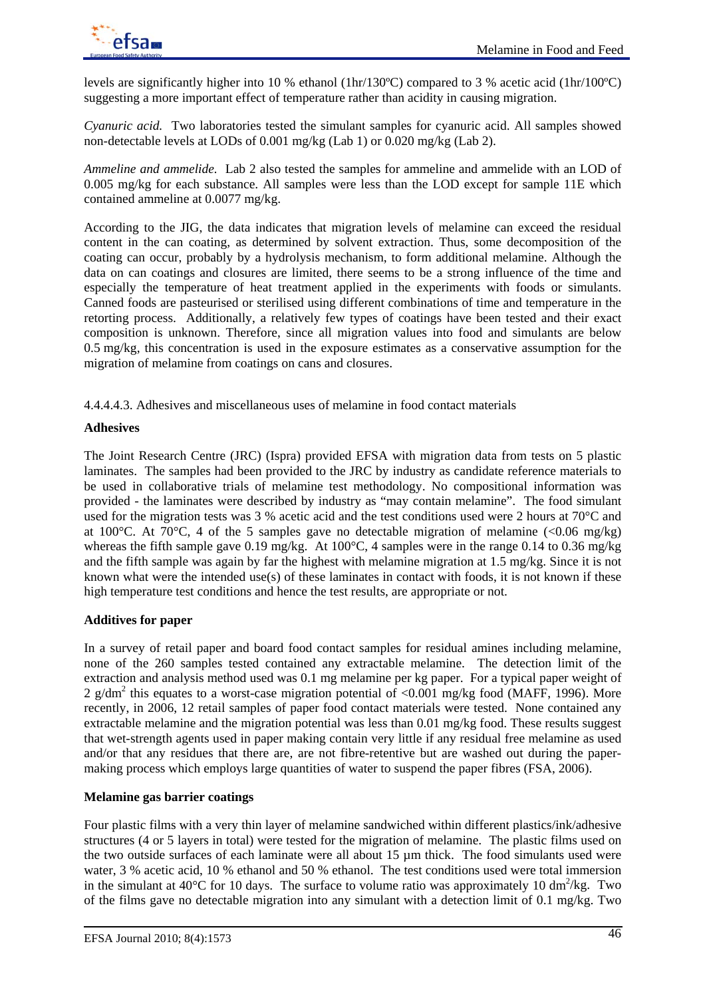levels are significantly higher into 10 % ethanol (1hr/130ºC) compared to 3 % acetic acid (1hr/100ºC) suggesting a more important effect of temperature rather than acidity in causing migration.

*Cyanuric acid.* Two laboratories tested the simulant samples for cyanuric acid. All samples showed non-detectable levels at LODs of 0.001 mg/kg (Lab 1) or 0.020 mg/kg (Lab 2).

*Ammeline and ammelide.* Lab 2 also tested the samples for ammeline and ammelide with an LOD of 0.005 mg/kg for each substance. All samples were less than the LOD except for sample 11E which contained ammeline at 0.0077 mg/kg.

According to the JIG, the data indicates that migration levels of melamine can exceed the residual content in the can coating, as determined by solvent extraction. Thus, some decomposition of the coating can occur, probably by a hydrolysis mechanism, to form additional melamine. Although the data on can coatings and closures are limited, there seems to be a strong influence of the time and especially the temperature of heat treatment applied in the experiments with foods or simulants. Canned foods are pasteurised or sterilised using different combinations of time and temperature in the retorting process. Additionally, a relatively few types of coatings have been tested and their exact composition is unknown. Therefore, since all migration values into food and simulants are below 0.5 mg/kg, this concentration is used in the exposure estimates as a conservative assumption for the migration of melamine from coatings on cans and closures.

4.4.4.4.3. Adhesives and miscellaneous uses of melamine in food contact materials

# **Adhesives**

The Joint Research Centre (JRC) (Ispra) provided EFSA with migration data from tests on 5 plastic laminates. The samples had been provided to the JRC by industry as candidate reference materials to be used in collaborative trials of melamine test methodology. No compositional information was provided - the laminates were described by industry as "may contain melamine". The food simulant used for the migration tests was 3 % acetic acid and the test conditions used were 2 hours at 70<sup>o</sup>C and at 100 $^{\circ}$ C. At 70 $^{\circ}$ C, 4 of the 5 samples gave no detectable migration of melamine (<0.06 mg/kg) whereas the fifth sample gave 0.19 mg/kg. At 100°C, 4 samples were in the range 0.14 to 0.36 mg/kg and the fifth sample was again by far the highest with melamine migration at 1.5 mg/kg. Since it is not known what were the intended use(s) of these laminates in contact with foods, it is not known if these high temperature test conditions and hence the test results, are appropriate or not.

# **Additives for paper**

In a survey of retail paper and board food contact samples for residual amines including melamine, none of the 260 samples tested contained any extractable melamine. The detection limit of the extraction and analysis method used was 0.1 mg melamine per kg paper. For a typical paper weight of 2  $g/dm^2$  this equates to a worst-case migration potential of <0.001 mg/kg food (MAFF, 1996). More recently, in 2006, 12 retail samples of paper food contact materials were tested. None contained any extractable melamine and the migration potential was less than 0.01 mg/kg food. These results suggest that wet-strength agents used in paper making contain very little if any residual free melamine as used and/or that any residues that there are, are not fibre-retentive but are washed out during the papermaking process which employs large quantities of water to suspend the paper fibres (FSA, 2006).

# **Melamine gas barrier coatings**

Four plastic films with a very thin layer of melamine sandwiched within different plastics/ink/adhesive structures (4 or 5 layers in total) were tested for the migration of melamine. The plastic films used on the two outside surfaces of each laminate were all about 15 µm thick. The food simulants used were water, 3 % acetic acid, 10 % ethanol and 50 % ethanol. The test conditions used were total immersion in the simulant at 40 $^{\circ}$ C for 10 days. The surface to volume ratio was approximately 10 dm<sup>2</sup>/kg. Two of the films gave no detectable migration into any simulant with a detection limit of 0.1 mg/kg. Two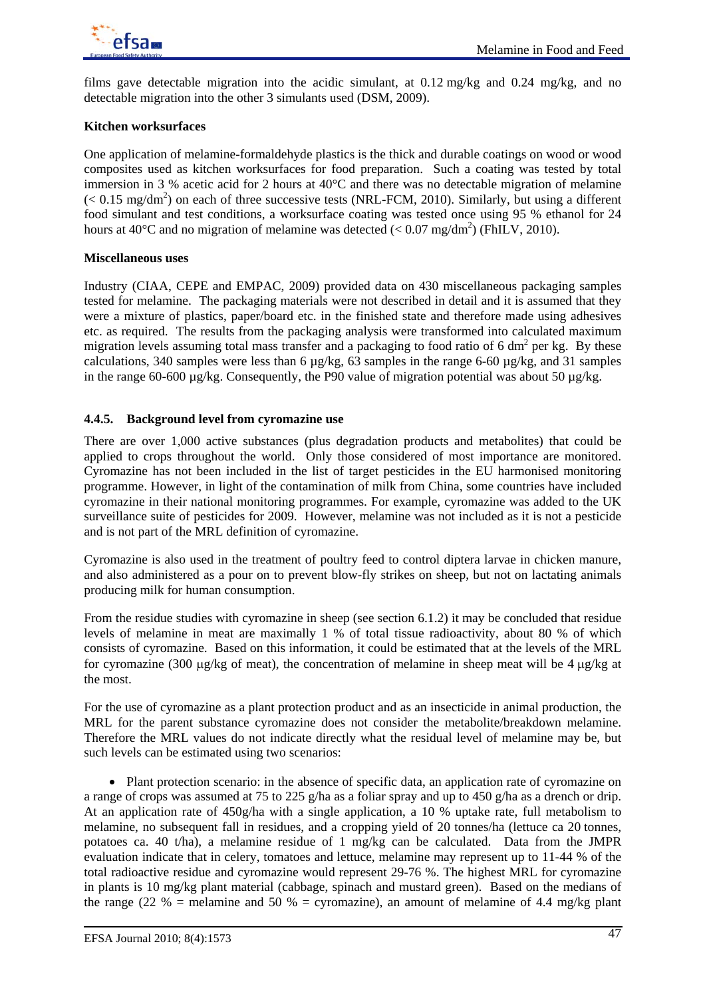

films gave detectable migration into the acidic simulant, at 0.12 mg/kg and 0.24 mg/kg, and no detectable migration into the other 3 simulants used (DSM, 2009).

# **Kitchen worksurfaces**

One application of melamine-formaldehyde plastics is the thick and durable coatings on wood or wood composites used as kitchen worksurfaces for food preparation. Such a coating was tested by total immersion in 3 % acetic acid for 2 hours at 40°C and there was no detectable migration of melamine  $(< 0.15$  mg/dm<sup>2</sup>) on each of three successive tests (NRL-FCM, 2010). Similarly, but using a different food simulant and test conditions, a worksurface coating was tested once using 95 % ethanol for 24 hours at 40°C and no migration of melamine was detected  $(< 0.07$  mg/dm<sup>2</sup>) (FhILV, 2010).

# **Miscellaneous uses**

Industry (CIAA, CEPE and EMPAC, 2009) provided data on 430 miscellaneous packaging samples tested for melamine. The packaging materials were not described in detail and it is assumed that they were a mixture of plastics, paper/board etc. in the finished state and therefore made using adhesives etc. as required. The results from the packaging analysis were transformed into calculated maximum migration levels assuming total mass transfer and a packaging to food ratio of 6 dm<sup>2</sup> per kg. By these calculations, 340 samples were less than 6 µg/kg, 63 samples in the range 6-60 µg/kg, and 31 samples in the range 60-600  $\mu$ g/kg. Consequently, the P90 value of migration potential was about 50  $\mu$ g/kg.

# **4.4.5. Background level from cyromazine use**

There are over 1,000 active substances (plus degradation products and metabolites) that could be applied to crops throughout the world. Only those considered of most importance are monitored. Cyromazine has not been included in the list of target pesticides in the EU harmonised monitoring programme. However, in light of the contamination of milk from China, some countries have included cyromazine in their national monitoring programmes. For example, cyromazine was added to the UK surveillance suite of pesticides for 2009. However, melamine was not included as it is not a pesticide and is not part of the MRL definition of cyromazine.

Cyromazine is also used in the treatment of poultry feed to control diptera larvae in chicken manure, and also administered as a pour on to prevent blow-fly strikes on sheep, but not on lactating animals producing milk for human consumption.

From the residue studies with cyromazine in sheep (see section 6.1.2) it may be concluded that residue levels of melamine in meat are maximally 1 % of total tissue radioactivity, about 80 % of which consists of cyromazine. Based on this information, it could be estimated that at the levels of the MRL for cyromazine (300 μg/kg of meat), the concentration of melamine in sheep meat will be 4 μg/kg at the most.

For the use of cyromazine as a plant protection product and as an insecticide in animal production, the MRL for the parent substance cyromazine does not consider the metabolite/breakdown melamine. Therefore the MRL values do not indicate directly what the residual level of melamine may be, but such levels can be estimated using two scenarios:

• Plant protection scenario: in the absence of specific data, an application rate of cyromazine on a range of crops was assumed at 75 to 225 g/ha as a foliar spray and up to 450 g/ha as a drench or drip. At an application rate of 450g/ha with a single application, a 10 % uptake rate, full metabolism to melamine, no subsequent fall in residues, and a cropping yield of 20 tonnes/ha (lettuce ca 20 tonnes, potatoes ca. 40 t/ha), a melamine residue of 1 mg/kg can be calculated. Data from the JMPR evaluation indicate that in celery, tomatoes and lettuce, melamine may represent up to 11-44 % of the total radioactive residue and cyromazine would represent 29-76 %. The highest MRL for cyromazine in plants is 10 mg/kg plant material (cabbage, spinach and mustard green). Based on the medians of the range (22 % = melamine and 50 % = cyromazine), an amount of melamine of 4.4 mg/kg plant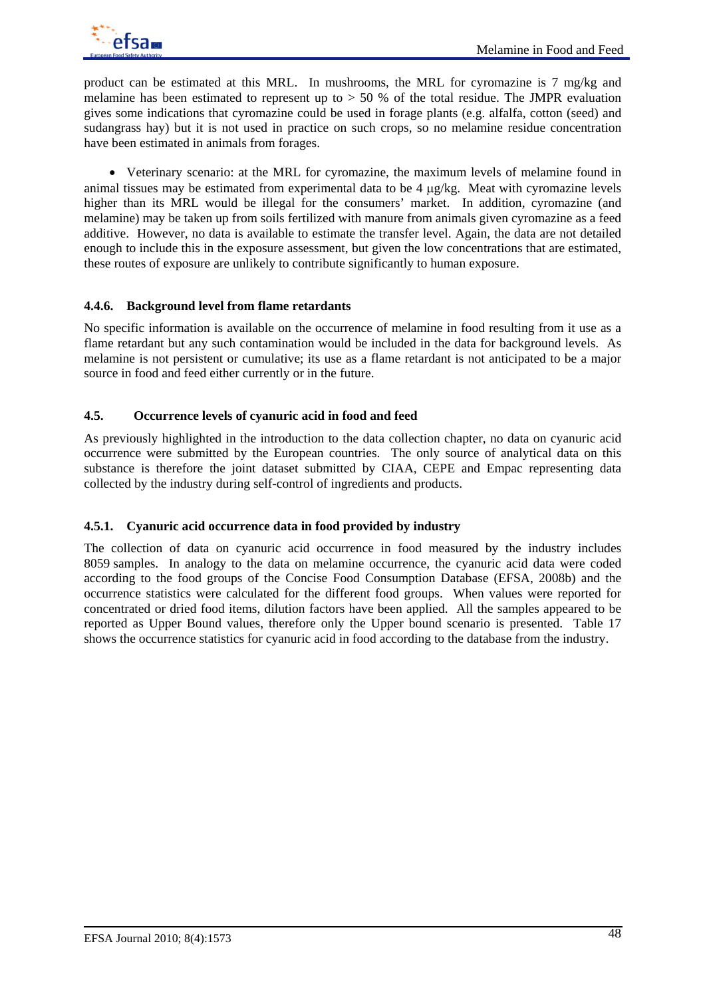

product can be estimated at this MRL. In mushrooms, the MRL for cyromazine is 7 mg/kg and melamine has been estimated to represent up to  $> 50$  % of the total residue. The JMPR evaluation gives some indications that cyromazine could be used in forage plants (e.g. alfalfa, cotton (seed) and sudangrass hay) but it is not used in practice on such crops, so no melamine residue concentration have been estimated in animals from forages.

• Veterinary scenario: at the MRL for cyromazine, the maximum levels of melamine found in animal tissues may be estimated from experimental data to be 4 μg/kg. Meat with cyromazine levels higher than its MRL would be illegal for the consumers' market. In addition, cyromazine (and melamine) may be taken up from soils fertilized with manure from animals given cyromazine as a feed additive. However, no data is available to estimate the transfer level. Again, the data are not detailed enough to include this in the exposure assessment, but given the low concentrations that are estimated, these routes of exposure are unlikely to contribute significantly to human exposure.

# **4.4.6. Background level from flame retardants**

No specific information is available on the occurrence of melamine in food resulting from it use as a flame retardant but any such contamination would be included in the data for background levels. As melamine is not persistent or cumulative; its use as a flame retardant is not anticipated to be a major source in food and feed either currently or in the future.

# **4.5. Occurrence levels of cyanuric acid in food and feed**

As previously highlighted in the introduction to the data collection chapter, no data on cyanuric acid occurrence were submitted by the European countries. The only source of analytical data on this substance is therefore the joint dataset submitted by CIAA, CEPE and Empac representing data collected by the industry during self-control of ingredients and products.

# **4.5.1. Cyanuric acid occurrence data in food provided by industry**

The collection of data on cyanuric acid occurrence in food measured by the industry includes 8059 samples. In analogy to the data on melamine occurrence, the cyanuric acid data were coded according to the food groups of the Concise Food Consumption Database (EFSA, 2008b) and the occurrence statistics were calculated for the different food groups. When values were reported for concentrated or dried food items, dilution factors have been applied. All the samples appeared to be reported as Upper Bound values, therefore only the Upper bound scenario is presented. Table 17 shows the occurrence statistics for cyanuric acid in food according to the database from the industry.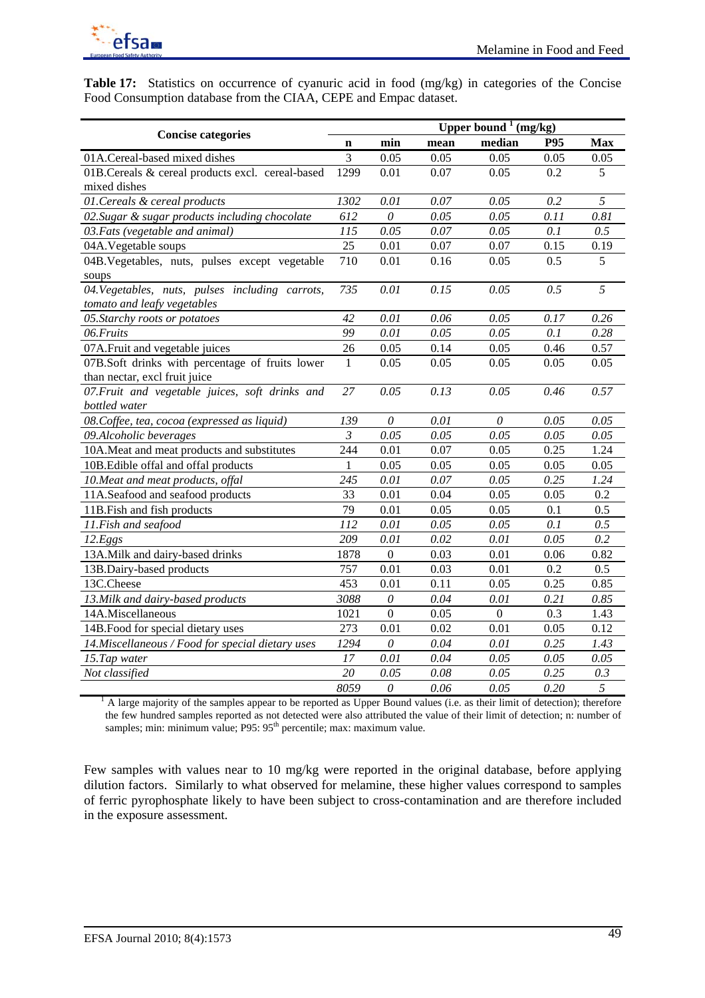**Table 17:** Statistics on occurrence of cyanuric acid in food (mg/kg) in categories of the Concise Food Consumption database from the CIAA, CEPE and Empac dataset.

|                                                   |                | Upper bound $\frac{1}{2}$ (mg/kg) |      |              |            |                |  |  |  |
|---------------------------------------------------|----------------|-----------------------------------|------|--------------|------------|----------------|--|--|--|
| <b>Concise categories</b>                         | $\mathbf n$    | min                               | mean | median       | <b>P95</b> | <b>Max</b>     |  |  |  |
| 01A.Cereal-based mixed dishes                     | 3              | 0.05                              | 0.05 | 0.05         | 0.05       | 0.05           |  |  |  |
| 01B.Cereals & cereal products excl. cereal-based  | 1299           | 0.01                              | 0.07 | 0.05         | 0.2        | 5              |  |  |  |
| mixed dishes                                      |                |                                   |      |              |            |                |  |  |  |
| 01. Cereals & cereal products                     | 1302           | 0.01                              | 0.07 | 0.05         | 0.2        | 5              |  |  |  |
| 02. Sugar & sugar products including chocolate    | 612            | $\theta$                          | 0.05 | 0.05         | 0.11       | 0.81           |  |  |  |
| 03. Fats (vegetable and animal)                   | 115            | 0.05                              | 0.07 | 0.05         | 0.1        | 0.5            |  |  |  |
| 04A.Vegetable soups                               | 25             | 0.01                              | 0.07 | 0.07         | 0.15       | 0.19           |  |  |  |
| 04B. Vegetables, nuts, pulses except vegetable    | 710            | 0.01                              | 0.16 | 0.05         | 0.5        | 5              |  |  |  |
| soups                                             |                |                                   |      |              |            |                |  |  |  |
| 04. Vegetables, nuts, pulses including carrots,   | 735            | 0.01                              | 0.15 | 0.05         | 0.5        | 5              |  |  |  |
| tomato and leafy vegetables                       |                |                                   |      |              |            |                |  |  |  |
| 05. Starchy roots or potatoes                     | 42             | 0.01                              | 0.06 | 0.05         | 0.17       | 0.26           |  |  |  |
| 06.Fruits                                         | 99             | 0.01                              | 0.05 | 0.05         | 0.1        | 0.28           |  |  |  |
| 07A.Fruit and vegetable juices                    | 26             | 0.05                              | 0.14 | 0.05         | 0.46       | 0.57           |  |  |  |
| 07B.Soft drinks with percentage of fruits lower   | $\mathbf{1}$   | 0.05                              | 0.05 | 0.05         | 0.05       | 0.05           |  |  |  |
| than nectar, excl fruit juice                     |                |                                   |      |              |            |                |  |  |  |
| 07. Fruit and vegetable juices, soft drinks and   | 27             | 0.05                              | 0.13 | 0.05         | 0.46       | 0.57           |  |  |  |
| bottled water                                     |                |                                   |      |              |            |                |  |  |  |
| 08. Coffee, tea, cocoa (expressed as liquid)      | 139            | 0                                 | 0.01 | 0            | 0.05       | 0.05           |  |  |  |
| 09.Alcoholic beverages                            | $\mathfrak{Z}$ | 0.05                              | 0.05 | 0.05         | 0.05       | 0.05           |  |  |  |
| 10A. Meat and meat products and substitutes       | 244            | 0.01                              | 0.07 | 0.05         | 0.25       | 1.24           |  |  |  |
| 10B. Edible offal and offal products              | 1              | 0.05                              | 0.05 | 0.05         | 0.05       | 0.05           |  |  |  |
| 10. Meat and meat products, offal                 | 245            | 0.01                              | 0.07 | 0.05         | 0.25       | 1.24           |  |  |  |
| 11A.Seafood and seafood products                  | 33             | 0.01                              | 0.04 | 0.05         | 0.05       | 0.2            |  |  |  |
| 11B. Fish and fish products                       | 79             | 0.01                              | 0.05 | 0.05         | 0.1        | 0.5            |  |  |  |
| 11.Fish and seafood                               | 112            | 0.01                              | 0.05 | 0.05         | 0.1        | 0.5            |  |  |  |
| 12.Eggs                                           | 209            | 0.01                              | 0.02 | 0.01         | 0.05       | 0.2            |  |  |  |
| 13A.Milk and dairy-based drinks                   | 1878           | $\boldsymbol{0}$                  | 0.03 | 0.01         | 0.06       | 0.82           |  |  |  |
| 13B.Dairy-based products                          | 757            | 0.01                              | 0.03 | 0.01         | 0.2        | 0.5            |  |  |  |
| 13C.Cheese                                        | 453            | 0.01                              | 0.11 | 0.05         | 0.25       | 0.85           |  |  |  |
| 13. Milk and dairy-based products                 | 3088           | $\mathcal O$                      | 0.04 | 0.01         | 0.21       | 0.85           |  |  |  |
| 14A.Miscellaneous                                 | 1021           | $\mathbf{0}$                      | 0.05 | $\mathbf{0}$ | 0.3        | 1.43           |  |  |  |
| 14B. Food for special dietary uses                | 273            | 0.01                              | 0.02 | 0.01         | 0.05       | 0.12           |  |  |  |
| 14. Miscellaneous / Food for special dietary uses | 1294           | 0                                 | 0.04 | 0.01         | 0.25       | 1.43           |  |  |  |
| 15.Tap water                                      | 17             | 0.01                              | 0.04 | 0.05         | 0.05       | 0.05           |  |  |  |
| Not classified                                    | 20             | 0.05                              | 0.08 | 0.05         | 0.25       | 0.3            |  |  |  |
|                                                   | 8059           | $\theta$                          | 0.06 | 0.05         | 0.20       | $\overline{5}$ |  |  |  |

 $<sup>1</sup>$  A large majority of the samples appear to be reported as Upper Bound values (i.e. as their limit of detection); therefore</sup> the few hundred samples reported as not detected were also attributed the value of their limit of detection; n: number of samples; min: minimum value; P95: 95<sup>th</sup> percentile; max: maximum value.

Few samples with values near to 10 mg/kg were reported in the original database, before applying dilution factors. Similarly to what observed for melamine, these higher values correspond to samples of ferric pyrophosphate likely to have been subject to cross-contamination and are therefore included in the exposure assessment.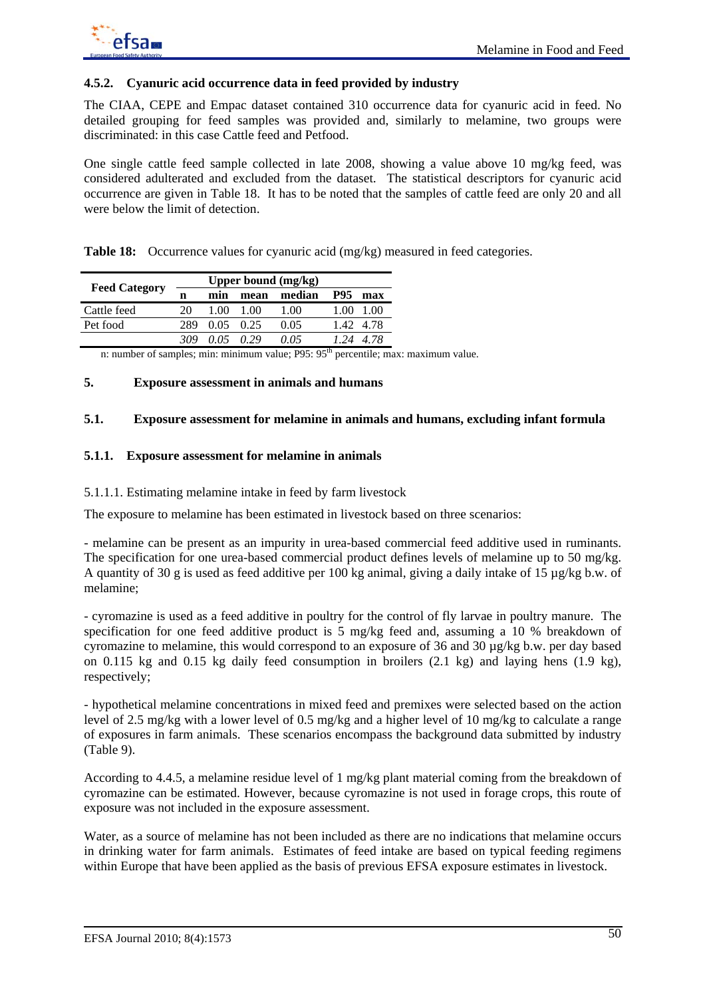

#### **4.5.2. Cyanuric acid occurrence data in feed provided by industry**

The CIAA, CEPE and Empac dataset contained 310 occurrence data for cyanuric acid in feed. No detailed grouping for feed samples was provided and, similarly to melamine, two groups were discriminated: in this case Cattle feed and Petfood.

One single cattle feed sample collected in late 2008, showing a value above 10 mg/kg feed, was considered adulterated and excluded from the dataset. The statistical descriptors for cyanuric acid occurrence are given in Table 18. It has to be noted that the samples of cattle feed are only 20 and all were below the limit of detection.

**Table 18:** Occurrence values for cyanuric acid (mg/kg) measured in feed categories.

|                      |     |       |      | Upper bound $(mg/kg)$ |            |      |
|----------------------|-----|-------|------|-----------------------|------------|------|
| <b>Feed Category</b> | n   | min   | mean | median                | <b>P95</b> | max  |
| Cattle feed          | 20  | 1.00  | 1.00 | 1.00                  |            | .00  |
| Pet food             | 289 | 0.05  | 0.25 | 0.05                  | 1.42       | 4.78 |
|                      | 309 | 0 O S | 0.29 | 0.05                  | 1 24       | 4.78 |
|                      |     |       |      |                       | ւների հա   |      |

n: number of samples; min: minimum value;  $P95: 95<sup>th</sup>$  percentile; max: maximum value.

### **5. Exposure assessment in animals and humans**

#### **5.1. Exposure assessment for melamine in animals and humans, excluding infant formula**

#### **5.1.1. Exposure assessment for melamine in animals**

#### 5.1.1.1. Estimating melamine intake in feed by farm livestock

The exposure to melamine has been estimated in livestock based on three scenarios:

- melamine can be present as an impurity in urea-based commercial feed additive used in ruminants. The specification for one urea-based commercial product defines levels of melamine up to 50 mg/kg. A quantity of 30 g is used as feed additive per 100 kg animal, giving a daily intake of 15 µg/kg b.w. of melamine;

- cyromazine is used as a feed additive in poultry for the control of fly larvae in poultry manure. The specification for one feed additive product is 5 mg/kg feed and, assuming a 10 % breakdown of cyromazine to melamine, this would correspond to an exposure of 36 and 30  $\mu$ g/kg b.w. per day based on 0.115 kg and 0.15 kg daily feed consumption in broilers  $(2.1 \text{ kg})$  and laying hens  $(1.9 \text{ kg})$ , respectively;

- hypothetical melamine concentrations in mixed feed and premixes were selected based on the action level of 2.5 mg/kg with a lower level of 0.5 mg/kg and a higher level of 10 mg/kg to calculate a range of exposures in farm animals. These scenarios encompass the background data submitted by industry (Table 9).

According to 4.4.5, a melamine residue level of 1 mg/kg plant material coming from the breakdown of cyromazine can be estimated. However, because cyromazine is not used in forage crops, this route of exposure was not included in the exposure assessment.

Water, as a source of melamine has not been included as there are no indications that melamine occurs in drinking water for farm animals. Estimates of feed intake are based on typical feeding regimens within Europe that have been applied as the basis of previous EFSA exposure estimates in livestock.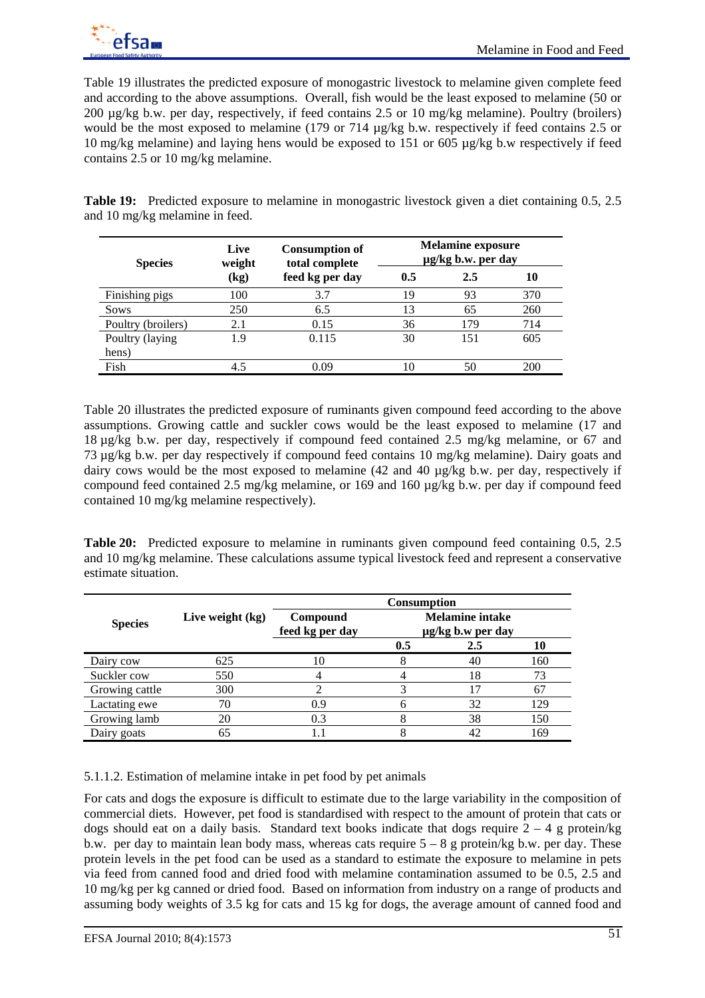Table 19 illustrates the predicted exposure of monogastric livestock to melamine given complete feed and according to the above assumptions. Overall, fish would be the least exposed to melamine (50 or 200 µg/kg b.w. per day, respectively, if feed contains 2.5 or 10 mg/kg melamine). Poultry (broilers) would be the most exposed to melamine (179 or 714 µg/kg b.w. respectively if feed contains 2.5 or 10 mg/kg melamine) and laying hens would be exposed to 151 or 605 µg/kg b.w respectively if feed contains 2.5 or 10 mg/kg melamine.

| Table 19: Predicted exposure to melamine in monogastric livestock given a diet containing 0.5, 2.5 |  |  |  |  |
|----------------------------------------------------------------------------------------------------|--|--|--|--|
| and 10 mg/kg melamine in feed.                                                                     |  |  |  |  |

| <b>Species</b>     | Live<br>weight | <b>Consumption of</b><br>total complete |         | <b>Melamine exposure</b><br>$\mu$ g/kg b.w. per day |     |
|--------------------|----------------|-----------------------------------------|---------|-----------------------------------------------------|-----|
|                    | (kg)           | feed kg per day                         | $0.5\,$ | 2.5                                                 | 10  |
| Finishing pigs     | 100            | 3.7                                     | 19      | 93                                                  | 370 |
| Sows               | 250            | 6.5                                     | 13      | 65                                                  | 260 |
| Poultry (broilers) | 2.1            | 0.15                                    | 36      | 179                                                 | 714 |
| Poultry (laying    | 1.9            | 0.115                                   | 30      | 151                                                 | 605 |
| hens)              |                |                                         |         |                                                     |     |
| Fish               | 4.5            | 0.09                                    | 10      | 50                                                  | 200 |

Table 20 illustrates the predicted exposure of ruminants given compound feed according to the above assumptions. Growing cattle and suckler cows would be the least exposed to melamine (17 and 18 µg/kg b.w. per day, respectively if compound feed contained 2.5 mg/kg melamine, or 67 and 73 µg/kg b.w. per day respectively if compound feed contains 10 mg/kg melamine). Dairy goats and dairy cows would be the most exposed to melamine (42 and 40 µg/kg b.w. per day, respectively if compound feed contained 2.5 mg/kg melamine, or 169 and 160 µg/kg b.w. per day if compound feed contained 10 mg/kg melamine respectively).

Table 20: Predicted exposure to melamine in ruminants given compound feed containing 0.5, 2.5 and 10 mg/kg melamine. These calculations assume typical livestock feed and represent a conservative estimate situation.

|                |                  | <b>Consumption</b>          |     |                                                  |     |  |  |
|----------------|------------------|-----------------------------|-----|--------------------------------------------------|-----|--|--|
| <b>Species</b> | Live weight (kg) | Compound<br>feed kg per day |     | <b>Melamine intake</b><br>$\mu$ g/kg b.w per day |     |  |  |
|                |                  |                             | 0.5 | 2.5                                              | 10  |  |  |
| Dairy cow      | 625              | 10                          |     | 40                                               | 160 |  |  |
| Suckler cow    | 550              |                             |     | 18                                               | 73  |  |  |
| Growing cattle | 300              |                             |     | 17                                               | 67  |  |  |
| Lactating ewe  | 70               | 0.9                         |     | 32                                               | 129 |  |  |
| Growing lamb   | 20               | 0.3                         |     | 38                                               | 150 |  |  |
| Dairy goats    | 65               |                             |     | 42                                               | 169 |  |  |

5.1.1.2. Estimation of melamine intake in pet food by pet animals

For cats and dogs the exposure is difficult to estimate due to the large variability in the composition of commercial diets. However, pet food is standardised with respect to the amount of protein that cats or dogs should eat on a daily basis. Standard text books indicate that dogs require  $2 - 4$  g protein/kg b.w. per day to maintain lean body mass, whereas cats require  $5 - 8$  g protein/kg b.w. per day. These protein levels in the pet food can be used as a standard to estimate the exposure to melamine in pets via feed from canned food and dried food with melamine contamination assumed to be 0.5, 2.5 and 10 mg/kg per kg canned or dried food. Based on information from industry on a range of products and assuming body weights of 3.5 kg for cats and 15 kg for dogs, the average amount of canned food and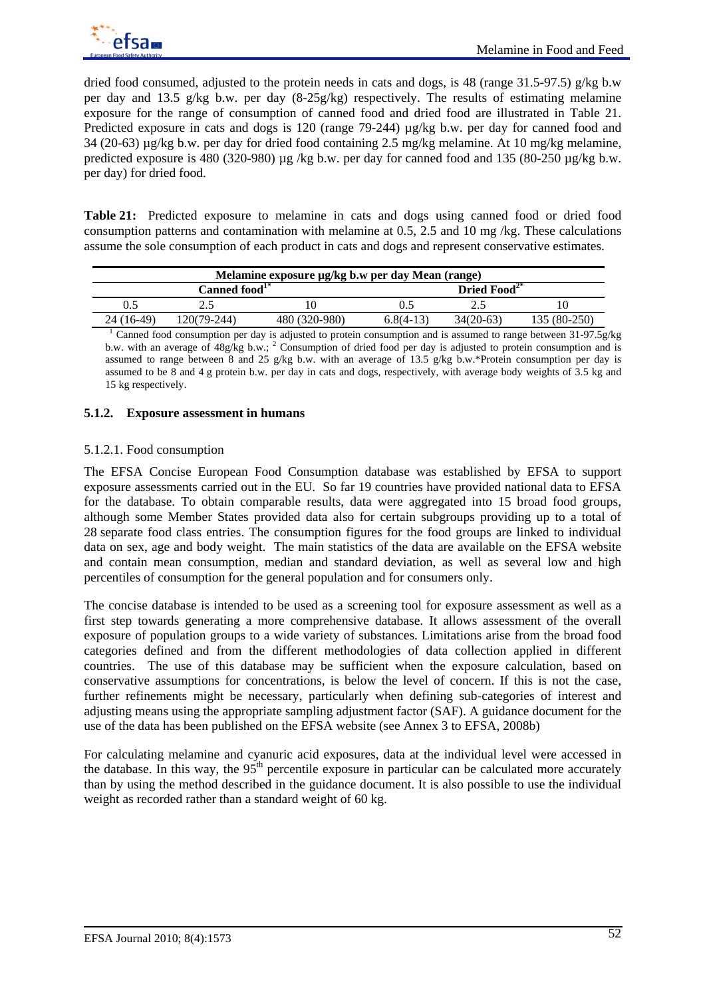dried food consumed, adjusted to the protein needs in cats and dogs, is 48 (range 31.5-97.5) g/kg b.w per day and 13.5 g/kg b.w. per day  $(8-25g/kg)$  respectively. The results of estimating melamine exposure for the range of consumption of canned food and dried food are illustrated in Table 21. Predicted exposure in cats and dogs is 120 (range 79-244)  $\mu$ g/kg b.w. per day for canned food and 34 (20-63) µg/kg b.w. per day for dried food containing 2.5 mg/kg melamine. At 10 mg/kg melamine, predicted exposure is 480 (320-980) µg /kg b.w. per day for canned food and 135 (80-250 µg/kg b.w. per day) for dried food.

**Table 21:** Predicted exposure to melamine in cats and dogs using canned food or dried food consumption patterns and contamination with melamine at 0.5, 2.5 and 10 mg /kg. These calculations assume the sole consumption of each product in cats and dogs and represent conservative estimates.

| Melamine exposure µg/kg b.w per day Mean (range) |             |               |                   |             |              |  |  |  |
|--------------------------------------------------|-------------|---------------|-------------------|-------------|--------------|--|--|--|
| Canned food <sup>1*</sup>                        |             |               | Dried $Food^{2*}$ |             |              |  |  |  |
|                                                  |             |               |                   |             |              |  |  |  |
| 24 (16-49)                                       | 120(79-244) | 480 (320-980) | 6.8(4-13)         | $34(20-63)$ | 135 (80-250) |  |  |  |

<sup>1</sup> Canned food consumption per day is adjusted to protein consumption and is assumed to range between  $31-97.5g/kg$ b.w. with an average of  $48g/kg$  b.w.; <sup>2</sup> Consumption of dried food per day is adjusted to protein consumption and is assumed to range between 8 and 25 g/kg b.w. with an average of 13.5 g/kg b.w.\*Protein consumption per day is assumed to be 8 and 4 g protein b.w. per day in cats and dogs, respectively, with average body weights of 3.5 kg and 15 kg respectively.

# **5.1.2. Exposure assessment in humans**

### 5.1.2.1. Food consumption

The EFSA Concise European Food Consumption database was established by EFSA to support exposure assessments carried out in the EU. So far 19 countries have provided national data to EFSA for the database. To obtain comparable results, data were aggregated into 15 broad food groups, although some Member States provided data also for certain subgroups providing up to a total of 28 separate food class entries. The consumption figures for the food groups are linked to individual data on sex, age and body weight. The main statistics of the data are available on the EFSA website and contain mean consumption, median and standard deviation, as well as several low and high percentiles of consumption for the general population and for consumers only.

The concise database is intended to be used as a screening tool for exposure assessment as well as a first step towards generating a more comprehensive database. It allows assessment of the overall exposure of population groups to a wide variety of substances. Limitations arise from the broad food categories defined and from the different methodologies of data collection applied in different countries. The use of this database may be sufficient when the exposure calculation, based on conservative assumptions for concentrations, is below the level of concern. If this is not the case, further refinements might be necessary, particularly when defining sub-categories of interest and adjusting means using the appropriate sampling adjustment factor (SAF). A guidance document for the use of the data has been published on the EFSA website (see Annex 3 to EFSA, 2008b)

For calculating melamine and cyanuric acid exposures, data at the individual level were accessed in the database. In this way, the  $95<sup>th</sup>$  percentile exposure in particular can be calculated more accurately than by using the method described in the guidance document. It is also possible to use the individual weight as recorded rather than a standard weight of 60 kg.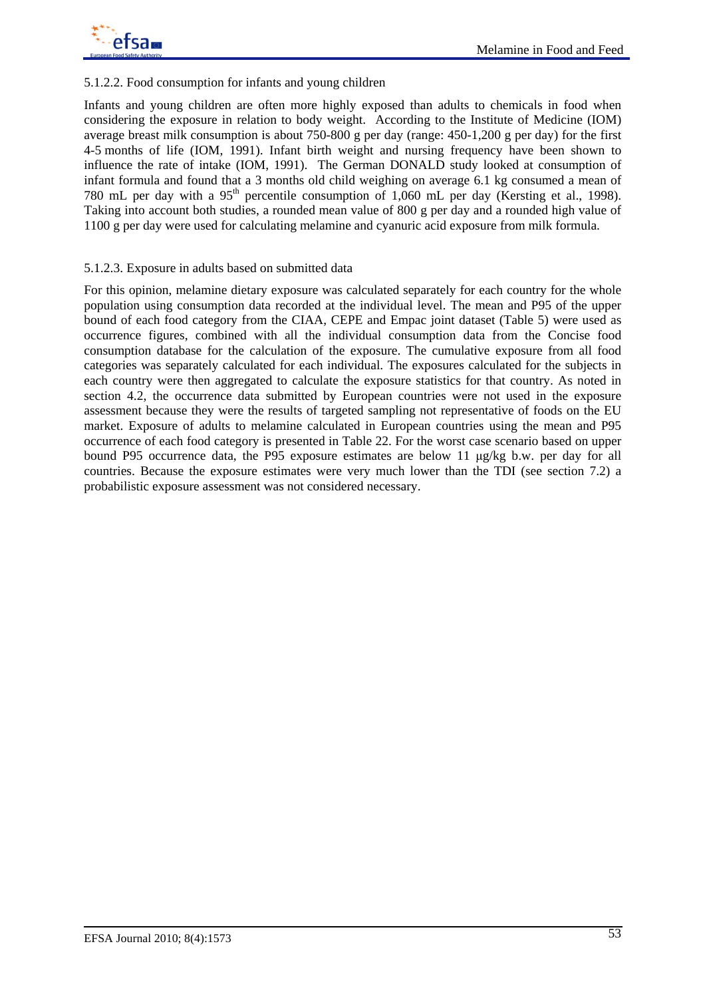

### 5.1.2.2. Food consumption for infants and young children

Infants and young children are often more highly exposed than adults to chemicals in food when considering the exposure in relation to body weight. According to the Institute of Medicine (IOM) average breast milk consumption is about 750-800 g per day (range: 450-1,200 g per day) for the first 4-5 months of life (IOM, 1991). Infant birth weight and nursing frequency have been shown to influence the rate of intake (IOM, 1991). The German DONALD study looked at consumption of infant formula and found that a 3 months old child weighing on average 6.1 kg consumed a mean of 780 mL per day with a 95<sup>th</sup> percentile consumption of 1,060 mL per day (Kersting et al., 1998). Taking into account both studies, a rounded mean value of 800 g per day and a rounded high value of 1100 g per day were used for calculating melamine and cyanuric acid exposure from milk formula.

#### 5.1.2.3. Exposure in adults based on submitted data

For this opinion, melamine dietary exposure was calculated separately for each country for the whole population using consumption data recorded at the individual level. The mean and P95 of the upper bound of each food category from the CIAA, CEPE and Empac joint dataset (Table 5) were used as occurrence figures, combined with all the individual consumption data from the Concise food consumption database for the calculation of the exposure. The cumulative exposure from all food categories was separately calculated for each individual. The exposures calculated for the subjects in each country were then aggregated to calculate the exposure statistics for that country. As noted in section 4.2, the occurrence data submitted by European countries were not used in the exposure assessment because they were the results of targeted sampling not representative of foods on the EU market. Exposure of adults to melamine calculated in European countries using the mean and P95 occurrence of each food category is presented in Table 22. For the worst case scenario based on upper bound P95 occurrence data, the P95 exposure estimates are below 11 μg/kg b.w. per day for all countries. Because the exposure estimates were very much lower than the TDI (see section 7.2) a probabilistic exposure assessment was not considered necessary.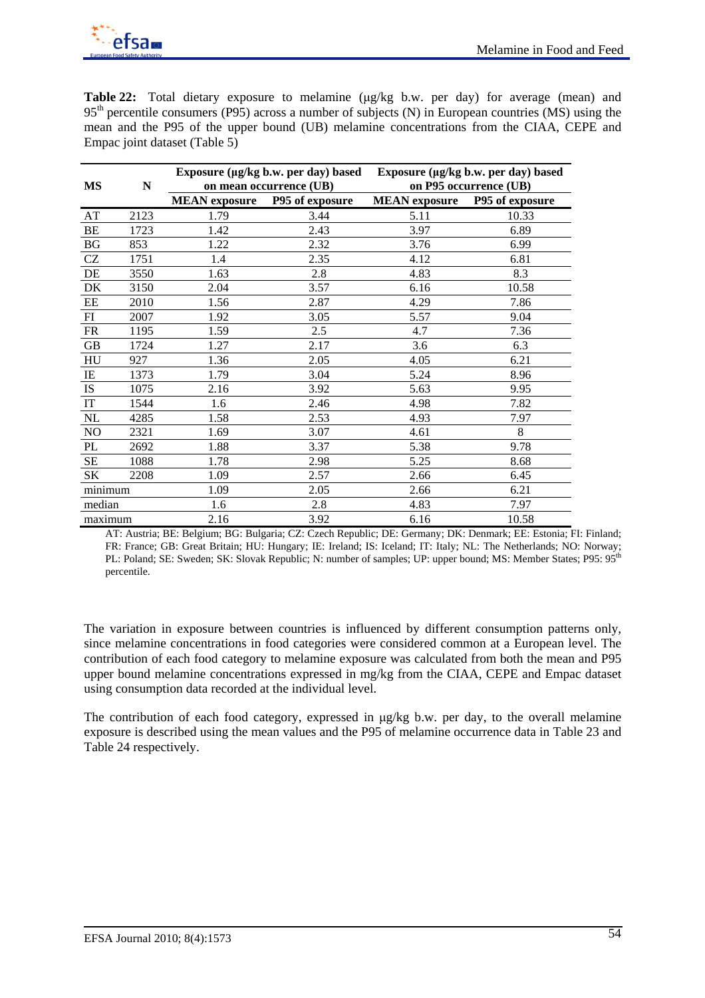

**Table 22:** Total dietary exposure to melamine (μg/kg b.w. per day) for average (mean) and 95<sup>th</sup> percentile consumers (P95) across a number of subjects (N) in European countries (MS) using the mean and the P95 of the upper bound (UB) melamine concentrations from the CIAA, CEPE and Empac joint dataset (Table 5)

| MS<br>N   |      |                                      | on mean occurrence (UB) | Exposure (µg/kg b.w. per day) based Exposure (µg/kg b.w. per day) based<br>on P95 occurrence (UB) |                 |  |
|-----------|------|--------------------------------------|-------------------------|---------------------------------------------------------------------------------------------------|-----------------|--|
|           |      | <b>MEAN</b> exposure P95 of exposure |                         | <b>MEAN</b> exposure                                                                              | P95 of exposure |  |
| AT        | 2123 | 1.79                                 | 3.44                    | 5.11                                                                                              | 10.33           |  |
| BE        | 1723 | 1.42                                 | 2.43                    | 3.97                                                                                              | 6.89            |  |
| <b>BG</b> | 853  | 1.22                                 | 2.32                    | 3.76                                                                                              | 6.99            |  |
| <b>CZ</b> | 1751 | 1.4                                  | 2.35                    | 4.12                                                                                              | 6.81            |  |
| DE        | 3550 | 1.63                                 | 2.8                     | 4.83                                                                                              | 8.3             |  |
| DK        | 3150 | 2.04                                 | 3.57                    | 6.16                                                                                              | 10.58           |  |
| EE        | 2010 | 1.56                                 | 2.87                    | 4.29                                                                                              | 7.86            |  |
| FI        | 2007 | 1.92                                 | 3.05                    | 5.57                                                                                              | 9.04            |  |
| FR        | 1195 | 1.59                                 | 2.5                     | 4.7                                                                                               | 7.36            |  |
| GB        | 1724 | 1.27                                 | 2.17                    | 3.6                                                                                               | 6.3             |  |
| HU        | 927  | 1.36                                 | 2.05                    | 4.05                                                                                              | 6.21            |  |
| IE        | 1373 | 1.79                                 | 3.04                    | 5.24                                                                                              | 8.96            |  |
| <b>IS</b> | 1075 | 2.16                                 | 3.92                    | 5.63                                                                                              | 9.95            |  |
| IT        | 1544 | 1.6                                  | 2.46                    | 4.98                                                                                              | 7.82            |  |
| $\rm NL$  | 4285 | 1.58                                 | 2.53                    | 4.93                                                                                              | 7.97            |  |
| NO        | 2321 | 1.69                                 | 3.07                    | 4.61                                                                                              | 8               |  |
| PL        | 2692 | 1.88                                 | 3.37                    | 5.38                                                                                              | 9.78            |  |
| <b>SE</b> | 1088 | 1.78                                 | 2.98                    | 5.25                                                                                              | 8.68            |  |
| SΚ        | 2208 | 1.09                                 | 2.57                    | 2.66                                                                                              | 6.45            |  |
| minimum   |      | 1.09                                 | 2.05                    | 2.66                                                                                              | 6.21            |  |
| median    |      | 1.6                                  | 2.8                     | 4.83                                                                                              | 7.97            |  |
| maximum   |      | 2.16                                 | 3.92                    | 6.16                                                                                              | 10.58           |  |

 AT: Austria; BE: Belgium; BG: Bulgaria; CZ: Czech Republic; DE: Germany; DK: Denmark; EE: Estonia; FI: Finland; FR: France; GB: Great Britain; HU: Hungary; IE: Ireland; IS: Iceland; IT: Italy; NL: The Netherlands; NO: Norway; PL: Poland; SE: Sweden; SK: Slovak Republic; N: number of samples; UP: upper bound; MS: Member States; P95: 95<sup>th</sup> percentile.

The variation in exposure between countries is influenced by different consumption patterns only, since melamine concentrations in food categories were considered common at a European level. The contribution of each food category to melamine exposure was calculated from both the mean and P95 upper bound melamine concentrations expressed in mg/kg from the CIAA, CEPE and Empac dataset using consumption data recorded at the individual level.

The contribution of each food category, expressed in μg/kg b.w. per day, to the overall melamine exposure is described using the mean values and the P95 of melamine occurrence data in Table 23 and Table 24 respectively.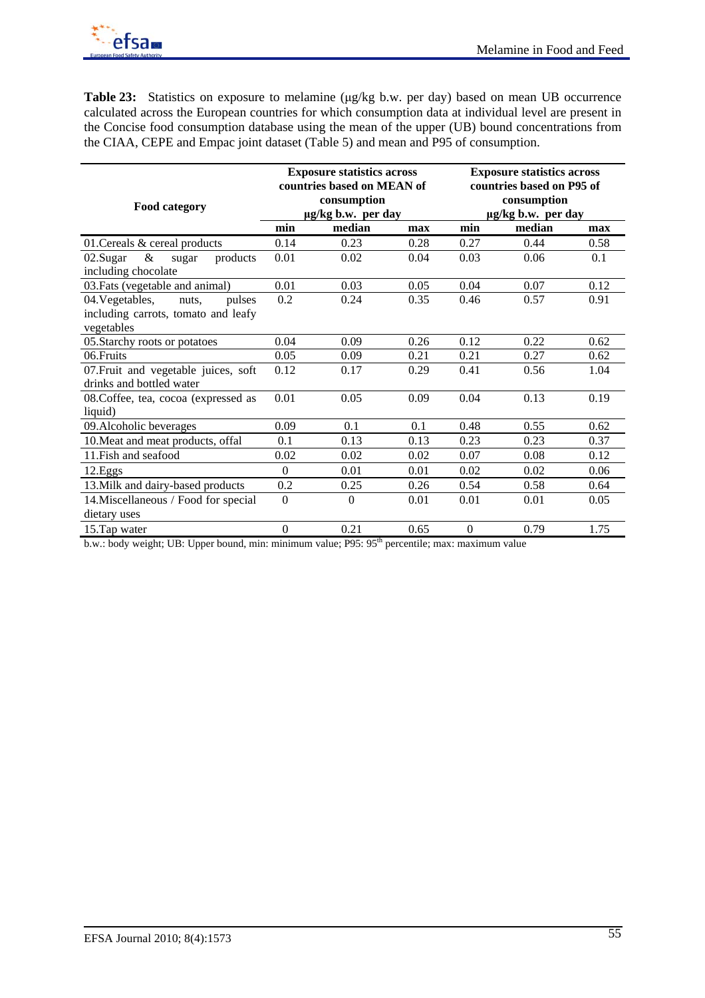

**Table 23:** Statistics on exposure to melamine (μg/kg b.w. per day) based on mean UB occurrence calculated across the European countries for which consumption data at individual level are present in the Concise food consumption database using the mean of the upper (UB) bound concentrations from the CIAA, CEPE and Empac joint dataset (Table 5) and mean and P95 of consumption.

|                                       |                  | <b>Exposure statistics across</b><br>countries based on MEAN of |      | <b>Exposure statistics across</b><br>countries based on P95 of |                              |             |  |
|---------------------------------------|------------------|-----------------------------------------------------------------|------|----------------------------------------------------------------|------------------------------|-------------|--|
| <b>Food category</b>                  |                  | consumption                                                     |      | consumption                                                    |                              |             |  |
|                                       | min              | µg/kg b.w. per day<br>median                                    | max  | min                                                            | µg/kg b.w. per day<br>median |             |  |
| 01. Cereals & cereal products         | 0.14             | 0.23                                                            | 0.28 | 0.27                                                           | 0.44                         | max<br>0.58 |  |
| $\&$<br>02.Sugar<br>products<br>sugar | 0.01             | 0.02                                                            | 0.04 | 0.03                                                           | 0.06                         | 0.1         |  |
| including chocolate                   |                  |                                                                 |      |                                                                |                              |             |  |
| 03. Fats (vegetable and animal)       | 0.01             | 0.03                                                            | 0.05 | 0.04                                                           | 0.07                         | 0.12        |  |
| 04. Vegetables,<br>pulses<br>nuts.    | 0.2              | 0.24                                                            | 0.35 | 0.46                                                           | 0.57                         | 0.91        |  |
| including carrots, tomato and leafy   |                  |                                                                 |      |                                                                |                              |             |  |
| vegetables                            |                  |                                                                 |      |                                                                |                              |             |  |
| 05. Starchy roots or potatoes         | 0.04             | 0.09                                                            | 0.26 | 0.12                                                           | 0.22                         | 0.62        |  |
| 06. Fruits                            | 0.05             | 0.09                                                            | 0.21 | 0.21                                                           | 0.27                         | 0.62        |  |
| 07. Fruit and vegetable juices, soft  | 0.12             | 0.17                                                            | 0.29 | 0.41                                                           | 0.56                         | 1.04        |  |
| drinks and bottled water              |                  |                                                                 |      |                                                                |                              |             |  |
| 08. Coffee, tea, cocoa (expressed as  | 0.01             | 0.05                                                            | 0.09 | 0.04                                                           | 0.13                         | 0.19        |  |
| liquid)                               |                  |                                                                 |      |                                                                |                              |             |  |
| 09. Alcoholic beverages               | 0.09             | 0.1                                                             | 0.1  | 0.48                                                           | 0.55                         | 0.62        |  |
| 10. Meat and meat products, offal     | 0.1              | 0.13                                                            | 0.13 | 0.23                                                           | 0.23                         | 0.37        |  |
| 11. Fish and seafood                  | 0.02             | 0.02                                                            | 0.02 | 0.07                                                           | 0.08                         | 0.12        |  |
| 12.Eggs                               | $\Omega$         | 0.01                                                            | 0.01 | 0.02                                                           | 0.02                         | 0.06        |  |
| 13. Milk and dairy-based products     | 0.2              | 0.25                                                            | 0.26 | 0.54                                                           | 0.58                         | 0.64        |  |
| 14. Miscellaneous / Food for special  | $\boldsymbol{0}$ | $\theta$                                                        | 0.01 | 0.01                                                           | 0.01                         | 0.05        |  |
| dietary uses                          |                  |                                                                 |      |                                                                |                              |             |  |
| 15. Tap water                         | $\boldsymbol{0}$ | 0.21                                                            | 0.65 | $\mathbf{0}$                                                   | 0.79                         | 1.75        |  |

b.w.: body weight; UB: Upper bound, min: minimum value; P95: 95<sup>th</sup> percentile; max: maximum value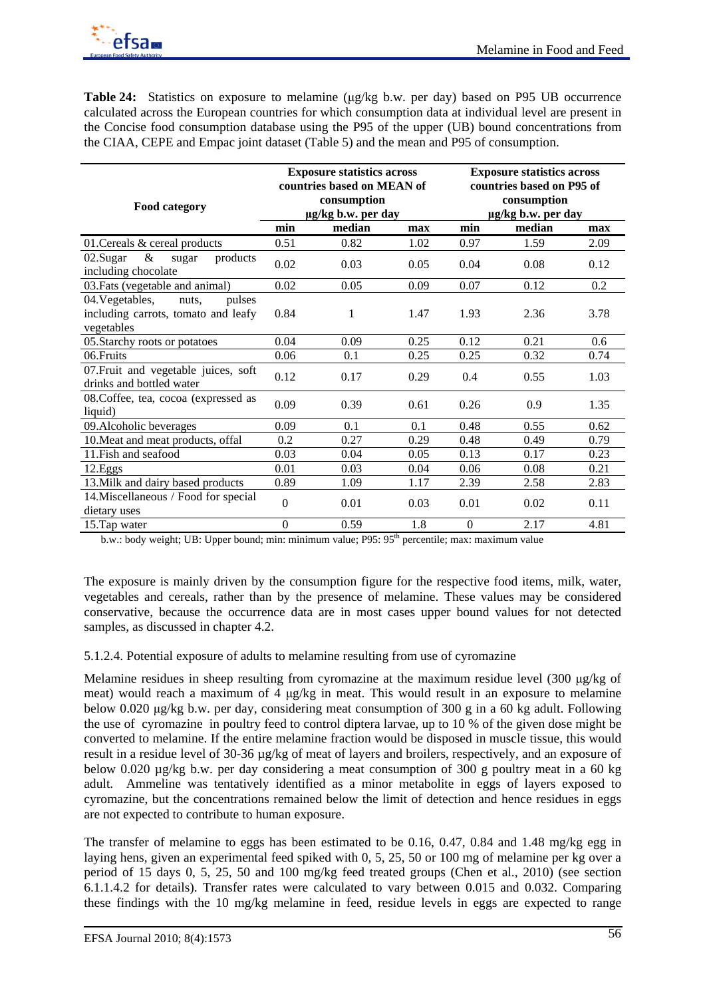

**Table 24:** Statistics on exposure to melamine (μg/kg b.w. per day) based on P95 UB occurrence calculated across the European countries for which consumption data at individual level are present in the Concise food consumption database using the P95 of the upper (UB) bound concentrations from the CIAA, CEPE and Empac joint dataset (Table 5) and the mean and P95 of consumption.

| <b>Food category</b>                                                                    |              | <b>Exposure statistics across</b><br>countries based on MEAN of<br>consumption<br>µg/kg b.w. per day |      | <b>Exposure statistics across</b><br>countries based on P95 of<br>consumption<br>µg/kg b.w. per day |        |      |
|-----------------------------------------------------------------------------------------|--------------|------------------------------------------------------------------------------------------------------|------|-----------------------------------------------------------------------------------------------------|--------|------|
|                                                                                         | min          | median                                                                                               | max  | min                                                                                                 | median | max  |
| 01. Cereals & cereal products                                                           | 0.51         | 0.82                                                                                                 | 1.02 | 0.97                                                                                                | 1.59   | 2.09 |
| 02.Sugar<br>&<br>products<br>sugar<br>including chocolate                               | 0.02         | 0.03                                                                                                 | 0.05 | 0.04                                                                                                | 0.08   | 0.12 |
| 03. Fats (vegetable and animal)                                                         | 0.02         | 0.05                                                                                                 | 0.09 | 0.07                                                                                                | 0.12   | 0.2  |
| 04. Vegetables,<br>nuts,<br>pulses<br>including carrots, tomato and leafy<br>vegetables | 0.84         | 1                                                                                                    | 1.47 | 1.93                                                                                                | 2.36   | 3.78 |
| 05. Starchy roots or potatoes                                                           | 0.04         | 0.09                                                                                                 | 0.25 | 0.12                                                                                                | 0.21   | 0.6  |
| 06. Fruits                                                                              | 0.06         | 0.1                                                                                                  | 0.25 | 0.25                                                                                                | 0.32   | 0.74 |
| 07. Fruit and vegetable juices, soft<br>drinks and bottled water                        | 0.12         | 0.17                                                                                                 | 0.29 | 0.4                                                                                                 | 0.55   | 1.03 |
| 08. Coffee, tea, cocoa (expressed as<br>liquid)                                         | 0.09         | 0.39                                                                                                 | 0.61 | 0.26                                                                                                | 0.9    | 1.35 |
| 09. Alcoholic beverages                                                                 | 0.09         | 0.1                                                                                                  | 0.1  | 0.48                                                                                                | 0.55   | 0.62 |
| 10. Meat and meat products, offal                                                       | 0.2          | 0.27                                                                                                 | 0.29 | 0.48                                                                                                | 0.49   | 0.79 |
| 11. Fish and seafood                                                                    | 0.03         | 0.04                                                                                                 | 0.05 | 0.13                                                                                                | 0.17   | 0.23 |
| 12.Eggs                                                                                 | 0.01         | 0.03                                                                                                 | 0.04 | 0.06                                                                                                | 0.08   | 0.21 |
| 13. Milk and dairy based products                                                       | 0.89         | 1.09                                                                                                 | 1.17 | 2.39                                                                                                | 2.58   | 2.83 |
| 14. Miscellaneous / Food for special<br>dietary uses                                    | $\theta$     | 0.01                                                                                                 | 0.03 | 0.01                                                                                                | 0.02   | 0.11 |
| 15. Tap water                                                                           | $\mathbf{0}$ | 0.59                                                                                                 | 1.8  | $\mathbf{0}$                                                                                        | 2.17   | 4.81 |

b.w.: body weight; UB: Upper bound; min: minimum value; P95: 95<sup>th</sup> percentile; max: maximum value

The exposure is mainly driven by the consumption figure for the respective food items, milk, water, vegetables and cereals, rather than by the presence of melamine. These values may be considered conservative, because the occurrence data are in most cases upper bound values for not detected samples, as discussed in chapter 4.2.

# 5.1.2.4. Potential exposure of adults to melamine resulting from use of cyromazine

Melamine residues in sheep resulting from cyromazine at the maximum residue level (300 μg/kg of meat) would reach a maximum of 4 μg/kg in meat. This would result in an exposure to melamine below 0.020 μg/kg b.w. per day, considering meat consumption of 300 g in a 60 kg adult. Following the use of cyromazine in poultry feed to control diptera larvae, up to 10 % of the given dose might be converted to melamine. If the entire melamine fraction would be disposed in muscle tissue, this would result in a residue level of 30-36 µg/kg of meat of layers and broilers, respectively, and an exposure of below 0.020 µg/kg b.w. per day considering a meat consumption of 300 g poultry meat in a 60 kg adult. Ammeline was tentatively identified as a minor metabolite in eggs of layers exposed to cyromazine, but the concentrations remained below the limit of detection and hence residues in eggs are not expected to contribute to human exposure.

The transfer of melamine to eggs has been estimated to be 0.16, 0.47, 0.84 and 1.48 mg/kg egg in laying hens, given an experimental feed spiked with 0, 5, 25, 50 or 100 mg of melamine per kg over a period of 15 days 0, 5, 25, 50 and 100 mg/kg feed treated groups (Chen et al., 2010) (see section 6.1.1.4.2 for details). Transfer rates were calculated to vary between 0.015 and 0.032. Comparing these findings with the 10 mg/kg melamine in feed, residue levels in eggs are expected to range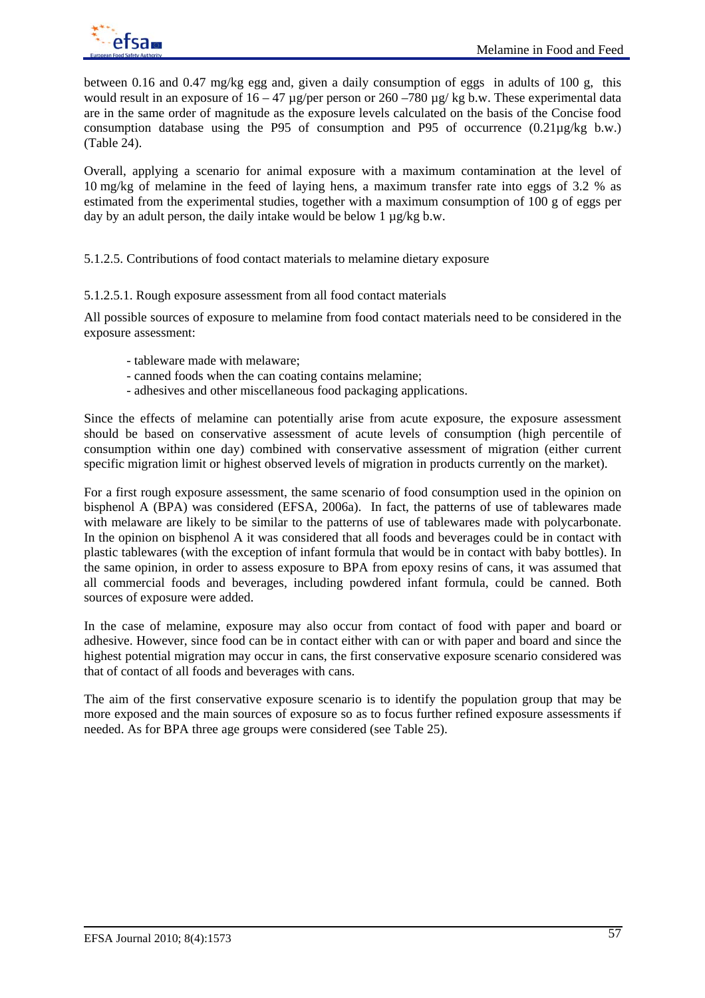between 0.16 and 0.47 mg/kg egg and, given a daily consumption of eggs in adults of 100 g, this would result in an exposure of  $16 - 47 \mu$ g/per person or  $260 - 780 \mu$ g/kg b.w. These experimental data are in the same order of magnitude as the exposure levels calculated on the basis of the Concise food consumption database using the P95 of consumption and P95 of occurrence (0.21µg/kg b.w.) (Table 24).

Overall, applying a scenario for animal exposure with a maximum contamination at the level of 10 mg/kg of melamine in the feed of laying hens, a maximum transfer rate into eggs of 3.2 % as estimated from the experimental studies, together with a maximum consumption of 100 g of eggs per day by an adult person, the daily intake would be below 1  $\mu$ g/kg b.w.

5.1.2.5. Contributions of food contact materials to melamine dietary exposure

5.1.2.5.1. Rough exposure assessment from all food contact materials

All possible sources of exposure to melamine from food contact materials need to be considered in the exposure assessment:

- tableware made with melaware;
- canned foods when the can coating contains melamine;
- adhesives and other miscellaneous food packaging applications.

Since the effects of melamine can potentially arise from acute exposure, the exposure assessment should be based on conservative assessment of acute levels of consumption (high percentile of consumption within one day) combined with conservative assessment of migration (either current specific migration limit or highest observed levels of migration in products currently on the market).

For a first rough exposure assessment, the same scenario of food consumption used in the opinion on bisphenol A (BPA) was considered (EFSA, 2006a). In fact, the patterns of use of tablewares made with melaware are likely to be similar to the patterns of use of tablewares made with polycarbonate. In the opinion on bisphenol A it was considered that all foods and beverages could be in contact with plastic tablewares (with the exception of infant formula that would be in contact with baby bottles). In the same opinion, in order to assess exposure to BPA from epoxy resins of cans, it was assumed that all commercial foods and beverages, including powdered infant formula, could be canned. Both sources of exposure were added.

In the case of melamine, exposure may also occur from contact of food with paper and board or adhesive. However, since food can be in contact either with can or with paper and board and since the highest potential migration may occur in cans, the first conservative exposure scenario considered was that of contact of all foods and beverages with cans.

The aim of the first conservative exposure scenario is to identify the population group that may be more exposed and the main sources of exposure so as to focus further refined exposure assessments if needed. As for BPA three age groups were considered (see Table 25).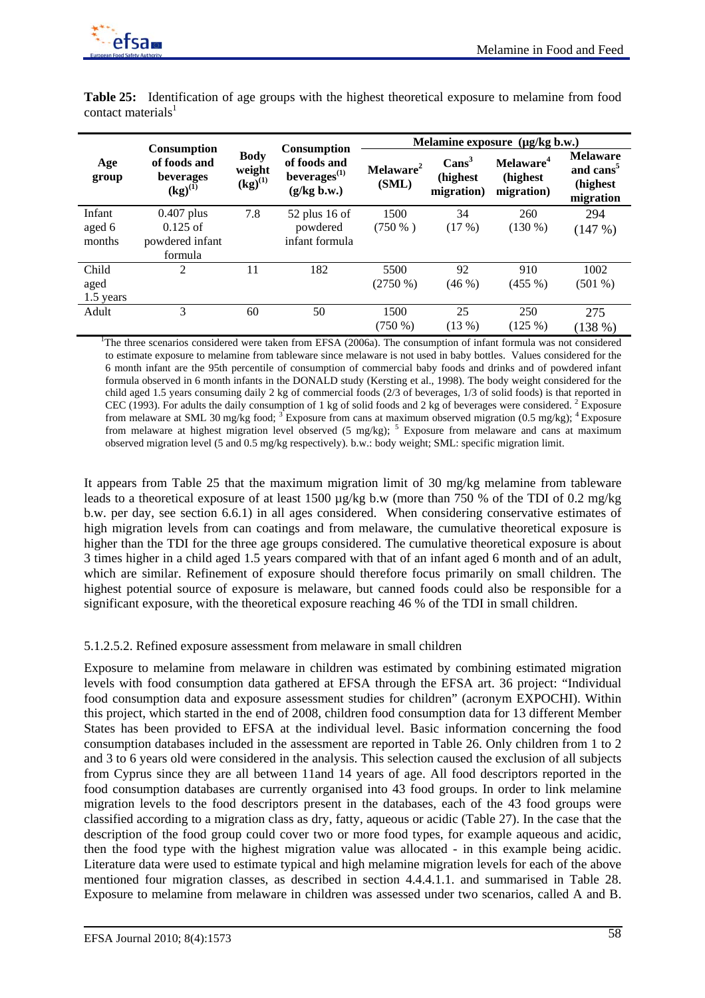

|              |                                                                                                                                |                                       |                                                                         | Melamine exposure $(\mu g/kg b.w.)$ |                                             |                                                  |                                                                   |  |  |
|--------------|--------------------------------------------------------------------------------------------------------------------------------|---------------------------------------|-------------------------------------------------------------------------|-------------------------------------|---------------------------------------------|--------------------------------------------------|-------------------------------------------------------------------|--|--|
| Age<br>group | <b>Consumption</b><br>of foods and<br>beverages<br>$(kg)^{(1)}$                                                                | <b>Body</b><br>weight<br>$(kg)^{(1)}$ | <b>Consumption</b><br>of foods and<br>beverages $^{(1)}$<br>(g/kg b.w.) | Melaware <sup>2</sup><br>(SML)      | Cans <sup>3</sup><br>(highest<br>migration) | Melaware <sup>4</sup><br>(highest)<br>migration) | <b>Melaware</b><br>and cans <sup>5</sup><br>(highest<br>migration |  |  |
| Infant       | $0.407$ plus                                                                                                                   | 7.8                                   | $52$ plus 16 of                                                         | 1500                                | 34                                          | 260                                              | 294                                                               |  |  |
| aged 6       | $0.125$ of                                                                                                                     |                                       | powdered                                                                | (750%                               | (17%)                                       | $(130\%)$                                        | (147%)                                                            |  |  |
| months       | powdered infant                                                                                                                |                                       | infant formula                                                          |                                     |                                             |                                                  |                                                                   |  |  |
|              | formula                                                                                                                        |                                       |                                                                         |                                     |                                             |                                                  |                                                                   |  |  |
| Child        | 2                                                                                                                              | 11                                    | 182                                                                     | 5500                                | 92                                          | 910                                              | 1002                                                              |  |  |
| aged         |                                                                                                                                |                                       |                                                                         | $(2750\%)$                          | (46%)                                       | $(455\%)$                                        | $(501\%)$                                                         |  |  |
| 1.5 years    |                                                                                                                                |                                       |                                                                         |                                     |                                             |                                                  |                                                                   |  |  |
| Adult        | 3                                                                                                                              | 60                                    | 50                                                                      | 1500                                | 25                                          | 250                                              | 275                                                               |  |  |
|              |                                                                                                                                |                                       |                                                                         | $(750\%)$                           | (13%)                                       | (125%)                                           | (138%)                                                            |  |  |
|              | <sup>1</sup> The three scenarios considered were taken from EFSA (2006a). The consumption of infant formula was not considered |                                       |                                                                         |                                     |                                             |                                                  |                                                                   |  |  |

**Table 25:** Identification of age groups with the highest theoretical exposure to melamine from food contact materials<sup>1</sup>

to estimate exposure to melamine from tableware since melaware is not used in baby bottles. Values considered for the 6 month infant are the 95th percentile of consumption of commercial baby foods and drinks and of powdered infant formula observed in 6 month infants in the DONALD study (Kersting et al., 1998). The body weight considered for the child aged 1.5 years consuming daily 2 kg of commercial foods (2/3 of beverages, 1/3 of solid foods) is that reported in CEC (1993). For adults the daily consumption of 1 kg of solid foods and 2 kg of beverages were considered.  $2 \text{ Exposure}$ from melaware at SML 30 mg/kg food; <sup>3</sup> Exposure from cans at maximum observed migration (0.5 mg/kg); <sup>4</sup> Exposure from melaware at highest migration level observed  $(5 \text{ mg/kg})$ ;  $^5$  Exposure from melaware and cans at maximum observed migration level (5 and 0.5 mg/kg respectively). b.w.: body weight; SML: specific migration limit.

It appears from Table 25 that the maximum migration limit of 30 mg/kg melamine from tableware leads to a theoretical exposure of at least 1500 µg/kg b.w (more than 750 % of the TDI of 0.2 mg/kg b.w. per day, see section 6.6.1) in all ages considered. When considering conservative estimates of high migration levels from can coatings and from melaware, the cumulative theoretical exposure is higher than the TDI for the three age groups considered. The cumulative theoretical exposure is about 3 times higher in a child aged 1.5 years compared with that of an infant aged 6 month and of an adult, which are similar. Refinement of exposure should therefore focus primarily on small children. The highest potential source of exposure is melaware, but canned foods could also be responsible for a significant exposure, with the theoretical exposure reaching 46 % of the TDI in small children.

# 5.1.2.5.2. Refined exposure assessment from melaware in small children

Exposure to melamine from melaware in children was estimated by combining estimated migration levels with food consumption data gathered at EFSA through the EFSA art. 36 project: "Individual food consumption data and exposure assessment studies for children" (acronym EXPOCHI). Within this project, which started in the end of 2008, children food consumption data for 13 different Member States has been provided to EFSA at the individual level. Basic information concerning the food consumption databases included in the assessment are reported in Table 26. Only children from 1 to 2 and 3 to 6 years old were considered in the analysis. This selection caused the exclusion of all subjects from Cyprus since they are all between 11and 14 years of age. All food descriptors reported in the food consumption databases are currently organised into 43 food groups. In order to link melamine migration levels to the food descriptors present in the databases, each of the 43 food groups were classified according to a migration class as dry, fatty, aqueous or acidic (Table 27). In the case that the description of the food group could cover two or more food types, for example aqueous and acidic, then the food type with the highest migration value was allocated - in this example being acidic. Literature data were used to estimate typical and high melamine migration levels for each of the above mentioned four migration classes, as described in section 4.4.4.1.1. and summarised in Table 28. Exposure to melamine from melaware in children was assessed under two scenarios, called A and B.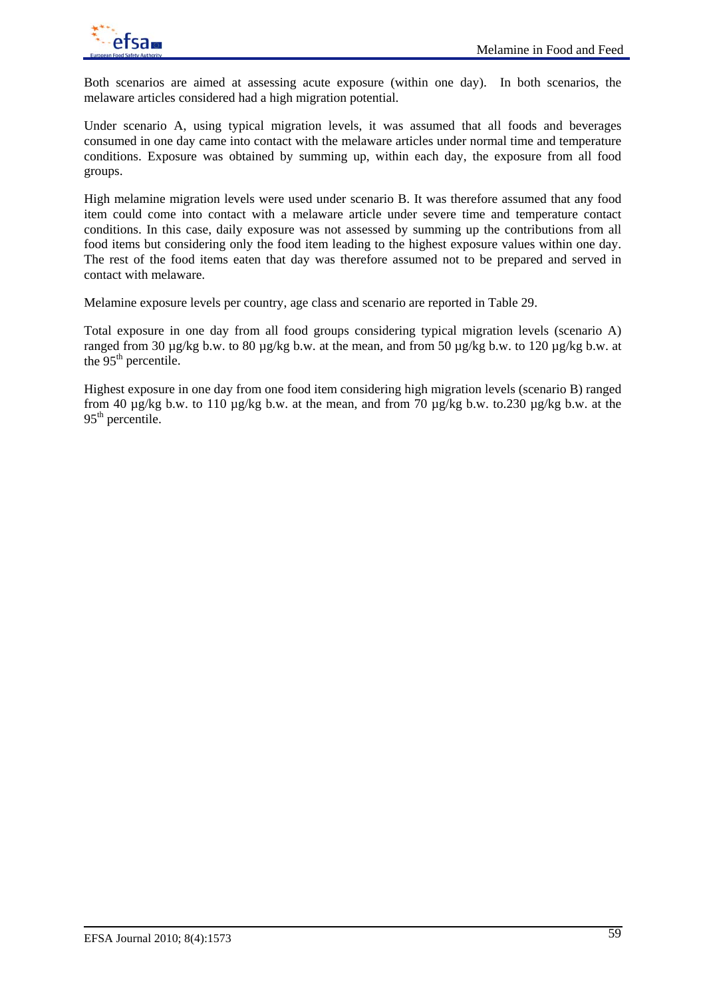

Both scenarios are aimed at assessing acute exposure (within one day). In both scenarios, the melaware articles considered had a high migration potential.

Under scenario A, using typical migration levels, it was assumed that all foods and beverages consumed in one day came into contact with the melaware articles under normal time and temperature conditions. Exposure was obtained by summing up, within each day, the exposure from all food groups.

High melamine migration levels were used under scenario B. It was therefore assumed that any food item could come into contact with a melaware article under severe time and temperature contact conditions. In this case, daily exposure was not assessed by summing up the contributions from all food items but considering only the food item leading to the highest exposure values within one day. The rest of the food items eaten that day was therefore assumed not to be prepared and served in contact with melaware.

Melamine exposure levels per country, age class and scenario are reported in Table 29.

Total exposure in one day from all food groups considering typical migration levels (scenario A) ranged from 30  $\mu$ g/kg b.w. to 80  $\mu$ g/kg b.w. at the mean, and from 50  $\mu$ g/kg b.w. to 120  $\mu$ g/kg b.w. at the  $95<sup>th</sup>$  percentile.

Highest exposure in one day from one food item considering high migration levels (scenario B) ranged from 40 µg/kg b.w. to 110 µg/kg b.w. at the mean, and from 70 µg/kg b.w. to.230 µg/kg b.w. at the  $95<sup>th</sup>$  percentile.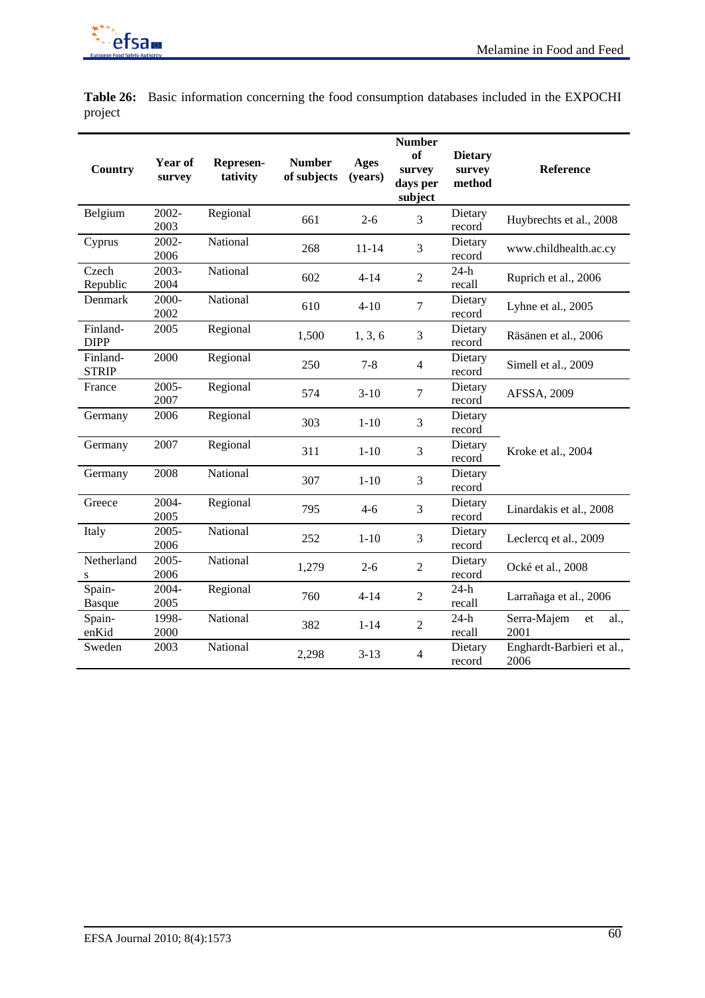

**Table 26:** Basic information concerning the food consumption databases included in the EXPOCHI project

| Country                  | Year of<br>survey | Represen-<br>tativity | <b>Number</b><br>of subjects | <b>Ages</b><br>(years) | <b>Number</b><br><b>of</b><br>survey<br>days per<br>subject | <b>Dietary</b><br>survey<br>method | Reference                         |
|--------------------------|-------------------|-----------------------|------------------------------|------------------------|-------------------------------------------------------------|------------------------------------|-----------------------------------|
| Belgium                  | 2002-<br>2003     | Regional              | 661                          | $2 - 6$                | 3                                                           | Dietary<br>record                  | Huybrechts et al., 2008           |
| Cyprus                   | 2002-<br>2006     | National              | 268                          | $11 - 14$              | 3                                                           | Dietary<br>record                  | www.childhealth.ac.cy             |
| Czech<br>Republic        | 2003-<br>2004     | National              | 602                          | $4 - 14$               | $\mathfrak{2}$                                              | $24-h$<br>recall                   | Ruprich et al., 2006              |
| Denmark                  | 2000-<br>2002     | National              | 610                          | $4 - 10$               | $\tau$                                                      | Dietary<br>record                  | Lyhne et al., 2005                |
| Finland-<br><b>DIPP</b>  | 2005              | Regional              | 1,500                        | 1, 3, 6                | 3                                                           | Dietary<br>record                  | Räsänen et al., 2006              |
| Finland-<br><b>STRIP</b> | 2000              | Regional              | 250                          | $7 - 8$                | $\overline{4}$                                              | Dietary<br>record                  | Simell et al., 2009               |
| France                   | $2005 -$<br>2007  | Regional              | 574                          | $3-10$                 | $\overline{7}$                                              | Dietary<br>record                  | AFSSA, 2009                       |
| Germany                  | 2006              | Regional              | 303                          | $1 - 10$               | 3                                                           | Dietary<br>record                  |                                   |
| Germany                  | 2007              | Regional              | 311                          | $1 - 10$               | 3                                                           | Dietary<br>record                  | Kroke et al., 2004                |
| Germany                  | 2008              | National              | 307                          | $1 - 10$               | 3                                                           | Dietary<br>record                  |                                   |
| Greece                   | 2004-<br>2005     | Regional              | 795                          | $4 - 6$                | 3                                                           | Dietary<br>record                  | Linardakis et al., 2008           |
| Italy                    | 2005-<br>2006     | National              | 252                          | $1 - 10$               | 3                                                           | Dietary<br>record                  | Leclercq et al., 2009             |
| Netherland<br>S          | 2005-<br>2006     | National              | 1,279                        | $2 - 6$                | $\overline{2}$                                              | Dietary<br>record                  | Ocké et al., 2008                 |
| Spain-<br><b>Basque</b>  | 2004-<br>2005     | Regional              | 760                          | $4 - 14$               | $\overline{2}$                                              | $24-h$<br>recall                   | Larrañaga et al., 2006            |
| Spain-<br>enKid          | 1998-<br>2000     | National              | 382                          | $1 - 14$               | $\overline{2}$                                              | $24-h$<br>recall                   | Serra-Majem<br>al.,<br>et<br>2001 |
| Sweden                   | 2003              | National              | 2,298                        | $3 - 13$               | $\overline{4}$                                              | Dietary<br>record                  | Enghardt-Barbieri et al.,<br>2006 |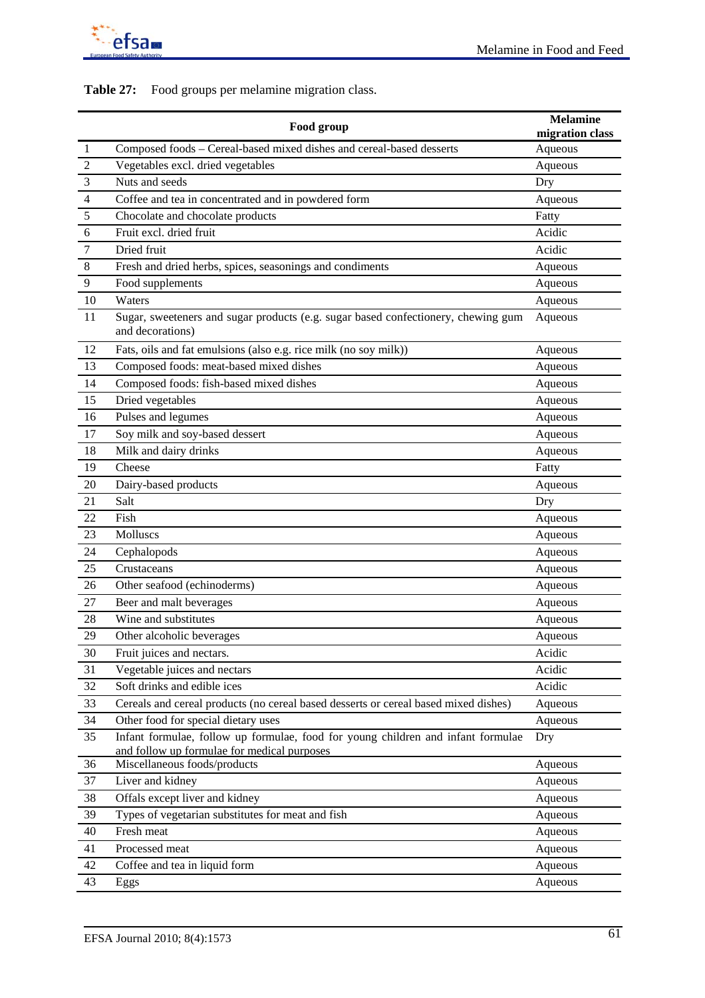

Table 27: Food groups per melamine migration class.

|                             | Food group                                                                                                                      | <b>Melamine</b><br>migration class |
|-----------------------------|---------------------------------------------------------------------------------------------------------------------------------|------------------------------------|
| $\mathbf{1}$                | Composed foods - Cereal-based mixed dishes and cereal-based desserts                                                            | Aqueous                            |
| $\sqrt{2}$                  | Vegetables excl. dried vegetables                                                                                               | Aqueous                            |
| $\ensuremath{\mathfrak{Z}}$ | Nuts and seeds                                                                                                                  | Dry                                |
| $\overline{4}$              | Coffee and tea in concentrated and in powdered form                                                                             | Aqueous                            |
| $\sqrt{5}$                  | Chocolate and chocolate products                                                                                                | Fatty                              |
| 6                           | Fruit excl. dried fruit                                                                                                         | Acidic                             |
| 7                           | Dried fruit                                                                                                                     | Acidic                             |
| $8\,$                       | Fresh and dried herbs, spices, seasonings and condiments                                                                        | Aqueous                            |
| 9                           | Food supplements                                                                                                                | Aqueous                            |
| 10                          | Waters                                                                                                                          | Aqueous                            |
| 11                          | Sugar, sweeteners and sugar products (e.g. sugar based confectionery, chewing gum<br>and decorations)                           | Aqueous                            |
| 12                          | Fats, oils and fat emulsions (also e.g. rice milk (no soy milk))                                                                | Aqueous                            |
| 13                          | Composed foods: meat-based mixed dishes                                                                                         | Aqueous                            |
| 14                          | Composed foods: fish-based mixed dishes                                                                                         | Aqueous                            |
| 15                          | Dried vegetables                                                                                                                | Aqueous                            |
| 16                          | Pulses and legumes                                                                                                              | Aqueous                            |
| 17                          | Soy milk and soy-based dessert                                                                                                  | Aqueous                            |
| 18                          | Milk and dairy drinks                                                                                                           | Aqueous                            |
| 19                          | Cheese                                                                                                                          | Fatty                              |
| 20                          | Dairy-based products                                                                                                            | Aqueous                            |
| 21                          | Salt                                                                                                                            | Dry                                |
| 22                          | Fish                                                                                                                            | Aqueous                            |
| 23                          | Molluscs                                                                                                                        | Aqueous                            |
| 24                          | Cephalopods                                                                                                                     | Aqueous                            |
| 25                          | Crustaceans                                                                                                                     | Aqueous                            |
| 26                          | Other seafood (echinoderms)                                                                                                     | Aqueous                            |
| 27                          | Beer and malt beverages                                                                                                         | Aqueous                            |
| 28                          | Wine and substitutes                                                                                                            | Aqueous                            |
| 29                          | Other alcoholic beverages                                                                                                       | Aqueous                            |
| 30                          | Fruit juices and nectars.                                                                                                       | Acidic                             |
| 31                          | Vegetable juices and nectars                                                                                                    | Acidic                             |
| 32                          | Soft drinks and edible ices                                                                                                     | Acidic                             |
| 33                          | Cereals and cereal products (no cereal based desserts or cereal based mixed dishes)                                             | Aqueous                            |
| 34                          | Other food for special dietary uses                                                                                             | Aqueous                            |
| 35                          | Infant formulae, follow up formulae, food for young children and infant formulae<br>and follow up formulae for medical purposes | Dry                                |
| 36                          | Miscellaneous foods/products                                                                                                    | Aqueous                            |
| 37                          | Liver and kidney                                                                                                                | Aqueous                            |
| 38                          | Offals except liver and kidney                                                                                                  | Aqueous                            |
| 39                          | Types of vegetarian substitutes for meat and fish                                                                               | Aqueous                            |
| 40                          | Fresh meat                                                                                                                      | Aqueous                            |
| 41                          | Processed meat                                                                                                                  | Aqueous                            |
| 42                          | Coffee and tea in liquid form                                                                                                   | Aqueous                            |
| 43                          | Eggs                                                                                                                            | Aqueous                            |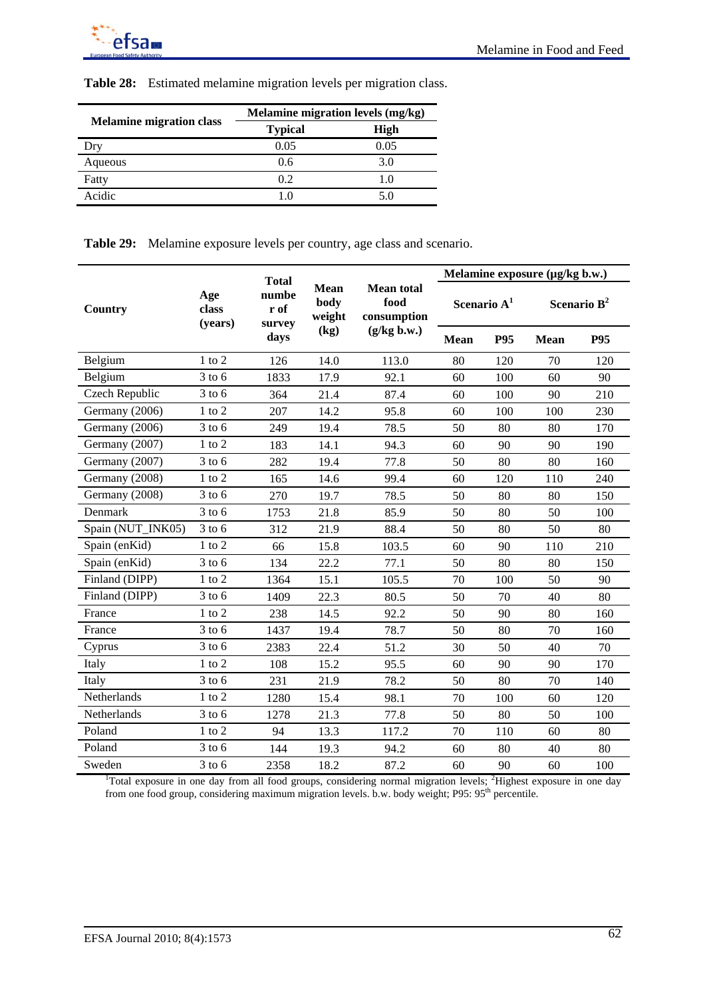



| <b>Table 28:</b> Estimated melamine migration levels per migration class. |  |
|---------------------------------------------------------------------------|--|
|                                                                           |  |

|                                 | Melamine migration levels (mg/kg) |      |  |  |  |
|---------------------------------|-----------------------------------|------|--|--|--|
| <b>Melamine migration class</b> | <b>Typical</b>                    | High |  |  |  |
|                                 | 0.05                              | 0.05 |  |  |  |
| Aqueous                         | 0.6                               | 3.0  |  |  |  |
| Fatty                           | 0.2                               | 1.0  |  |  |  |
| Acidic                          |                                   | 5.0  |  |  |  |

|  |  |  | Table 29: Melamine exposure levels per country, age class and scenario. |
|--|--|--|-------------------------------------------------------------------------|
|--|--|--|-------------------------------------------------------------------------|

|                   |                                                    | <b>Total</b>                                                              |               |             | Melamine exposure (µg/kg b.w.) |     |      |     |  |
|-------------------|----------------------------------------------------|---------------------------------------------------------------------------|---------------|-------------|--------------------------------|-----|------|-----|--|
| Country           | Age<br>numbe<br>class<br>r of<br>(years)<br>survey | <b>Mean</b><br><b>Mean total</b><br>body<br>food<br>weight<br>consumption | Scenario $A1$ |             | Scenario $B^2$                 |     |      |     |  |
|                   |                                                    | days                                                                      | (kg)          | (g/kg b.w.) | Mean                           | P95 | Mean | P95 |  |
| Belgium           | $1$ to $2$                                         | 126                                                                       | 14.0          | 113.0       | 80                             | 120 | 70   | 120 |  |
| Belgium           | $3$ to 6                                           | 1833                                                                      | 17.9          | 92.1        | 60                             | 100 | 60   | 90  |  |
| Czech Republic    | 3 to 6                                             | 364                                                                       | 21.4          | 87.4        | 60                             | 100 | 90   | 210 |  |
| Germany (2006)    | $1$ to $2$                                         | 207                                                                       | 14.2          | 95.8        | 60                             | 100 | 100  | 230 |  |
| Germany (2006)    | $3$ to 6                                           | 249                                                                       | 19.4          | 78.5        | 50                             | 80  | 80   | 170 |  |
| Germany (2007)    | $1$ to $2$                                         | 183                                                                       | 14.1          | 94.3        | 60                             | 90  | 90   | 190 |  |
| Germany (2007)    | $3$ to $6$                                         | 282                                                                       | 19.4          | 77.8        | 50                             | 80  | 80   | 160 |  |
| Germany (2008)    | $1$ to $2$                                         | 165                                                                       | 14.6          | 99.4        | 60                             | 120 | 110  | 240 |  |
| Germany (2008)    | $3$ to 6                                           | 270                                                                       | 19.7          | 78.5        | 50                             | 80  | 80   | 150 |  |
| Denmark           | $3$ to $6$                                         | 1753                                                                      | 21.8          | 85.9        | 50                             | 80  | 50   | 100 |  |
| Spain (NUT INK05) | $3$ to $6$                                         | 312                                                                       | 21.9          | 88.4        | 50                             | 80  | 50   | 80  |  |
| Spain (enKid)     | $1$ to $2\,$                                       | 66                                                                        | 15.8          | 103.5       | 60                             | 90  | 110  | 210 |  |
| Spain (enKid)     | $3$ to 6                                           | 134                                                                       | 22.2          | 77.1        | 50                             | 80  | 80   | 150 |  |
| Finland (DIPP)    | $1$ to $2$                                         | 1364                                                                      | 15.1          | 105.5       | 70                             | 100 | 50   | 90  |  |
| Finland (DIPP)    | $3$ to 6                                           | 1409                                                                      | 22.3          | 80.5        | 50                             | 70  | 40   | 80  |  |
| France            | $1$ to $2$                                         | 238                                                                       | 14.5          | 92.2        | 50                             | 90  | 80   | 160 |  |
| France            | $3$ to 6                                           | 1437                                                                      | 19.4          | 78.7        | 50                             | 80  | 70   | 160 |  |
| Cyprus            | $3$ to $6$                                         | 2383                                                                      | 22.4          | 51.2        | 30                             | 50  | 40   | 70  |  |
| Italy             | $1$ to $2$                                         | 108                                                                       | 15.2          | 95.5        | 60                             | 90  | 90   | 170 |  |
| Italy             | $3$ to $6$                                         | 231                                                                       | 21.9          | 78.2        | 50                             | 80  | 70   | 140 |  |
| Netherlands       | $1$ to $2$                                         | 1280                                                                      | 15.4          | 98.1        | 70                             | 100 | 60   | 120 |  |
| Netherlands       | $3$ to $6$                                         | 1278                                                                      | 21.3          | 77.8        | 50                             | 80  | 50   | 100 |  |
| Poland            | $1$ to $2$                                         | 94                                                                        | 13.3          | 117.2       | 70                             | 110 | 60   | 80  |  |
| Poland            | $3$ to 6                                           | 144                                                                       | 19.3          | 94.2        | 60                             | 80  | 40   | 80  |  |
| Sweden            | $3$ to 6                                           | 2358                                                                      | 18.2          | 87.2        | 60                             | 90  | 60   | 100 |  |

Sweden 3 to 6 2358 18.2 87.2 60 90 60 100<br><sup>1</sup>Total exposure in one day from all food groups, considering normal migration levels; <sup>2</sup>Highest exposure in one day from one food group, considering maximum migration levels. b.w. body weight; P95: 95<sup>th</sup> percentile.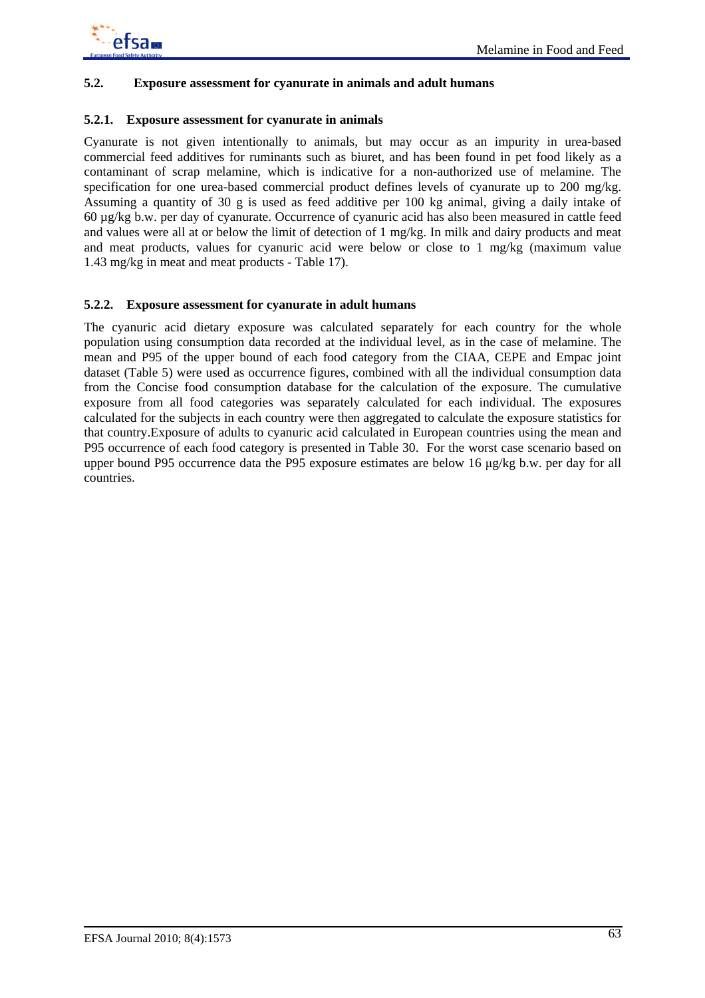

### **5.2. Exposure assessment for cyanurate in animals and adult humans**

#### **5.2.1. Exposure assessment for cyanurate in animals**

Cyanurate is not given intentionally to animals, but may occur as an impurity in urea-based commercial feed additives for ruminants such as biuret, and has been found in pet food likely as a contaminant of scrap melamine, which is indicative for a non-authorized use of melamine. The specification for one urea-based commercial product defines levels of cyanurate up to 200 mg/kg. Assuming a quantity of 30 g is used as feed additive per 100 kg animal, giving a daily intake of 60 µg/kg b.w. per day of cyanurate. Occurrence of cyanuric acid has also been measured in cattle feed and values were all at or below the limit of detection of 1 mg/kg. In milk and dairy products and meat and meat products, values for cyanuric acid were below or close to 1 mg/kg (maximum value 1.43 mg/kg in meat and meat products - Table 17).

### **5.2.2. Exposure assessment for cyanurate in adult humans**

The cyanuric acid dietary exposure was calculated separately for each country for the whole population using consumption data recorded at the individual level, as in the case of melamine. The mean and P95 of the upper bound of each food category from the CIAA, CEPE and Empac joint dataset (Table 5) were used as occurrence figures, combined with all the individual consumption data from the Concise food consumption database for the calculation of the exposure. The cumulative exposure from all food categories was separately calculated for each individual. The exposures calculated for the subjects in each country were then aggregated to calculate the exposure statistics for that country.Exposure of adults to cyanuric acid calculated in European countries using the mean and P95 occurrence of each food category is presented in Table 30. For the worst case scenario based on upper bound P95 occurrence data the P95 exposure estimates are below 16 μg/kg b.w. per day for all countries.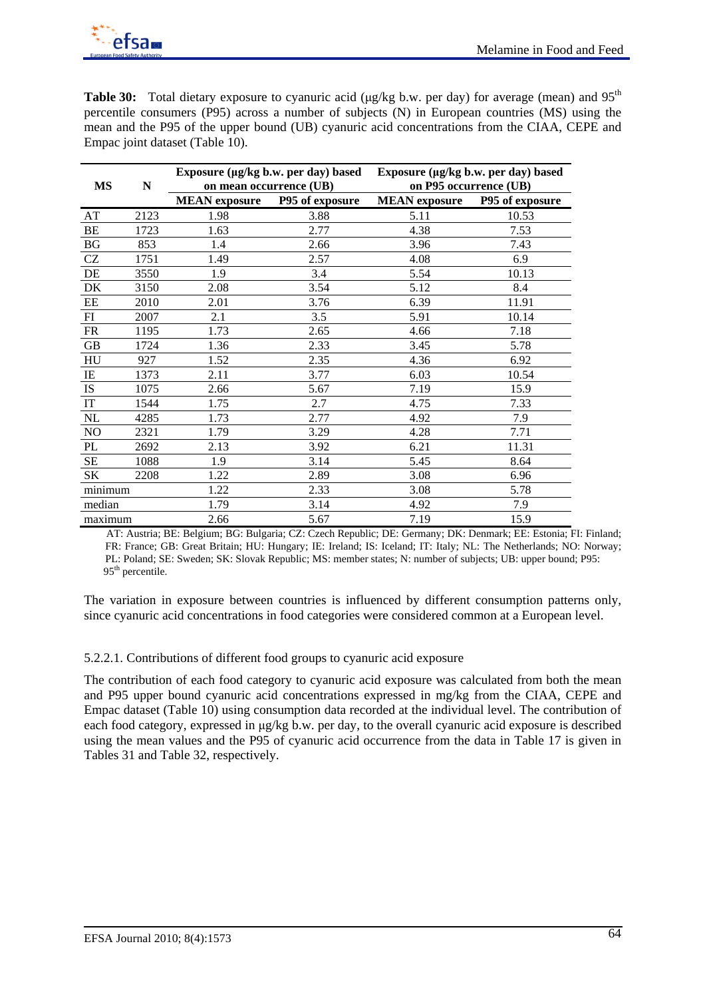

**Table 30:** Total dietary exposure to cyanuric acid (μg/kg b.w. per day) for average (mean) and 95<sup>th</sup> percentile consumers (P95) across a number of subjects (N) in European countries (MS) using the mean and the P95 of the upper bound (UB) cyanuric acid concentrations from the CIAA, CEPE and Empac joint dataset (Table 10).

| MS        | N    | on mean occurrence (UB) |                 | Exposure (µg/kg b.w. per day) based Exposure (µg/kg b.w. per day) based<br>on P95 occurrence (UB) |                 |  |
|-----------|------|-------------------------|-----------------|---------------------------------------------------------------------------------------------------|-----------------|--|
|           |      | <b>MEAN</b> exposure    | P95 of exposure | <b>MEAN</b> exposure                                                                              | P95 of exposure |  |
| AT        | 2123 | 1.98                    | 3.88            | 5.11                                                                                              | 10.53           |  |
| BE        | 1723 | 1.63                    | 2.77            | 4.38                                                                                              | 7.53            |  |
| BG        | 853  | 1.4                     | 2.66            | 3.96                                                                                              | 7.43            |  |
| <b>CZ</b> | 1751 | 1.49                    | 2.57            | 4.08                                                                                              | 6.9             |  |
| DE        | 3550 | 1.9                     | 3.4             | 5.54                                                                                              | 10.13           |  |
| DK        | 3150 | 2.08                    | 3.54            | 5.12                                                                                              | 8.4             |  |
| EE        | 2010 | 2.01                    | 3.76            | 6.39                                                                                              | 11.91           |  |
| FI        | 2007 | 2.1                     | 3.5             | 5.91                                                                                              | 10.14           |  |
| FR        | 1195 | 1.73                    | 2.65            | 4.66                                                                                              | 7.18            |  |
| <b>GB</b> | 1724 | 1.36                    | 2.33            | 3.45                                                                                              | 5.78            |  |
| HU        | 927  | 1.52                    | 2.35            | 4.36                                                                                              | 6.92            |  |
| IE        | 1373 | 2.11                    | 3.77            | 6.03                                                                                              | 10.54           |  |
| <b>IS</b> | 1075 | 2.66                    | 5.67            | 7.19                                                                                              | 15.9            |  |
| IT        | 1544 | 1.75                    | 2.7             | 4.75                                                                                              | 7.33            |  |
| NL        | 4285 | 1.73                    | 2.77            | 4.92                                                                                              | 7.9             |  |
| NO        | 2321 | 1.79                    | 3.29            | 4.28                                                                                              | 7.71            |  |
| PL        | 2692 | 2.13                    | 3.92            | 6.21                                                                                              | 11.31           |  |
| <b>SE</b> | 1088 | 1.9                     | 3.14            | 5.45                                                                                              | 8.64            |  |
| SΚ        | 2208 | 1.22                    | 2.89            | 3.08                                                                                              | 6.96            |  |
| minimum   |      | 1.22                    | 2.33            | 3.08                                                                                              | 5.78            |  |
| median    |      | 1.79                    | 3.14            | 4.92                                                                                              | 7.9             |  |
| maximum   |      | 2.66                    | 5.67            | 7.19                                                                                              | 15.9            |  |

 AT: Austria; BE: Belgium; BG: Bulgaria; CZ: Czech Republic; DE: Germany; DK: Denmark; EE: Estonia; FI: Finland; FR: France; GB: Great Britain; HU: Hungary; IE: Ireland; IS: Iceland; IT: Italy; NL: The Netherlands; NO: Norway; PL: Poland; SE: Sweden; SK: Slovak Republic; MS: member states; N: number of subjects; UB: upper bound; P95: 95<sup>th</sup> percentile.

The variation in exposure between countries is influenced by different consumption patterns only, since cyanuric acid concentrations in food categories were considered common at a European level.

#### 5.2.2.1. Contributions of different food groups to cyanuric acid exposure

The contribution of each food category to cyanuric acid exposure was calculated from both the mean and P95 upper bound cyanuric acid concentrations expressed in mg/kg from the CIAA, CEPE and Empac dataset (Table 10) using consumption data recorded at the individual level. The contribution of each food category, expressed in μg/kg b.w. per day, to the overall cyanuric acid exposure is described using the mean values and the P95 of cyanuric acid occurrence from the data in Table 17 is given in Tables 31 and Table 32, respectively.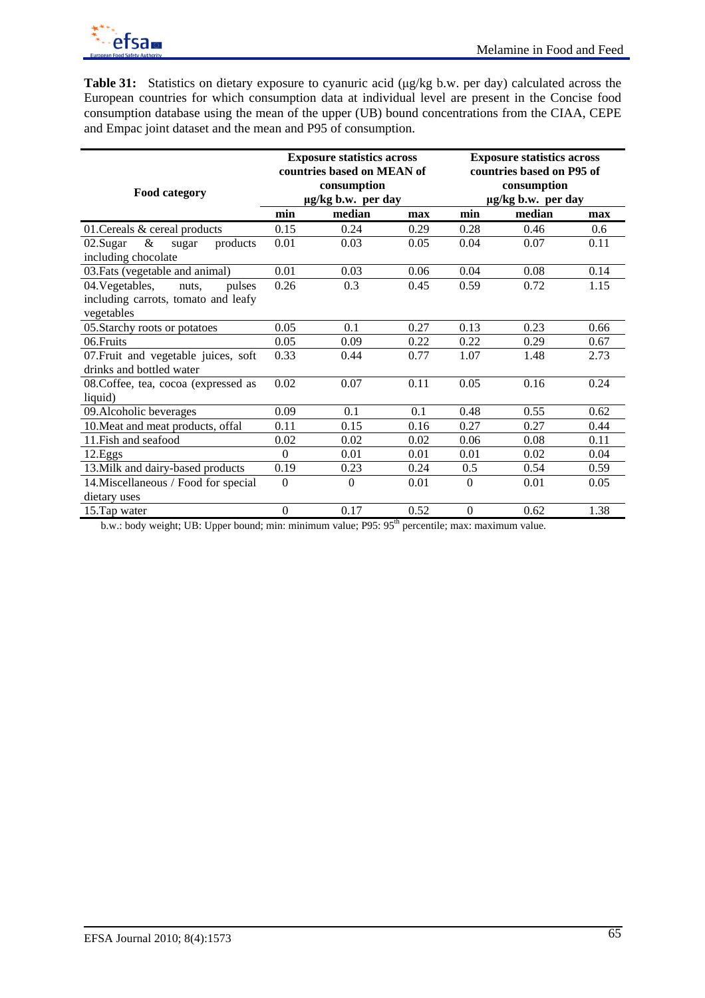

**Table 31:** Statistics on dietary exposure to cyanuric acid (μg/kg b.w. per day) calculated across the European countries for which consumption data at individual level are present in the Concise food consumption database using the mean of the upper (UB) bound concentrations from the CIAA, CEPE and Empac joint dataset and the mean and P95 of consumption.

| <b>Food category</b>                  | <b>Exposure statistics across</b><br>countries based on MEAN of<br>consumption |              |      | <b>Exposure statistics across</b><br>countries based on P95 of<br>consumption |        |      |
|---------------------------------------|--------------------------------------------------------------------------------|--------------|------|-------------------------------------------------------------------------------|--------|------|
|                                       | µg/kg b.w. per day                                                             |              |      | µg/kg b.w. per day                                                            |        |      |
|                                       | min                                                                            | median       | max  | min                                                                           | median | max  |
| 01. Cereals & cereal products         | 0.15                                                                           | 0.24         | 0.29 | 0.28                                                                          | 0.46   | 0.6  |
| $\&$<br>02.Sugar<br>products<br>sugar | 0.01                                                                           | 0.03         | 0.05 | 0.04                                                                          | 0.07   | 0.11 |
| including chocolate                   |                                                                                |              |      |                                                                               |        |      |
| 03. Fats (vegetable and animal)       | 0.01                                                                           | 0.03         | 0.06 | 0.04                                                                          | 0.08   | 0.14 |
| 04. Vegetables,<br>pulses<br>nuts.    | 0.26                                                                           | 0.3          | 0.45 | 0.59                                                                          | 0.72   | 1.15 |
| including carrots, tomato and leafy   |                                                                                |              |      |                                                                               |        |      |
| vegetables                            |                                                                                |              |      |                                                                               |        |      |
| 05. Starchy roots or potatoes         | 0.05                                                                           | 0.1          | 0.27 | 0.13                                                                          | 0.23   | 0.66 |
| 06. Fruits                            | 0.05                                                                           | 0.09         | 0.22 | 0.22                                                                          | 0.29   | 0.67 |
| 07. Fruit and vegetable juices, soft  | 0.33                                                                           | 0.44         | 0.77 | 1.07                                                                          | 1.48   | 2.73 |
| drinks and bottled water              |                                                                                |              |      |                                                                               |        |      |
| 08. Coffee, tea, cocoa (expressed as  | 0.02                                                                           | 0.07         | 0.11 | 0.05                                                                          | 0.16   | 0.24 |
| liquid)                               |                                                                                |              |      |                                                                               |        |      |
| 09. Alcoholic beverages               | 0.09                                                                           | 0.1          | 0.1  | 0.48                                                                          | 0.55   | 0.62 |
| 10. Meat and meat products, offal     | 0.11                                                                           | 0.15         | 0.16 | 0.27                                                                          | 0.27   | 0.44 |
| 11. Fish and seafood                  | 0.02                                                                           | 0.02         | 0.02 | 0.06                                                                          | 0.08   | 0.11 |
| 12.Eggs                               | $\Omega$                                                                       | 0.01         | 0.01 | 0.01                                                                          | 0.02   | 0.04 |
| 13. Milk and dairy-based products     | 0.19                                                                           | 0.23         | 0.24 | 0.5                                                                           | 0.54   | 0.59 |
| 14. Miscellaneous / Food for special  | $\mathbf{0}$                                                                   | $\mathbf{0}$ | 0.01 | $\boldsymbol{0}$                                                              | 0.01   | 0.05 |
| dietary uses                          |                                                                                |              |      |                                                                               |        |      |
| 15. Tap water                         | $\boldsymbol{0}$                                                               | 0.17         | 0.52 | $\boldsymbol{0}$                                                              | 0.62   | 1.38 |

b.w.: body weight; UB: Upper bound; min: minimum value; P95: 95<sup>th</sup> percentile; max: maximum value.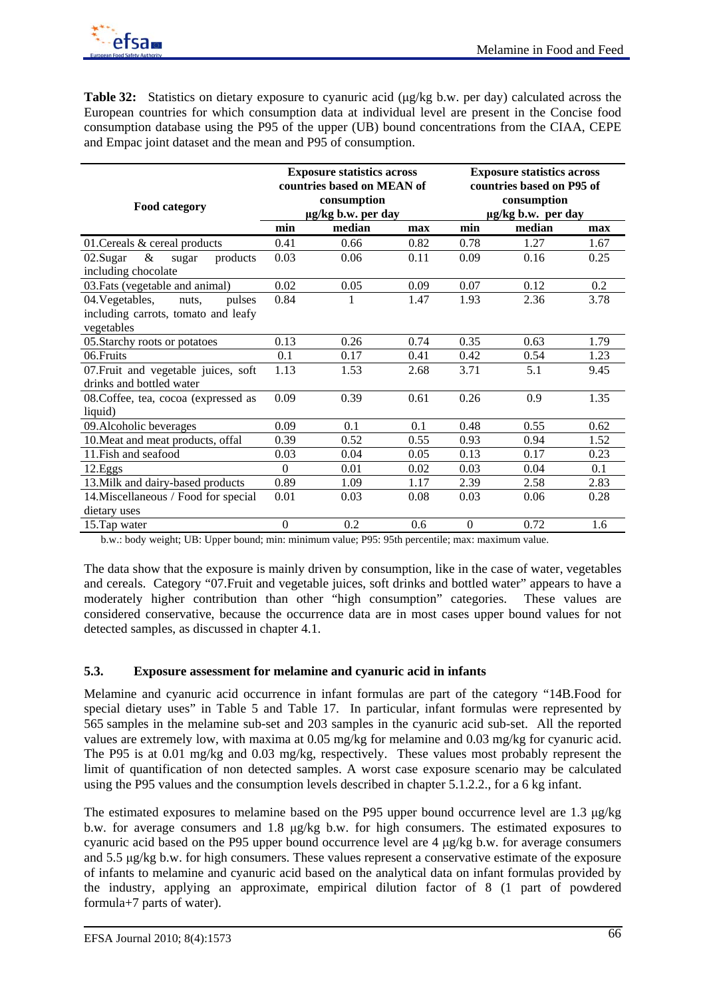

**Table 32:** Statistics on dietary exposure to cyanuric acid (μg/kg b.w. per day) calculated across the European countries for which consumption data at individual level are present in the Concise food consumption database using the P95 of the upper (UB) bound concentrations from the CIAA, CEPE and Empac joint dataset and the mean and P95 of consumption.

|                                       | <b>Exposure statistics across</b><br>countries based on MEAN of<br>consumption |        |      | <b>Exposure statistics across</b><br>countries based on P95 of<br>consumption |        |      |
|---------------------------------------|--------------------------------------------------------------------------------|--------|------|-------------------------------------------------------------------------------|--------|------|
| <b>Food category</b>                  | µg/kg b.w. per day                                                             |        |      | µg/kg b.w. per day                                                            |        |      |
|                                       | min                                                                            | median | max  | min                                                                           | median | max  |
| 01. Cereals & cereal products         | 0.41                                                                           | 0.66   | 0.82 | 0.78                                                                          | 1.27   | 1.67 |
| $\&$<br>02.Sugar<br>products<br>sugar | 0.03                                                                           | 0.06   | 0.11 | 0.09                                                                          | 0.16   | 0.25 |
| including chocolate                   |                                                                                |        |      |                                                                               |        |      |
| 03. Fats (vegetable and animal)       | 0.02                                                                           | 0.05   | 0.09 | 0.07                                                                          | 0.12   | 0.2  |
| 04. Vegetables,<br>nuts,<br>pulses    | 0.84                                                                           | 1      | 1.47 | 1.93                                                                          | 2.36   | 3.78 |
| including carrots, tomato and leafy   |                                                                                |        |      |                                                                               |        |      |
| vegetables                            |                                                                                |        |      |                                                                               |        |      |
| 05. Starchy roots or potatoes         | 0.13                                                                           | 0.26   | 0.74 | 0.35                                                                          | 0.63   | 1.79 |
| 06.Fruits                             | 0.1                                                                            | 0.17   | 0.41 | 0.42                                                                          | 0.54   | 1.23 |
| 07. Fruit and vegetable juices, soft  | 1.13                                                                           | 1.53   | 2.68 | 3.71                                                                          | 5.1    | 9.45 |
| drinks and bottled water              |                                                                                |        |      |                                                                               |        |      |
| 08. Coffee, tea, cocoa (expressed as  | 0.09                                                                           | 0.39   | 0.61 | 0.26                                                                          | 0.9    | 1.35 |
| liquid)                               |                                                                                |        |      |                                                                               |        |      |
| 09. Alcoholic beverages               | 0.09                                                                           | 0.1    | 0.1  | 0.48                                                                          | 0.55   | 0.62 |
| 10. Meat and meat products, offal     | 0.39                                                                           | 0.52   | 0.55 | 0.93                                                                          | 0.94   | 1.52 |
| 11. Fish and seafood                  | 0.03                                                                           | 0.04   | 0.05 | 0.13                                                                          | 0.17   | 0.23 |
| 12.Eggs                               | $\Omega$                                                                       | 0.01   | 0.02 | 0.03                                                                          | 0.04   | 0.1  |
| 13. Milk and dairy-based products     | 0.89                                                                           | 1.09   | 1.17 | 2.39                                                                          | 2.58   | 2.83 |
| 14. Miscellaneous / Food for special  | 0.01                                                                           | 0.03   | 0.08 | 0.03                                                                          | 0.06   | 0.28 |
| dietary uses                          |                                                                                |        |      |                                                                               |        |      |
| 15. Tap water                         | $\mathbf{0}$                                                                   | 0.2    | 0.6  | $\mathbf{0}$                                                                  | 0.72   | 1.6  |

b.w.: body weight; UB: Upper bound; min: minimum value; P95: 95th percentile; max: maximum value.

The data show that the exposure is mainly driven by consumption, like in the case of water, vegetables and cereals. Category "07.Fruit and vegetable juices, soft drinks and bottled water" appears to have a moderately higher contribution than other "high consumption" categories. These values are considered conservative, because the occurrence data are in most cases upper bound values for not detected samples, as discussed in chapter 4.1.

# **5.3. Exposure assessment for melamine and cyanuric acid in infants**

Melamine and cyanuric acid occurrence in infant formulas are part of the category "14B.Food for special dietary uses" in Table 5 and Table 17. In particular, infant formulas were represented by 565 samples in the melamine sub-set and 203 samples in the cyanuric acid sub-set. All the reported values are extremely low, with maxima at 0.05 mg/kg for melamine and 0.03 mg/kg for cyanuric acid. The P95 is at 0.01 mg/kg and 0.03 mg/kg, respectively. These values most probably represent the limit of quantification of non detected samples. A worst case exposure scenario may be calculated using the P95 values and the consumption levels described in chapter 5.1.2.2., for a 6 kg infant.

The estimated exposures to melamine based on the P95 upper bound occurrence level are 1.3 μg/kg b.w. for average consumers and 1.8 μg/kg b.w. for high consumers. The estimated exposures to cyanuric acid based on the P95 upper bound occurrence level are 4 μg/kg b.w. for average consumers and 5.5 μg/kg b.w. for high consumers. These values represent a conservative estimate of the exposure of infants to melamine and cyanuric acid based on the analytical data on infant formulas provided by the industry, applying an approximate, empirical dilution factor of 8 (1 part of powdered formula+7 parts of water).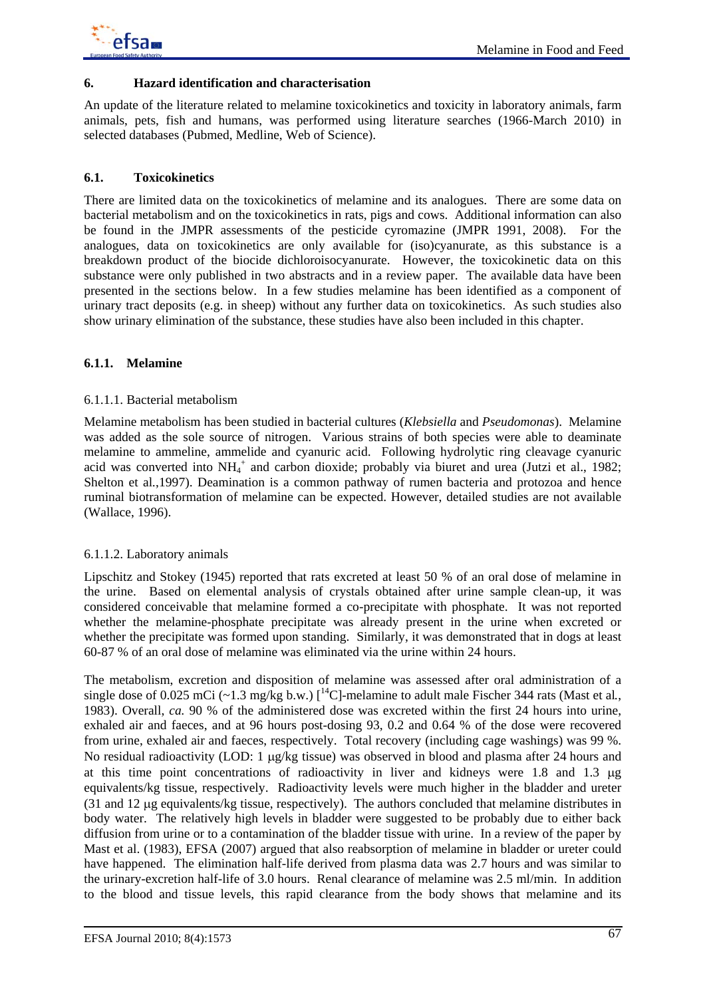

#### **6. Hazard identification and characterisation**

An update of the literature related to melamine toxicokinetics and toxicity in laboratory animals, farm animals, pets, fish and humans, was performed using literature searches (1966-March 2010) in selected databases (Pubmed, Medline, Web of Science).

### **6.1. Toxicokinetics**

There are limited data on the toxicokinetics of melamine and its analogues. There are some data on bacterial metabolism and on the toxicokinetics in rats, pigs and cows. Additional information can also be found in the JMPR assessments of the pesticide cyromazine (JMPR 1991, 2008). For the analogues, data on toxicokinetics are only available for (iso)cyanurate, as this substance is a breakdown product of the biocide dichloroisocyanurate. However, the toxicokinetic data on this substance were only published in two abstracts and in a review paper. The available data have been presented in the sections below. In a few studies melamine has been identified as a component of urinary tract deposits (e.g. in sheep) without any further data on toxicokinetics. As such studies also show urinary elimination of the substance, these studies have also been included in this chapter.

### **6.1.1. Melamine**

#### 6.1.1.1. Bacterial metabolism

Melamine metabolism has been studied in bacterial cultures (*Klebsiella* and *Pseudomonas*). Melamine was added as the sole source of nitrogen. Various strains of both species were able to deaminate melamine to ammeline, ammelide and cyanuric acid. Following hydrolytic ring cleavage cyanuric acid was converted into NH<sub>4</sub><sup>+</sup> and carbon dioxide; probably via biuret and urea (Jutzi et al., 1982; Shelton et al*.*,1997). Deamination is a common pathway of rumen bacteria and protozoa and hence ruminal biotransformation of melamine can be expected. However, detailed studies are not available (Wallace, 1996).

#### 6.1.1.2. Laboratory animals

Lipschitz and Stokey (1945) reported that rats excreted at least 50 % of an oral dose of melamine in the urine. Based on elemental analysis of crystals obtained after urine sample clean-up, it was considered conceivable that melamine formed a co-precipitate with phosphate. It was not reported whether the melamine-phosphate precipitate was already present in the urine when excreted or whether the precipitate was formed upon standing. Similarly, it was demonstrated that in dogs at least 60-87 % of an oral dose of melamine was eliminated via the urine within 24 hours.

The metabolism, excretion and disposition of melamine was assessed after oral administration of a single dose of 0.025 mCi (~1.3 mg/kg b.w.)  $\int_{0}^{14}$ C]-melamine to adult male Fischer 344 rats (Mast et al., 1983). Overall, *ca.* 90 % of the administered dose was excreted within the first 24 hours into urine, exhaled air and faeces, and at 96 hours post-dosing 93, 0.2 and 0.64 % of the dose were recovered from urine, exhaled air and faeces, respectively. Total recovery (including cage washings) was 99 %. No residual radioactivity (LOD: 1 μg/kg tissue) was observed in blood and plasma after 24 hours and at this time point concentrations of radioactivity in liver and kidneys were 1.8 and 1.3 μg equivalents/kg tissue, respectively. Radioactivity levels were much higher in the bladder and ureter (31 and 12 μg equivalents/kg tissue, respectively). The authors concluded that melamine distributes in body water. The relatively high levels in bladder were suggested to be probably due to either back diffusion from urine or to a contamination of the bladder tissue with urine. In a review of the paper by Mast et al. (1983), EFSA (2007) argued that also reabsorption of melamine in bladder or ureter could have happened. The elimination half-life derived from plasma data was 2.7 hours and was similar to the urinary-excretion half-life of 3.0 hours. Renal clearance of melamine was 2.5 ml/min. In addition to the blood and tissue levels, this rapid clearance from the body shows that melamine and its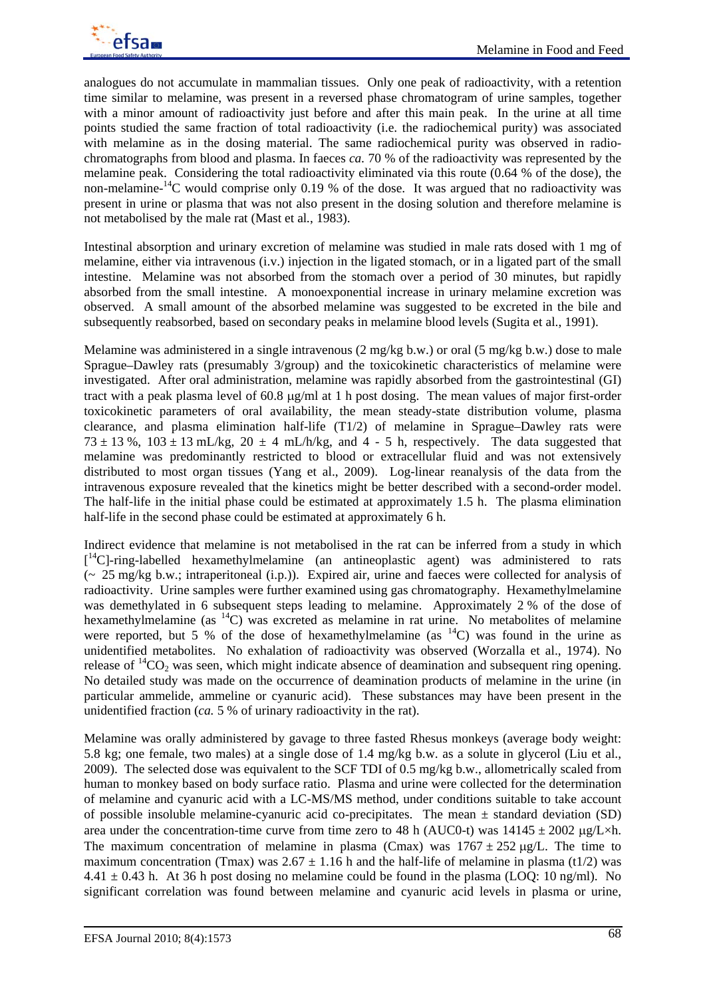analogues do not accumulate in mammalian tissues. Only one peak of radioactivity, with a retention time similar to melamine, was present in a reversed phase chromatogram of urine samples, together with a minor amount of radioactivity just before and after this main peak. In the urine at all time points studied the same fraction of total radioactivity (i.e. the radiochemical purity) was associated with melamine as in the dosing material. The same radiochemical purity was observed in radiochromatographs from blood and plasma. In faeces *ca.* 70 % of the radioactivity was represented by the melamine peak. Considering the total radioactivity eliminated via this route (0.64 % of the dose), the non-melamine-<sup>14</sup>C would comprise only 0.19 % of the dose. It was argued that no radioactivity was present in urine or plasma that was not also present in the dosing solution and therefore melamine is not metabolised by the male rat (Mast et al*.*, 1983).

Intestinal absorption and urinary excretion of melamine was studied in male rats dosed with 1 mg of melamine, either via intravenous (i.v.) injection in the ligated stomach, or in a ligated part of the small intestine. Melamine was not absorbed from the stomach over a period of 30 minutes, but rapidly absorbed from the small intestine. A monoexponential increase in urinary melamine excretion was observed. A small amount of the absorbed melamine was suggested to be excreted in the bile and subsequently reabsorbed, based on secondary peaks in melamine blood levels (Sugita et al., 1991).

Melamine was administered in a single intravenous (2 mg/kg b.w.) or oral (5 mg/kg b.w.) dose to male Sprague–Dawley rats (presumably 3/group) and the toxicokinetic characteristics of melamine were investigated. After oral administration, melamine was rapidly absorbed from the gastrointestinal (GI) tract with a peak plasma level of 60.8 μg/ml at 1 h post dosing. The mean values of major first-order toxicokinetic parameters of oral availability, the mean steady-state distribution volume, plasma clearance, and plasma elimination half-life (T1/2) of melamine in Sprague–Dawley rats were 73  $\pm$  13 %, 103  $\pm$  13 mL/kg, 20  $\pm$  4 mL/h/kg, and 4 - 5 h, respectively. The data suggested that melamine was predominantly restricted to blood or extracellular fluid and was not extensively distributed to most organ tissues (Yang et al., 2009). Log-linear reanalysis of the data from the intravenous exposure revealed that the kinetics might be better described with a second-order model. The half-life in the initial phase could be estimated at approximately 1.5 h. The plasma elimination half-life in the second phase could be estimated at approximately 6 h.

Indirect evidence that melamine is not metabolised in the rat can be inferred from a study in which [<sup>14</sup>C]-ring-labelled hexamethylmelamine (an antineoplastic agent) was administered to rats  $\sim$  25 mg/kg b.w.; intraperitoneal (i.p.)). Expired air, urine and faeces were collected for analysis of radioactivity. Urine samples were further examined using gas chromatography. Hexamethylmelamine was demethylated in 6 subsequent steps leading to melamine. Approximately 2 % of the dose of hexamethylmelamine (as <sup>14</sup>C) was excreted as melamine in rat urine. No metabolites of melamine were reported, but 5 % of the dose of hexamethylmelamine (as  $^{14}$ C) was found in the urine as unidentified metabolites. No exhalation of radioactivity was observed (Worzalla et al., 1974). No release of  ${}^{14}CO_2$  was seen, which might indicate absence of deamination and subsequent ring opening. No detailed study was made on the occurrence of deamination products of melamine in the urine (in particular ammelide, ammeline or cyanuric acid). These substances may have been present in the unidentified fraction (*ca.* 5 % of urinary radioactivity in the rat).

Melamine was orally administered by gavage to three fasted Rhesus monkeys (average body weight: 5.8 kg; one female, two males) at a single dose of 1.4 mg/kg b.w. as a solute in glycerol (Liu et al., 2009). The selected dose was equivalent to the SCF TDI of 0.5 mg/kg b.w., allometrically scaled from human to monkey based on body surface ratio. Plasma and urine were collected for the determination of melamine and cyanuric acid with a LC-MS/MS method, under conditions suitable to take account of possible insoluble melamine-cyanuric acid co-precipitates. The mean  $\pm$  standard deviation (SD) area under the concentration-time curve from time zero to 48 h (AUC0-t) was  $14145 \pm 2002$  µg/L×h. The maximum concentration of melamine in plasma (Cmax) was  $1767 \pm 252 \mu g/L$ . The time to maximum concentration (Tmax) was  $2.67 \pm 1.16$  h and the half-life of melamine in plasma (t1/2) was  $4.41 \pm 0.43$  h. At 36 h post dosing no melamine could be found in the plasma (LOO: 10 ng/ml). No significant correlation was found between melamine and cyanuric acid levels in plasma or urine,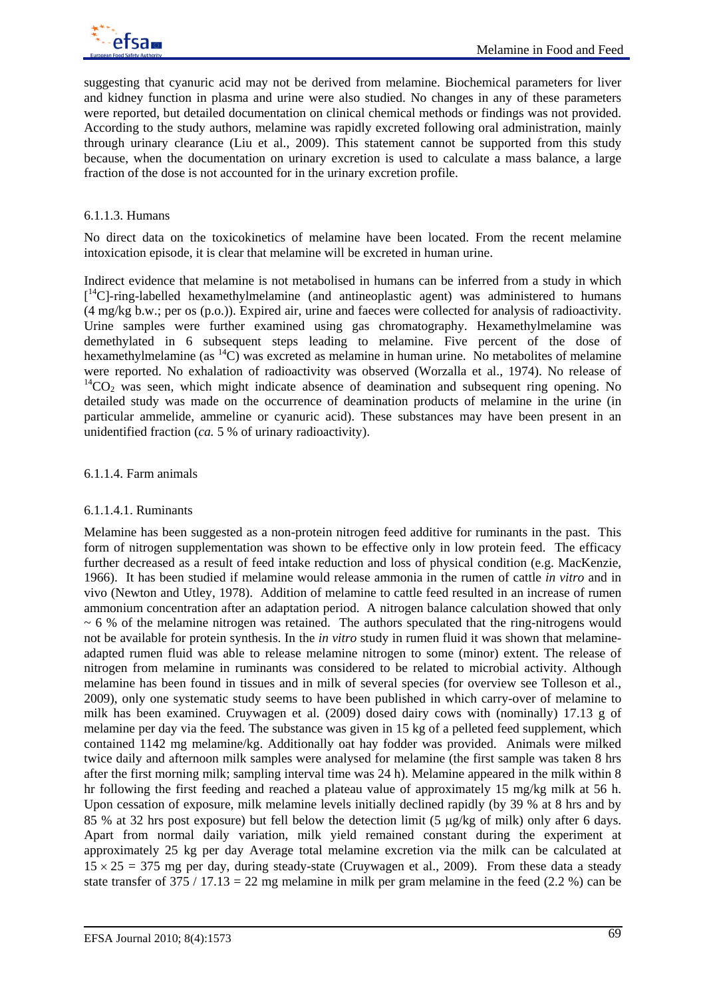

suggesting that cyanuric acid may not be derived from melamine. Biochemical parameters for liver and kidney function in plasma and urine were also studied. No changes in any of these parameters were reported, but detailed documentation on clinical chemical methods or findings was not provided. According to the study authors, melamine was rapidly excreted following oral administration, mainly through urinary clearance (Liu et al., 2009). This statement cannot be supported from this study because, when the documentation on urinary excretion is used to calculate a mass balance, a large fraction of the dose is not accounted for in the urinary excretion profile.

### 6.1.1.3. Humans

No direct data on the toxicokinetics of melamine have been located. From the recent melamine intoxication episode, it is clear that melamine will be excreted in human urine.

Indirect evidence that melamine is not metabolised in humans can be inferred from a study in which  $[$ <sup>14</sup>C]-ring-labelled hexamethylmelamine (and antineoplastic agent) was administered to humans (4 mg/kg b.w.; per os (p.o.)). Expired air, urine and faeces were collected for analysis of radioactivity. Urine samples were further examined using gas chromatography. Hexamethylmelamine was demethylated in 6 subsequent steps leading to melamine. Five percent of the dose of hexamethylmelamine (as  ${}^{14}$ C) was excreted as melamine in human urine. No metabolites of melamine were reported. No exhalation of radioactivity was observed (Worzalla et al., 1974). No release of  $14CO<sub>2</sub>$  was seen, which might indicate absence of deamination and subsequent ring opening. No detailed study was made on the occurrence of deamination products of melamine in the urine (in particular ammelide, ammeline or cyanuric acid). These substances may have been present in an unidentified fraction (*ca.* 5 % of urinary radioactivity).

### 6.1.1.4. Farm animals

# 6.1.1.4.1. Ruminants

Melamine has been suggested as a non-protein nitrogen feed additive for ruminants in the past. This form of nitrogen supplementation was shown to be effective only in low protein feed. The efficacy further decreased as a result of feed intake reduction and loss of physical condition (e.g. MacKenzie, 1966). It has been studied if melamine would release ammonia in the rumen of cattle *in vitro* and in vivo (Newton and Utley, 1978). Addition of melamine to cattle feed resulted in an increase of rumen ammonium concentration after an adaptation period. A nitrogen balance calculation showed that only  $\sim$  6 % of the melamine nitrogen was retained. The authors speculated that the ring-nitrogens would not be available for protein synthesis. In the *in vitro* study in rumen fluid it was shown that melamineadapted rumen fluid was able to release melamine nitrogen to some (minor) extent. The release of nitrogen from melamine in ruminants was considered to be related to microbial activity. Although melamine has been found in tissues and in milk of several species (for overview see Tolleson et al., 2009), only one systematic study seems to have been published in which carry-over of melamine to milk has been examined. Cruywagen et al*.* (2009) dosed dairy cows with (nominally) 17.13 g of melamine per day via the feed. The substance was given in 15 kg of a pelleted feed supplement, which contained 1142 mg melamine/kg. Additionally oat hay fodder was provided. Animals were milked twice daily and afternoon milk samples were analysed for melamine (the first sample was taken 8 hrs after the first morning milk; sampling interval time was 24 h). Melamine appeared in the milk within 8 hr following the first feeding and reached a plateau value of approximately 15 mg/kg milk at 56 h. Upon cessation of exposure, milk melamine levels initially declined rapidly (by 39 % at 8 hrs and by 85 % at 32 hrs post exposure) but fell below the detection limit (5 μg/kg of milk) only after 6 days. Apart from normal daily variation, milk yield remained constant during the experiment at approximately 25 kg per day Average total melamine excretion via the milk can be calculated at  $15 \times 25 = 375$  mg per day, during steady-state (Cruywagen et al., 2009). From these data a steady state transfer of  $375 / 17.13 = 22$  mg melamine in milk per gram melamine in the feed (2.2 %) can be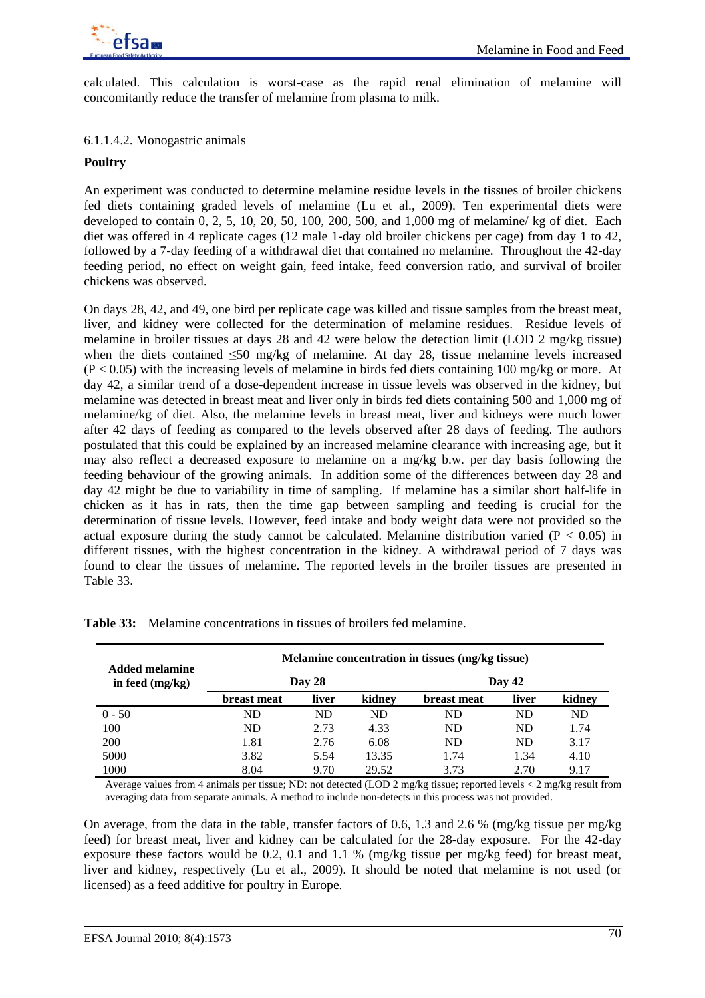

calculated. This calculation is worst-case as the rapid renal elimination of melamine will concomitantly reduce the transfer of melamine from plasma to milk.

### 6.1.1.4.2. Monogastric animals

### **Poultry**

An experiment was conducted to determine melamine residue levels in the tissues of broiler chickens fed diets containing graded levels of melamine (Lu et al., 2009). Ten experimental diets were developed to contain 0, 2, 5, 10, 20, 50, 100, 200, 500, and 1,000 mg of melamine/ kg of diet. Each diet was offered in 4 replicate cages (12 male 1-day old broiler chickens per cage) from day 1 to 42, followed by a 7-day feeding of a withdrawal diet that contained no melamine. Throughout the 42-day feeding period, no effect on weight gain, feed intake, feed conversion ratio, and survival of broiler chickens was observed.

On days 28, 42, and 49, one bird per replicate cage was killed and tissue samples from the breast meat, liver, and kidney were collected for the determination of melamine residues. Residue levels of melamine in broiler tissues at days 28 and 42 were below the detection limit (LOD 2 mg/kg tissue) when the diets contained ≤50 mg/kg of melamine. At day 28, tissue melamine levels increased  $(P < 0.05)$  with the increasing levels of melamine in birds fed diets containing 100 mg/kg or more. At day 42, a similar trend of a dose-dependent increase in tissue levels was observed in the kidney, but melamine was detected in breast meat and liver only in birds fed diets containing 500 and 1,000 mg of melamine/kg of diet. Also, the melamine levels in breast meat, liver and kidneys were much lower after 42 days of feeding as compared to the levels observed after 28 days of feeding. The authors postulated that this could be explained by an increased melamine clearance with increasing age, but it may also reflect a decreased exposure to melamine on a mg/kg b.w. per day basis following the feeding behaviour of the growing animals. In addition some of the differences between day 28 and day 42 might be due to variability in time of sampling. If melamine has a similar short half-life in chicken as it has in rats, then the time gap between sampling and feeding is crucial for the determination of tissue levels. However, feed intake and body weight data were not provided so the actual exposure during the study cannot be calculated. Melamine distribution varied ( $P < 0.05$ ) in different tissues, with the highest concentration in the kidney. A withdrawal period of 7 days was found to clear the tissues of melamine. The reported levels in the broiler tissues are presented in Table 33.

| Added melamine    | Melamine concentration in tissues (mg/kg tissue) |        |           |             |           |        |  |  |
|-------------------|--------------------------------------------------|--------|-----------|-------------|-----------|--------|--|--|
| in feed $(mg/kg)$ |                                                  | Day 28 |           | Day 42      |           |        |  |  |
|                   | breast meat                                      | liver  | kidney    | breast meat | liver     | kidney |  |  |
| $0 - 50$          | ND                                               | ND     | <b>ND</b> | ND          | <b>ND</b> | ND     |  |  |
| 100               | ND                                               | 2.73   | 4.33      | ND.         | ND        | 1.74   |  |  |
| <b>200</b>        | 1.81                                             | 2.76   | 6.08      | ND          | <b>ND</b> | 3.17   |  |  |
| 5000              | 3.82                                             | 5.54   | 13.35     | 1.74        | 1.34      | 4.10   |  |  |
| 1000              | 8.04                                             | 9.70   | 29.52     | 3.73        | 2.70      | 9.17   |  |  |

**Table 33:** Melamine concentrations in tissues of broilers fed melamine.

 Average values from 4 animals per tissue; ND: not detected (LOD 2 mg/kg tissue; reported levels < 2 mg/kg result from averaging data from separate animals. A method to include non-detects in this process was not provided.

On average, from the data in the table, transfer factors of 0.6, 1.3 and 2.6 % (mg/kg tissue per mg/kg feed) for breast meat, liver and kidney can be calculated for the 28-day exposure. For the 42-day exposure these factors would be 0.2, 0.1 and 1.1 % (mg/kg tissue per mg/kg feed) for breast meat, liver and kidney, respectively (Lu et al., 2009). It should be noted that melamine is not used (or licensed) as a feed additive for poultry in Europe.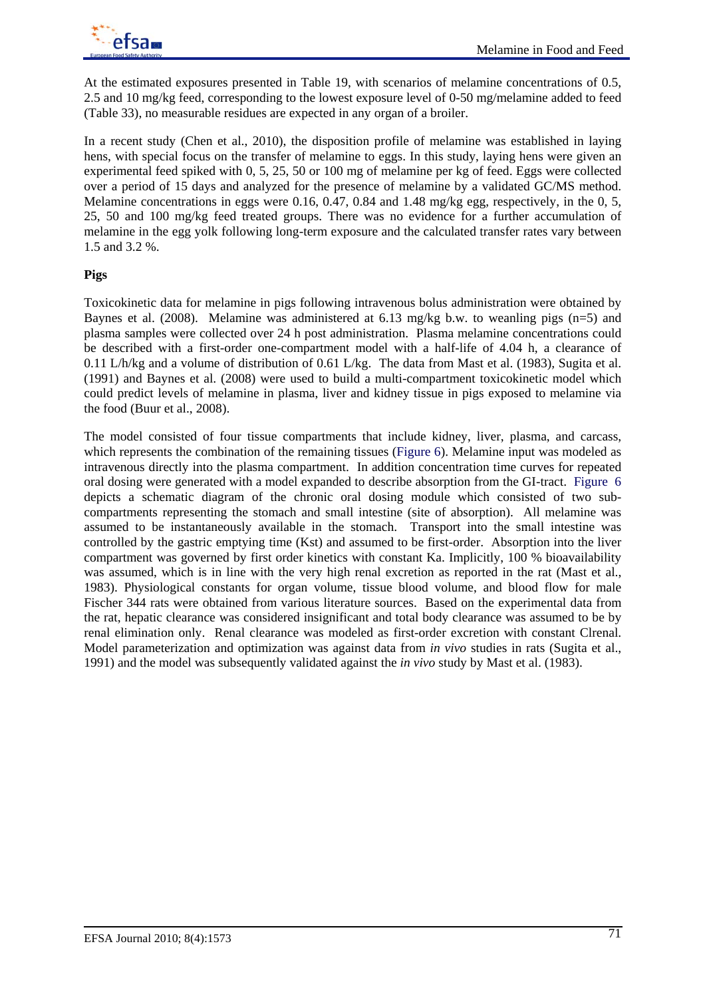At the estimated exposures presented in Table 19, with scenarios of melamine concentrations of 0.5, 2.5 and 10 mg/kg feed, corresponding to the lowest exposure level of 0-50 mg/melamine added to feed (Table 33), no measurable residues are expected in any organ of a broiler.

In a recent study (Chen et al., 2010), the disposition profile of melamine was established in laying hens, with special focus on the transfer of melamine to eggs. In this study, laying hens were given an experimental feed spiked with 0, 5, 25, 50 or 100 mg of melamine per kg of feed. Eggs were collected over a period of 15 days and analyzed for the presence of melamine by a validated GC/MS method. Melamine concentrations in eggs were 0.16, 0.47, 0.84 and 1.48 mg/kg egg, respectively, in the 0, 5, 25, 50 and 100 mg/kg feed treated groups. There was no evidence for a further accumulation of melamine in the egg yolk following long-term exposure and the calculated transfer rates vary between 1.5 and 3.2 %.

### **Pigs**

Toxicokinetic data for melamine in pigs following intravenous bolus administration were obtained by Baynes et al. (2008). Melamine was administered at 6.13 mg/kg b.w. to weanling pigs (n=5) and plasma samples were collected over 24 h post administration. Plasma melamine concentrations could be described with a first-order one-compartment model with a half-life of 4.04 h, a clearance of 0.11 L/h/kg and a volume of distribution of 0.61 L/kg. The data from Mast et al. (1983)*,* Sugita et al. (1991) and Baynes et al. (2008) were used to build a multi-compartment toxicokinetic model which could predict levels of melamine in plasma, liver and kidney tissue in pigs exposed to melamine via the food (Buur et al., 2008).

The model consisted of four tissue compartments that include kidney, liver, plasma, and carcass, which represents the combination of the remaining tissues (Figure 6). Melamine input was modeled as intravenous directly into the plasma compartment. In addition concentration time curves for repeated oral dosing were generated with a model expanded to describe absorption from the GI-tract. Figure 6 depicts a schematic diagram of the chronic oral dosing module which consisted of two subcompartments representing the stomach and small intestine (site of absorption). All melamine was assumed to be instantaneously available in the stomach. Transport into the small intestine was controlled by the gastric emptying time (Kst) and assumed to be first-order. Absorption into the liver compartment was governed by first order kinetics with constant Ka. Implicitly, 100 % bioavailability was assumed, which is in line with the very high renal excretion as reported in the rat (Mast et al., 1983). Physiological constants for organ volume, tissue blood volume, and blood flow for male Fischer 344 rats were obtained from various literature sources. Based on the experimental data from the rat, hepatic clearance was considered insignificant and total body clearance was assumed to be by renal elimination only. Renal clearance was modeled as first-order excretion with constant Clrenal. Model parameterization and optimization was against data from *in vivo* studies in rats (Sugita et al., 1991) and the model was subsequently validated against the *in vivo* study by Mast et al. (1983).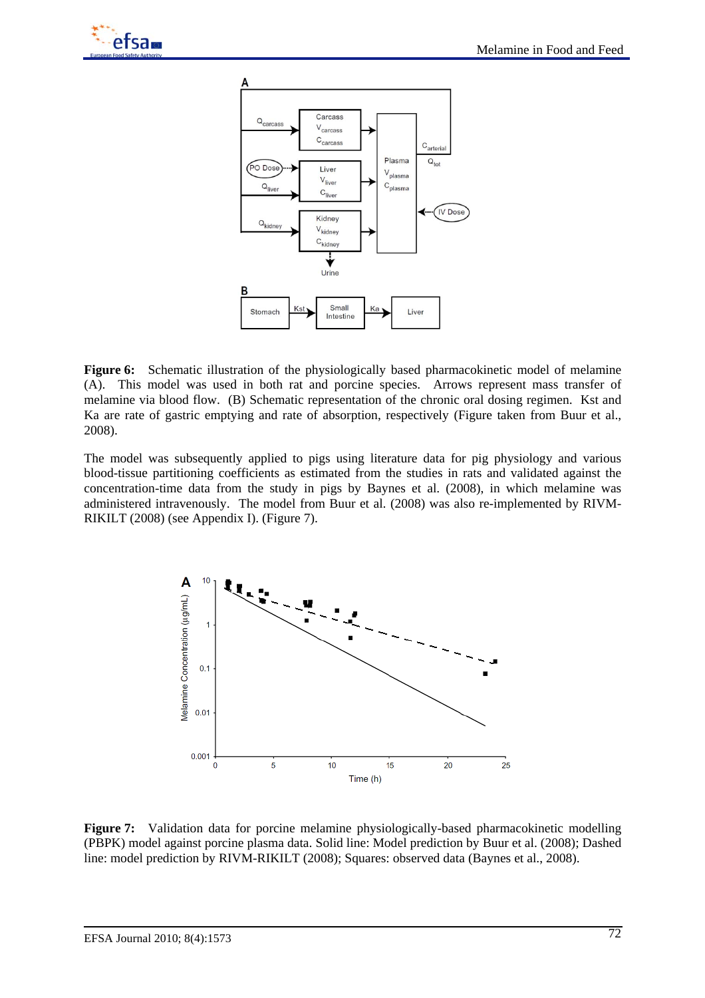

Figure 6: Schematic illustration of the physiologically based pharmacokinetic model of melamine (A). This model was used in both rat and porcine species. Arrows represent mass transfer of melamine via blood flow. (B) Schematic representation of the chronic oral dosing regimen. Kst and Ka are rate of gastric emptying and rate of absorption, respectively (Figure taken from Buur et al., 2008).

The model was subsequently applied to pigs using literature data for pig physiology and various blood-tissue partitioning coefficients as estimated from the studies in rats and validated against the concentration-time data from the study in pigs by Baynes et al. (2008), in which melamine was administered intravenously. The model from Buur et al. (2008) was also re-implemented by RIVM-RIKILT (2008) (see Appendix I). (Figure 7).



**Figure 7:** Validation data for porcine melamine physiologically-based pharmacokinetic modelling (PBPK) model against porcine plasma data. Solid line: Model prediction by Buur et al. (2008); Dashed line: model prediction by RIVM-RIKILT (2008); Squares: observed data (Baynes et al., 2008).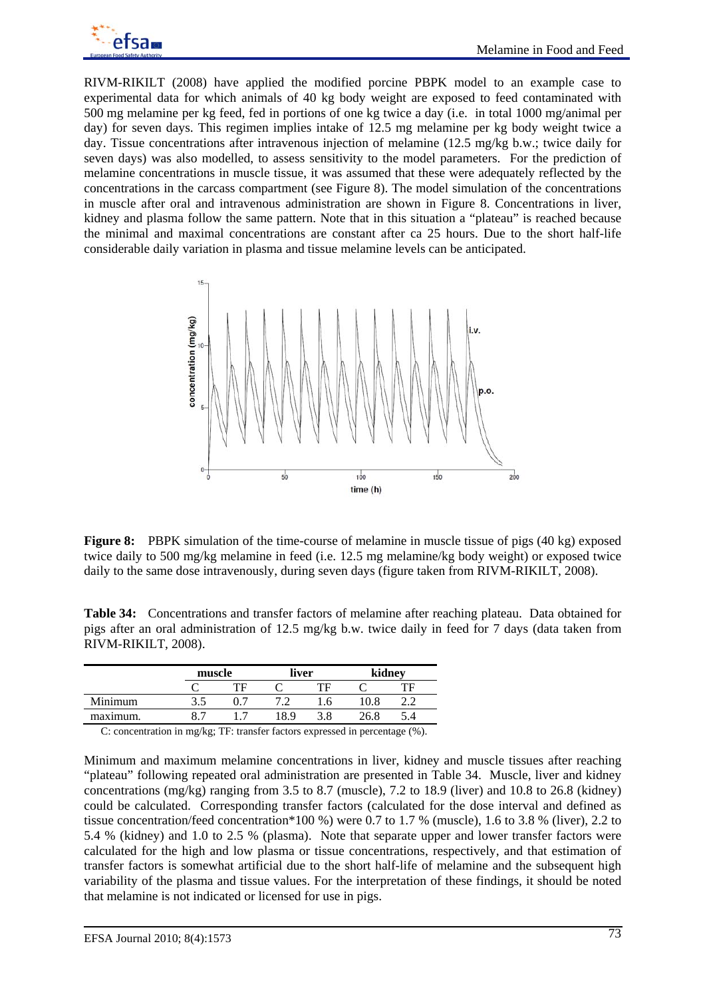

RIVM-RIKILT (2008) have applied the modified porcine PBPK model to an example case to experimental data for which animals of 40 kg body weight are exposed to feed contaminated with 500 mg melamine per kg feed, fed in portions of one kg twice a day (i.e. in total 1000 mg/animal per day) for seven days. This regimen implies intake of 12.5 mg melamine per kg body weight twice a day. Tissue concentrations after intravenous injection of melamine (12.5 mg/kg b.w.; twice daily for seven days) was also modelled, to assess sensitivity to the model parameters. For the prediction of melamine concentrations in muscle tissue, it was assumed that these were adequately reflected by the concentrations in the carcass compartment (see Figure 8). The model simulation of the concentrations in muscle after oral and intravenous administration are shown in Figure 8. Concentrations in liver, kidney and plasma follow the same pattern. Note that in this situation a "plateau" is reached because the minimal and maximal concentrations are constant after ca 25 hours. Due to the short half-life considerable daily variation in plasma and tissue melamine levels can be anticipated.



**Figure 8:** PBPK simulation of the time-course of melamine in muscle tissue of pigs (40 kg) exposed twice daily to 500 mg/kg melamine in feed (i.e. 12.5 mg melamine/kg body weight) or exposed twice daily to the same dose intravenously, during seven days (figure taken from RIVM-RIKILT, 2008).

**Table 34:** Concentrations and transfer factors of melamine after reaching plateau. Data obtained for pigs after an oral administration of 12.5 mg/kg b.w. twice daily in feed for 7 days (data taken from RIVM-RIKILT, 2008).

|          |                  | muscle |      | liver |               | kidnev |
|----------|------------------|--------|------|-------|---------------|--------|
|          |                  |        |      | TЕ    |               | TF     |
| Minimum  | ن در             |        |      | 1.0   |               |        |
| maximum. |                  |        | 18.9 |       | 26.8          |        |
| __       | $\sim$<br>$\sim$ | $ -$   |      |       | $\sim$ $\sim$ | .      |

C: concentration in mg/kg; TF: transfer factors expressed in percentage (%).

Minimum and maximum melamine concentrations in liver, kidney and muscle tissues after reaching "plateau" following repeated oral administration are presented in Table 34. Muscle, liver and kidney concentrations (mg/kg) ranging from 3.5 to 8.7 (muscle), 7.2 to 18.9 (liver) and 10.8 to 26.8 (kidney) could be calculated. Corresponding transfer factors (calculated for the dose interval and defined as tissue concentration/feed concentration\*100 %) were 0.7 to 1.7 % (muscle), 1.6 to 3.8 % (liver), 2.2 to 5.4 % (kidney) and 1.0 to 2.5 % (plasma). Note that separate upper and lower transfer factors were calculated for the high and low plasma or tissue concentrations, respectively, and that estimation of transfer factors is somewhat artificial due to the short half-life of melamine and the subsequent high variability of the plasma and tissue values. For the interpretation of these findings, it should be noted that melamine is not indicated or licensed for use in pigs.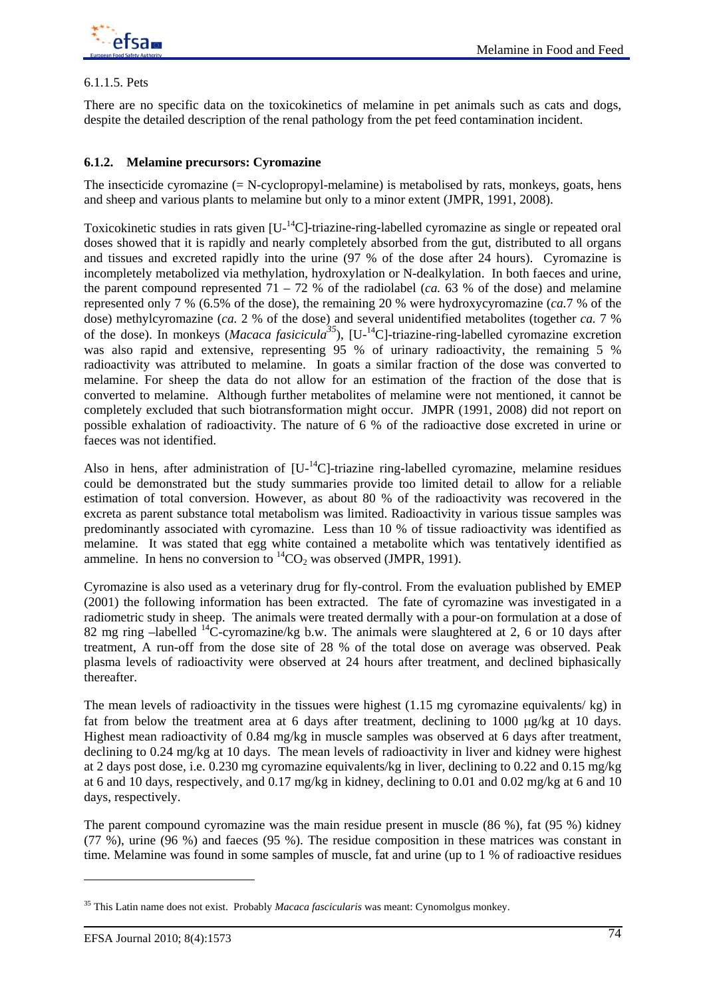

### 6.1.1.5. Pets

There are no specific data on the toxicokinetics of melamine in pet animals such as cats and dogs, despite the detailed description of the renal pathology from the pet feed contamination incident.

# **6.1.2. Melamine precursors: Cyromazine**

The insecticide cyromazine  $(= N$ -cyclopropyl-melamine) is metabolised by rats, monkeys, goats, hens and sheep and various plants to melamine but only to a minor extent (JMPR, 1991, 2008).

Toxicokinetic studies in rats given  $[U^{-14}C]$ -triazine-ring-labelled cyromazine as single or repeated oral doses showed that it is rapidly and nearly completely absorbed from the gut, distributed to all organs and tissues and excreted rapidly into the urine (97 % of the dose after 24 hours). Cyromazine is incompletely metabolized via methylation, hydroxylation or N*-*dealkylation. In both faeces and urine, the parent compound represented  $71 - 72$  % of the radiolabel (*ca.* 63 % of the dose) and melamine represented only 7 % (6.5% of the dose), the remaining 20 % were hydroxycyromazine (*ca.*7 % of the dose) methylcyromazine (*ca.* 2 % of the dose) and several unidentified metabolites (together *ca.* 7 % of the dose). In monkeys (*Macaca fasicicula35*), [U-14C]-triazine-ring-labelled cyromazine excretion was also rapid and extensive, representing 95 % of urinary radioactivity, the remaining 5 % radioactivity was attributed to melamine. In goats a similar fraction of the dose was converted to melamine. For sheep the data do not allow for an estimation of the fraction of the dose that is converted to melamine. Although further metabolites of melamine were not mentioned, it cannot be completely excluded that such biotransformation might occur. JMPR (1991, 2008) did not report on possible exhalation of radioactivity. The nature of 6 % of the radioactive dose excreted in urine or faeces was not identified.

Also in hens, after administration of  $[**U**^{-14}**C**]$ -triazine ring-labelled cyromazine, melamine residues could be demonstrated but the study summaries provide too limited detail to allow for a reliable estimation of total conversion. However, as about 80 % of the radioactivity was recovered in the excreta as parent substance total metabolism was limited. Radioactivity in various tissue samples was predominantly associated with cyromazine. Less than 10 % of tissue radioactivity was identified as melamine. It was stated that egg white contained a metabolite which was tentatively identified as ammeline. In hens no conversion to  ${}^{14}CO_2$  was observed (JMPR, 1991).

Cyromazine is also used as a veterinary drug for fly-control. From the evaluation published by EMEP (2001) the following information has been extracted. The fate of cyromazine was investigated in a radiometric study in sheep. The animals were treated dermally with a pour-on formulation at a dose of 82 mg ring –labelled  $^{14}$ C-cyromazine/kg b.w. The animals were slaughtered at 2, 6 or 10 days after treatment, A run-off from the dose site of 28 % of the total dose on average was observed. Peak plasma levels of radioactivity were observed at 24 hours after treatment, and declined biphasically thereafter.

The mean levels of radioactivity in the tissues were highest (1.15 mg cyromazine equivalents/ kg) in fat from below the treatment area at 6 days after treatment, declining to 1000 μg/kg at 10 days. Highest mean radioactivity of 0.84 mg/kg in muscle samples was observed at 6 days after treatment, declining to 0.24 mg/kg at 10 days. The mean levels of radioactivity in liver and kidney were highest at 2 days post dose, i.e. 0.230 mg cyromazine equivalents/kg in liver, declining to 0.22 and 0.15 mg/kg at 6 and 10 days, respectively, and 0.17 mg/kg in kidney, declining to 0.01 and 0.02 mg/kg at 6 and 10 days, respectively.

The parent compound cyromazine was the main residue present in muscle (86 %), fat (95 %) kidney (77 %), urine (96 %) and faeces (95 %). The residue composition in these matrices was constant in time. Melamine was found in some samples of muscle, fat and urine (up to 1 % of radioactive residues

l

<sup>35</sup> This Latin name does not exist. Probably *Macaca fascicularis* was meant: Cynomolgus monkey.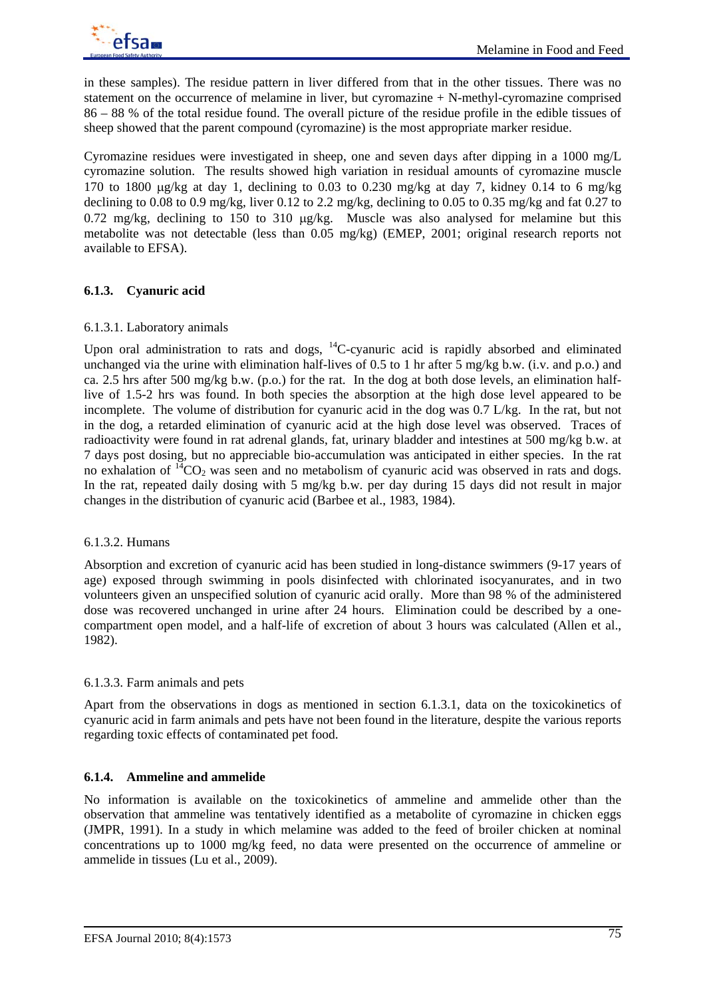in these samples). The residue pattern in liver differed from that in the other tissues. There was no statement on the occurrence of melamine in liver, but cyromazine  $+ N$ -methyl-cyromazine comprised 86 – 88 % of the total residue found. The overall picture of the residue profile in the edible tissues of sheep showed that the parent compound (cyromazine) is the most appropriate marker residue.

Cyromazine residues were investigated in sheep, one and seven days after dipping in a 1000 mg/L cyromazine solution. The results showed high variation in residual amounts of cyromazine muscle 170 to 1800 μg/kg at day 1, declining to 0.03 to 0.230 mg/kg at day 7, kidney 0.14 to 6 mg/kg declining to 0.08 to 0.9 mg/kg, liver 0.12 to 2.2 mg/kg, declining to 0.05 to 0.35 mg/kg and fat 0.27 to 0.72 mg/kg, declining to 150 to 310 μg/kg. Muscle was also analysed for melamine but this metabolite was not detectable (less than 0.05 mg/kg) (EMEP, 2001; original research reports not available to EFSA).

# **6.1.3. Cyanuric acid**

### 6.1.3.1. Laboratory animals

Upon oral administration to rats and dogs, <sup>14</sup>C-cyanuric acid is rapidly absorbed and eliminated unchanged via the urine with elimination half-lives of 0.5 to 1 hr after 5 mg/kg b.w. (i.v. and p.o.) and ca. 2.5 hrs after 500 mg/kg b.w. (p.o.) for the rat. In the dog at both dose levels, an elimination halflive of 1.5-2 hrs was found. In both species the absorption at the high dose level appeared to be incomplete. The volume of distribution for cyanuric acid in the dog was 0.7 L/kg. In the rat, but not in the dog, a retarded elimination of cyanuric acid at the high dose level was observed. Traces of radioactivity were found in rat adrenal glands, fat, urinary bladder and intestines at 500 mg/kg b.w. at 7 days post dosing, but no appreciable bio-accumulation was anticipated in either species. In the rat no exhalation of  ${}^{14}CO_2$  was seen and no metabolism of cyanuric acid was observed in rats and dogs. In the rat, repeated daily dosing with 5 mg/kg b.w. per day during 15 days did not result in major changes in the distribution of cyanuric acid (Barbee et al., 1983, 1984).

## 6.1.3.2. Humans

Absorption and excretion of cyanuric acid has been studied in long-distance swimmers (9-17 years of age) exposed through swimming in pools disinfected with chlorinated isocyanurates, and in two volunteers given an unspecified solution of cyanuric acid orally. More than 98 % of the administered dose was recovered unchanged in urine after 24 hours. Elimination could be described by a onecompartment open model, and a half-life of excretion of about 3 hours was calculated (Allen et al., 1982).

## 6.1.3.3. Farm animals and pets

Apart from the observations in dogs as mentioned in section 6.1.3.1, data on the toxicokinetics of cyanuric acid in farm animals and pets have not been found in the literature, despite the various reports regarding toxic effects of contaminated pet food.

## **6.1.4. Ammeline and ammelide**

No information is available on the toxicokinetics of ammeline and ammelide other than the observation that ammeline was tentatively identified as a metabolite of cyromazine in chicken eggs (JMPR, 1991). In a study in which melamine was added to the feed of broiler chicken at nominal concentrations up to 1000 mg/kg feed, no data were presented on the occurrence of ammeline or ammelide in tissues (Lu et al., 2009).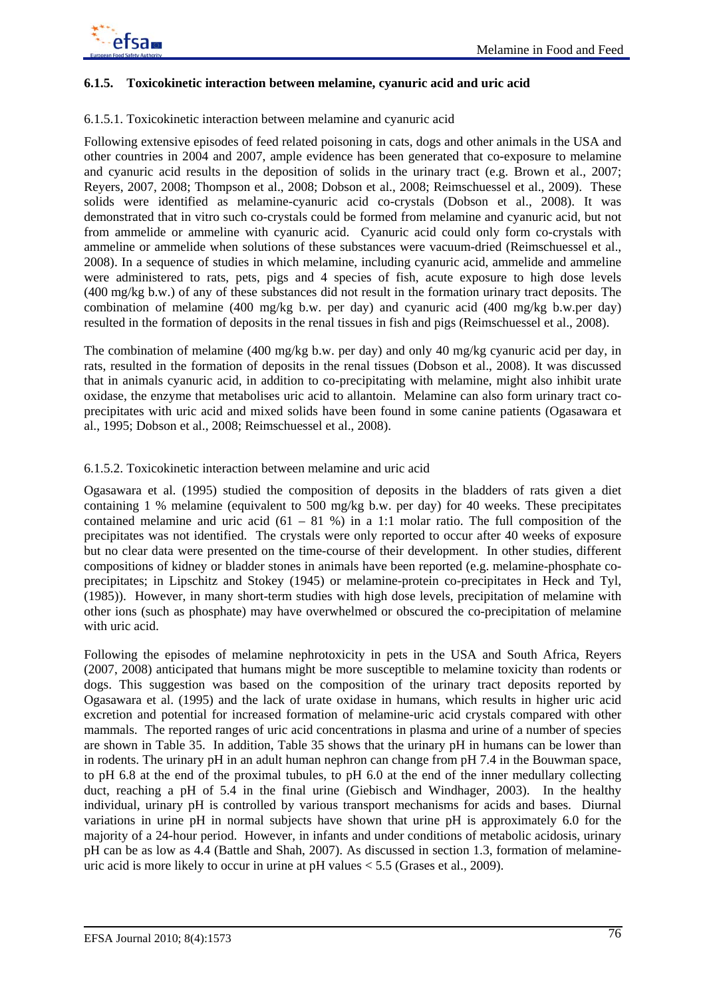

#### **6.1.5. Toxicokinetic interaction between melamine, cyanuric acid and uric acid**

#### 6.1.5.1. Toxicokinetic interaction between melamine and cyanuric acid

Following extensive episodes of feed related poisoning in cats, dogs and other animals in the USA and other countries in 2004 and 2007, ample evidence has been generated that co-exposure to melamine and cyanuric acid results in the deposition of solids in the urinary tract (e.g. Brown et al., 2007; Reyers, 2007, 2008; Thompson et al., 2008; Dobson et al., 2008; Reimschuessel et al., 2009). These solids were identified as melamine-cyanuric acid co-crystals (Dobson et al., 2008). It was demonstrated that in vitro such co-crystals could be formed from melamine and cyanuric acid, but not from ammelide or ammeline with cyanuric acid. Cyanuric acid could only form co-crystals with ammeline or ammelide when solutions of these substances were vacuum-dried (Reimschuessel et al., 2008). In a sequence of studies in which melamine, including cyanuric acid, ammelide and ammeline were administered to rats, pets, pigs and 4 species of fish, acute exposure to high dose levels (400 mg/kg b.w.) of any of these substances did not result in the formation urinary tract deposits. The combination of melamine (400 mg/kg b.w. per day) and cyanuric acid (400 mg/kg b.w.per day) resulted in the formation of deposits in the renal tissues in fish and pigs (Reimschuessel et al., 2008).

The combination of melamine (400 mg/kg b.w. per day) and only 40 mg/kg cyanuric acid per day, in rats, resulted in the formation of deposits in the renal tissues (Dobson et al., 2008). It was discussed that in animals cyanuric acid, in addition to co-precipitating with melamine, might also inhibit urate oxidase, the enzyme that metabolises uric acid to allantoin. Melamine can also form urinary tract coprecipitates with uric acid and mixed solids have been found in some canine patients (Ogasawara et al., 1995; Dobson et al., 2008; Reimschuessel et al., 2008).

### 6.1.5.2. Toxicokinetic interaction between melamine and uric acid

Ogasawara et al. (1995) studied the composition of deposits in the bladders of rats given a diet containing 1 % melamine (equivalent to 500 mg/kg b.w. per day) for 40 weeks. These precipitates contained melamine and uric acid  $(61 - 81)$ %) in a 1:1 molar ratio. The full composition of the precipitates was not identified. The crystals were only reported to occur after 40 weeks of exposure but no clear data were presented on the time-course of their development. In other studies, different compositions of kidney or bladder stones in animals have been reported (e.g. melamine-phosphate coprecipitates; in Lipschitz and Stokey (1945) or melamine-protein co-precipitates in Heck and Tyl, (1985)). However, in many short-term studies with high dose levels, precipitation of melamine with other ions (such as phosphate) may have overwhelmed or obscured the co-precipitation of melamine with uric acid.

Following the episodes of melamine nephrotoxicity in pets in the USA and South Africa, Reyers (2007, 2008) anticipated that humans might be more susceptible to melamine toxicity than rodents or dogs. This suggestion was based on the composition of the urinary tract deposits reported by Ogasawara et al. (1995) and the lack of urate oxidase in humans, which results in higher uric acid excretion and potential for increased formation of melamine-uric acid crystals compared with other mammals. The reported ranges of uric acid concentrations in plasma and urine of a number of species are shown in Table 35. In addition, Table 35 shows that the urinary pH in humans can be lower than in rodents. The urinary pH in an adult human nephron can change from pH 7.4 in the Bouwman space, to pH 6.8 at the end of the proximal tubules, to pH 6.0 at the end of the inner medullary collecting duct, reaching a pH of 5.4 in the final urine (Giebisch and Windhager, 2003). In the healthy individual, urinary pH is controlled by various transport mechanisms for acids and bases. Diurnal variations in urine pH in normal subjects have shown that urine pH is approximately 6.0 for the majority of a 24-hour period. However, in infants and under conditions of metabolic acidosis, urinary pH can be as low as 4.4 (Battle and Shah, 2007). As discussed in section 1.3, formation of melamineuric acid is more likely to occur in urine at pH values  $< 5.5$  (Grases et al., 2009).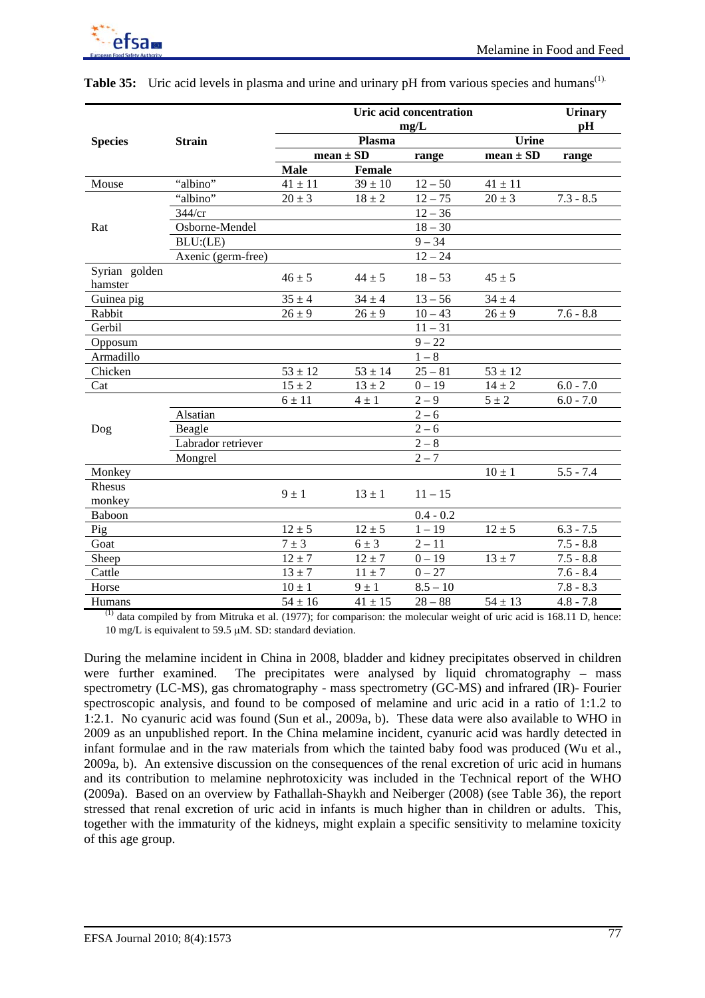

|                          |                    |               | <b>Urinary</b><br>pH |             |               |             |
|--------------------------|--------------------|---------------|----------------------|-------------|---------------|-------------|
| <b>Species</b>           | <b>Strain</b>      |               |                      |             |               |             |
|                          |                    | mean $\pm$ SD |                      | range       | $mean \pm SD$ | range       |
|                          |                    | <b>Male</b>   | Female               |             |               |             |
| Mouse                    | "albino"           | $41 \pm 11$   | $39 \pm 10$          | $12 - 50$   | $41 \pm 11$   |             |
|                          | "albino"           | $20 \pm 3$    | $18 \pm 2$           | $12 - 75$   | $20 \pm 3$    | $7.3 - 8.5$ |
|                          | 344/cr             |               |                      | $12 - 36$   |               |             |
| Rat                      | Osborne-Mendel     |               |                      | $18 - 30$   |               |             |
|                          | BLU:(LE)           |               |                      | $9 - 34$    |               |             |
|                          | Axenic (germ-free) |               |                      | $12 - 24$   |               |             |
| Syrian golden<br>hamster |                    | $46 \pm 5$    | $44 \pm 5$           | $18 - 53$   | $45 \pm 5$    |             |
| Guinea pig               |                    | $35 \pm 4$    | $34 \pm 4$           | $13 - 56$   | $34 \pm 4$    |             |
| Rabbit                   |                    | $26 \pm 9$    | $26 \pm 9$           | $10 - 43$   | $26 \pm 9$    | $7.6 - 8.8$ |
| Gerbil                   |                    |               |                      | $11 - 31$   |               |             |
| Opposum                  |                    |               |                      | $9 - 22$    |               |             |
| Armadillo                |                    |               |                      | $1-8$       |               |             |
| Chicken                  |                    | $53 \pm 12$   | $53 \pm 14$          | $25 - 81$   | $53 \pm 12$   |             |
| Cat                      |                    | $15 \pm 2$    | $13 \pm 2$           | $0 - 19$    | $14 \pm 2$    | $6.0 - 7.0$ |
|                          |                    | $6 \pm 11$    | $4 \pm 1$            | $2-9$       | $5 \pm 2$     | $6.0 - 7.0$ |
|                          | Alsatian           |               |                      | $2 - 6$     |               |             |
| Dog                      | Beagle             |               |                      | $2 - 6$     |               |             |
|                          | Labrador retriever |               |                      | $2 - 8$     |               |             |
|                          | Mongrel            |               |                      | $2 - 7$     |               |             |
| Monkey                   |                    |               |                      |             | $10 \pm 1$    | $5.5 - 7.4$ |
| Rhesus                   |                    | $9 \pm 1$     | $13 \pm 1$           | $11 - 15$   |               |             |
| monkey                   |                    |               |                      |             |               |             |
| Baboon                   |                    |               |                      | $0.4 - 0.2$ |               |             |
| Pig                      |                    | $12 \pm 5$    | $12 \pm 5$           | $1 - 19$    | $12 \pm 5$    | $6.3 - 7.5$ |
| Goat                     |                    | $7 \pm 3$     | $6 \pm 3$            | $2 - 11$    |               | $7.5 - 8.8$ |
| Sheep                    |                    | $12 \pm 7$    | $12 \pm 7$           | $0 - 19$    | $13 \pm 7$    | $7.5 - 8.8$ |
| Cattle                   |                    | $13 \pm 7$    | $11 \pm 7$           | $0 - 27$    |               | $7.6 - 8.4$ |
| Horse                    |                    | $10 \pm 1$    | $9 \pm 1$            | $8.5 - 10$  |               | $7.8 - 8.3$ |
| Humans                   |                    | $54 \pm 16$   | $41 \pm 15$          | $28 - 88$   | $54 \pm 13$   | $4.8 - 7.8$ |

| <b>Table 35:</b> Uric acid levels in plasma and urine and urinary pH from various species and humans <sup>(1).</sup> |  |  |  |
|----------------------------------------------------------------------------------------------------------------------|--|--|--|
|                                                                                                                      |  |  |  |

data compiled by from Mitruka et al. (1977); for comparison: the molecular weight of uric acid is  $168.11$  D, hence: 10 mg/L is equivalent to 59.5 μM. SD: standard deviation.

During the melamine incident in China in 2008, bladder and kidney precipitates observed in children were further examined. The precipitates were analysed by liquid chromatography – mass spectrometry (LC-MS), gas chromatography - mass spectrometry (GC-MS) and infrared (IR)- Fourier spectroscopic analysis, and found to be composed of melamine and uric acid in a ratio of 1:1.2 to 1:2.1. No cyanuric acid was found (Sun et al., 2009a, b). These data were also available to WHO in 2009 as an unpublished report. In the China melamine incident, cyanuric acid was hardly detected in infant formulae and in the raw materials from which the tainted baby food was produced (Wu et al., 2009a, b). An extensive discussion on the consequences of the renal excretion of uric acid in humans and its contribution to melamine nephrotoxicity was included in the Technical report of the WHO (2009a). Based on an overview by Fathallah-Shaykh and Neiberger (2008) (see Table 36), the report stressed that renal excretion of uric acid in infants is much higher than in children or adults. This, together with the immaturity of the kidneys, might explain a specific sensitivity to melamine toxicity of this age group.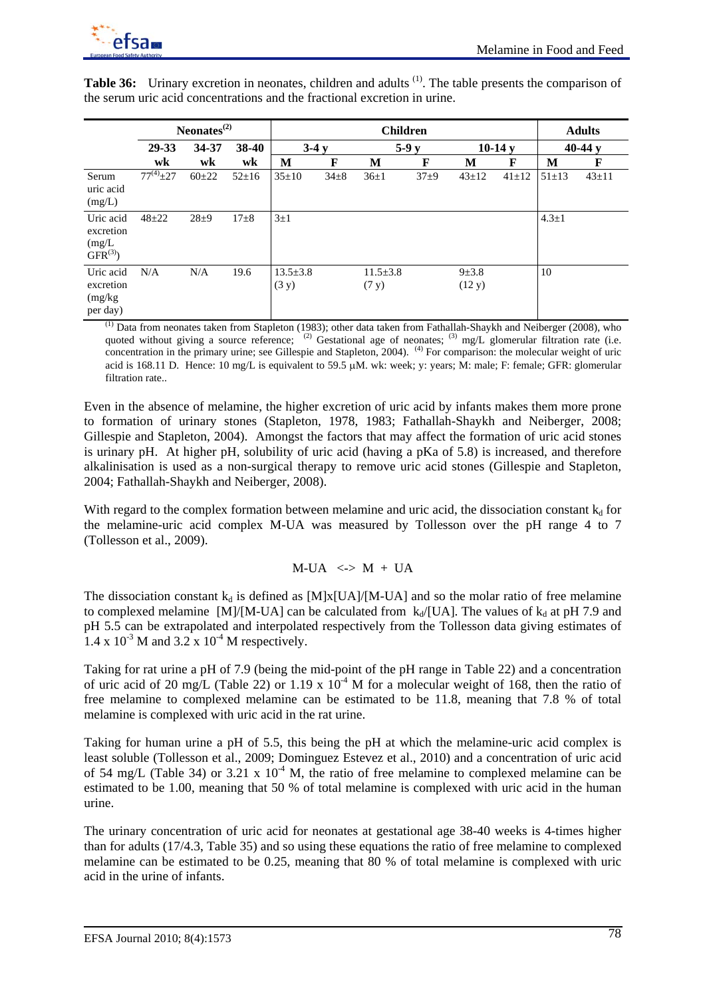

|                                                 |                   | $\textbf{Neonates}^{(2)}$ |             |                         | <b>Children</b> |                         |          |                     |             | <b>Adults</b> |             |
|-------------------------------------------------|-------------------|---------------------------|-------------|-------------------------|-----------------|-------------------------|----------|---------------------|-------------|---------------|-------------|
|                                                 | 29-33             | 34-37                     | 38-40       | $3-4v$                  |                 |                         | $5-9y$   |                     | $10-14$ v   |               | 40-44 $v$   |
|                                                 | wk                | wk                        | wk          | M                       | F               | M                       | F        | M                   | F           | M             | F           |
| Serum<br>uric acid<br>(mg/L)                    | $77^{(4)} \pm 27$ | $60+22$                   | $52 \pm 16$ | $35 \pm 10$             | $34\pm8$        | $36\pm1$                | $37\pm9$ | $43 \pm 12$         | $41 \pm 12$ | $51 \pm 13$   | $43 \pm 11$ |
| Uric acid<br>excretion<br>(mg/L)<br>$GFR^{(3)}$ | $48 + 22$         | $28 + 9$                  | $17\pm8$    | $3\pm1$                 |                 |                         |          |                     |             | $4.3 \pm 1$   |             |
| Uric acid<br>excretion<br>(mg/kg)<br>per day)   | N/A               | N/A                       | 19.6        | $13.5 \pm 3.8$<br>(3 y) |                 | $11.5 \pm 3.8$<br>(7 y) |          | $9 + 3.8$<br>(12 y) |             | 10            |             |

**Table 36:** Urinary excretion in neonates, children and adults <sup>(1)</sup>. The table presents the comparison of the serum uric acid concentrations and the fractional excretion in urine.

<sup>(1)</sup> Data from neonates taken from Stapleton (1983); other data taken from Fathallah-Shaykh and Neiberger (2008), who quoted without giving a source reference;  $^{(2)}$  Gestational age of neonates;  $^{(3)}$  mg/L glomerular filtration rate (i.e. concentration in the primary urine; see Gillespie and Stapleton, 2004).  $(4)$  For comparison: the molecular weight of uric acid is 168.11 D. Hence: 10 mg/L is equivalent to 59.5 μM. wk: week; y: years; M: male; F: female; GFR: glomerular filtration rate..

Even in the absence of melamine, the higher excretion of uric acid by infants makes them more prone to formation of urinary stones (Stapleton, 1978, 1983; Fathallah-Shaykh and Neiberger, 2008; Gillespie and Stapleton, 2004). Amongst the factors that may affect the formation of uric acid stones is urinary pH. At higher pH, solubility of uric acid (having a pKa of 5.8) is increased, and therefore alkalinisation is used as a non-surgical therapy to remove uric acid stones (Gillespie and Stapleton, 2004; Fathallah-Shaykh and Neiberger, 2008).

With regard to the complex formation between melamine and uric acid, the dissociation constant  $k_d$  for the melamine-uric acid complex M-UA was measured by Tollesson over the pH range 4 to 7 (Tollesson et al., 2009).

$$
M-UA \iff M + UA
$$

The dissociation constant  $k_d$  is defined as [M]x[UA]/[M-UA] and so the molar ratio of free melamine to complexed melamine [M]/[M-UA] can be calculated from  $k_d$ /[UA]. The values of  $k_d$  at pH 7.9 and pH 5.5 can be extrapolated and interpolated respectively from the Tollesson data giving estimates of  $1.4 \times 10^{-3}$  M and  $3.2 \times 10^{-4}$  M respectively.

Taking for rat urine a pH of 7.9 (being the mid-point of the pH range in Table 22) and a concentration of uric acid of 20 mg/L (Table 22) or 1.19 x  $10^{-4}$  M for a molecular weight of 168, then the ratio of free melamine to complexed melamine can be estimated to be 11.8, meaning that 7.8 % of total melamine is complexed with uric acid in the rat urine.

Taking for human urine a pH of 5.5, this being the pH at which the melamine-uric acid complex is least soluble (Tollesson et al., 2009; Dominguez Estevez et al., 2010) and a concentration of uric acid of 54 mg/L (Table 34) or 3.21 x  $10^{-4}$  M, the ratio of free melamine to complexed melamine can be estimated to be 1.00, meaning that 50 % of total melamine is complexed with uric acid in the human urine.

The urinary concentration of uric acid for neonates at gestational age 38-40 weeks is 4-times higher than for adults (17/4.3, Table 35) and so using these equations the ratio of free melamine to complexed melamine can be estimated to be 0.25, meaning that 80 % of total melamine is complexed with uric acid in the urine of infants.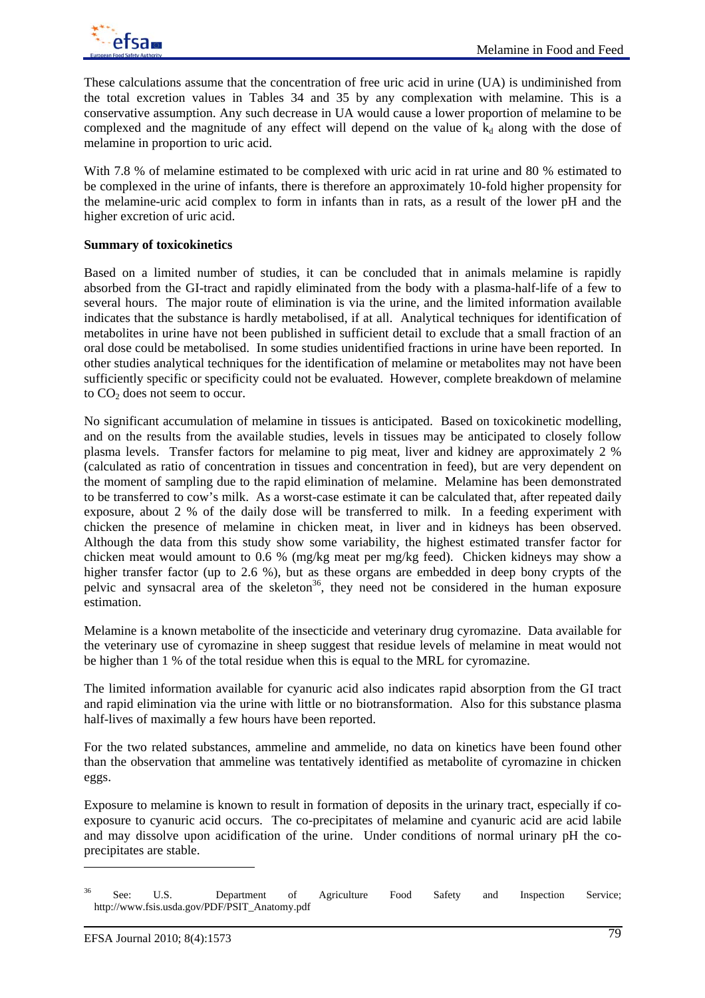

These calculations assume that the concentration of free uric acid in urine (UA) is undiminished from the total excretion values in Tables 34 and 35 by any complexation with melamine. This is a conservative assumption. Any such decrease in UA would cause a lower proportion of melamine to be complexed and the magnitude of any effect will depend on the value of  $k_d$  along with the dose of melamine in proportion to uric acid.

With 7.8 % of melamine estimated to be complexed with uric acid in rat urine and 80 % estimated to be complexed in the urine of infants, there is therefore an approximately 10-fold higher propensity for the melamine-uric acid complex to form in infants than in rats, as a result of the lower pH and the higher excretion of uric acid.

### **Summary of toxicokinetics**

Based on a limited number of studies, it can be concluded that in animals melamine is rapidly absorbed from the GI-tract and rapidly eliminated from the body with a plasma-half-life of a few to several hours. The major route of elimination is via the urine, and the limited information available indicates that the substance is hardly metabolised, if at all. Analytical techniques for identification of metabolites in urine have not been published in sufficient detail to exclude that a small fraction of an oral dose could be metabolised. In some studies unidentified fractions in urine have been reported. In other studies analytical techniques for the identification of melamine or metabolites may not have been sufficiently specific or specificity could not be evaluated. However, complete breakdown of melamine to  $CO<sub>2</sub>$  does not seem to occur.

No significant accumulation of melamine in tissues is anticipated. Based on toxicokinetic modelling, and on the results from the available studies, levels in tissues may be anticipated to closely follow plasma levels. Transfer factors for melamine to pig meat, liver and kidney are approximately 2 % (calculated as ratio of concentration in tissues and concentration in feed), but are very dependent on the moment of sampling due to the rapid elimination of melamine. Melamine has been demonstrated to be transferred to cow's milk. As a worst-case estimate it can be calculated that, after repeated daily exposure, about 2 % of the daily dose will be transferred to milk. In a feeding experiment with chicken the presence of melamine in chicken meat, in liver and in kidneys has been observed. Although the data from this study show some variability, the highest estimated transfer factor for chicken meat would amount to 0.6 % (mg/kg meat per mg/kg feed). Chicken kidneys may show a higher transfer factor (up to 2.6 %), but as these organs are embedded in deep bony crypts of the pelvic and synsacral area of the skeleton<sup>36</sup>, they need not be considered in the human exposure estimation.

Melamine is a known metabolite of the insecticide and veterinary drug cyromazine. Data available for the veterinary use of cyromazine in sheep suggest that residue levels of melamine in meat would not be higher than 1 % of the total residue when this is equal to the MRL for cyromazine.

The limited information available for cyanuric acid also indicates rapid absorption from the GI tract and rapid elimination via the urine with little or no biotransformation. Also for this substance plasma half-lives of maximally a few hours have been reported.

For the two related substances, ammeline and ammelide, no data on kinetics have been found other than the observation that ammeline was tentatively identified as metabolite of cyromazine in chicken eggs.

Exposure to melamine is known to result in formation of deposits in the urinary tract, especially if coexposure to cyanuric acid occurs. The co-precipitates of melamine and cyanuric acid are acid labile and may dissolve upon acidification of the urine. Under conditions of normal urinary pH the coprecipitates are stable.

l

<sup>&</sup>lt;sup>36</sup> See: U.S. Department of Agriculture Food Safety and Inspection Service; http://www.fsis.usda.gov/PDF/PSIT\_Anatomy.pdf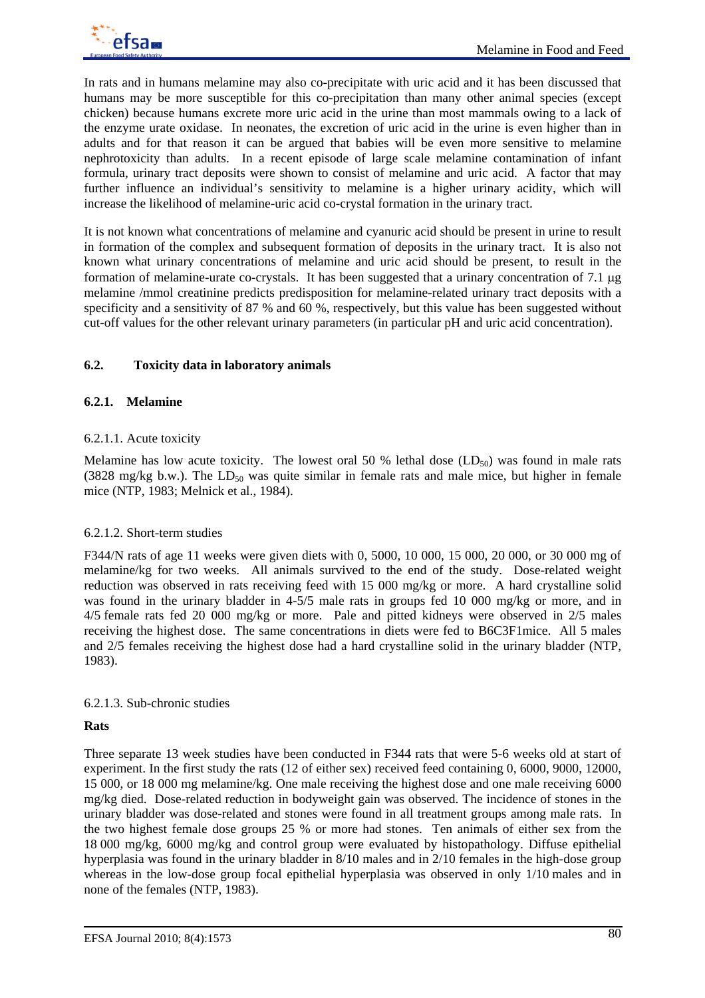

In rats and in humans melamine may also co-precipitate with uric acid and it has been discussed that humans may be more susceptible for this co-precipitation than many other animal species (except chicken) because humans excrete more uric acid in the urine than most mammals owing to a lack of the enzyme urate oxidase. In neonates, the excretion of uric acid in the urine is even higher than in adults and for that reason it can be argued that babies will be even more sensitive to melamine nephrotoxicity than adults. In a recent episode of large scale melamine contamination of infant formula, urinary tract deposits were shown to consist of melamine and uric acid. A factor that may further influence an individual's sensitivity to melamine is a higher urinary acidity, which will increase the likelihood of melamine-uric acid co-crystal formation in the urinary tract.

It is not known what concentrations of melamine and cyanuric acid should be present in urine to result in formation of the complex and subsequent formation of deposits in the urinary tract. It is also not known what urinary concentrations of melamine and uric acid should be present, to result in the formation of melamine-urate co-crystals. It has been suggested that a urinary concentration of 7.1 μg melamine /mmol creatinine predicts predisposition for melamine-related urinary tract deposits with a specificity and a sensitivity of 87 % and 60 %, respectively, but this value has been suggested without cut-off values for the other relevant urinary parameters (in particular pH and uric acid concentration).

## **6.2. Toxicity data in laboratory animals**

## **6.2.1. Melamine**

## 6.2.1.1. Acute toxicity

Melamine has low acute toxicity. The lowest oral 50 % lethal dose  $(LD_{50})$  was found in male rats (3828 mg/kg b.w.). The  $LD_{50}$  was quite similar in female rats and male mice, but higher in female mice (NTP, 1983; Melnick et al., 1984).

## 6.2.1.2. Short-term studies

F344/N rats of age 11 weeks were given diets with 0, 5000, 10 000, 15 000, 20 000, or 30 000 mg of melamine/kg for two weeks. All animals survived to the end of the study. Dose-related weight reduction was observed in rats receiving feed with 15 000 mg/kg or more. A hard crystalline solid was found in the urinary bladder in 4-5/5 male rats in groups fed 10 000 mg/kg or more, and in 4/5 female rats fed 20 000 mg/kg or more. Pale and pitted kidneys were observed in 2/5 males receiving the highest dose. The same concentrations in diets were fed to B6C3F1mice. All 5 males and 2/5 females receiving the highest dose had a hard crystalline solid in the urinary bladder (NTP, 1983).

## 6.2.1.3. Sub-chronic studies

#### **Rats**

Three separate 13 week studies have been conducted in F344 rats that were 5-6 weeks old at start of experiment. In the first study the rats (12 of either sex) received feed containing 0, 6000, 9000, 12000, 15 000, or 18 000 mg melamine/kg. One male receiving the highest dose and one male receiving 6000 mg/kg died. Dose-related reduction in bodyweight gain was observed. The incidence of stones in the urinary bladder was dose-related and stones were found in all treatment groups among male rats. In the two highest female dose groups 25 % or more had stones. Ten animals of either sex from the 18 000 mg/kg, 6000 mg/kg and control group were evaluated by histopathology. Diffuse epithelial hyperplasia was found in the urinary bladder in 8/10 males and in 2/10 females in the high-dose group whereas in the low-dose group focal epithelial hyperplasia was observed in only 1/10 males and in none of the females (NTP, 1983).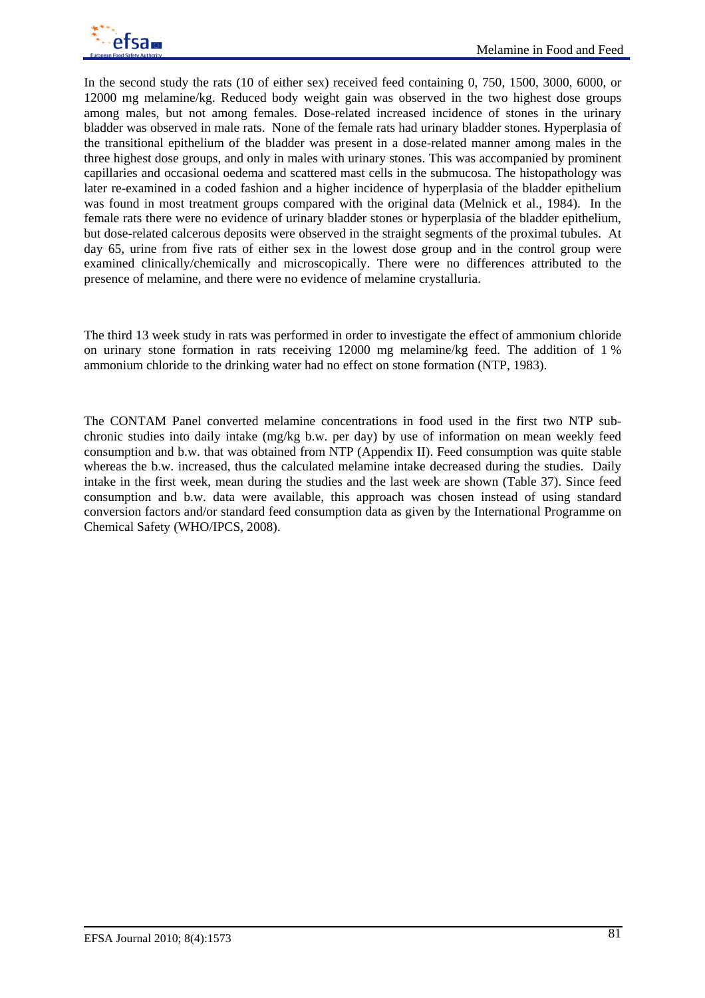

In the second study the rats (10 of either sex) received feed containing 0, 750, 1500, 3000, 6000, or 12000 mg melamine/kg. Reduced body weight gain was observed in the two highest dose groups among males, but not among females. Dose-related increased incidence of stones in the urinary bladder was observed in male rats. None of the female rats had urinary bladder stones. Hyperplasia of the transitional epithelium of the bladder was present in a dose-related manner among males in the three highest dose groups, and only in males with urinary stones. This was accompanied by prominent capillaries and occasional oedema and scattered mast cells in the submucosa. The histopathology was later re-examined in a coded fashion and a higher incidence of hyperplasia of the bladder epithelium was found in most treatment groups compared with the original data (Melnick et al., 1984). In the female rats there were no evidence of urinary bladder stones or hyperplasia of the bladder epithelium, but dose-related calcerous deposits were observed in the straight segments of the proximal tubules. At day 65, urine from five rats of either sex in the lowest dose group and in the control group were examined clinically/chemically and microscopically. There were no differences attributed to the presence of melamine, and there were no evidence of melamine crystalluria.

The third 13 week study in rats was performed in order to investigate the effect of ammonium chloride on urinary stone formation in rats receiving 12000 mg melamine/kg feed. The addition of 1 % ammonium chloride to the drinking water had no effect on stone formation (NTP, 1983).

The CONTAM Panel converted melamine concentrations in food used in the first two NTP subchronic studies into daily intake (mg/kg b.w. per day) by use of information on mean weekly feed consumption and b.w. that was obtained from NTP (Appendix II). Feed consumption was quite stable whereas the b.w. increased, thus the calculated melamine intake decreased during the studies. Daily intake in the first week, mean during the studies and the last week are shown (Table 37). Since feed consumption and b.w. data were available, this approach was chosen instead of using standard conversion factors and/or standard feed consumption data as given by the International Programme on Chemical Safety (WHO/IPCS, 2008).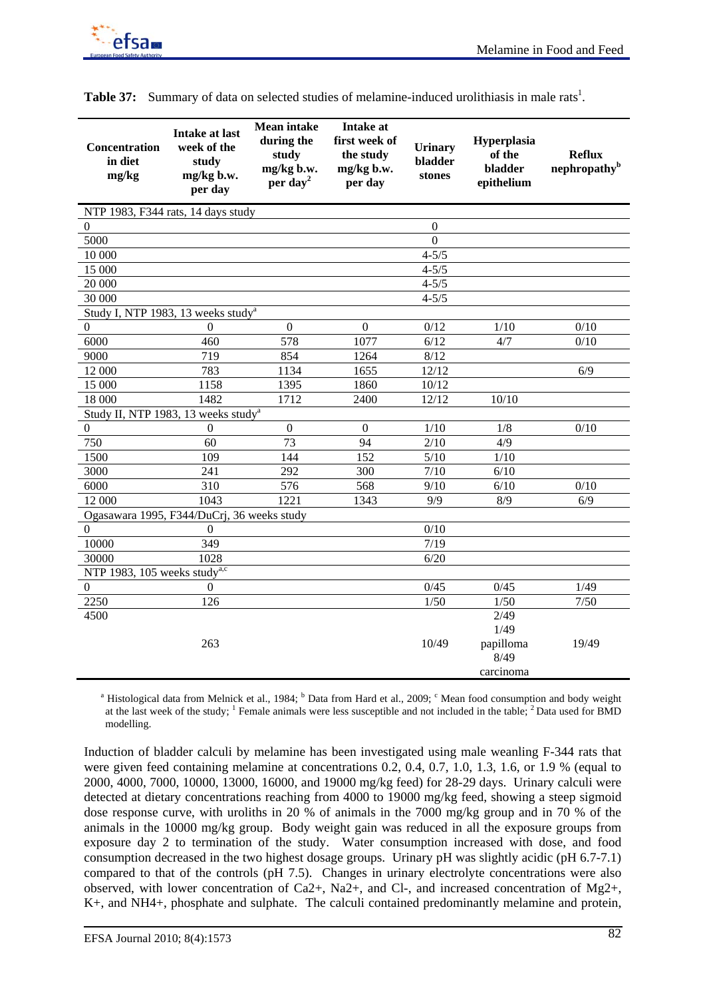

| <b>Concentration</b><br>in diet<br>mg/kg        | <b>Intake at last</b><br>week of the<br>study<br>mg/kg b.w.<br>per day | <b>Mean intake</b><br>during the<br>study<br>mg/kg b.w.<br>per day <sup>2</sup> | <b>Intake at</b><br>first week of<br>the study<br>mg/kg b.w.<br>per day | <b>Urinary</b><br>bladder<br>stones | Hyperplasia<br>of the<br>bladder<br>epithelium | <b>Reflux</b><br>nephropathy <sup>b</sup> |
|-------------------------------------------------|------------------------------------------------------------------------|---------------------------------------------------------------------------------|-------------------------------------------------------------------------|-------------------------------------|------------------------------------------------|-------------------------------------------|
| NTP 1983, F344 rats, 14 days study              |                                                                        |                                                                                 |                                                                         |                                     |                                                |                                           |
| $\Omega$                                        |                                                                        |                                                                                 |                                                                         | $\overline{0}$                      |                                                |                                           |
| 5000                                            |                                                                        |                                                                                 |                                                                         | $\overline{0}$                      |                                                |                                           |
| 10 000                                          |                                                                        |                                                                                 |                                                                         | $4 - 5/5$                           |                                                |                                           |
| 15 000                                          |                                                                        |                                                                                 |                                                                         | $4 - 5/5$                           |                                                |                                           |
| 20 000                                          |                                                                        |                                                                                 |                                                                         | $4 - 5/5$                           |                                                |                                           |
| 30 000                                          |                                                                        |                                                                                 |                                                                         | $4 - 5/5$                           |                                                |                                           |
| Study I, NTP 1983, 13 weeks study <sup>a</sup>  |                                                                        |                                                                                 |                                                                         |                                     |                                                |                                           |
| $\mathbf{0}$                                    | $\boldsymbol{0}$                                                       | $\mathbf{0}$                                                                    | $\boldsymbol{0}$                                                        | 0/12                                | 1/10                                           | 0/10                                      |
| 6000                                            | 460                                                                    | 578                                                                             | 1077                                                                    | 6/12                                | 4/7                                            | 0/10                                      |
| 9000                                            | 719                                                                    | 854                                                                             | 1264                                                                    | 8/12                                |                                                |                                           |
| 12 000                                          | 783                                                                    | 1134                                                                            | 1655                                                                    | 12/12                               |                                                | 6/9                                       |
| 15 000                                          | 1158                                                                   | 1395                                                                            | 1860                                                                    | 10/12                               |                                                |                                           |
| 18 000                                          | 1482                                                                   | 1712                                                                            | 2400                                                                    | 12/12                               | 10/10                                          |                                           |
| Study II, NTP 1983, 13 weeks study <sup>a</sup> |                                                                        |                                                                                 |                                                                         |                                     |                                                |                                           |
| $\boldsymbol{0}$                                | $\mathbf{0}$                                                           | $\boldsymbol{0}$                                                                | $\boldsymbol{0}$                                                        | 1/10                                | 1/8                                            | 0/10                                      |
| 750                                             | 60                                                                     | 73                                                                              | 94                                                                      | 2/10                                | 4/9                                            |                                           |
| 1500                                            | 109                                                                    | 144                                                                             | 152                                                                     | $5/10$                              | 1/10                                           |                                           |
| 3000                                            | 241                                                                    | 292                                                                             | 300                                                                     | 7/10                                | 6/10                                           |                                           |
| 6000                                            | 310                                                                    | 576                                                                             | 568                                                                     | 9/10                                | 6/10                                           | 0/10                                      |
| 12 000                                          | 1043                                                                   | 1221                                                                            | 1343                                                                    | 9/9                                 | 8/9                                            | 6/9                                       |
| Ogasawara 1995, F344/DuCrj, 36 weeks study      |                                                                        |                                                                                 |                                                                         |                                     |                                                |                                           |
| $\mathbf{0}$                                    | $\mathbf{0}$                                                           |                                                                                 |                                                                         | $0/10$                              |                                                |                                           |
| 10000                                           | 349                                                                    |                                                                                 |                                                                         | 7/19                                |                                                |                                           |
| 30000                                           | 1028                                                                   |                                                                                 |                                                                         | 6/20                                |                                                |                                           |
| NTP 1983, 105 weeks study <sup>a,c</sup>        |                                                                        |                                                                                 |                                                                         |                                     |                                                |                                           |
| $\mathbf{0}$                                    | $\overline{0}$                                                         |                                                                                 |                                                                         | 0/45                                | 0/45                                           | 1/49                                      |
| 2250                                            | 126                                                                    |                                                                                 |                                                                         | $1/50$                              | 1/50                                           | 7/50                                      |
| 4500                                            |                                                                        |                                                                                 |                                                                         |                                     | 2/49                                           |                                           |
|                                                 | 263                                                                    |                                                                                 |                                                                         | 10/49                               | 1/49<br>papilloma                              | 19/49                                     |
|                                                 |                                                                        |                                                                                 |                                                                         |                                     | 8/49<br>carcinoma                              |                                           |

|  |  |  |  | <b>Table 37:</b> Summary of data on selected studies of melamine-induced urolithiasis in male rats <sup>1</sup> . |
|--|--|--|--|-------------------------------------------------------------------------------------------------------------------|
|  |  |  |  |                                                                                                                   |

<sup>a</sup> Histological data from Melnick et al., 1984; <sup>b</sup> Data from Hard et al., 2009; <sup>c</sup> Mean food consumption and body weight at the last week of the study; <sup>1</sup> Female animals were less susceptible and not included in the table;  $2^2$  Data used for BMD modelling.

Induction of bladder calculi by melamine has been investigated using male weanling F-344 rats that were given feed containing melamine at concentrations 0.2, 0.4, 0.7, 1.0, 1.3, 1.6, or 1.9 % (equal to 2000, 4000, 7000, 10000, 13000, 16000, and 19000 mg/kg feed) for 28-29 days. Urinary calculi were detected at dietary concentrations reaching from 4000 to 19000 mg/kg feed, showing a steep sigmoid dose response curve, with uroliths in 20 % of animals in the 7000 mg/kg group and in 70 % of the animals in the 10000 mg/kg group. Body weight gain was reduced in all the exposure groups from exposure day 2 to termination of the study. Water consumption increased with dose, and food consumption decreased in the two highest dosage groups. Urinary pH was slightly acidic (pH 6.7-7.1) compared to that of the controls (pH 7.5). Changes in urinary electrolyte concentrations were also observed, with lower concentration of Ca2+, Na2+, and Cl-, and increased concentration of Mg2+, K+, and NH4+, phosphate and sulphate. The calculi contained predominantly melamine and protein,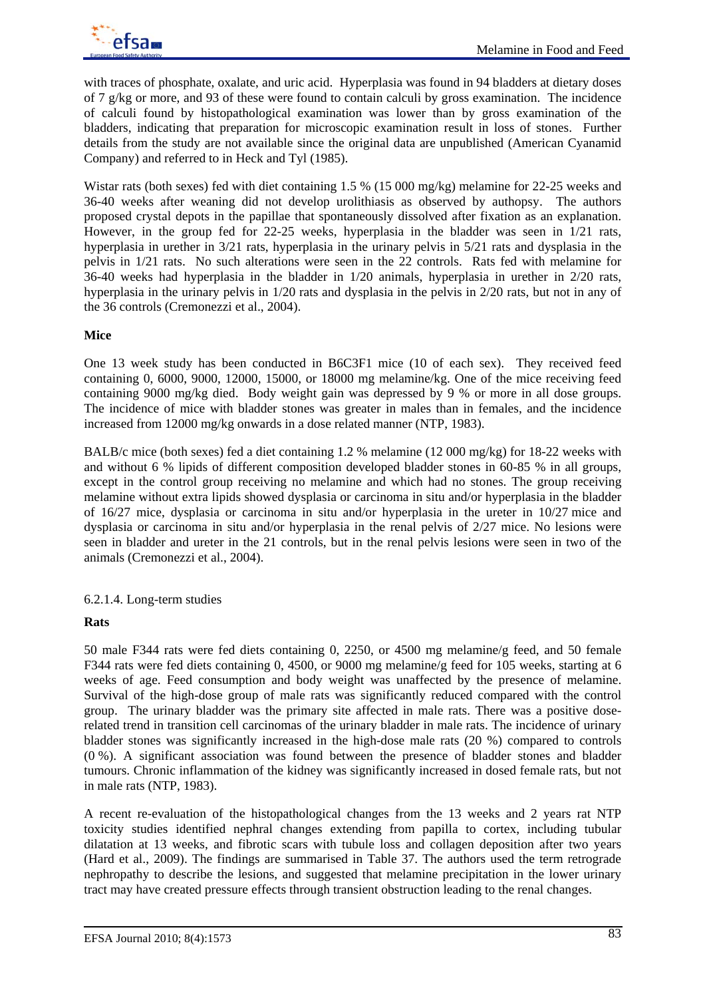with traces of phosphate, oxalate, and uric acid. Hyperplasia was found in 94 bladders at dietary doses of 7 g/kg or more, and 93 of these were found to contain calculi by gross examination. The incidence of calculi found by histopathological examination was lower than by gross examination of the bladders, indicating that preparation for microscopic examination result in loss of stones. Further details from the study are not available since the original data are unpublished (American Cyanamid Company) and referred to in Heck and Tyl (1985).

Wistar rats (both sexes) fed with diet containing 1.5 % (15 000 mg/kg) melamine for 22-25 weeks and 36-40 weeks after weaning did not develop urolithiasis as observed by authopsy. The authors proposed crystal depots in the papillae that spontaneously dissolved after fixation as an explanation. However, in the group fed for 22-25 weeks, hyperplasia in the bladder was seen in 1/21 rats, hyperplasia in urether in 3/21 rats, hyperplasia in the urinary pelvis in 5/21 rats and dysplasia in the pelvis in 1/21 rats. No such alterations were seen in the 22 controls. Rats fed with melamine for 36-40 weeks had hyperplasia in the bladder in 1/20 animals, hyperplasia in urether in 2/20 rats, hyperplasia in the urinary pelvis in 1/20 rats and dysplasia in the pelvis in 2/20 rats, but not in any of the 36 controls (Cremonezzi et al., 2004).

## **Mice**

One 13 week study has been conducted in B6C3F1 mice (10 of each sex). They received feed containing 0, 6000, 9000, 12000, 15000, or 18000 mg melamine/kg. One of the mice receiving feed containing 9000 mg/kg died. Body weight gain was depressed by 9 % or more in all dose groups. The incidence of mice with bladder stones was greater in males than in females, and the incidence increased from 12000 mg/kg onwards in a dose related manner (NTP, 1983).

BALB/c mice (both sexes) fed a diet containing 1.2 % melamine (12 000 mg/kg) for 18-22 weeks with and without 6 % lipids of different composition developed bladder stones in 60-85 % in all groups, except in the control group receiving no melamine and which had no stones. The group receiving melamine without extra lipids showed dysplasia or carcinoma in situ and/or hyperplasia in the bladder of 16/27 mice, dysplasia or carcinoma in situ and/or hyperplasia in the ureter in 10/27 mice and dysplasia or carcinoma in situ and/or hyperplasia in the renal pelvis of 2/27 mice. No lesions were seen in bladder and ureter in the 21 controls, but in the renal pelvis lesions were seen in two of the animals (Cremonezzi et al., 2004).

6.2.1.4. Long-term studies

## **Rats**

50 male F344 rats were fed diets containing 0, 2250, or 4500 mg melamine/g feed, and 50 female F344 rats were fed diets containing 0, 4500, or 9000 mg melamine/g feed for 105 weeks, starting at 6 weeks of age. Feed consumption and body weight was unaffected by the presence of melamine. Survival of the high-dose group of male rats was significantly reduced compared with the control group. The urinary bladder was the primary site affected in male rats. There was a positive doserelated trend in transition cell carcinomas of the urinary bladder in male rats. The incidence of urinary bladder stones was significantly increased in the high-dose male rats (20 %) compared to controls (0 %). A significant association was found between the presence of bladder stones and bladder tumours. Chronic inflammation of the kidney was significantly increased in dosed female rats, but not in male rats (NTP, 1983).

A recent re-evaluation of the histopathological changes from the 13 weeks and 2 years rat NTP toxicity studies identified nephral changes extending from papilla to cortex, including tubular dilatation at 13 weeks, and fibrotic scars with tubule loss and collagen deposition after two years (Hard et al., 2009). The findings are summarised in Table 37. The authors used the term retrograde nephropathy to describe the lesions, and suggested that melamine precipitation in the lower urinary tract may have created pressure effects through transient obstruction leading to the renal changes.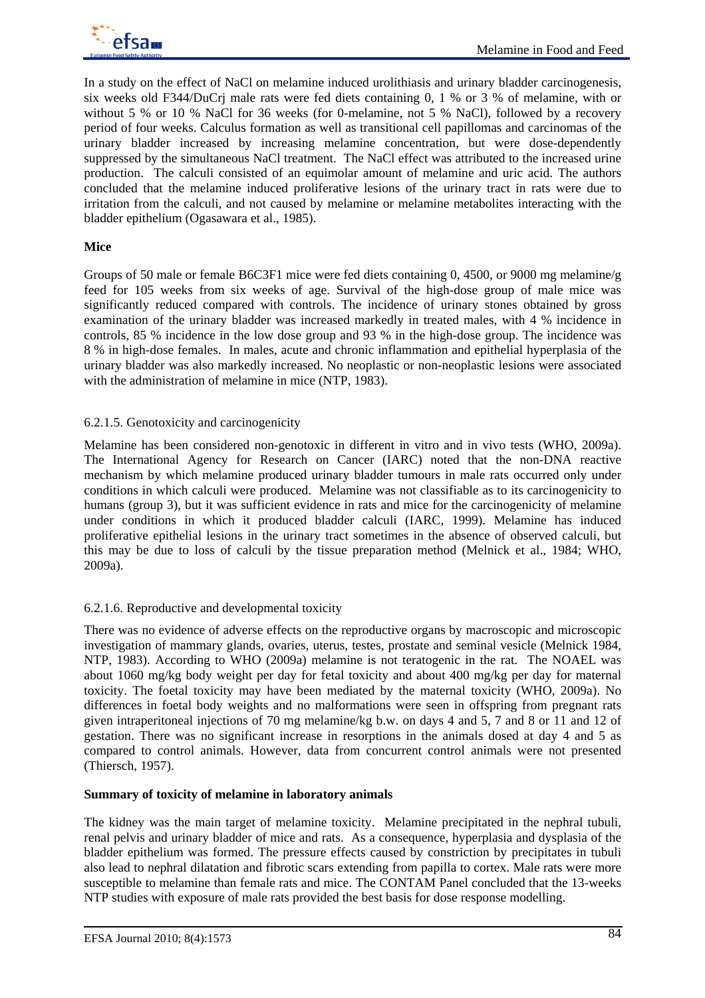

In a study on the effect of NaCl on melamine induced urolithiasis and urinary bladder carcinogenesis, six weeks old F344/DuCrj male rats were fed diets containing 0, 1 % or 3 % of melamine, with or without 5 % or 10 % NaCl for 36 weeks (for 0-melamine, not 5 % NaCl), followed by a recovery period of four weeks. Calculus formation as well as transitional cell papillomas and carcinomas of the urinary bladder increased by increasing melamine concentration, but were dose-dependently suppressed by the simultaneous NaCl treatment. The NaCl effect was attributed to the increased urine production. The calculi consisted of an equimolar amount of melamine and uric acid. The authors concluded that the melamine induced proliferative lesions of the urinary tract in rats were due to irritation from the calculi, and not caused by melamine or melamine metabolites interacting with the bladder epithelium (Ogasawara et al., 1985).

### **Mice**

Groups of 50 male or female B6C3F1 mice were fed diets containing 0, 4500, or 9000 mg melamine/g feed for 105 weeks from six weeks of age. Survival of the high-dose group of male mice was significantly reduced compared with controls. The incidence of urinary stones obtained by gross examination of the urinary bladder was increased markedly in treated males, with 4 % incidence in controls, 85 % incidence in the low dose group and 93 % in the high-dose group. The incidence was 8 % in high-dose females. In males, acute and chronic inflammation and epithelial hyperplasia of the urinary bladder was also markedly increased. No neoplastic or non-neoplastic lesions were associated with the administration of melamine in mice (NTP, 1983).

### 6.2.1.5. Genotoxicity and carcinogenicity

Melamine has been considered non-genotoxic in different in vitro and in vivo tests (WHO, 2009a). The International Agency for Research on Cancer (IARC) noted that the non-DNA reactive mechanism by which melamine produced urinary bladder tumours in male rats occurred only under conditions in which calculi were produced. Melamine was not classifiable as to its carcinogenicity to humans (group 3), but it was sufficient evidence in rats and mice for the carcinogenicity of melamine under conditions in which it produced bladder calculi (IARC, 1999). Melamine has induced proliferative epithelial lesions in the urinary tract sometimes in the absence of observed calculi, but this may be due to loss of calculi by the tissue preparation method (Melnick et al., 1984; WHO, 2009a).

## 6.2.1.6. Reproductive and developmental toxicity

There was no evidence of adverse effects on the reproductive organs by macroscopic and microscopic investigation of mammary glands, ovaries, uterus, testes, prostate and seminal vesicle (Melnick 1984, NTP, 1983). According to WHO (2009a) melamine is not teratogenic in the rat. The NOAEL was about 1060 mg/kg body weight per day for fetal toxicity and about 400 mg/kg per day for maternal toxicity. The foetal toxicity may have been mediated by the maternal toxicity (WHO, 2009a). No differences in foetal body weights and no malformations were seen in offspring from pregnant rats given intraperitoneal injections of 70 mg melamine/kg b.w. on days 4 and 5, 7 and 8 or 11 and 12 of gestation. There was no significant increase in resorptions in the animals dosed at day 4 and 5 as compared to control animals. However, data from concurrent control animals were not presented (Thiersch, 1957).

#### **Summary of toxicity of melamine in laboratory animals**

The kidney was the main target of melamine toxicity. Melamine precipitated in the nephral tubuli, renal pelvis and urinary bladder of mice and rats. As a consequence, hyperplasia and dysplasia of the bladder epithelium was formed. The pressure effects caused by constriction by precipitates in tubuli also lead to nephral dilatation and fibrotic scars extending from papilla to cortex. Male rats were more susceptible to melamine than female rats and mice. The CONTAM Panel concluded that the 13-weeks NTP studies with exposure of male rats provided the best basis for dose response modelling.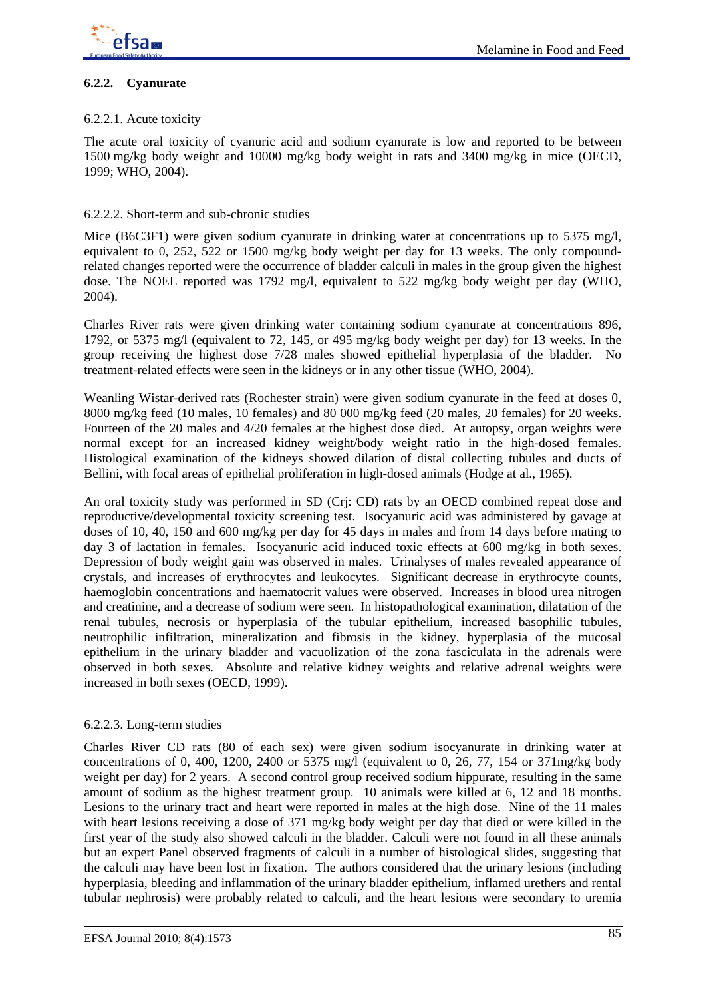

### **6.2.2. Cyanurate**

### 6.2.2.1. Acute toxicity

The acute oral toxicity of cyanuric acid and sodium cyanurate is low and reported to be between 1500 mg/kg body weight and 10000 mg/kg body weight in rats and 3400 mg/kg in mice (OECD, 1999; WHO, 2004).

### 6.2.2.2. Short-term and sub-chronic studies

Mice (B6C3F1) were given sodium cyanurate in drinking water at concentrations up to 5375 mg/l, equivalent to 0, 252, 522 or 1500 mg/kg body weight per day for 13 weeks. The only compoundrelated changes reported were the occurrence of bladder calculi in males in the group given the highest dose. The NOEL reported was 1792 mg/l, equivalent to 522 mg/kg body weight per day (WHO, 2004).

Charles River rats were given drinking water containing sodium cyanurate at concentrations 896, 1792, or 5375 mg/l (equivalent to 72, 145, or 495 mg/kg body weight per day) for 13 weeks. In the group receiving the highest dose 7/28 males showed epithelial hyperplasia of the bladder. No treatment-related effects were seen in the kidneys or in any other tissue (WHO, 2004).

Weanling Wistar-derived rats (Rochester strain) were given sodium cyanurate in the feed at doses 0, 8000 mg/kg feed (10 males, 10 females) and 80 000 mg/kg feed (20 males, 20 females) for 20 weeks. Fourteen of the 20 males and 4/20 females at the highest dose died. At autopsy, organ weights were normal except for an increased kidney weight/body weight ratio in the high-dosed females. Histological examination of the kidneys showed dilation of distal collecting tubules and ducts of Bellini, with focal areas of epithelial proliferation in high-dosed animals (Hodge at al., 1965).

An oral toxicity study was performed in SD (Crj: CD) rats by an OECD combined repeat dose and reproductive/developmental toxicity screening test. Isocyanuric acid was administered by gavage at doses of 10, 40, 150 and 600 mg/kg per day for 45 days in males and from 14 days before mating to day 3 of lactation in females. Isocyanuric acid induced toxic effects at 600 mg/kg in both sexes. Depression of body weight gain was observed in males. Urinalyses of males revealed appearance of crystals, and increases of erythrocytes and leukocytes. Significant decrease in erythrocyte counts, haemoglobin concentrations and haematocrit values were observed. Increases in blood urea nitrogen and creatinine, and a decrease of sodium were seen. In histopathological examination, dilatation of the renal tubules, necrosis or hyperplasia of the tubular epithelium, increased basophilic tubules, neutrophilic infiltration, mineralization and fibrosis in the kidney, hyperplasia of the mucosal epithelium in the urinary bladder and vacuolization of the zona fasciculata in the adrenals were observed in both sexes. Absolute and relative kidney weights and relative adrenal weights were increased in both sexes (OECD, 1999).

## 6.2.2.3. Long-term studies

Charles River CD rats (80 of each sex) were given sodium isocyanurate in drinking water at concentrations of 0, 400, 1200, 2400 or 5375 mg/l (equivalent to 0, 26, 77, 154 or 371mg/kg body weight per day) for 2 years. A second control group received sodium hippurate, resulting in the same amount of sodium as the highest treatment group. 10 animals were killed at 6, 12 and 18 months. Lesions to the urinary tract and heart were reported in males at the high dose. Nine of the 11 males with heart lesions receiving a dose of 371 mg/kg body weight per day that died or were killed in the first year of the study also showed calculi in the bladder. Calculi were not found in all these animals but an expert Panel observed fragments of calculi in a number of histological slides, suggesting that the calculi may have been lost in fixation. The authors considered that the urinary lesions (including hyperplasia, bleeding and inflammation of the urinary bladder epithelium, inflamed urethers and rental tubular nephrosis) were probably related to calculi, and the heart lesions were secondary to uremia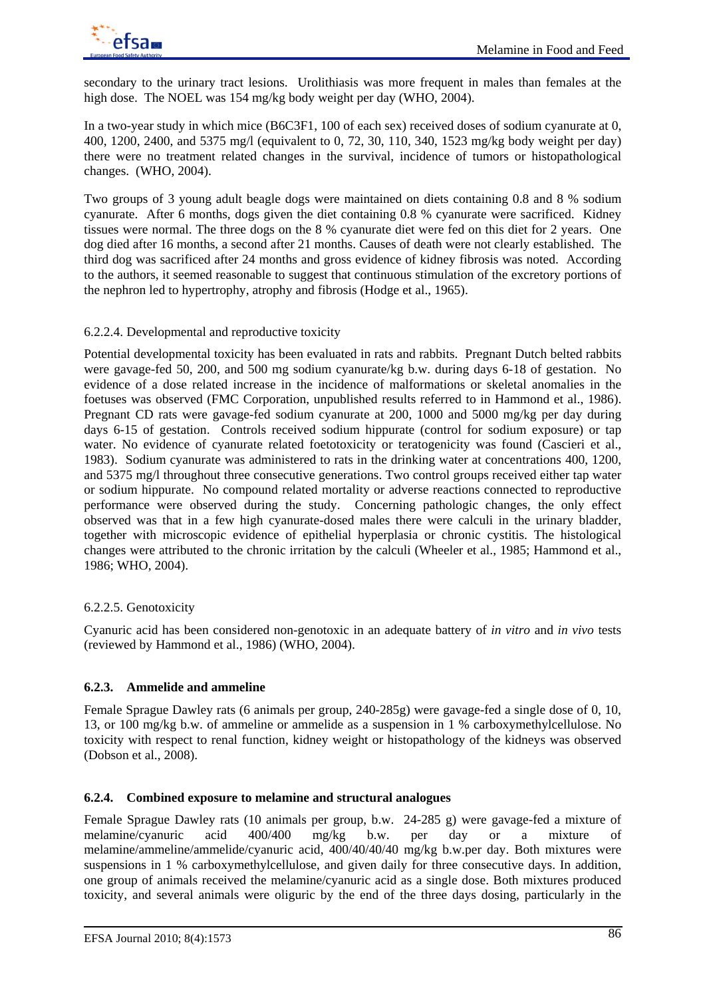secondary to the urinary tract lesions. Urolithiasis was more frequent in males than females at the high dose. The NOEL was 154 mg/kg body weight per day (WHO, 2004).

In a two-year study in which mice (B6C3F1, 100 of each sex) received doses of sodium cyanurate at 0, 400, 1200, 2400, and 5375 mg/l (equivalent to 0, 72, 30, 110, 340, 1523 mg/kg body weight per day) there were no treatment related changes in the survival, incidence of tumors or histopathological changes. (WHO, 2004).

Two groups of 3 young adult beagle dogs were maintained on diets containing 0.8 and 8 % sodium cyanurate. After 6 months, dogs given the diet containing 0.8 % cyanurate were sacrificed. Kidney tissues were normal. The three dogs on the 8 % cyanurate diet were fed on this diet for 2 years. One dog died after 16 months, a second after 21 months. Causes of death were not clearly established. The third dog was sacrificed after 24 months and gross evidence of kidney fibrosis was noted. According to the authors, it seemed reasonable to suggest that continuous stimulation of the excretory portions of the nephron led to hypertrophy, atrophy and fibrosis (Hodge et al., 1965).

## 6.2.2.4. Developmental and reproductive toxicity

Potential developmental toxicity has been evaluated in rats and rabbits. Pregnant Dutch belted rabbits were gavage-fed 50, 200, and 500 mg sodium cyanurate/kg b.w. during days 6-18 of gestation. No evidence of a dose related increase in the incidence of malformations or skeletal anomalies in the foetuses was observed (FMC Corporation, unpublished results referred to in Hammond et al., 1986). Pregnant CD rats were gavage-fed sodium cyanurate at 200, 1000 and 5000 mg/kg per day during days 6-15 of gestation. Controls received sodium hippurate (control for sodium exposure) or tap water. No evidence of cyanurate related foetotoxicity or teratogenicity was found (Cascieri et al., 1983). Sodium cyanurate was administered to rats in the drinking water at concentrations 400, 1200, and 5375 mg/l throughout three consecutive generations. Two control groups received either tap water or sodium hippurate. No compound related mortality or adverse reactions connected to reproductive performance were observed during the study. Concerning pathologic changes, the only effect observed was that in a few high cyanurate-dosed males there were calculi in the urinary bladder, together with microscopic evidence of epithelial hyperplasia or chronic cystitis. The histological changes were attributed to the chronic irritation by the calculi (Wheeler et al., 1985; Hammond et al., 1986; WHO, 2004).

## 6.2.2.5. Genotoxicity

Cyanuric acid has been considered non-genotoxic in an adequate battery of *in vitro* and *in vivo* tests (reviewed by Hammond et al., 1986) (WHO, 2004).

## **6.2.3. Ammelide and ammeline**

Female Sprague Dawley rats (6 animals per group, 240-285g) were gavage-fed a single dose of 0, 10, 13, or 100 mg/kg b.w. of ammeline or ammelide as a suspension in 1 % carboxymethylcellulose. No toxicity with respect to renal function, kidney weight or histopathology of the kidneys was observed (Dobson et al., 2008).

## **6.2.4. Combined exposure to melamine and structural analogues**

Female Sprague Dawley rats (10 animals per group, b.w. 24-285 g) were gavage-fed a mixture of melamine/cyanuric acid 400/400 mg/kg b.w. per day or a mixture of melamine/ammeline/ammelide/cyanuric acid, 400/40/40/40 mg/kg b.w.per day. Both mixtures were suspensions in 1 % carboxymethylcellulose, and given daily for three consecutive days. In addition, one group of animals received the melamine/cyanuric acid as a single dose. Both mixtures produced toxicity, and several animals were oliguric by the end of the three days dosing, particularly in the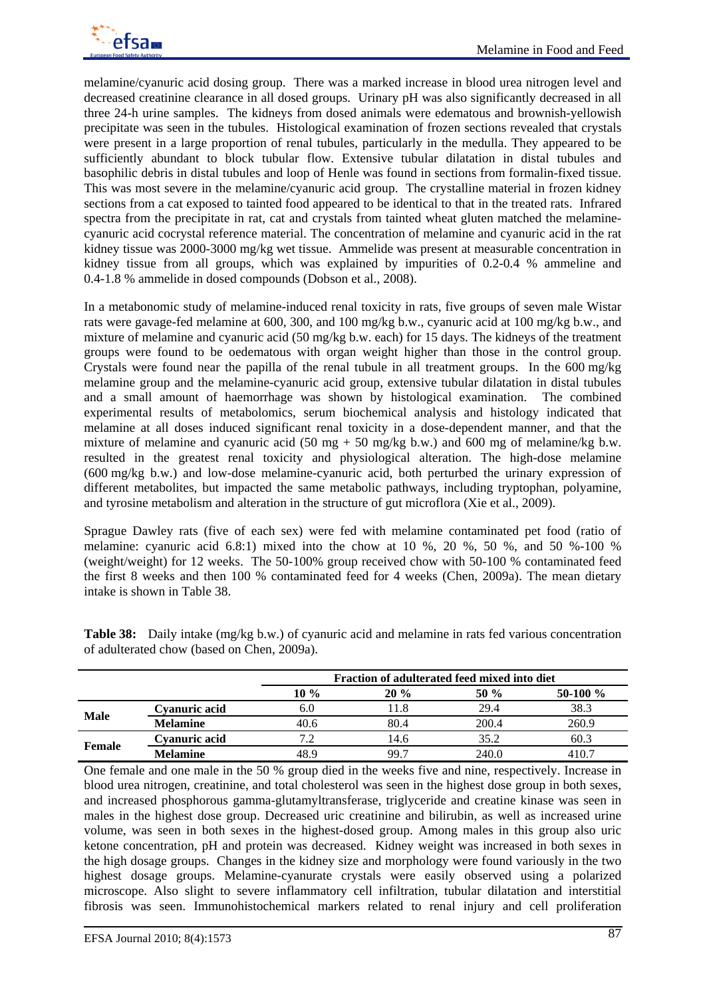

melamine/cyanuric acid dosing group. There was a marked increase in blood urea nitrogen level and decreased creatinine clearance in all dosed groups. Urinary pH was also significantly decreased in all three 24-h urine samples. The kidneys from dosed animals were edematous and brownish-yellowish precipitate was seen in the tubules. Histological examination of frozen sections revealed that crystals were present in a large proportion of renal tubules, particularly in the medulla. They appeared to be sufficiently abundant to block tubular flow. Extensive tubular dilatation in distal tubules and basophilic debris in distal tubules and loop of Henle was found in sections from formalin-fixed tissue. This was most severe in the melamine/cyanuric acid group. The crystalline material in frozen kidney sections from a cat exposed to tainted food appeared to be identical to that in the treated rats. Infrared spectra from the precipitate in rat, cat and crystals from tainted wheat gluten matched the melaminecyanuric acid cocrystal reference material. The concentration of melamine and cyanuric acid in the rat kidney tissue was 2000-3000 mg/kg wet tissue. Ammelide was present at measurable concentration in kidney tissue from all groups, which was explained by impurities of 0.2-0.4 % ammeline and 0.4-1.8 % ammelide in dosed compounds (Dobson et al., 2008).

In a metabonomic study of melamine-induced renal toxicity in rats, five groups of seven male Wistar rats were gavage-fed melamine at 600, 300, and 100 mg/kg b.w., cyanuric acid at 100 mg/kg b.w., and mixture of melamine and cyanuric acid (50 mg/kg b.w. each) for 15 days. The kidneys of the treatment groups were found to be oedematous with organ weight higher than those in the control group. Crystals were found near the papilla of the renal tubule in all treatment groups. In the 600 mg/kg melamine group and the melamine-cyanuric acid group, extensive tubular dilatation in distal tubules and a small amount of haemorrhage was shown by histological examination. The combined experimental results of metabolomics, serum biochemical analysis and histology indicated that melamine at all doses induced significant renal toxicity in a dose-dependent manner, and that the mixture of melamine and cyanuric acid (50 mg + 50 mg/kg b.w.) and 600 mg of melamine/kg b.w. resulted in the greatest renal toxicity and physiological alteration. The high-dose melamine (600 mg/kg b.w.) and low-dose melamine-cyanuric acid, both perturbed the urinary expression of different metabolites, but impacted the same metabolic pathways, including tryptophan, polyamine, and tyrosine metabolism and alteration in the structure of gut microflora (Xie et al., 2009).

Sprague Dawley rats (five of each sex) were fed with melamine contaminated pet food (ratio of melamine: cyanuric acid 6.8:1) mixed into the chow at 10 %, 20 %, 50 %, and 50 %-100 % (weight/weight) for 12 weeks. The 50-100% group received chow with 50-100 % contaminated feed the first 8 weeks and then 100 % contaminated feed for 4 weeks (Chen, 2009a). The mean dietary intake is shown in Table 38.

|             |                 | Fraction of adulterated feed mixed into diet |        |       |             |  |  |  |
|-------------|-----------------|----------------------------------------------|--------|-------|-------------|--|--|--|
|             |                 | 10 %                                         | $20\%$ | 50%   | 50-100 $\%$ |  |  |  |
|             | Cvanuric acid   | 6.0                                          | .1.8   | 29.4  | 38.3        |  |  |  |
| <b>Male</b> | <b>Melamine</b> | 40.6                                         | 80.4   | 200.4 | 260.9       |  |  |  |
| Female      | Cyanuric acid   | 7.2                                          | 14.6   | 35.2  | 60.3        |  |  |  |
|             | <b>Melamine</b> | 48.9                                         | 99.7   | 240.0 | 410.7       |  |  |  |

**Table 38:** Daily intake (mg/kg b.w.) of cyanuric acid and melamine in rats fed various concentration of adulterated chow (based on Chen, 2009a).

One female and one male in the 50 % group died in the weeks five and nine, respectively. Increase in blood urea nitrogen, creatinine, and total cholesterol was seen in the highest dose group in both sexes, and increased phosphorous gamma-glutamyltransferase, triglyceride and creatine kinase was seen in males in the highest dose group. Decreased uric creatinine and bilirubin, as well as increased urine volume, was seen in both sexes in the highest-dosed group. Among males in this group also uric ketone concentration, pH and protein was decreased. Kidney weight was increased in both sexes in the high dosage groups. Changes in the kidney size and morphology were found variously in the two highest dosage groups. Melamine-cyanurate crystals were easily observed using a polarized microscope. Also slight to severe inflammatory cell infiltration, tubular dilatation and interstitial fibrosis was seen. Immunohistochemical markers related to renal injury and cell proliferation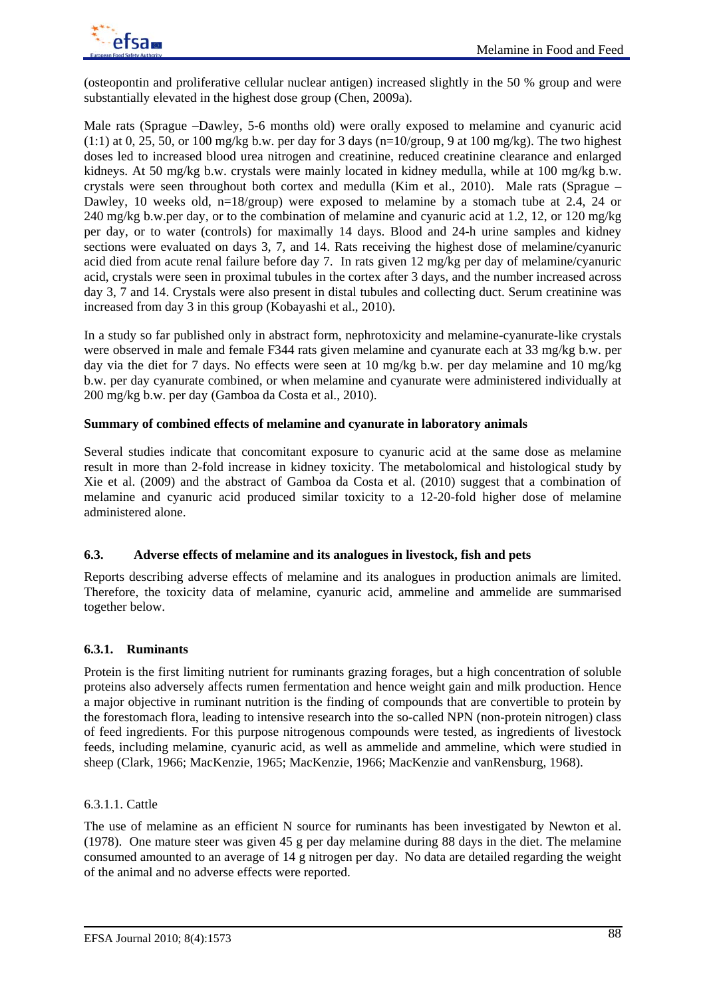

(osteopontin and proliferative cellular nuclear antigen) increased slightly in the 50 % group and were substantially elevated in the highest dose group (Chen, 2009a).

Male rats (Sprague –Dawley, 5-6 months old) were orally exposed to melamine and cyanuric acid (1:1) at 0, 25, 50, or 100 mg/kg b.w. per day for 3 days (n=10/group, 9 at 100 mg/kg). The two highest doses led to increased blood urea nitrogen and creatinine, reduced creatinine clearance and enlarged kidneys. At 50 mg/kg b.w. crystals were mainly located in kidney medulla, while at 100 mg/kg b.w. crystals were seen throughout both cortex and medulla (Kim et al., 2010). Male rats (Sprague – Dawley, 10 weeks old, n=18/group) were exposed to melamine by a stomach tube at 2.4, 24 or 240 mg/kg b.w.per day, or to the combination of melamine and cyanuric acid at 1.2, 12, or 120 mg/kg per day, or to water (controls) for maximally 14 days. Blood and 24-h urine samples and kidney sections were evaluated on days 3, 7, and 14. Rats receiving the highest dose of melamine/cyanuric acid died from acute renal failure before day 7. In rats given 12 mg/kg per day of melamine/cyanuric acid, crystals were seen in proximal tubules in the cortex after 3 days, and the number increased across day 3, 7 and 14. Crystals were also present in distal tubules and collecting duct. Serum creatinine was increased from day 3 in this group (Kobayashi et al., 2010).

In a study so far published only in abstract form, nephrotoxicity and melamine-cyanurate-like crystals were observed in male and female F344 rats given melamine and cyanurate each at 33 mg/kg b.w. per day via the diet for 7 days. No effects were seen at 10 mg/kg b.w. per day melamine and 10 mg/kg b.w. per day cyanurate combined, or when melamine and cyanurate were administered individually at 200 mg/kg b.w. per day (Gamboa da Costa et al., 2010).

### **Summary of combined effects of melamine and cyanurate in laboratory animals**

Several studies indicate that concomitant exposure to cyanuric acid at the same dose as melamine result in more than 2-fold increase in kidney toxicity. The metabolomical and histological study by Xie et al. (2009) and the abstract of Gamboa da Costa et al. (2010) suggest that a combination of melamine and cyanuric acid produced similar toxicity to a 12-20-fold higher dose of melamine administered alone.

## **6.3. Adverse effects of melamine and its analogues in livestock, fish and pets**

Reports describing adverse effects of melamine and its analogues in production animals are limited. Therefore, the toxicity data of melamine, cyanuric acid, ammeline and ammelide are summarised together below.

## **6.3.1. Ruminants**

Protein is the first limiting nutrient for ruminants grazing forages, but a high concentration of soluble proteins also adversely affects rumen fermentation and hence weight gain and milk production. Hence a major objective in ruminant nutrition is the finding of compounds that are convertible to protein by the forestomach flora, leading to intensive research into the so-called NPN (non-protein nitrogen) class of feed ingredients. For this purpose nitrogenous compounds were tested, as ingredients of livestock feeds, including melamine, cyanuric acid, as well as ammelide and ammeline, which were studied in sheep (Clark, 1966; MacKenzie, 1965; MacKenzie, 1966; MacKenzie and vanRensburg, 1968).

6.3.1.1. Cattle

The use of melamine as an efficient N source for ruminants has been investigated by Newton et al. (1978). One mature steer was given 45 g per day melamine during 88 days in the diet. The melamine consumed amounted to an average of 14 g nitrogen per day. No data are detailed regarding the weight of the animal and no adverse effects were reported.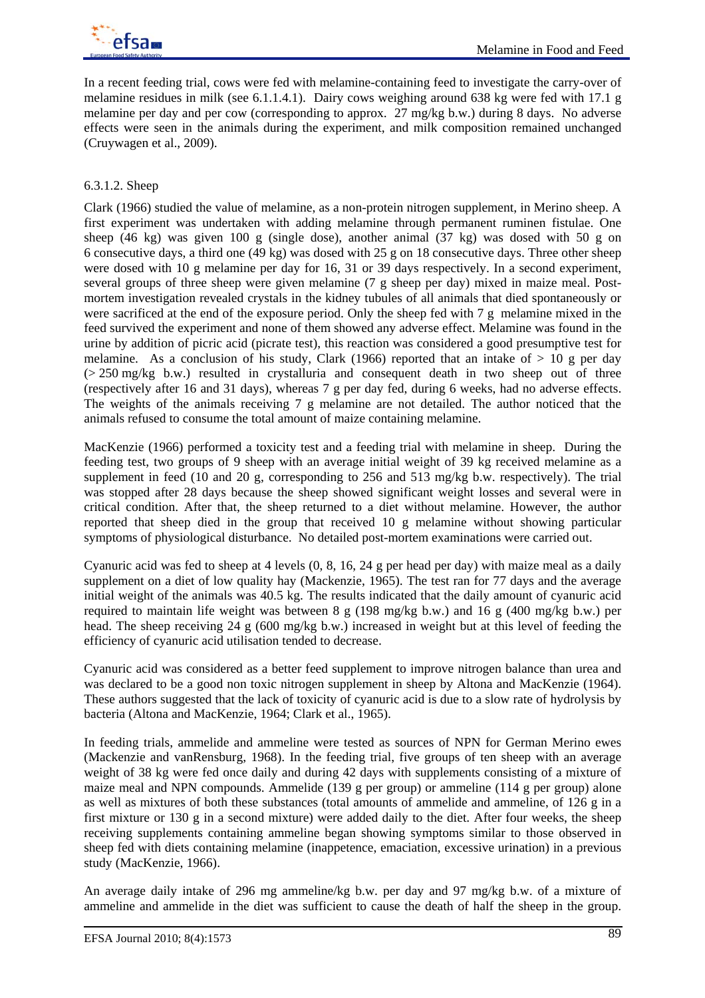

In a recent feeding trial, cows were fed with melamine-containing feed to investigate the carry-over of melamine residues in milk (see 6.1.1.4.1). Dairy cows weighing around 638 kg were fed with 17.1 g melamine per day and per cow (corresponding to approx. 27 mg/kg b.w.) during 8 days. No adverse effects were seen in the animals during the experiment, and milk composition remained unchanged (Cruywagen et al., 2009).

# 6.3.1.2. Sheep

Clark (1966) studied the value of melamine, as a non-protein nitrogen supplement, in Merino sheep. A first experiment was undertaken with adding melamine through permanent ruminen fistulae. One sheep (46 kg) was given 100 g (single dose), another animal (37 kg) was dosed with 50 g on 6 consecutive days, a third one (49 kg) was dosed with 25 g on 18 consecutive days. Three other sheep were dosed with 10 g melamine per day for 16, 31 or 39 days respectively. In a second experiment, several groups of three sheep were given melamine (7 g sheep per day) mixed in maize meal. Postmortem investigation revealed crystals in the kidney tubules of all animals that died spontaneously or were sacrificed at the end of the exposure period. Only the sheep fed with 7 g melamine mixed in the feed survived the experiment and none of them showed any adverse effect. Melamine was found in the urine by addition of picric acid (picrate test), this reaction was considered a good presumptive test for melamine. As a conclusion of his study, Clark (1966) reported that an intake of  $> 10$  g per day (> 250 mg/kg b.w.) resulted in crystalluria and consequent death in two sheep out of three (respectively after 16 and 31 days), whereas 7 g per day fed, during 6 weeks, had no adverse effects. The weights of the animals receiving 7 g melamine are not detailed. The author noticed that the animals refused to consume the total amount of maize containing melamine.

MacKenzie (1966) performed a toxicity test and a feeding trial with melamine in sheep. During the feeding test, two groups of 9 sheep with an average initial weight of 39 kg received melamine as a supplement in feed (10 and 20 g, corresponding to 256 and 513 mg/kg b.w. respectively). The trial was stopped after 28 days because the sheep showed significant weight losses and several were in critical condition. After that, the sheep returned to a diet without melamine. However, the author reported that sheep died in the group that received 10 g melamine without showing particular symptoms of physiological disturbance. No detailed post-mortem examinations were carried out.

Cyanuric acid was fed to sheep at 4 levels (0, 8, 16, 24 g per head per day) with maize meal as a daily supplement on a diet of low quality hay (Mackenzie, 1965). The test ran for 77 days and the average initial weight of the animals was 40.5 kg. The results indicated that the daily amount of cyanuric acid required to maintain life weight was between 8 g (198 mg/kg b.w.) and 16 g (400 mg/kg b.w.) per head. The sheep receiving 24 g (600 mg/kg b.w.) increased in weight but at this level of feeding the efficiency of cyanuric acid utilisation tended to decrease.

Cyanuric acid was considered as a better feed supplement to improve nitrogen balance than urea and was declared to be a good non toxic nitrogen supplement in sheep by Altona and MacKenzie (1964). These authors suggested that the lack of toxicity of cyanuric acid is due to a slow rate of hydrolysis by bacteria (Altona and MacKenzie, 1964; Clark et al., 1965).

In feeding trials, ammelide and ammeline were tested as sources of NPN for German Merino ewes (Mackenzie and vanRensburg, 1968). In the feeding trial, five groups of ten sheep with an average weight of 38 kg were fed once daily and during 42 days with supplements consisting of a mixture of maize meal and NPN compounds. Ammelide (139 g per group) or ammeline (114 g per group) alone as well as mixtures of both these substances (total amounts of ammelide and ammeline, of 126 g in a first mixture or 130 g in a second mixture) were added daily to the diet. After four weeks, the sheep receiving supplements containing ammeline began showing symptoms similar to those observed in sheep fed with diets containing melamine (inappetence, emaciation, excessive urination) in a previous study (MacKenzie, 1966).

An average daily intake of 296 mg ammeline/kg b.w. per day and 97 mg/kg b.w. of a mixture of ammeline and ammelide in the diet was sufficient to cause the death of half the sheep in the group.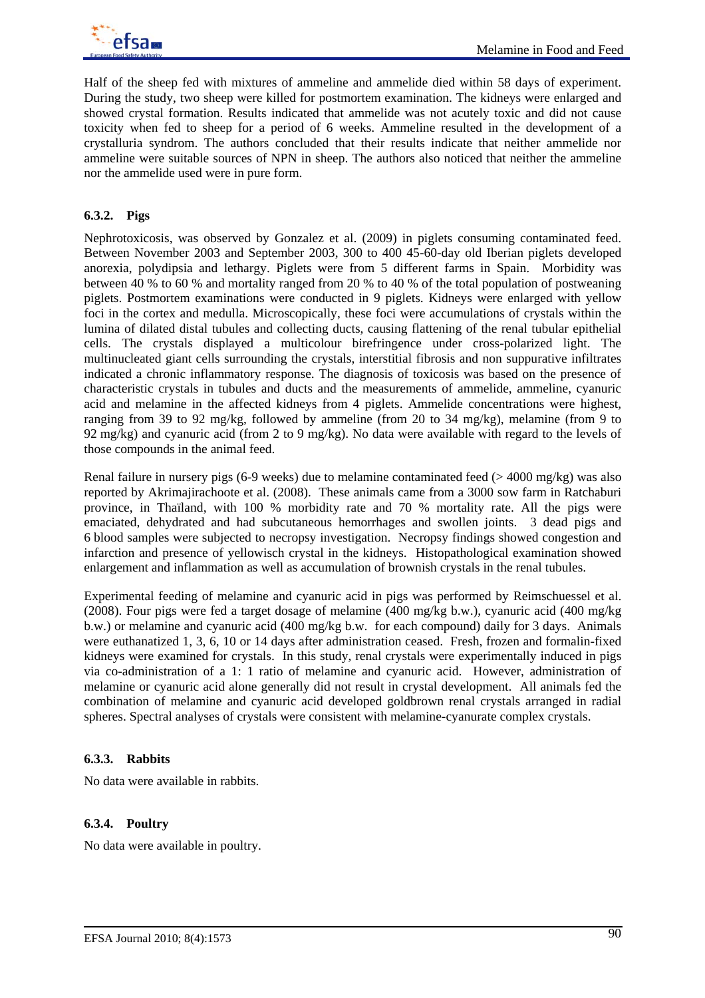

Half of the sheep fed with mixtures of ammeline and ammelide died within 58 days of experiment. During the study, two sheep were killed for postmortem examination. The kidneys were enlarged and showed crystal formation. Results indicated that ammelide was not acutely toxic and did not cause toxicity when fed to sheep for a period of 6 weeks. Ammeline resulted in the development of a crystalluria syndrom. The authors concluded that their results indicate that neither ammelide nor ammeline were suitable sources of NPN in sheep. The authors also noticed that neither the ammeline nor the ammelide used were in pure form.

### **6.3.2. Pigs**

Nephrotoxicosis, was observed by Gonzalez et al. (2009) in piglets consuming contaminated feed. Between November 2003 and September 2003, 300 to 400 45-60-day old Iberian piglets developed anorexia, polydipsia and lethargy. Piglets were from 5 different farms in Spain. Morbidity was between 40 % to 60 % and mortality ranged from 20 % to 40 % of the total population of postweaning piglets. Postmortem examinations were conducted in 9 piglets. Kidneys were enlarged with yellow foci in the cortex and medulla. Microscopically, these foci were accumulations of crystals within the lumina of dilated distal tubules and collecting ducts, causing flattening of the renal tubular epithelial cells. The crystals displayed a multicolour birefringence under cross-polarized light. The multinucleated giant cells surrounding the crystals, interstitial fibrosis and non suppurative infiltrates indicated a chronic inflammatory response. The diagnosis of toxicosis was based on the presence of characteristic crystals in tubules and ducts and the measurements of ammelide, ammeline, cyanuric acid and melamine in the affected kidneys from 4 piglets. Ammelide concentrations were highest, ranging from 39 to 92 mg/kg, followed by ammeline (from 20 to 34 mg/kg), melamine (from 9 to 92 mg/kg) and cyanuric acid (from 2 to 9 mg/kg). No data were available with regard to the levels of those compounds in the animal feed.

Renal failure in nursery pigs (6-9 weeks) due to melamine contaminated feed (> 4000 mg/kg) was also reported by Akrimajirachoote et al. (2008). These animals came from a 3000 sow farm in Ratchaburi province, in Thaïland, with 100 % morbidity rate and 70 % mortality rate. All the pigs were emaciated, dehydrated and had subcutaneous hemorrhages and swollen joints. 3 dead pigs and 6 blood samples were subjected to necropsy investigation. Necropsy findings showed congestion and infarction and presence of yellowisch crystal in the kidneys. Histopathological examination showed enlargement and inflammation as well as accumulation of brownish crystals in the renal tubules.

Experimental feeding of melamine and cyanuric acid in pigs was performed by Reimschuessel et al. (2008). Four pigs were fed a target dosage of melamine (400 mg/kg b.w.), cyanuric acid (400 mg/kg b.w.) or melamine and cyanuric acid (400 mg/kg b.w. for each compound) daily for 3 days. Animals were euthanatized 1, 3, 6, 10 or 14 days after administration ceased. Fresh, frozen and formalin-fixed kidneys were examined for crystals. In this study, renal crystals were experimentally induced in pigs via co-administration of a 1: 1 ratio of melamine and cyanuric acid. However, administration of melamine or cyanuric acid alone generally did not result in crystal development. All animals fed the combination of melamine and cyanuric acid developed goldbrown renal crystals arranged in radial spheres. Spectral analyses of crystals were consistent with melamine-cyanurate complex crystals.

#### **6.3.3. Rabbits**

No data were available in rabbits.

## **6.3.4. Poultry**

No data were available in poultry.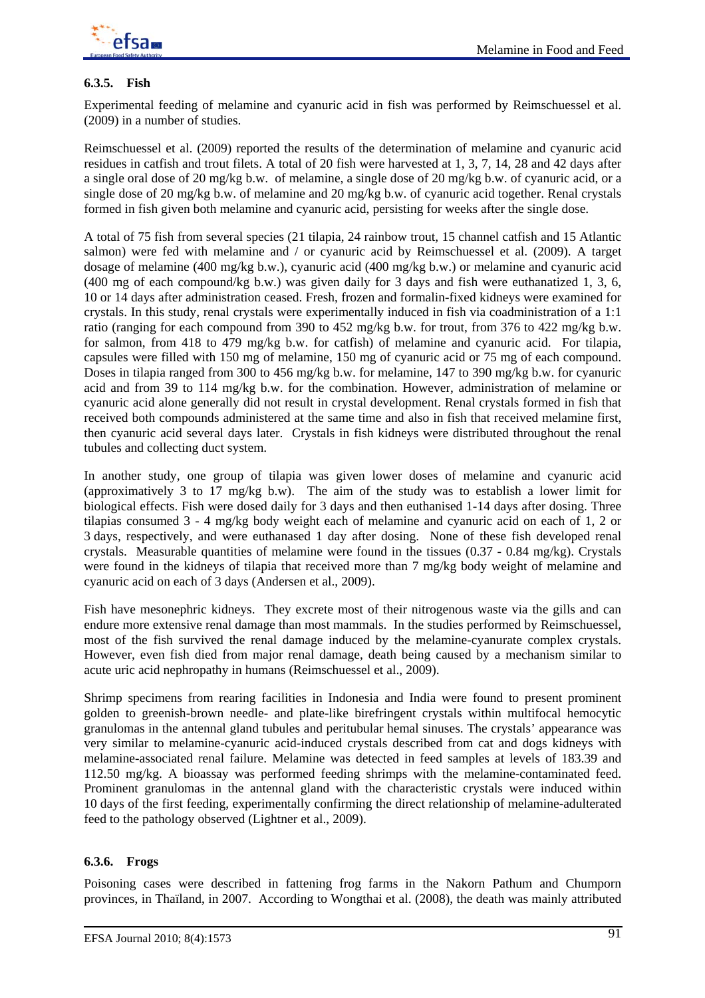

# **6.3.5. Fish**

Experimental feeding of melamine and cyanuric acid in fish was performed by Reimschuessel et al. (2009) in a number of studies.

Reimschuessel et al. (2009) reported the results of the determination of melamine and cyanuric acid residues in catfish and trout filets. A total of 20 fish were harvested at 1, 3, 7, 14, 28 and 42 days after a single oral dose of 20 mg/kg b.w. of melamine, a single dose of 20 mg/kg b.w. of cyanuric acid, or a single dose of 20 mg/kg b.w. of melamine and 20 mg/kg b.w. of cyanuric acid together. Renal crystals formed in fish given both melamine and cyanuric acid, persisting for weeks after the single dose.

A total of 75 fish from several species (21 tilapia, 24 rainbow trout, 15 channel catfish and 15 Atlantic salmon) were fed with melamine and / or cyanuric acid by Reimschuessel et al. (2009). A target dosage of melamine (400 mg/kg b.w.), cyanuric acid (400 mg/kg b.w.) or melamine and cyanuric acid (400 mg of each compound/kg b.w.) was given daily for 3 days and fish were euthanatized 1, 3, 6, 10 or 14 days after administration ceased. Fresh, frozen and formalin-fixed kidneys were examined for crystals. In this study, renal crystals were experimentally induced in fish via coadministration of a 1:1 ratio (ranging for each compound from 390 to 452 mg/kg b.w. for trout, from 376 to 422 mg/kg b.w. for salmon, from 418 to 479 mg/kg b.w. for catfish) of melamine and cyanuric acid. For tilapia, capsules were filled with 150 mg of melamine, 150 mg of cyanuric acid or 75 mg of each compound. Doses in tilapia ranged from 300 to 456 mg/kg b.w. for melamine, 147 to 390 mg/kg b.w. for cyanuric acid and from 39 to 114 mg/kg b.w. for the combination. However, administration of melamine or cyanuric acid alone generally did not result in crystal development. Renal crystals formed in fish that received both compounds administered at the same time and also in fish that received melamine first, then cyanuric acid several days later. Crystals in fish kidneys were distributed throughout the renal tubules and collecting duct system.

In another study, one group of tilapia was given lower doses of melamine and cyanuric acid (approximatively 3 to 17 mg/kg b.w). The aim of the study was to establish a lower limit for biological effects. Fish were dosed daily for 3 days and then euthanised 1-14 days after dosing. Three tilapias consumed 3 - 4 mg/kg body weight each of melamine and cyanuric acid on each of 1, 2 or 3 days, respectively, and were euthanased 1 day after dosing. None of these fish developed renal crystals. Measurable quantities of melamine were found in the tissues (0.37 - 0.84 mg/kg). Crystals were found in the kidneys of tilapia that received more than 7 mg/kg body weight of melamine and cyanuric acid on each of 3 days (Andersen et al., 2009).

Fish have mesonephric kidneys. They excrete most of their nitrogenous waste via the gills and can endure more extensive renal damage than most mammals. In the studies performed by Reimschuessel, most of the fish survived the renal damage induced by the melamine-cyanurate complex crystals. However, even fish died from major renal damage, death being caused by a mechanism similar to acute uric acid nephropathy in humans (Reimschuessel et al., 2009).

Shrimp specimens from rearing facilities in Indonesia and India were found to present prominent golden to greenish-brown needle- and plate-like birefringent crystals within multifocal hemocytic granulomas in the antennal gland tubules and peritubular hemal sinuses. The crystals' appearance was very similar to melamine-cyanuric acid-induced crystals described from cat and dogs kidneys with melamine-associated renal failure. Melamine was detected in feed samples at levels of 183.39 and 112.50 mg/kg. A bioassay was performed feeding shrimps with the melamine-contaminated feed. Prominent granulomas in the antennal gland with the characteristic crystals were induced within 10 days of the first feeding, experimentally confirming the direct relationship of melamine-adulterated feed to the pathology observed (Lightner et al., 2009).

## **6.3.6. Frogs**

Poisoning cases were described in fattening frog farms in the Nakorn Pathum and Chumporn provinces, in Thaïland, in 2007. According to Wongthai et al. (2008), the death was mainly attributed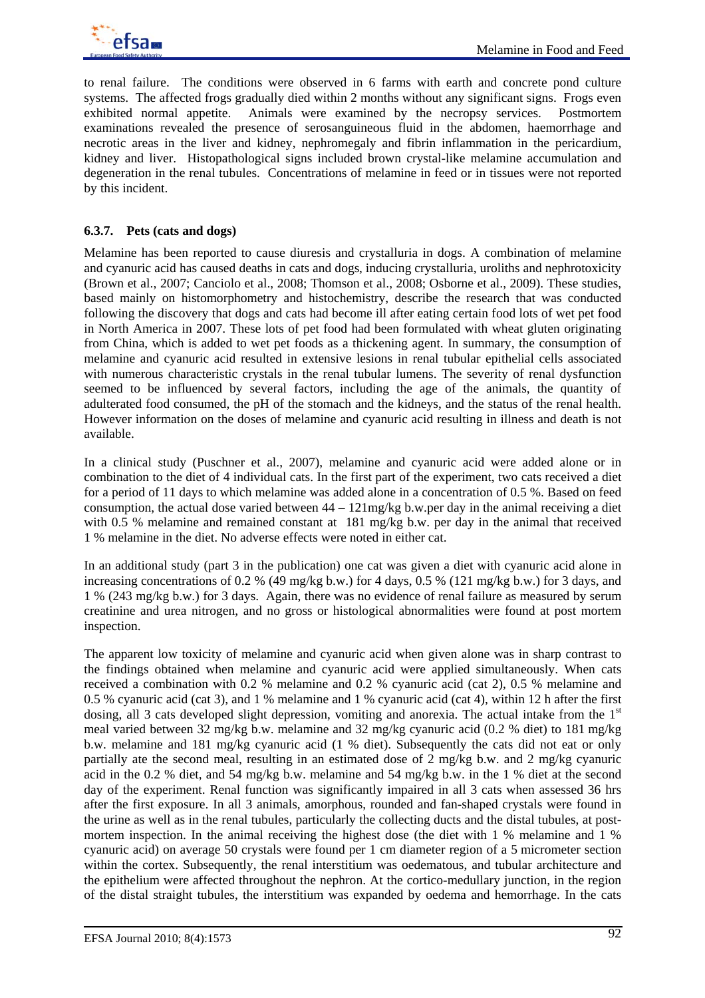

to renal failure. The conditions were observed in 6 farms with earth and concrete pond culture systems. The affected frogs gradually died within 2 months without any significant signs. Frogs even exhibited normal appetite. Animals were examined by the necropsy services. Postmortem examinations revealed the presence of serosanguineous fluid in the abdomen, haemorrhage and necrotic areas in the liver and kidney, nephromegaly and fibrin inflammation in the pericardium, kidney and liver. Histopathological signs included brown crystal-like melamine accumulation and degeneration in the renal tubules. Concentrations of melamine in feed or in tissues were not reported by this incident.

# **6.3.7. Pets (cats and dogs)**

Melamine has been reported to cause diuresis and crystalluria in dogs. A combination of melamine and cyanuric acid has caused deaths in cats and dogs, inducing crystalluria, uroliths and nephrotoxicity (Brown et al., 2007; Canciolo et al., 2008; Thomson et al., 2008; Osborne et al., 2009). These studies, based mainly on histomorphometry and histochemistry, describe the research that was conducted following the discovery that dogs and cats had become ill after eating certain food lots of wet pet food in North America in 2007. These lots of pet food had been formulated with wheat gluten originating from China, which is added to wet pet foods as a thickening agent. In summary, the consumption of melamine and cyanuric acid resulted in extensive lesions in renal tubular epithelial cells associated with numerous characteristic crystals in the renal tubular lumens. The severity of renal dysfunction seemed to be influenced by several factors, including the age of the animals, the quantity of adulterated food consumed, the pH of the stomach and the kidneys, and the status of the renal health. However information on the doses of melamine and cyanuric acid resulting in illness and death is not available.

In a clinical study (Puschner et al., 2007), melamine and cyanuric acid were added alone or in combination to the diet of 4 individual cats. In the first part of the experiment, two cats received a diet for a period of 11 days to which melamine was added alone in a concentration of 0.5 %. Based on feed consumption, the actual dose varied between 44 – 121mg/kg b.w.per day in the animal receiving a diet with 0.5 % melamine and remained constant at 181 mg/kg b.w. per day in the animal that received 1 % melamine in the diet. No adverse effects were noted in either cat.

In an additional study (part 3 in the publication) one cat was given a diet with cyanuric acid alone in increasing concentrations of 0.2 % (49 mg/kg b.w.) for 4 days, 0.5 % (121 mg/kg b.w.) for 3 days, and 1 % (243 mg/kg b.w.) for 3 days. Again, there was no evidence of renal failure as measured by serum creatinine and urea nitrogen, and no gross or histological abnormalities were found at post mortem inspection.

The apparent low toxicity of melamine and cyanuric acid when given alone was in sharp contrast to the findings obtained when melamine and cyanuric acid were applied simultaneously. When cats received a combination with 0.2 % melamine and 0.2 % cyanuric acid (cat 2), 0.5 % melamine and 0.5 % cyanuric acid (cat 3), and 1 % melamine and 1 % cyanuric acid (cat 4), within 12 h after the first dosing, all 3 cats developed slight depression, vomiting and anorexia. The actual intake from the 1<sup>st</sup> meal varied between 32 mg/kg b.w. melamine and 32 mg/kg cyanuric acid (0.2 % diet) to 181 mg/kg b.w. melamine and 181 mg/kg cyanuric acid (1 % diet). Subsequently the cats did not eat or only partially ate the second meal, resulting in an estimated dose of 2 mg/kg b.w. and 2 mg/kg cyanuric acid in the 0.2 % diet, and 54 mg/kg b.w. melamine and 54 mg/kg b.w. in the 1 % diet at the second day of the experiment. Renal function was significantly impaired in all 3 cats when assessed 36 hrs after the first exposure. In all 3 animals, amorphous, rounded and fan-shaped crystals were found in the urine as well as in the renal tubules, particularly the collecting ducts and the distal tubules, at postmortem inspection. In the animal receiving the highest dose (the diet with 1 % melamine and 1 % cyanuric acid) on average 50 crystals were found per 1 cm diameter region of a 5 micrometer section within the cortex. Subsequently, the renal interstitium was oedematous, and tubular architecture and the epithelium were affected throughout the nephron. At the cortico-medullary junction, in the region of the distal straight tubules, the interstitium was expanded by oedema and hemorrhage. In the cats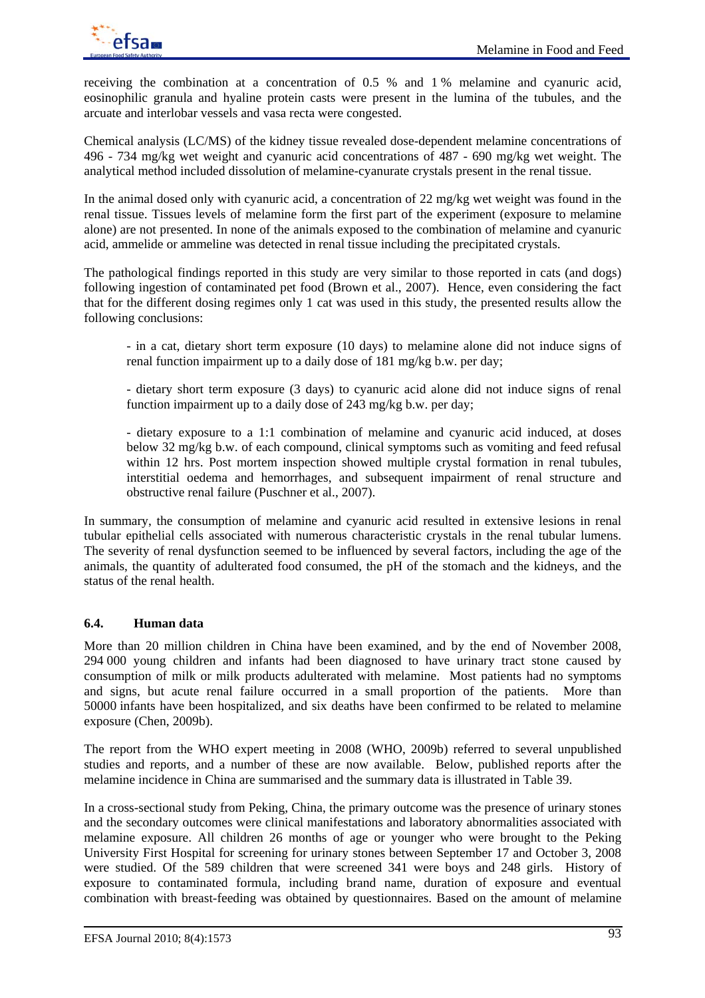

receiving the combination at a concentration of 0.5 % and 1 % melamine and cyanuric acid, eosinophilic granula and hyaline protein casts were present in the lumina of the tubules, and the arcuate and interlobar vessels and vasa recta were congested.

Chemical analysis (LC/MS) of the kidney tissue revealed dose-dependent melamine concentrations of 496 - 734 mg/kg wet weight and cyanuric acid concentrations of 487 - 690 mg/kg wet weight. The analytical method included dissolution of melamine-cyanurate crystals present in the renal tissue.

In the animal dosed only with cyanuric acid, a concentration of 22 mg/kg wet weight was found in the renal tissue. Tissues levels of melamine form the first part of the experiment (exposure to melamine alone) are not presented. In none of the animals exposed to the combination of melamine and cyanuric acid, ammelide or ammeline was detected in renal tissue including the precipitated crystals.

The pathological findings reported in this study are very similar to those reported in cats (and dogs) following ingestion of contaminated pet food (Brown et al., 2007). Hence, even considering the fact that for the different dosing regimes only 1 cat was used in this study, the presented results allow the following conclusions:

- in a cat, dietary short term exposure (10 days) to melamine alone did not induce signs of renal function impairment up to a daily dose of 181 mg/kg b.w. per day;

- dietary short term exposure (3 days) to cyanuric acid alone did not induce signs of renal function impairment up to a daily dose of 243 mg/kg b.w. per day;

- dietary exposure to a 1:1 combination of melamine and cyanuric acid induced, at doses below 32 mg/kg b.w. of each compound, clinical symptoms such as vomiting and feed refusal within 12 hrs. Post mortem inspection showed multiple crystal formation in renal tubules. interstitial oedema and hemorrhages, and subsequent impairment of renal structure and obstructive renal failure (Puschner et al., 2007).

In summary, the consumption of melamine and cyanuric acid resulted in extensive lesions in renal tubular epithelial cells associated with numerous characteristic crystals in the renal tubular lumens. The severity of renal dysfunction seemed to be influenced by several factors, including the age of the animals, the quantity of adulterated food consumed, the pH of the stomach and the kidneys, and the status of the renal health.

## **6.4. Human data**

More than 20 million children in China have been examined, and by the end of November 2008, 294 000 young children and infants had been diagnosed to have urinary tract stone caused by consumption of milk or milk products adulterated with melamine. Most patients had no symptoms and signs, but acute renal failure occurred in a small proportion of the patients. More than 50000 infants have been hospitalized, and six deaths have been confirmed to be related to melamine exposure (Chen, 2009b).

The report from the WHO expert meeting in 2008 (WHO, 2009b) referred to several unpublished studies and reports, and a number of these are now available. Below, published reports after the melamine incidence in China are summarised and the summary data is illustrated in Table 39.

In a cross-sectional study from Peking, China, the primary outcome was the presence of urinary stones and the secondary outcomes were clinical manifestations and laboratory abnormalities associated with melamine exposure. All children 26 months of age or younger who were brought to the Peking University First Hospital for screening for urinary stones between September 17 and October 3, 2008 were studied. Of the 589 children that were screened 341 were boys and 248 girls. History of exposure to contaminated formula, including brand name, duration of exposure and eventual combination with breast-feeding was obtained by questionnaires. Based on the amount of melamine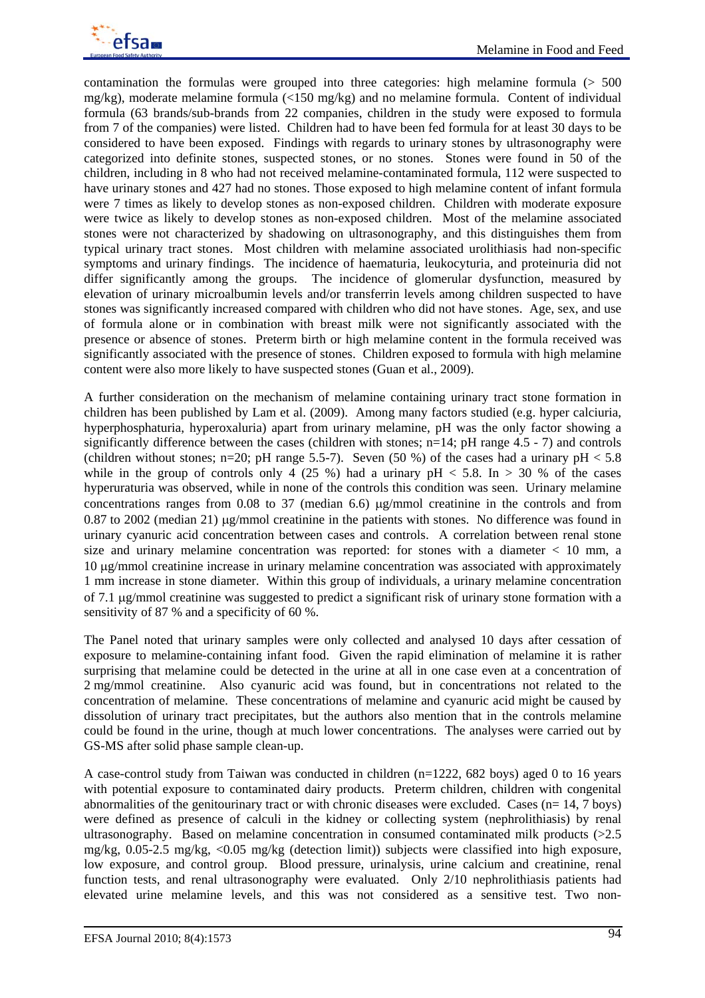

contamination the formulas were grouped into three categories: high melamine formula (> 500 mg/kg), moderate melamine formula (<150 mg/kg) and no melamine formula. Content of individual formula (63 brands/sub-brands from 22 companies, children in the study were exposed to formula from 7 of the companies) were listed. Children had to have been fed formula for at least 30 days to be considered to have been exposed. Findings with regards to urinary stones by ultrasonography were categorized into definite stones, suspected stones, or no stones. Stones were found in 50 of the children, including in 8 who had not received melamine-contaminated formula, 112 were suspected to have urinary stones and 427 had no stones. Those exposed to high melamine content of infant formula were 7 times as likely to develop stones as non-exposed children. Children with moderate exposure were twice as likely to develop stones as non-exposed children. Most of the melamine associated stones were not characterized by shadowing on ultrasonography, and this distinguishes them from typical urinary tract stones. Most children with melamine associated urolithiasis had non-specific symptoms and urinary findings. The incidence of haematuria, leukocyturia, and proteinuria did not differ significantly among the groups. The incidence of glomerular dysfunction, measured by elevation of urinary microalbumin levels and/or transferrin levels among children suspected to have stones was significantly increased compared with children who did not have stones. Age, sex, and use of formula alone or in combination with breast milk were not significantly associated with the presence or absence of stones. Preterm birth or high melamine content in the formula received was significantly associated with the presence of stones. Children exposed to formula with high melamine content were also more likely to have suspected stones (Guan et al., 2009).

A further consideration on the mechanism of melamine containing urinary tract stone formation in children has been published by Lam et al. (2009). Among many factors studied (e.g. hyper calciuria, hyperphosphaturia, hyperoxaluria) apart from urinary melamine, pH was the only factor showing a significantly difference between the cases (children with stones;  $n=14$ ;  $pH$  range 4.5 - 7) and controls (children without stones; n=20; pH range 5.5-7). Seven (50 %) of the cases had a urinary  $pH < 5.8$ while in the group of controls only 4 (25 %) had a urinary  $pH < 5.8$ . In  $> 30$  % of the cases hyperuraturia was observed, while in none of the controls this condition was seen. Urinary melamine concentrations ranges from 0.08 to 37 (median 6.6) μg/mmol creatinine in the controls and from 0.87 to 2002 (median 21) μg/mmol creatinine in the patients with stones. No difference was found in urinary cyanuric acid concentration between cases and controls. A correlation between renal stone size and urinary melamine concentration was reported: for stones with a diameter  $< 10$  mm, a 10 μg/mmol creatinine increase in urinary melamine concentration was associated with approximately 1 mm increase in stone diameter. Within this group of individuals, a urinary melamine concentration of 7.1 μg/mmol creatinine was suggested to predict a significant risk of urinary stone formation with a sensitivity of 87 % and a specificity of 60 %.

The Panel noted that urinary samples were only collected and analysed 10 days after cessation of exposure to melamine-containing infant food. Given the rapid elimination of melamine it is rather surprising that melamine could be detected in the urine at all in one case even at a concentration of 2 mg/mmol creatinine. Also cyanuric acid was found, but in concentrations not related to the concentration of melamine. These concentrations of melamine and cyanuric acid might be caused by dissolution of urinary tract precipitates, but the authors also mention that in the controls melamine could be found in the urine, though at much lower concentrations. The analyses were carried out by GS-MS after solid phase sample clean-up.

A case-control study from Taiwan was conducted in children (n=1222, 682 boys) aged 0 to 16 years with potential exposure to contaminated dairy products. Preterm children, children with congenital abnormalities of the genitourinary tract or with chronic diseases were excluded. Cases (n= 14, 7 boys) were defined as presence of calculi in the kidney or collecting system (nephrolithiasis) by renal ultrasonography. Based on melamine concentration in consumed contaminated milk products  $(>2.5$ mg/kg, 0.05-2.5 mg/kg, <0.05 mg/kg (detection limit)) subjects were classified into high exposure, low exposure, and control group. Blood pressure, urinalysis, urine calcium and creatinine, renal function tests, and renal ultrasonography were evaluated. Only 2/10 nephrolithiasis patients had elevated urine melamine levels, and this was not considered as a sensitive test. Two non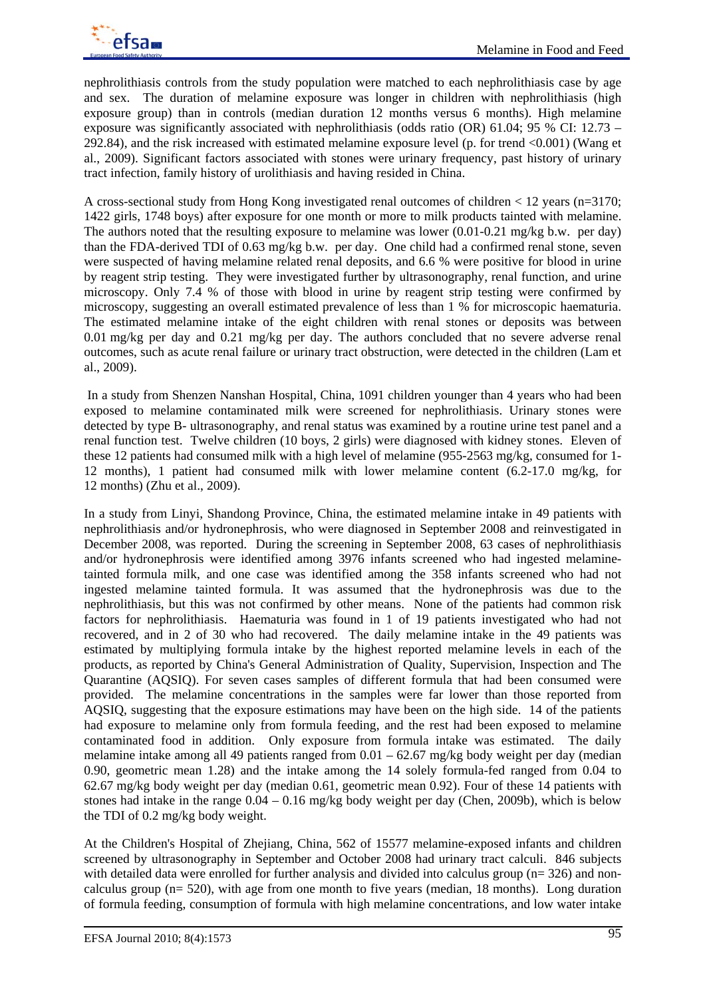nephrolithiasis controls from the study population were matched to each nephrolithiasis case by age and sex. The duration of melamine exposure was longer in children with nephrolithiasis (high exposure group) than in controls (median duration 12 months versus 6 months). High melamine exposure was significantly associated with nephrolithiasis (odds ratio (OR) 61.04; 95 % CI: 12.73 – 292.84), and the risk increased with estimated melamine exposure level (p. for trend <0.001) (Wang et al., 2009). Significant factors associated with stones were urinary frequency, past history of urinary tract infection, family history of urolithiasis and having resided in China.

A cross-sectional study from Hong Kong investigated renal outcomes of children  $< 12$  years (n=3170; 1422 girls, 1748 boys) after exposure for one month or more to milk products tainted with melamine. The authors noted that the resulting exposure to melamine was lower  $(0.01-0.21 \text{ mg/kg b.w. per day})$ than the FDA-derived TDI of 0.63 mg/kg b.w. per day. One child had a confirmed renal stone, seven were suspected of having melamine related renal deposits, and 6.6 % were positive for blood in urine by reagent strip testing. They were investigated further by ultrasonography, renal function, and urine microscopy. Only 7.4 % of those with blood in urine by reagent strip testing were confirmed by microscopy, suggesting an overall estimated prevalence of less than 1 % for microscopic haematuria. The estimated melamine intake of the eight children with renal stones or deposits was between 0.01 mg/kg per day and 0.21 mg/kg per day. The authors concluded that no severe adverse renal outcomes, such as acute renal failure or urinary tract obstruction, were detected in the children (Lam et al., 2009).

 In a study from Shenzen Nanshan Hospital, China, 1091 children younger than 4 years who had been exposed to melamine contaminated milk were screened for nephrolithiasis. Urinary stones were detected by type B- ultrasonography, and renal status was examined by a routine urine test panel and a renal function test. Twelve children (10 boys, 2 girls) were diagnosed with kidney stones. Eleven of these 12 patients had consumed milk with a high level of melamine (955-2563 mg/kg, consumed for 1- 12 months), 1 patient had consumed milk with lower melamine content (6.2-17.0 mg/kg, for 12 months) (Zhu et al., 2009).

In a study from Linyi, Shandong Province, China, the estimated melamine intake in 49 patients with nephrolithiasis and/or hydronephrosis, who were diagnosed in September 2008 and reinvestigated in December 2008, was reported. During the screening in September 2008, 63 cases of nephrolithiasis and/or hydronephrosis were identified among 3976 infants screened who had ingested melaminetainted formula milk, and one case was identified among the 358 infants screened who had not ingested melamine tainted formula. It was assumed that the hydronephrosis was due to the nephrolithiasis, but this was not confirmed by other means. None of the patients had common risk factors for nephrolithiasis. Haematuria was found in 1 of 19 patients investigated who had not recovered, and in 2 of 30 who had recovered. The daily melamine intake in the 49 patients was estimated by multiplying formula intake by the highest reported melamine levels in each of the products, as reported by China's General Administration of Quality, Supervision, Inspection and The Quarantine (AQSIQ). For seven cases samples of different formula that had been consumed were provided. The melamine concentrations in the samples were far lower than those reported from AQSIQ, suggesting that the exposure estimations may have been on the high side. 14 of the patients had exposure to melamine only from formula feeding, and the rest had been exposed to melamine contaminated food in addition. Only exposure from formula intake was estimated. The daily melamine intake among all 49 patients ranged from  $0.01 - 62.67$  mg/kg body weight per day (median 0.90, geometric mean 1.28) and the intake among the 14 solely formula-fed ranged from 0.04 to 62.67 mg/kg body weight per day (median 0.61, geometric mean 0.92). Four of these 14 patients with stones had intake in the range 0.04 – 0.16 mg/kg body weight per day (Chen, 2009b), which is below the TDI of 0.2 mg/kg body weight.

At the Children's Hospital of Zhejiang, China, 562 of 15577 melamine-exposed infants and children screened by ultrasonography in September and October 2008 had urinary tract calculi. 846 subjects with detailed data were enrolled for further analysis and divided into calculus group (n= 326) and noncalculus group ( $n= 520$ ), with age from one month to five years (median, 18 months). Long duration of formula feeding, consumption of formula with high melamine concentrations, and low water intake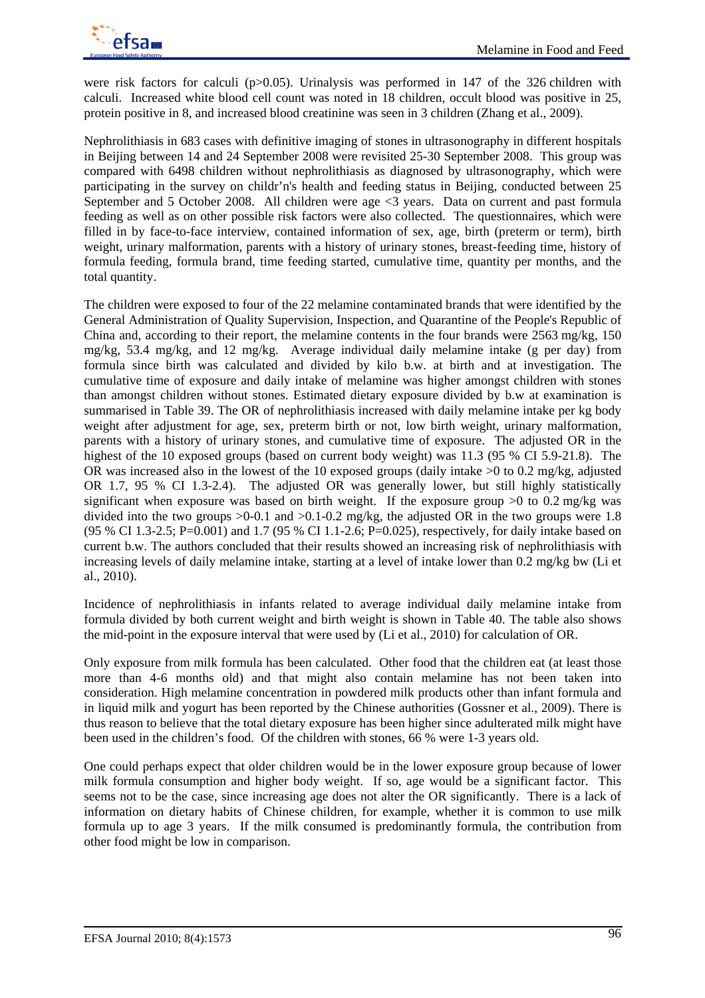

were risk factors for calculi (p>0.05). Urinalysis was performed in 147 of the 326 children with calculi. Increased white blood cell count was noted in 18 children, occult blood was positive in 25, protein positive in 8, and increased blood creatinine was seen in 3 children (Zhang et al., 2009).

Nephrolithiasis in 683 cases with definitive imaging of stones in ultrasonography in different hospitals in Beijing between 14 and 24 September 2008 were revisited 25-30 September 2008. This group was compared with 6498 children without nephrolithiasis as diagnosed by ultrasonography, which were participating in the survey on childr'n's health and feeding status in Beijing, conducted between 25 September and 5 October 2008. All children were age <3 years. Data on current and past formula feeding as well as on other possible risk factors were also collected. The questionnaires, which were filled in by face-to-face interview, contained information of sex, age, birth (preterm or term), birth weight, urinary malformation, parents with a history of urinary stones, breast-feeding time, history of formula feeding, formula brand, time feeding started, cumulative time, quantity per months, and the total quantity.

The children were exposed to four of the 22 melamine contaminated brands that were identified by the General Administration of Quality Supervision, Inspection, and Quarantine of the People's Republic of China and, according to their report, the melamine contents in the four brands were 2563 mg/kg, 150 mg/kg, 53.4 mg/kg, and 12 mg/kg. Average individual daily melamine intake (g per day) from formula since birth was calculated and divided by kilo b.w. at birth and at investigation. The cumulative time of exposure and daily intake of melamine was higher amongst children with stones than amongst children without stones. Estimated dietary exposure divided by b.w at examination is summarised in Table 39. The OR of nephrolithiasis increased with daily melamine intake per kg body weight after adjustment for age, sex, preterm birth or not, low birth weight, urinary malformation, parents with a history of urinary stones, and cumulative time of exposure. The adjusted OR in the highest of the 10 exposed groups (based on current body weight) was 11.3 (95 % CI 5.9-21.8). The OR was increased also in the lowest of the 10 exposed groups (daily intake >0 to 0.2 mg/kg, adjusted OR 1.7, 95 % CI 1.3-2.4). The adjusted OR was generally lower, but still highly statistically significant when exposure was based on birth weight. If the exposure group  $>0$  to 0.2 mg/kg was divided into the two groups  $>0.01$  and  $>0.1$ -0.2 mg/kg, the adjusted OR in the two groups were 1.8 (95 % CI 1.3-2.5; P=0.001) and 1.7 (95 % CI 1.1-2.6; P=0.025), respectively, for daily intake based on current b.w. The authors concluded that their results showed an increasing risk of nephrolithiasis with increasing levels of daily melamine intake, starting at a level of intake lower than 0.2 mg/kg bw (Li et al., 2010).

Incidence of nephrolithiasis in infants related to average individual daily melamine intake from formula divided by both current weight and birth weight is shown in Table 40. The table also shows the mid-point in the exposure interval that were used by (Li et al., 2010) for calculation of OR.

Only exposure from milk formula has been calculated. Other food that the children eat (at least those more than 4-6 months old) and that might also contain melamine has not been taken into consideration. High melamine concentration in powdered milk products other than infant formula and in liquid milk and yogurt has been reported by the Chinese authorities (Gossner et al., 2009). There is thus reason to believe that the total dietary exposure has been higher since adulterated milk might have been used in the children's food. Of the children with stones, 66 % were 1-3 years old.

One could perhaps expect that older children would be in the lower exposure group because of lower milk formula consumption and higher body weight. If so, age would be a significant factor. This seems not to be the case, since increasing age does not alter the OR significantly. There is a lack of information on dietary habits of Chinese children, for example, whether it is common to use milk formula up to age 3 years. If the milk consumed is predominantly formula, the contribution from other food might be low in comparison.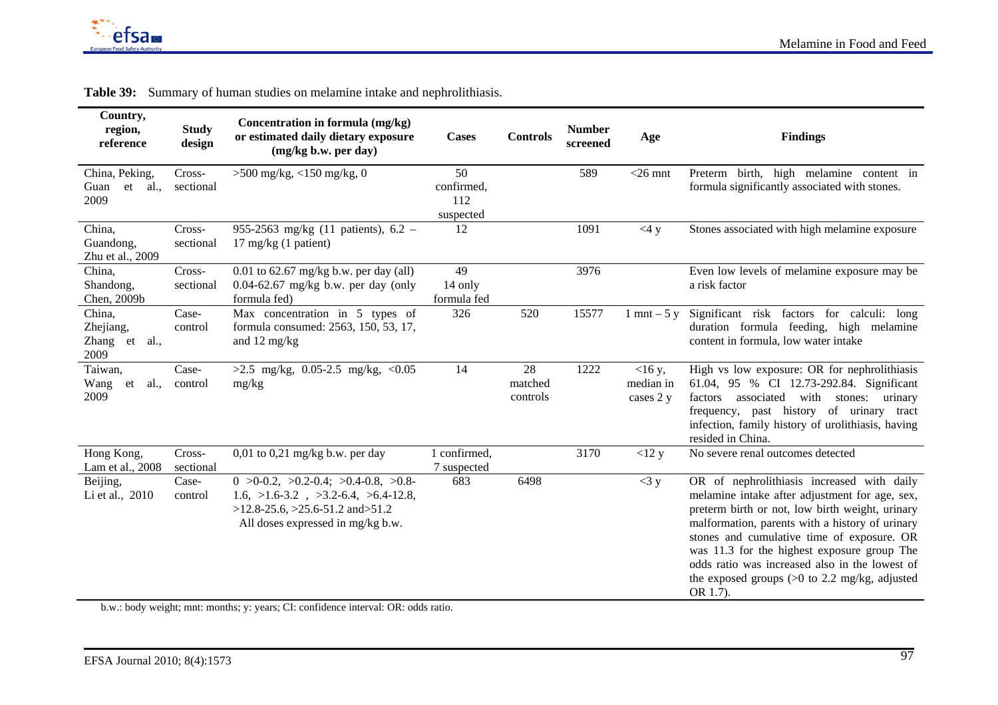

| Country,<br>region,<br>reference                | <b>Study</b><br>design | Concentration in formula (mg/kg)<br>or estimated daily dietary exposure<br>(mg/kg b.w. per day)                                                                                  | Cases                                | <b>Controls</b>           | <b>Number</b><br>screened | Age                                 | <b>Findings</b>                                                                                                                                                                                                                                                                                                                                                                                                  |
|-------------------------------------------------|------------------------|----------------------------------------------------------------------------------------------------------------------------------------------------------------------------------|--------------------------------------|---------------------------|---------------------------|-------------------------------------|------------------------------------------------------------------------------------------------------------------------------------------------------------------------------------------------------------------------------------------------------------------------------------------------------------------------------------------------------------------------------------------------------------------|
| China, Peking,<br>et<br>al.,<br>Guan<br>2009    | Cross-<br>sectional    | $>500$ mg/kg, $<150$ mg/kg, 0                                                                                                                                                    | 50<br>confirmed,<br>112<br>suspected |                           | 589                       | $<$ 26 mnt                          | birth, high melamine content in<br>Preterm<br>formula significantly associated with stones.                                                                                                                                                                                                                                                                                                                      |
| China,<br>Guandong,<br>Zhu et al., 2009         | Cross-<br>sectional    | 955-2563 mg/kg (11 patients), $6.2 -$<br>$17 \text{ mg/kg}$ (1 patient)                                                                                                          | 12                                   |                           | 1091                      | <4 y                                | Stones associated with high melamine exposure                                                                                                                                                                                                                                                                                                                                                                    |
| China,<br>Shandong,<br>Chen, 2009b              | Cross-<br>sectional    | $0.01$ to 62.67 mg/kg b.w. per day (all)<br>$0.04 - 62.67$ mg/kg b.w. per day (only<br>formula fed)                                                                              | 49<br>14 only<br>formula fed         |                           | 3976                      |                                     | Even low levels of melamine exposure may be<br>a risk factor                                                                                                                                                                                                                                                                                                                                                     |
| China,<br>Zhejiang,<br>Zhang et<br>al.,<br>2009 | Case-<br>control       | Max concentration in 5 types of<br>formula consumed: 2563, 150, 53, 17,<br>and $12 \text{ mg/kg}$                                                                                | 326                                  | 520                       | 15577                     | $1$ mnt $-5$ y                      | Significant risk factors for calculi: long<br>duration formula feeding, high melamine<br>content in formula, low water intake                                                                                                                                                                                                                                                                                    |
| Taiwan,<br>Wang<br>al.,<br>et<br>2009           | Case-<br>control       | $>2.5$ mg/kg, 0.05-2.5 mg/kg, <0.05<br>mg/kg                                                                                                                                     | 14                                   | 28<br>matched<br>controls | 1222                      | $<$ 16 y,<br>median in<br>cases 2 y | High vs low exposure: OR for nephrolithiasis<br>61.04, 95 % CI 12.73-292.84. Significant<br>with<br>associated<br>factors<br>stones: urinary<br>frequency, past history of urinary tract<br>infection, family history of urolithiasis, having<br>resided in China.                                                                                                                                               |
| Hong Kong,<br>Lam et al., 2008                  | Cross-<br>sectional    | $0.01$ to $0.21$ mg/kg b.w. per day                                                                                                                                              | 1 confirmed,<br>7 suspected          |                           | 3170                      | <12 y                               | No severe renal outcomes detected                                                                                                                                                                                                                                                                                                                                                                                |
| Beijing,<br>Li et al., 2010                     | Case-<br>control       | $0 > 0.02$ , $> 0.2 - 0.4$ ; $> 0.4 - 0.8$ , $> 0.8 - 0.8$<br>$1.6, >1.6-3.2, >3.2-6.4, >6.4-12.8,$<br>$>12.8-25.6, >25.6-51.2$ and $>51.2$<br>All doses expressed in mg/kg b.w. | 683                                  | 6498                      |                           | $<$ 3 y                             | OR of nephrolithiasis increased with daily<br>melamine intake after adjustment for age, sex,<br>preterm birth or not, low birth weight, urinary<br>malformation, parents with a history of urinary<br>stones and cumulative time of exposure. OR<br>was 11.3 for the highest exposure group The<br>odds ratio was increased also in the lowest of<br>the exposed groups $(>0$ to 2.2 mg/kg, adjusted<br>OR 1.7). |

**Table 39:** Summary of human studies on melamine intake and nephrolithiasis.

b.w.: body weight; mnt: months; y: years; CI: confidence interval: OR: odds ratio.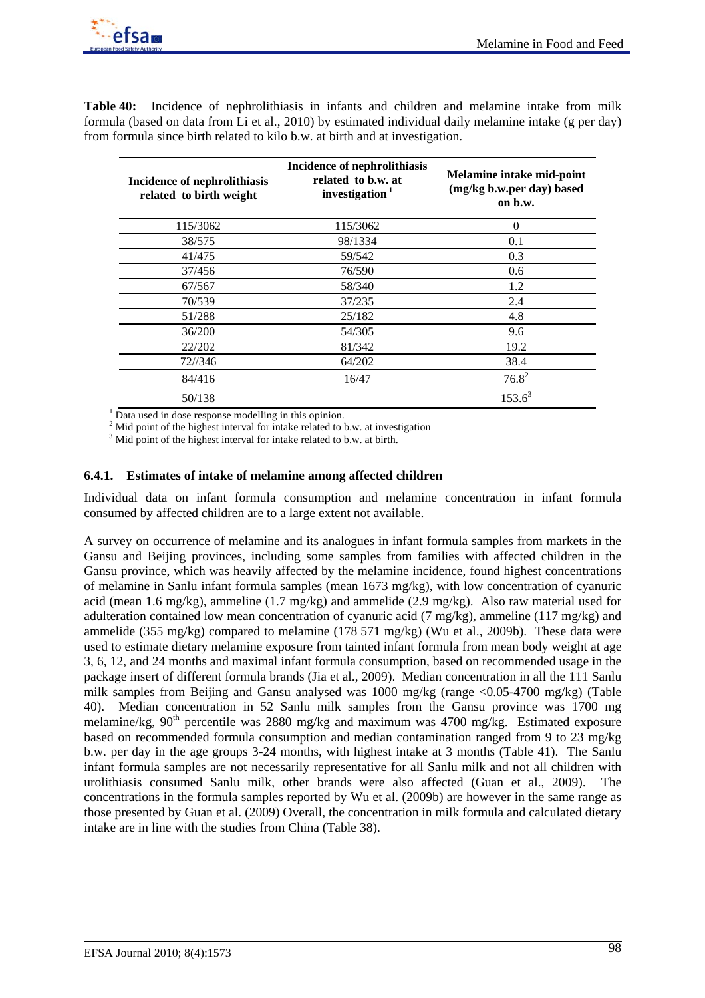

**Table 40:** Incidence of nephrolithiasis in infants and children and melamine intake from milk formula (based on data from Li et al., 2010) by estimated individual daily melamine intake (g per day) from formula since birth related to kilo b.w. at birth and at investigation.

| <b>Incidence of nephrolithiasis</b><br>related to birth weight | <b>Incidence of nephrolithiasis</b><br>related to b.w. at<br>investigation <sup>1</sup> | Melamine intake mid-point<br>(mg/kg b.w.per day) based<br>on b.w. |
|----------------------------------------------------------------|-----------------------------------------------------------------------------------------|-------------------------------------------------------------------|
| 115/3062                                                       | 115/3062                                                                                | $\Omega$                                                          |
| 38/575                                                         | 98/1334                                                                                 | 0.1                                                               |
| 41/475                                                         | 59/542                                                                                  | 0.3                                                               |
| 37/456                                                         | 76/590                                                                                  | 0.6                                                               |
| 67/567                                                         | 58/340                                                                                  | 1.2                                                               |
| 70/539                                                         | 37/235                                                                                  | 2.4                                                               |
| 51/288                                                         | 25/182                                                                                  | 4.8                                                               |
| 36/200                                                         | 54/305                                                                                  | 9.6                                                               |
| 22/202                                                         | 81/342                                                                                  | 19.2                                                              |
| 72//346                                                        | 64/202                                                                                  | 38.4                                                              |
| 84/416                                                         | 16/47                                                                                   | $76.8^2$                                                          |
| 50/138                                                         |                                                                                         | $153.6^3$                                                         |

<sup>1</sup> Data used in dose response modelling in this opinion.

 $2$  Mid point of the highest interval for intake related to b.w. at investigation

 $3$  Mid point of the highest interval for intake related to b.w. at birth.

### **6.4.1. Estimates of intake of melamine among affected children**

Individual data on infant formula consumption and melamine concentration in infant formula consumed by affected children are to a large extent not available.

A survey on occurrence of melamine and its analogues in infant formula samples from markets in the Gansu and Beijing provinces, including some samples from families with affected children in the Gansu province, which was heavily affected by the melamine incidence, found highest concentrations of melamine in Sanlu infant formula samples (mean 1673 mg/kg), with low concentration of cyanuric acid (mean 1.6 mg/kg), ammeline (1.7 mg/kg) and ammelide (2.9 mg/kg). Also raw material used for adulteration contained low mean concentration of cyanuric acid (7 mg/kg), ammeline (117 mg/kg) and ammelide (355 mg/kg) compared to melamine (178 571 mg/kg) (Wu et al., 2009b). These data were used to estimate dietary melamine exposure from tainted infant formula from mean body weight at age 3, 6, 12, and 24 months and maximal infant formula consumption, based on recommended usage in the package insert of different formula brands (Jia et al., 2009). Median concentration in all the 111 Sanlu milk samples from Beijing and Gansu analysed was  $1000 \text{ mg/kg}$  (range  $\lt 0.05-4700 \text{ mg/kg}$ ) (Table 40). Median concentration in 52 Sanlu milk samples from the Gansu province was 1700 mg melamine/kg,  $90<sup>th</sup>$  percentile was 2880 mg/kg and maximum was 4700 mg/kg. Estimated exposure based on recommended formula consumption and median contamination ranged from 9 to 23 mg/kg b.w. per day in the age groups 3-24 months, with highest intake at 3 months (Table 41). The Sanlu infant formula samples are not necessarily representative for all Sanlu milk and not all children with urolithiasis consumed Sanlu milk, other brands were also affected (Guan et al., 2009). concentrations in the formula samples reported by Wu et al. (2009b) are however in the same range as those presented by Guan et al. (2009) Overall, the concentration in milk formula and calculated dietary intake are in line with the studies from China (Table 38).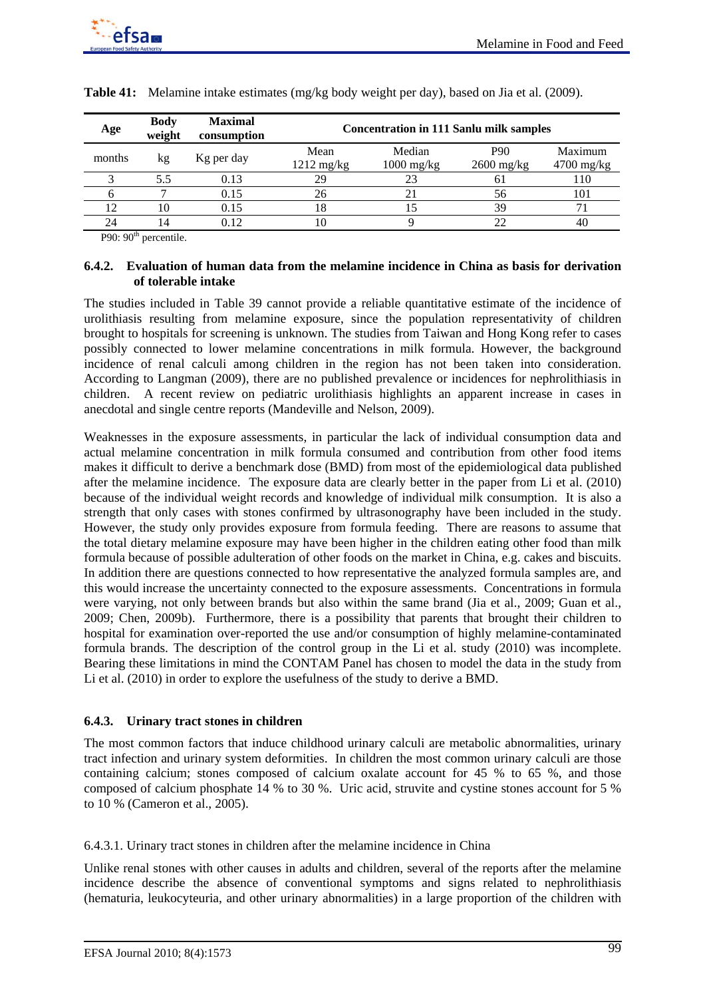

| <b>Body</b><br>weight | <b>Maximal</b><br>consumption | <b>Concentration in 111 Sanlu milk samples</b> |                                |                                           |                         |  |  |  |
|-----------------------|-------------------------------|------------------------------------------------|--------------------------------|-------------------------------------------|-------------------------|--|--|--|
| kg                    | Kg per day                    | Mean<br>$1212 \text{ mg/kg}$                   | Median<br>$1000 \text{ mg/kg}$ | P90<br>$2600 \frac{\text{mg}}{\text{kg}}$ | Maximum<br>$4700$ mg/kg |  |  |  |
| 5.5                   | 0.13                          | 29                                             |                                | 61                                        | 110                     |  |  |  |
|                       | 0.15                          | 26                                             |                                | 56                                        | 101                     |  |  |  |
|                       | 0.15                          |                                                |                                | 39                                        |                         |  |  |  |
|                       | 0.12                          |                                                |                                |                                           | 40                      |  |  |  |
|                       |                               |                                                |                                |                                           |                         |  |  |  |

**Table 41:** Melamine intake estimates (mg/kg body weight per day), based on Jia et al. (2009).

P90:  $90<sup>th</sup>$  percentile.

#### **6.4.2. Evaluation of human data from the melamine incidence in China as basis for derivation of tolerable intake**

The studies included in Table 39 cannot provide a reliable quantitative estimate of the incidence of urolithiasis resulting from melamine exposure, since the population representativity of children brought to hospitals for screening is unknown. The studies from Taiwan and Hong Kong refer to cases possibly connected to lower melamine concentrations in milk formula. However, the background incidence of renal calculi among children in the region has not been taken into consideration. According to Langman (2009), there are no published prevalence or incidences for nephrolithiasis in children. A recent review on pediatric urolithiasis highlights an apparent increase in cases in anecdotal and single centre reports (Mandeville and Nelson, 2009).

Weaknesses in the exposure assessments, in particular the lack of individual consumption data and actual melamine concentration in milk formula consumed and contribution from other food items makes it difficult to derive a benchmark dose (BMD) from most of the epidemiological data published after the melamine incidence. The exposure data are clearly better in the paper from Li et al. (2010) because of the individual weight records and knowledge of individual milk consumption. It is also a strength that only cases with stones confirmed by ultrasonography have been included in the study. However, the study only provides exposure from formula feeding. There are reasons to assume that the total dietary melamine exposure may have been higher in the children eating other food than milk formula because of possible adulteration of other foods on the market in China, e.g. cakes and biscuits. In addition there are questions connected to how representative the analyzed formula samples are, and this would increase the uncertainty connected to the exposure assessments. Concentrations in formula were varying, not only between brands but also within the same brand (Jia et al., 2009; Guan et al., 2009; Chen, 2009b). Furthermore, there is a possibility that parents that brought their children to hospital for examination over-reported the use and/or consumption of highly melamine-contaminated formula brands. The description of the control group in the Li et al. study (2010) was incomplete. Bearing these limitations in mind the CONTAM Panel has chosen to model the data in the study from Li et al. (2010) in order to explore the usefulness of the study to derive a BMD.

#### **6.4.3. Urinary tract stones in children**

The most common factors that induce childhood urinary calculi are metabolic abnormalities, urinary tract infection and urinary system deformities. In children the most common urinary calculi are those containing calcium; stones composed of calcium oxalate account for 45 % to 65 %, and those composed of calcium phosphate 14 % to 30 %. Uric acid, struvite and cystine stones account for 5 % to 10 % (Cameron et al., 2005).

#### 6.4.3.1. Urinary tract stones in children after the melamine incidence in China

Unlike renal stones with other causes in adults and children, several of the reports after the melamine incidence describe the absence of conventional symptoms and signs related to nephrolithiasis (hematuria, leukocyteuria, and other urinary abnormalities) in a large proportion of the children with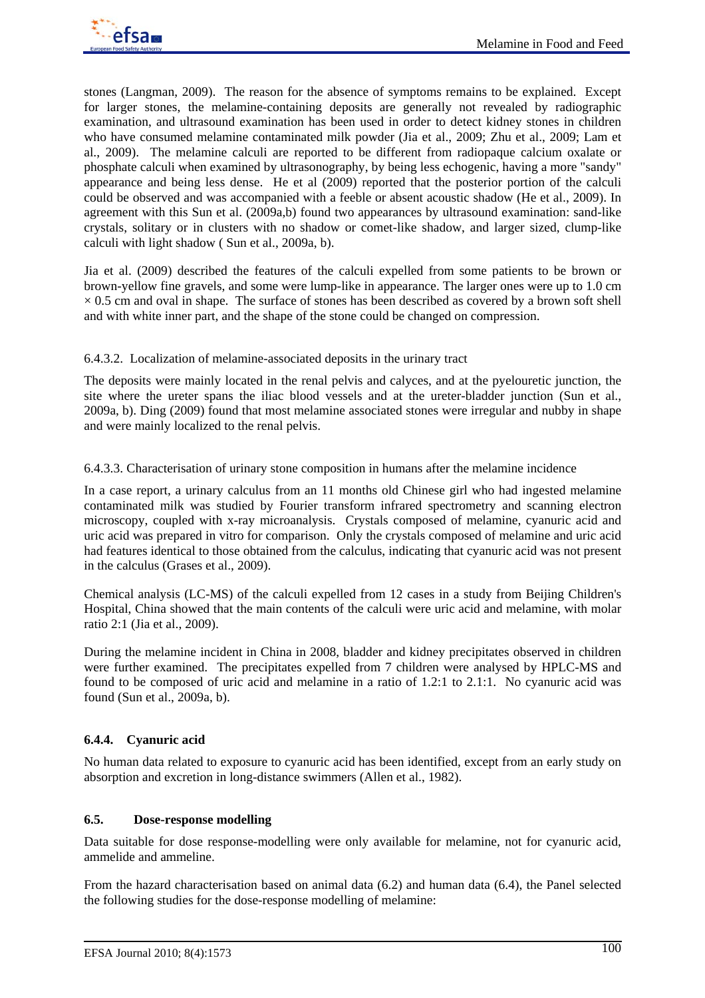stones (Langman, 2009). The reason for the absence of symptoms remains to be explained. Except for larger stones, the melamine-containing deposits are generally not revealed by radiographic examination, and ultrasound examination has been used in order to detect kidney stones in children who have consumed melamine contaminated milk powder (Jia et al., 2009; Zhu et al., 2009; Lam et al., 2009). The melamine calculi are reported to be different from radiopaque calcium oxalate or phosphate calculi when examined by ultrasonography, by being less echogenic, having a more "sandy" appearance and being less dense. He et al (2009) reported that the posterior portion of the calculi could be observed and was accompanied with a feeble or absent acoustic shadow (He et al., 2009). In agreement with this Sun et al. (2009a,b) found two appearances by ultrasound examination: sand-like crystals, solitary or in clusters with no shadow or comet-like shadow, and larger sized, clump-like calculi with light shadow ( Sun et al., 2009a, b).

Jia et al. (2009) described the features of the calculi expelled from some patients to be brown or brown-yellow fine gravels, and some were lump-like in appearance. The larger ones were up to 1.0 cm  $\times$  0.5 cm and oval in shape. The surface of stones has been described as covered by a brown soft shell and with white inner part, and the shape of the stone could be changed on compression.

6.4.3.2. Localization of melamine-associated deposits in the urinary tract

The deposits were mainly located in the renal pelvis and calyces, and at the pyelouretic junction, the site where the ureter spans the iliac blood vessels and at the ureter-bladder junction (Sun et al., 2009a, b). Ding (2009) found that most melamine associated stones were irregular and nubby in shape and were mainly localized to the renal pelvis.

6.4.3.3. Characterisation of urinary stone composition in humans after the melamine incidence

In a case report, a urinary calculus from an 11 months old Chinese girl who had ingested melamine contaminated milk was studied by Fourier transform infrared spectrometry and scanning electron microscopy, coupled with x-ray microanalysis. Crystals composed of melamine, cyanuric acid and uric acid was prepared in vitro for comparison. Only the crystals composed of melamine and uric acid had features identical to those obtained from the calculus, indicating that cyanuric acid was not present in the calculus (Grases et al., 2009).

Chemical analysis (LC-MS) of the calculi expelled from 12 cases in a study from Beijing Children's Hospital, China showed that the main contents of the calculi were uric acid and melamine, with molar ratio 2:1 (Jia et al., 2009).

During the melamine incident in China in 2008, bladder and kidney precipitates observed in children were further examined. The precipitates expelled from 7 children were analysed by HPLC-MS and found to be composed of uric acid and melamine in a ratio of 1.2:1 to 2.1:1. No cyanuric acid was found (Sun et al., 2009a, b).

## **6.4.4. Cyanuric acid**

No human data related to exposure to cyanuric acid has been identified, except from an early study on absorption and excretion in long-distance swimmers (Allen et al., 1982).

#### **6.5. Dose-response modelling**

Data suitable for dose response-modelling were only available for melamine, not for cyanuric acid, ammelide and ammeline.

From the hazard characterisation based on animal data (6.2) and human data (6.4), the Panel selected the following studies for the dose-response modelling of melamine: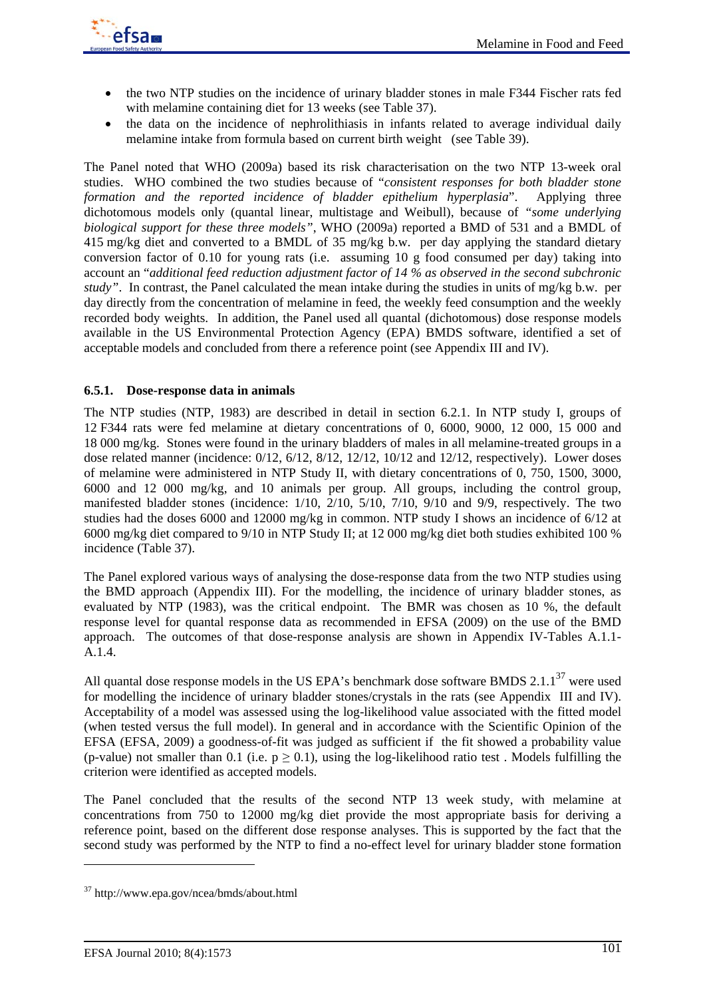

- the two NTP studies on the incidence of urinary bladder stones in male F344 Fischer rats fed with melamine containing diet for 13 weeks (see Table 37).
- the data on the incidence of nephrolithiasis in infants related to average individual daily melamine intake from formula based on current birth weight (see Table 39).

The Panel noted that WHO (2009a) based its risk characterisation on the two NTP 13-week oral studies. WHO combined the two studies because of "*consistent responses for both bladder stone formation and the reported incidence of bladder epithelium hyperplasia*". Applying three dichotomous models only (quantal linear, multistage and Weibull), because of *"some underlying biological support for these three models"*, WHO (2009a) reported a BMD of 531 and a BMDL of 415 mg/kg diet and converted to a BMDL of 35 mg/kg b.w. per day applying the standard dietary conversion factor of 0.10 for young rats (i.e. assuming 10 g food consumed per day) taking into account an "*additional feed reduction adjustment factor of 14 % as observed in the second subchronic study"*. In contrast, the Panel calculated the mean intake during the studies in units of mg/kg b.w. per day directly from the concentration of melamine in feed, the weekly feed consumption and the weekly recorded body weights. In addition, the Panel used all quantal (dichotomous) dose response models available in the US Environmental Protection Agency (EPA) BMDS software, identified a set of acceptable models and concluded from there a reference point (see Appendix III and IV).

### **6.5.1. Dose-response data in animals**

The NTP studies (NTP, 1983) are described in detail in section 6.2.1. In NTP study I, groups of 12 F344 rats were fed melamine at dietary concentrations of 0, 6000, 9000, 12 000, 15 000 and 18 000 mg/kg. Stones were found in the urinary bladders of males in all melamine-treated groups in a dose related manner (incidence: 0/12, 6/12, 8/12, 12/12, 10/12 and 12/12, respectively). Lower doses of melamine were administered in NTP Study II, with dietary concentrations of 0, 750, 1500, 3000, 6000 and 12 000 mg/kg, and 10 animals per group. All groups, including the control group, manifested bladder stones (incidence: 1/10, 2/10, 5/10, 7/10, 9/10 and 9/9, respectively. The two studies had the doses 6000 and 12000 mg/kg in common. NTP study I shows an incidence of 6/12 at 6000 mg/kg diet compared to 9/10 in NTP Study II; at 12 000 mg/kg diet both studies exhibited 100 % incidence (Table 37).

The Panel explored various ways of analysing the dose-response data from the two NTP studies using the BMD approach (Appendix III). For the modelling, the incidence of urinary bladder stones, as evaluated by NTP (1983), was the critical endpoint. The BMR was chosen as 10 %, the default response level for quantal response data as recommended in EFSA (2009) on the use of the BMD approach. The outcomes of that dose-response analysis are shown in Appendix IV-Tables A.1.1- A.1.4.

All quantal dose response models in the US EPA's benchmark dose software BMDS  $2.1.1^{37}$  were used for modelling the incidence of urinary bladder stones/crystals in the rats (see Appendix III and IV). Acceptability of a model was assessed using the log-likelihood value associated with the fitted model (when tested versus the full model). In general and in accordance with the Scientific Opinion of the EFSA (EFSA, 2009) a goodness-of-fit was judged as sufficient if the fit showed a probability value (p-value) not smaller than 0.1 (i.e.  $p \ge 0.1$ ), using the log-likelihood ratio test. Models fulfilling the criterion were identified as accepted models.

The Panel concluded that the results of the second NTP 13 week study, with melamine at concentrations from 750 to 12000 mg/kg diet provide the most appropriate basis for deriving a reference point, based on the different dose response analyses. This is supported by the fact that the second study was performed by the NTP to find a no-effect level for urinary bladder stone formation

l

<sup>37</sup> http://www.epa.gov/ncea/bmds/about.html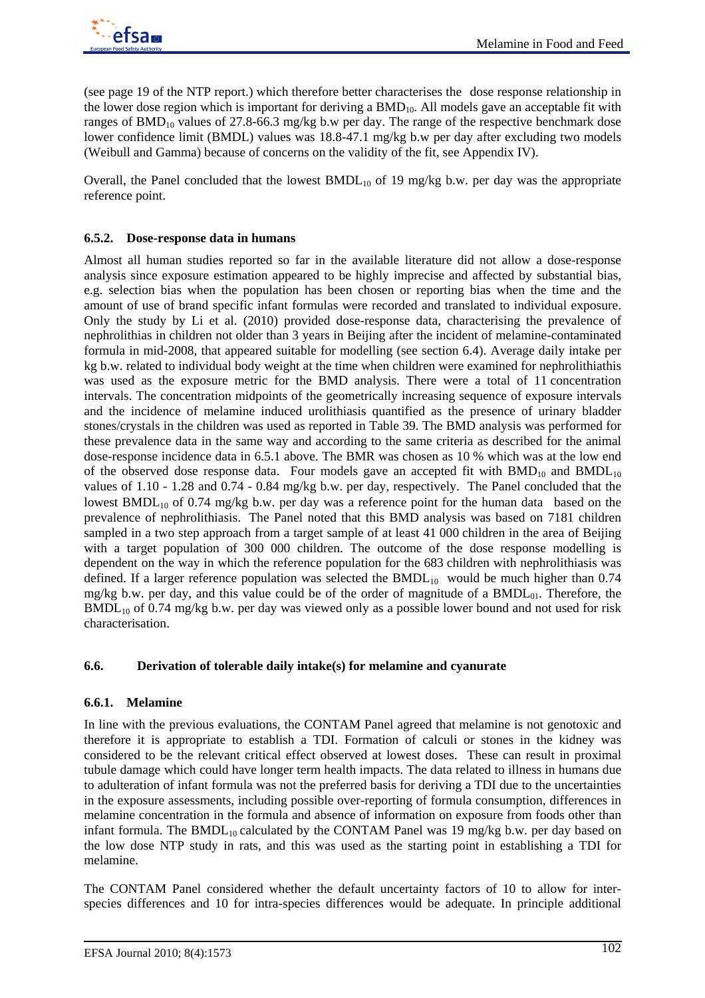

(see page 19 of the NTP report.) which therefore better characterises the dose response relationship in the lower dose region which is important for deriving a  $BMD_{10}$ . All models gave an acceptable fit with ranges of  $BMD_{10}$  values of 27.8-66.3 mg/kg b.w per day. The range of the respective benchmark dose lower confidence limit (BMDL) values was 18.8-47.1 mg/kg b.w per day after excluding two models (Weibull and Gamma) because of concerns on the validity of the fit, see Appendix IV).

Overall, the Panel concluded that the lowest  $BMDL_{10}$  of 19 mg/kg b.w. per day was the appropriate reference point.

# **6.5.2. Dose-response data in humans**

Almost all human studies reported so far in the available literature did not allow a dose-response analysis since exposure estimation appeared to be highly imprecise and affected by substantial bias, e.g. selection bias when the population has been chosen or reporting bias when the time and the amount of use of brand specific infant formulas were recorded and translated to individual exposure. Only the study by Li et al. (2010) provided dose-response data, characterising the prevalence of nephrolithias in children not older than 3 years in Beijing after the incident of melamine-contaminated formula in mid-2008, that appeared suitable for modelling (see section 6.4). Average daily intake per kg b.w. related to individual body weight at the time when children were examined for nephrolithiathis was used as the exposure metric for the BMD analysis. There were a total of 11 concentration intervals. The concentration midpoints of the geometrically increasing sequence of exposure intervals and the incidence of melamine induced urolithiasis quantified as the presence of urinary bladder stones/crystals in the children was used as reported in Table 39. The BMD analysis was performed for these prevalence data in the same way and according to the same criteria as described for the animal dose-response incidence data in 6.5.1 above. The BMR was chosen as 10 % which was at the low end of the observed dose response data. Four models gave an accepted fit with  $BMD_{10}$  and  $BMD_{10}$ values of 1.10 - 1.28 and 0.74 - 0.84 mg/kg b.w. per day, respectively. The Panel concluded that the lowest  $BMDL_{10}$  of 0.74 mg/kg b.w. per day was a reference point for the human data based on the prevalence of nephrolithiasis. The Panel noted that this BMD analysis was based on 7181 children sampled in a two step approach from a target sample of at least 41 000 children in the area of Beijing with a target population of 300 000 children. The outcome of the dose response modelling is dependent on the way in which the reference population for the 683 children with nephrolithiasis was defined. If a larger reference population was selected the  $BMDL_{10}$  would be much higher than 0.74 mg/kg b.w. per day, and this value could be of the order of magnitude of a  $BMDL_{01}$ . Therefore, the  $BMDL<sub>10</sub>$  of 0.74 mg/kg b.w. per day was viewed only as a possible lower bound and not used for risk characterisation.

## **6.6. Derivation of tolerable daily intake(s) for melamine and cyanurate**

## **6.6.1. Melamine**

In line with the previous evaluations, the CONTAM Panel agreed that melamine is not genotoxic and therefore it is appropriate to establish a TDI. Formation of calculi or stones in the kidney was considered to be the relevant critical effect observed at lowest doses. These can result in proximal tubule damage which could have longer term health impacts. The data related to illness in humans due to adulteration of infant formula was not the preferred basis for deriving a TDI due to the uncertainties in the exposure assessments, including possible over-reporting of formula consumption, differences in melamine concentration in the formula and absence of information on exposure from foods other than infant formula. The  $BMDL_{10}$  calculated by the CONTAM Panel was 19 mg/kg b.w. per day based on the low dose NTP study in rats, and this was used as the starting point in establishing a TDI for melamine.

The CONTAM Panel considered whether the default uncertainty factors of 10 to allow for interspecies differences and 10 for intra-species differences would be adequate. In principle additional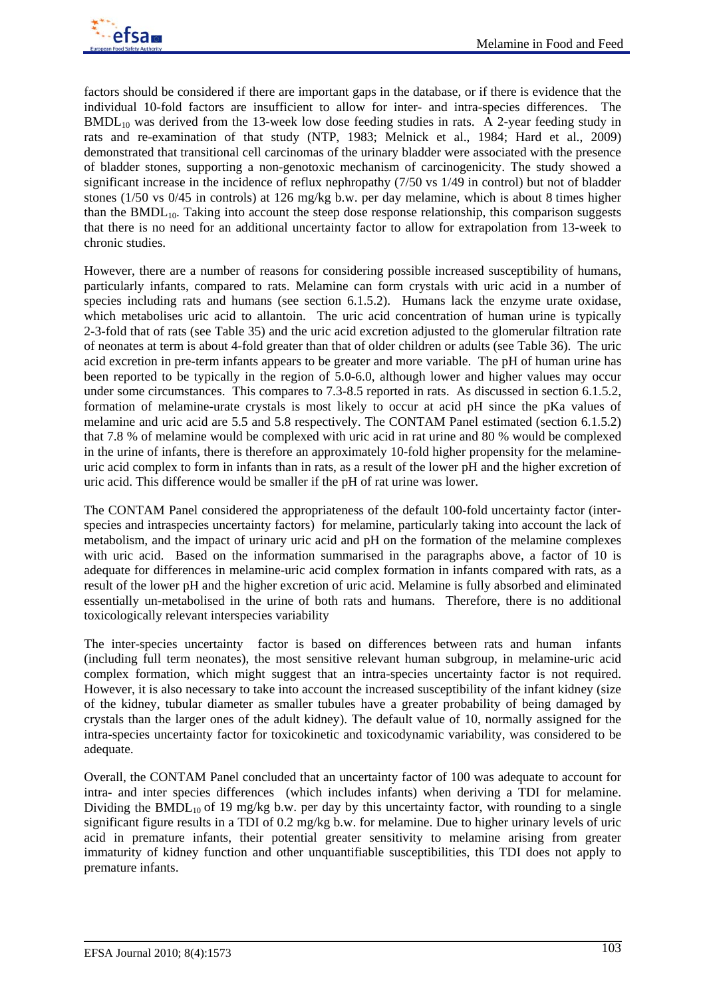factors should be considered if there are important gaps in the database, or if there is evidence that the individual 10-fold factors are insufficient to allow for inter- and intra-species differences. The BMDL<sub>10</sub> was derived from the 13-week low dose feeding studies in rats. A 2-year feeding study in rats and re-examination of that study (NTP, 1983; Melnick et al., 1984; Hard et al., 2009) demonstrated that transitional cell carcinomas of the urinary bladder were associated with the presence of bladder stones, supporting a non-genotoxic mechanism of carcinogenicity. The study showed a significant increase in the incidence of reflux nephropathy (7/50 vs 1/49 in control) but not of bladder stones (1/50 vs 0/45 in controls) at 126 mg/kg b.w. per day melamine, which is about 8 times higher than the  $BMDL_{10}$ . Taking into account the steep dose response relationship, this comparison suggests that there is no need for an additional uncertainty factor to allow for extrapolation from 13-week to chronic studies.

However, there are a number of reasons for considering possible increased susceptibility of humans, particularly infants, compared to rats. Melamine can form crystals with uric acid in a number of species including rats and humans (see section 6.1.5.2). Humans lack the enzyme urate oxidase, which metabolises uric acid to allantoin. The uric acid concentration of human urine is typically 2-3-fold that of rats (see Table 35) and the uric acid excretion adjusted to the glomerular filtration rate of neonates at term is about 4-fold greater than that of older children or adults (see Table 36). The uric acid excretion in pre-term infants appears to be greater and more variable. The pH of human urine has been reported to be typically in the region of 5.0-6.0, although lower and higher values may occur under some circumstances. This compares to 7.3-8.5 reported in rats. As discussed in section 6.1.5.2, formation of melamine-urate crystals is most likely to occur at acid pH since the pKa values of melamine and uric acid are 5.5 and 5.8 respectively. The CONTAM Panel estimated (section 6.1.5.2) that 7.8 % of melamine would be complexed with uric acid in rat urine and 80 % would be complexed in the urine of infants, there is therefore an approximately 10-fold higher propensity for the melamineuric acid complex to form in infants than in rats, as a result of the lower pH and the higher excretion of uric acid. This difference would be smaller if the pH of rat urine was lower.

The CONTAM Panel considered the appropriateness of the default 100-fold uncertainty factor (interspecies and intraspecies uncertainty factors) for melamine, particularly taking into account the lack of metabolism, and the impact of urinary uric acid and pH on the formation of the melamine complexes with uric acid. Based on the information summarised in the paragraphs above, a factor of 10 is adequate for differences in melamine-uric acid complex formation in infants compared with rats, as a result of the lower pH and the higher excretion of uric acid. Melamine is fully absorbed and eliminated essentially un-metabolised in the urine of both rats and humans. Therefore, there is no additional toxicologically relevant interspecies variability

The inter-species uncertainty factor is based on differences between rats and human infants (including full term neonates), the most sensitive relevant human subgroup, in melamine-uric acid complex formation, which might suggest that an intra-species uncertainty factor is not required. However, it is also necessary to take into account the increased susceptibility of the infant kidney (size of the kidney, tubular diameter as smaller tubules have a greater probability of being damaged by crystals than the larger ones of the adult kidney). The default value of 10, normally assigned for the intra-species uncertainty factor for toxicokinetic and toxicodynamic variability, was considered to be adequate.

Overall, the CONTAM Panel concluded that an uncertainty factor of 100 was adequate to account for intra- and inter species differences (which includes infants) when deriving a TDI for melamine. Dividing the BMDL<sub>10</sub> of 19 mg/kg b.w. per day by this uncertainty factor, with rounding to a single significant figure results in a TDI of 0.2 mg/kg b.w. for melamine. Due to higher urinary levels of uric acid in premature infants, their potential greater sensitivity to melamine arising from greater immaturity of kidney function and other unquantifiable susceptibilities, this TDI does not apply to premature infants.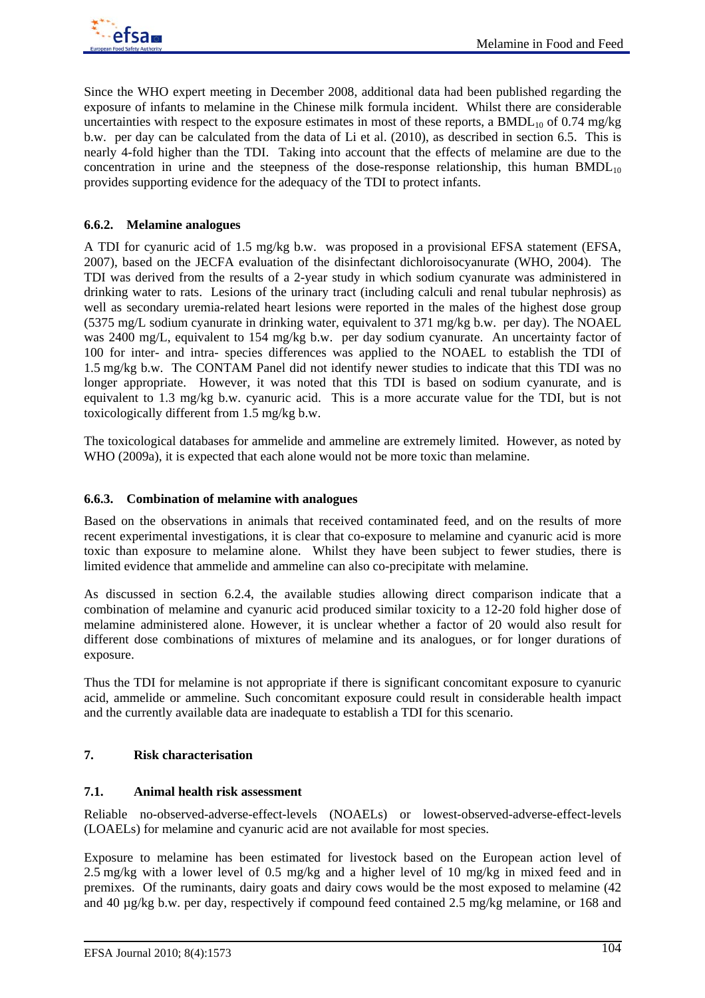

Since the WHO expert meeting in December 2008, additional data had been published regarding the exposure of infants to melamine in the Chinese milk formula incident. Whilst there are considerable uncertainties with respect to the exposure estimates in most of these reports, a  $BMDL_{10}$  of 0.74 mg/kg b.w. per day can be calculated from the data of Li et al. (2010), as described in section 6.5. This is nearly 4-fold higher than the TDI. Taking into account that the effects of melamine are due to the concentration in urine and the steepness of the dose-response relationship, this human  $BMDL_{10}$ provides supporting evidence for the adequacy of the TDI to protect infants.

# **6.6.2. Melamine analogues**

A TDI for cyanuric acid of 1.5 mg/kg b.w. was proposed in a provisional EFSA statement (EFSA, 2007), based on the JECFA evaluation of the disinfectant dichloroisocyanurate (WHO, 2004). The TDI was derived from the results of a 2-year study in which sodium cyanurate was administered in drinking water to rats. Lesions of the urinary tract (including calculi and renal tubular nephrosis) as well as secondary uremia-related heart lesions were reported in the males of the highest dose group (5375 mg/L sodium cyanurate in drinking water, equivalent to 371 mg/kg b.w. per day). The NOAEL was 2400 mg/L, equivalent to 154 mg/kg b.w. per day sodium cyanurate. An uncertainty factor of 100 for inter- and intra- species differences was applied to the NOAEL to establish the TDI of 1.5 mg/kg b.w. The CONTAM Panel did not identify newer studies to indicate that this TDI was no longer appropriate. However, it was noted that this TDI is based on sodium cyanurate, and is equivalent to 1.3 mg/kg b.w. cyanuric acid. This is a more accurate value for the TDI, but is not toxicologically different from 1.5 mg/kg b.w.

The toxicological databases for ammelide and ammeline are extremely limited. However, as noted by WHO (2009a), it is expected that each alone would not be more toxic than melamine.

### **6.6.3. Combination of melamine with analogues**

Based on the observations in animals that received contaminated feed, and on the results of more recent experimental investigations, it is clear that co-exposure to melamine and cyanuric acid is more toxic than exposure to melamine alone. Whilst they have been subject to fewer studies, there is limited evidence that ammelide and ammeline can also co-precipitate with melamine.

As discussed in section 6.2.4, the available studies allowing direct comparison indicate that a combination of melamine and cyanuric acid produced similar toxicity to a 12-20 fold higher dose of melamine administered alone. However, it is unclear whether a factor of 20 would also result for different dose combinations of mixtures of melamine and its analogues, or for longer durations of exposure.

Thus the TDI for melamine is not appropriate if there is significant concomitant exposure to cyanuric acid, ammelide or ammeline. Such concomitant exposure could result in considerable health impact and the currently available data are inadequate to establish a TDI for this scenario.

## **7. Risk characterisation**

## **7.1. Animal health risk assessment**

Reliable no-observed-adverse-effect-levels (NOAELs) or lowest-observed-adverse-effect-levels (LOAELs) for melamine and cyanuric acid are not available for most species.

Exposure to melamine has been estimated for livestock based on the European action level of 2.5 mg/kg with a lower level of 0.5 mg/kg and a higher level of 10 mg/kg in mixed feed and in premixes. Of the ruminants, dairy goats and dairy cows would be the most exposed to melamine (42 and 40 µg/kg b.w. per day, respectively if compound feed contained 2.5 mg/kg melamine, or 168 and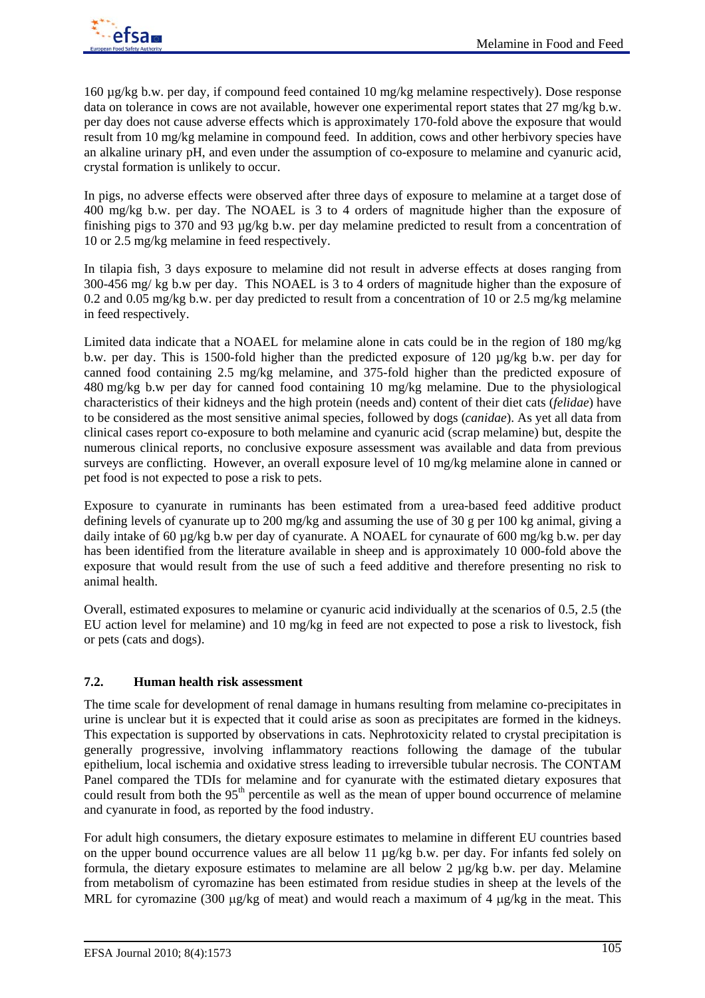

160 µg/kg b.w. per day, if compound feed contained 10 mg/kg melamine respectively). Dose response data on tolerance in cows are not available, however one experimental report states that 27 mg/kg b.w. per day does not cause adverse effects which is approximately 170-fold above the exposure that would result from 10 mg/kg melamine in compound feed. In addition, cows and other herbivory species have an alkaline urinary pH, and even under the assumption of co-exposure to melamine and cyanuric acid, crystal formation is unlikely to occur.

In pigs, no adverse effects were observed after three days of exposure to melamine at a target dose of 400 mg/kg b.w. per day. The NOAEL is 3 to 4 orders of magnitude higher than the exposure of finishing pigs to 370 and 93 µg/kg b.w. per day melamine predicted to result from a concentration of 10 or 2.5 mg/kg melamine in feed respectively.

In tilapia fish, 3 days exposure to melamine did not result in adverse effects at doses ranging from 300-456 mg/ kg b.w per day. This NOAEL is 3 to 4 orders of magnitude higher than the exposure of 0.2 and 0.05 mg/kg b.w. per day predicted to result from a concentration of 10 or 2.5 mg/kg melamine in feed respectively.

Limited data indicate that a NOAEL for melamine alone in cats could be in the region of 180 mg/kg b.w. per day. This is 1500-fold higher than the predicted exposure of 120 µg/kg b.w. per day for canned food containing 2.5 mg/kg melamine, and 375-fold higher than the predicted exposure of 480 mg/kg b.w per day for canned food containing 10 mg/kg melamine. Due to the physiological characteristics of their kidneys and the high protein (needs and) content of their diet cats (*felidae*) have to be considered as the most sensitive animal species, followed by dogs (*canidae*). As yet all data from clinical cases report co-exposure to both melamine and cyanuric acid (scrap melamine) but, despite the numerous clinical reports, no conclusive exposure assessment was available and data from previous surveys are conflicting. However, an overall exposure level of 10 mg/kg melamine alone in canned or pet food is not expected to pose a risk to pets.

Exposure to cyanurate in ruminants has been estimated from a urea-based feed additive product defining levels of cyanurate up to 200 mg/kg and assuming the use of 30 g per 100 kg animal, giving a daily intake of 60 µg/kg b.w per day of cyanurate. A NOAEL for cynaurate of 600 mg/kg b.w. per day has been identified from the literature available in sheep and is approximately 10 000-fold above the exposure that would result from the use of such a feed additive and therefore presenting no risk to animal health.

Overall, estimated exposures to melamine or cyanuric acid individually at the scenarios of 0.5, 2.5 (the EU action level for melamine) and 10 mg/kg in feed are not expected to pose a risk to livestock, fish or pets (cats and dogs).

## **7.2. Human health risk assessment**

The time scale for development of renal damage in humans resulting from melamine co-precipitates in urine is unclear but it is expected that it could arise as soon as precipitates are formed in the kidneys. This expectation is supported by observations in cats. Nephrotoxicity related to crystal precipitation is generally progressive, involving inflammatory reactions following the damage of the tubular epithelium, local ischemia and oxidative stress leading to irreversible tubular necrosis. The CONTAM Panel compared the TDIs for melamine and for cyanurate with the estimated dietary exposures that could result from both the 95<sup>th</sup> percentile as well as the mean of upper bound occurrence of melamine and cyanurate in food, as reported by the food industry.

For adult high consumers, the dietary exposure estimates to melamine in different EU countries based on the upper bound occurrence values are all below 11 µg/kg b.w. per day. For infants fed solely on formula, the dietary exposure estimates to melamine are all below 2 µg/kg b.w. per day. Melamine from metabolism of cyromazine has been estimated from residue studies in sheep at the levels of the MRL for cyromazine (300 μg/kg of meat) and would reach a maximum of 4 μg/kg in the meat. This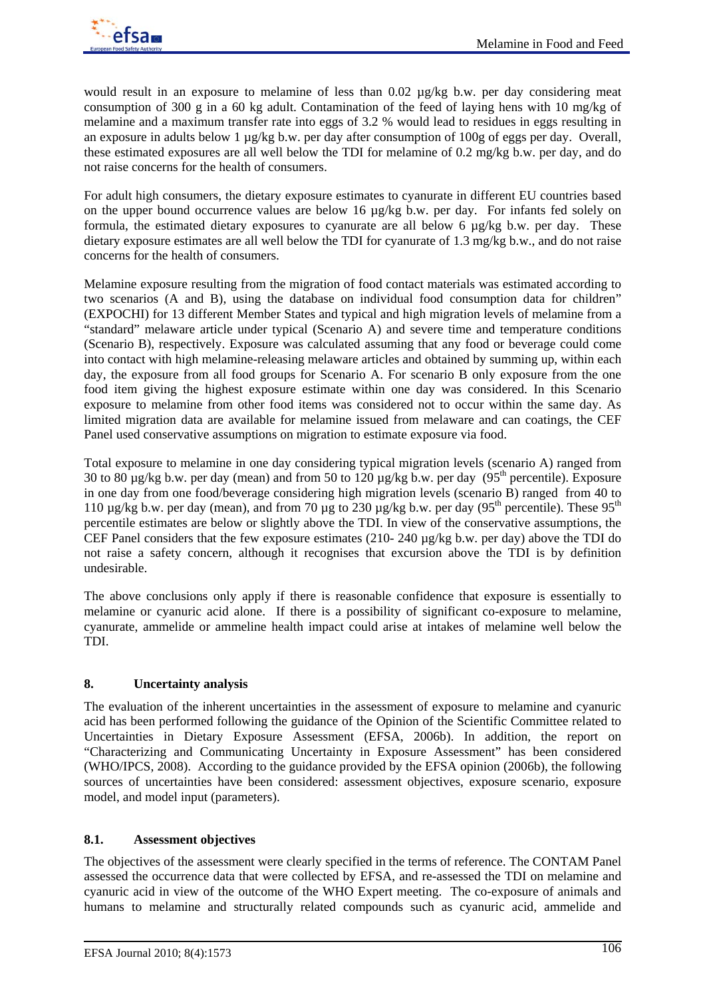

would result in an exposure to melamine of less than 0.02  $\mu$ g/kg b.w. per day considering meat consumption of 300 g in a 60 kg adult. Contamination of the feed of laying hens with 10 mg/kg of melamine and a maximum transfer rate into eggs of 3.2 % would lead to residues in eggs resulting in an exposure in adults below 1 µg/kg b.w. per day after consumption of 100g of eggs per day. Overall, these estimated exposures are all well below the TDI for melamine of 0.2 mg/kg b.w. per day, and do not raise concerns for the health of consumers.

For adult high consumers, the dietary exposure estimates to cyanurate in different EU countries based on the upper bound occurrence values are below 16 µg/kg b.w. per day. For infants fed solely on formula, the estimated dietary exposures to cyanurate are all below 6 µg/kg b.w. per day. These dietary exposure estimates are all well below the TDI for cyanurate of 1.3 mg/kg b.w., and do not raise concerns for the health of consumers.

Melamine exposure resulting from the migration of food contact materials was estimated according to two scenarios (A and B), using the database on individual food consumption data for children" (EXPOCHI) for 13 different Member States and typical and high migration levels of melamine from a "standard" melaware article under typical (Scenario A) and severe time and temperature conditions (Scenario B), respectively. Exposure was calculated assuming that any food or beverage could come into contact with high melamine-releasing melaware articles and obtained by summing up, within each day, the exposure from all food groups for Scenario A. For scenario B only exposure from the one food item giving the highest exposure estimate within one day was considered. In this Scenario exposure to melamine from other food items was considered not to occur within the same day. As limited migration data are available for melamine issued from melaware and can coatings, the CEF Panel used conservative assumptions on migration to estimate exposure via food.

Total exposure to melamine in one day considering typical migration levels (scenario A) ranged from 30 to 80  $\mu$ g/kg b.w. per day (mean) and from 50 to 120  $\mu$ g/kg b.w. per day (95<sup>th</sup> percentile). Exposure in one day from one food/beverage considering high migration levels (scenario B) ranged from 40 to 110  $\mu$ g/kg b.w. per day (mean), and from 70  $\mu$ g to 230  $\mu$ g/kg b.w. per day (95<sup>th</sup> percentile). These 95<sup>th</sup> percentile estimates are below or slightly above the TDI. In view of the conservative assumptions, the CEF Panel considers that the few exposure estimates (210- 240 µg/kg b.w. per day) above the TDI do not raise a safety concern, although it recognises that excursion above the TDI is by definition undesirable.

The above conclusions only apply if there is reasonable confidence that exposure is essentially to melamine or cyanuric acid alone. If there is a possibility of significant co-exposure to melamine, cyanurate, ammelide or ammeline health impact could arise at intakes of melamine well below the TDI.

## **8. Uncertainty analysis**

The evaluation of the inherent uncertainties in the assessment of exposure to melamine and cyanuric acid has been performed following the guidance of the Opinion of the Scientific Committee related to Uncertainties in Dietary Exposure Assessment (EFSA, 2006b). In addition, the report on "Characterizing and Communicating Uncertainty in Exposure Assessment" has been considered (WHO/IPCS, 2008). According to the guidance provided by the EFSA opinion (2006b), the following sources of uncertainties have been considered: assessment objectives, exposure scenario, exposure model, and model input (parameters).

## **8.1. Assessment objectives**

The objectives of the assessment were clearly specified in the terms of reference. The CONTAM Panel assessed the occurrence data that were collected by EFSA, and re-assessed the TDI on melamine and cyanuric acid in view of the outcome of the WHO Expert meeting. The co-exposure of animals and humans to melamine and structurally related compounds such as cyanuric acid, ammelide and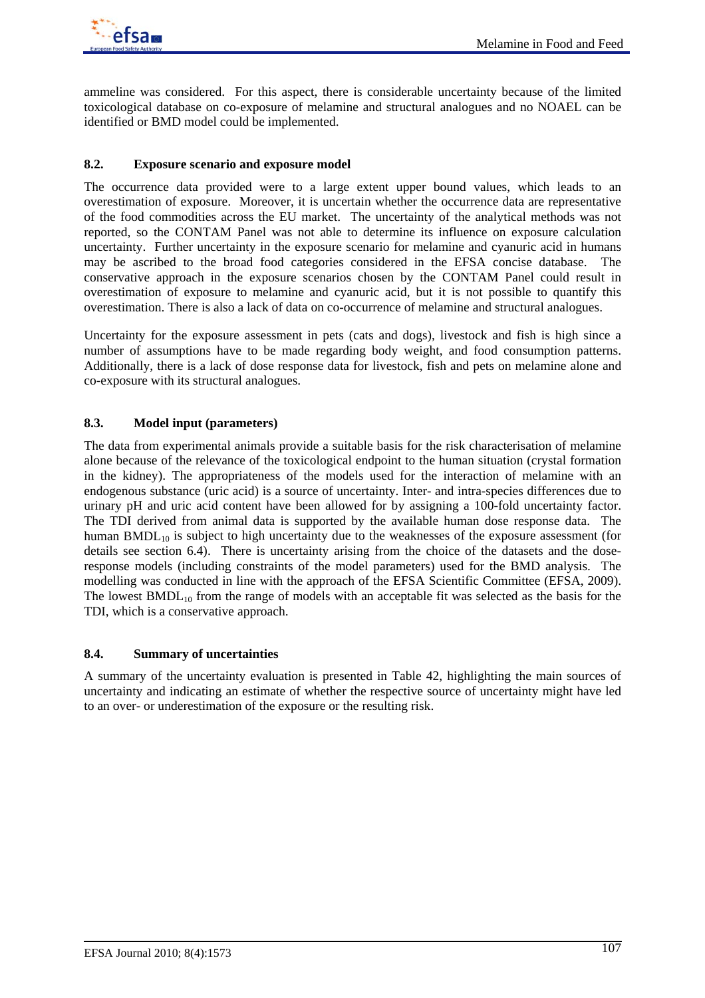

ammeline was considered. For this aspect, there is considerable uncertainty because of the limited toxicological database on co-exposure of melamine and structural analogues and no NOAEL can be identified or BMD model could be implemented.

### **8.2. Exposure scenario and exposure model**

The occurrence data provided were to a large extent upper bound values, which leads to an overestimation of exposure. Moreover, it is uncertain whether the occurrence data are representative of the food commodities across the EU market. The uncertainty of the analytical methods was not reported, so the CONTAM Panel was not able to determine its influence on exposure calculation uncertainty. Further uncertainty in the exposure scenario for melamine and cyanuric acid in humans may be ascribed to the broad food categories considered in the EFSA concise database. The conservative approach in the exposure scenarios chosen by the CONTAM Panel could result in overestimation of exposure to melamine and cyanuric acid, but it is not possible to quantify this overestimation. There is also a lack of data on co-occurrence of melamine and structural analogues.

Uncertainty for the exposure assessment in pets (cats and dogs), livestock and fish is high since a number of assumptions have to be made regarding body weight, and food consumption patterns. Additionally, there is a lack of dose response data for livestock, fish and pets on melamine alone and co-exposure with its structural analogues.

### **8.3. Model input (parameters)**

The data from experimental animals provide a suitable basis for the risk characterisation of melamine alone because of the relevance of the toxicological endpoint to the human situation (crystal formation in the kidney). The appropriateness of the models used for the interaction of melamine with an endogenous substance (uric acid) is a source of uncertainty. Inter- and intra-species differences due to urinary pH and uric acid content have been allowed for by assigning a 100-fold uncertainty factor. The TDI derived from animal data is supported by the available human dose response data. The human  $BMDL_{10}$  is subject to high uncertainty due to the weaknesses of the exposure assessment (for details see section 6.4). There is uncertainty arising from the choice of the datasets and the doseresponse models (including constraints of the model parameters) used for the BMD analysis. The modelling was conducted in line with the approach of the EFSA Scientific Committee (EFSA, 2009). The lowest  $BMDL_{10}$  from the range of models with an acceptable fit was selected as the basis for the TDI, which is a conservative approach.

#### **8.4. Summary of uncertainties**

A summary of the uncertainty evaluation is presented in Table 42, highlighting the main sources of uncertainty and indicating an estimate of whether the respective source of uncertainty might have led to an over- or underestimation of the exposure or the resulting risk.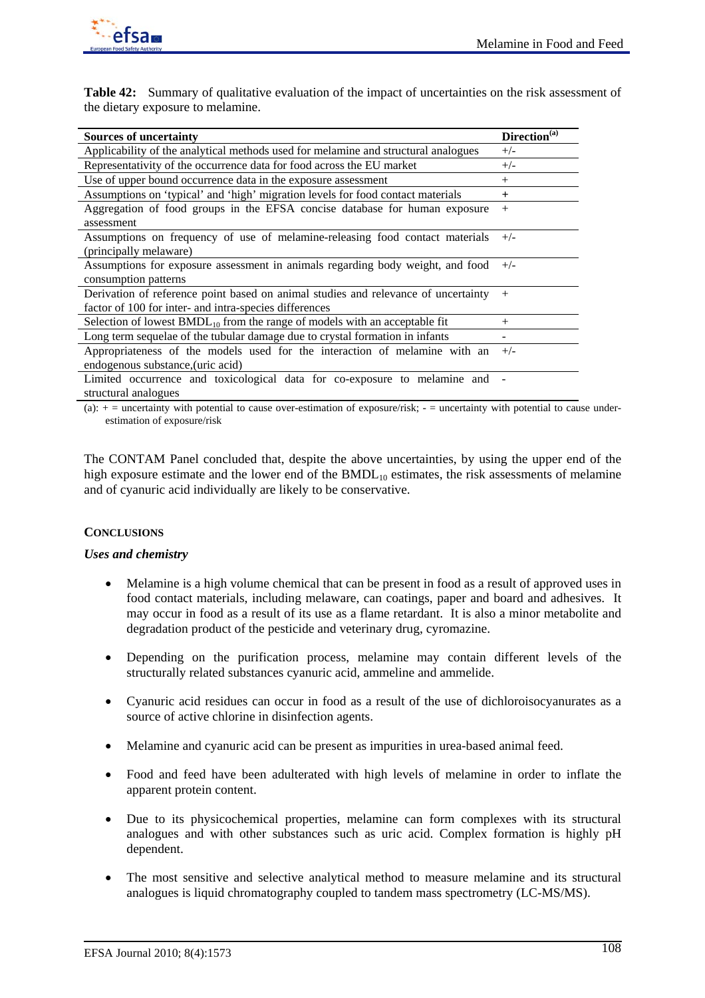

**Table 42:** Summary of qualitative evaluation of the impact of uncertainties on the risk assessment of the dietary exposure to melamine.

| <b>Sources of uncertainty</b>                                                      | Direction <sup>(a)</sup> |
|------------------------------------------------------------------------------------|--------------------------|
| Applicability of the analytical methods used for melamine and structural analogues | $+/-$                    |
| Representativity of the occurrence data for food across the EU market              | $+/-$                    |
| Use of upper bound occurrence data in the exposure assessment                      | $+$                      |
| Assumptions on 'typical' and 'high' migration levels for food contact materials    | $+$                      |
| Aggregation of food groups in the EFSA concise database for human exposure         | $^{+}$                   |
| assessment                                                                         |                          |
| Assumptions on frequency of use of melamine-releasing food contact materials       | $+/-$                    |
| (principally melaware)                                                             |                          |
| Assumptions for exposure assessment in animals regarding body weight, and food     | $+/-$                    |
| consumption patterns                                                               |                          |
| Derivation of reference point based on animal studies and relevance of uncertainty | $+$                      |
| factor of 100 for inter- and intra-species differences                             |                          |
| Selection of lowest $BMDL_{10}$ from the range of models with an acceptable fit    | $^{+}$                   |
| Long term sequelae of the tubular damage due to crystal formation in infants       |                          |
| Appropriateness of the models used for the interaction of melamine with an         | $+/-$                    |
| endogenous substance, (uric acid)                                                  |                          |
| Limited occurrence and toxicological data for co-exposure to melamine and          |                          |
| structural analogues                                                               |                          |

(a):  $+$  = uncertainty with potential to cause over-estimation of exposure/risk;  $-$  = uncertainty with potential to cause underestimation of exposure/risk

The CONTAM Panel concluded that, despite the above uncertainties, by using the upper end of the high exposure estimate and the lower end of the  $BMDL_{10}$  estimates, the risk assessments of melamine and of cyanuric acid individually are likely to be conservative.

## **CONCLUSIONS**

#### *Uses and chemistry*

- Melamine is a high volume chemical that can be present in food as a result of approved uses in food contact materials, including melaware, can coatings, paper and board and adhesives. It may occur in food as a result of its use as a flame retardant. It is also a minor metabolite and degradation product of the pesticide and veterinary drug, cyromazine.
- Depending on the purification process, melamine may contain different levels of the structurally related substances cyanuric acid, ammeline and ammelide.
- Cyanuric acid residues can occur in food as a result of the use of dichloroisocyanurates as a source of active chlorine in disinfection agents.
- Melamine and cyanuric acid can be present as impurities in urea-based animal feed.
- Food and feed have been adulterated with high levels of melamine in order to inflate the apparent protein content.
- Due to its physicochemical properties, melamine can form complexes with its structural analogues and with other substances such as uric acid. Complex formation is highly pH dependent.
- The most sensitive and selective analytical method to measure melamine and its structural analogues is liquid chromatography coupled to tandem mass spectrometry (LC-MS/MS).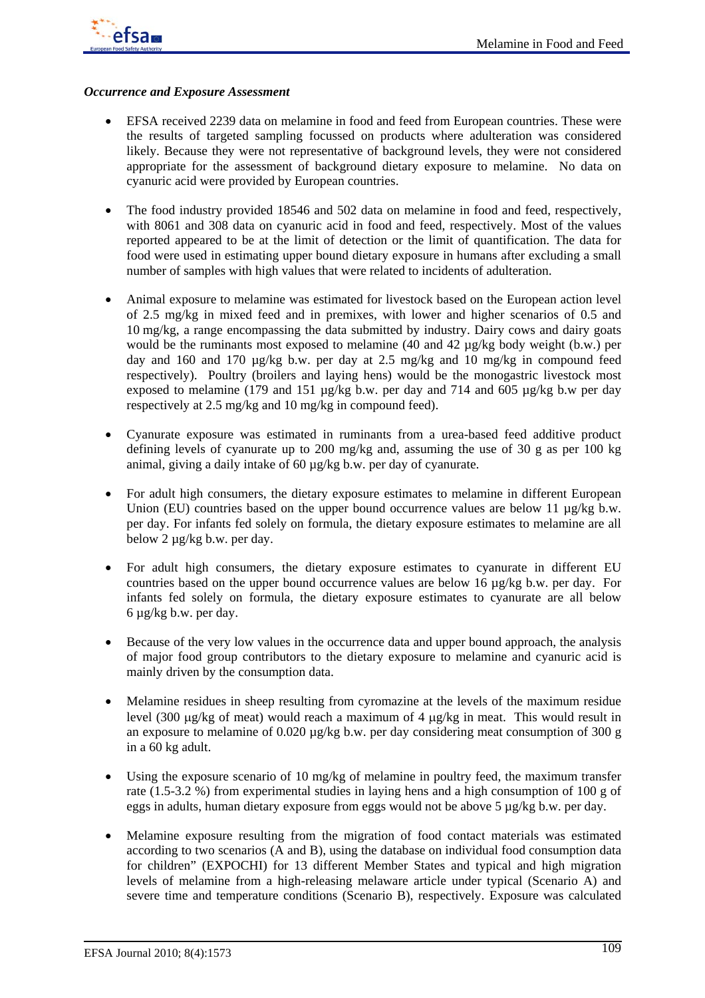

# *Occurrence and Exposure Assessment*

- EFSA received 2239 data on melamine in food and feed from European countries. These were the results of targeted sampling focussed on products where adulteration was considered likely. Because they were not representative of background levels, they were not considered appropriate for the assessment of background dietary exposure to melamine. No data on cyanuric acid were provided by European countries.
- The food industry provided 18546 and 502 data on melamine in food and feed, respectively, with 8061 and 308 data on cyanuric acid in food and feed, respectively. Most of the values reported appeared to be at the limit of detection or the limit of quantification. The data for food were used in estimating upper bound dietary exposure in humans after excluding a small number of samples with high values that were related to incidents of adulteration.
- Animal exposure to melamine was estimated for livestock based on the European action level of 2.5 mg/kg in mixed feed and in premixes, with lower and higher scenarios of 0.5 and 10 mg/kg, a range encompassing the data submitted by industry. Dairy cows and dairy goats would be the ruminants most exposed to melamine (40 and 42 µg/kg body weight (b.w.) per day and 160 and 170 µg/kg b.w. per day at 2.5 mg/kg and 10 mg/kg in compound feed respectively). Poultry (broilers and laying hens) would be the monogastric livestock most exposed to melamine (179 and 151 µg/kg b.w. per day and 714 and 605 µg/kg b.w per day respectively at 2.5 mg/kg and 10 mg/kg in compound feed).
- Cyanurate exposure was estimated in ruminants from a urea-based feed additive product defining levels of cyanurate up to 200 mg/kg and, assuming the use of 30 g as per 100 kg animal, giving a daily intake of  $60 \mu$ g/kg b.w. per day of cyanurate.
- For adult high consumers, the dietary exposure estimates to melamine in different European Union (EU) countries based on the upper bound occurrence values are below 11  $\mu$ g/kg b.w. per day. For infants fed solely on formula, the dietary exposure estimates to melamine are all below 2 µg/kg b.w. per day.
- For adult high consumers, the dietary exposure estimates to cyanurate in different EU countries based on the upper bound occurrence values are below 16 µg/kg b.w. per day. For infants fed solely on formula, the dietary exposure estimates to cyanurate are all below 6 µg/kg b.w. per day.
- Because of the very low values in the occurrence data and upper bound approach, the analysis of major food group contributors to the dietary exposure to melamine and cyanuric acid is mainly driven by the consumption data.
- Melamine residues in sheep resulting from cyromazine at the levels of the maximum residue level (300 μg/kg of meat) would reach a maximum of 4 μg/kg in meat. This would result in an exposure to melamine of 0.020 µg/kg b.w. per day considering meat consumption of 300 g in a 60 kg adult.
- Using the exposure scenario of 10 mg/kg of melamine in poultry feed, the maximum transfer rate (1.5-3.2 %) from experimental studies in laying hens and a high consumption of 100 g of eggs in adults, human dietary exposure from eggs would not be above 5 µg/kg b.w. per day.
- Melamine exposure resulting from the migration of food contact materials was estimated according to two scenarios (A and B), using the database on individual food consumption data for children" (EXPOCHI) for 13 different Member States and typical and high migration levels of melamine from a high-releasing melaware article under typical (Scenario A) and severe time and temperature conditions (Scenario B), respectively. Exposure was calculated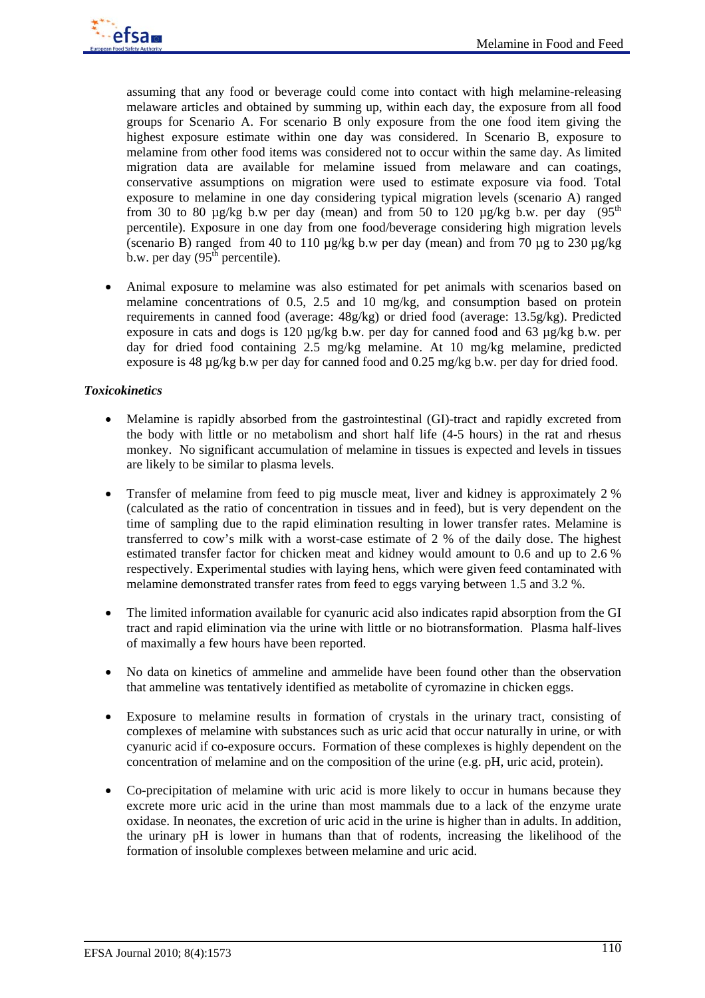assuming that any food or beverage could come into contact with high melamine-releasing melaware articles and obtained by summing up, within each day, the exposure from all food groups for Scenario A. For scenario B only exposure from the one food item giving the highest exposure estimate within one day was considered. In Scenario B, exposure to melamine from other food items was considered not to occur within the same day. As limited migration data are available for melamine issued from melaware and can coatings, conservative assumptions on migration were used to estimate exposure via food. Total exposure to melamine in one day considering typical migration levels (scenario A) ranged from 30 to 80  $\mu$ g/kg b.w per day (mean) and from 50 to 120  $\mu$ g/kg b.w. per day (95<sup>th</sup>) percentile). Exposure in one day from one food/beverage considering high migration levels (scenario B) ranged from 40 to 110  $\mu$ g/kg b.w per day (mean) and from 70  $\mu$ g to 230  $\mu$ g/kg b.w. per day  $(95<sup>th</sup>$  percentile).

• Animal exposure to melamine was also estimated for pet animals with scenarios based on melamine concentrations of 0.5, 2.5 and 10 mg/kg, and consumption based on protein requirements in canned food (average: 48g/kg) or dried food (average: 13.5g/kg). Predicted exposure in cats and dogs is 120  $\mu$ g/kg b.w. per day for canned food and 63  $\mu$ g/kg b.w. per day for dried food containing 2.5 mg/kg melamine. At 10 mg/kg melamine, predicted exposure is 48 µg/kg b.w per day for canned food and 0.25 mg/kg b.w. per day for dried food.

# *Toxicokinetics*

- Melamine is rapidly absorbed from the gastrointestinal (GI)-tract and rapidly excreted from the body with little or no metabolism and short half life (4-5 hours) in the rat and rhesus monkey. No significant accumulation of melamine in tissues is expected and levels in tissues are likely to be similar to plasma levels.
- Transfer of melamine from feed to pig muscle meat, liver and kidney is approximately 2 % (calculated as the ratio of concentration in tissues and in feed), but is very dependent on the time of sampling due to the rapid elimination resulting in lower transfer rates. Melamine is transferred to cow's milk with a worst-case estimate of 2 % of the daily dose. The highest estimated transfer factor for chicken meat and kidney would amount to 0.6 and up to 2.6 % respectively. Experimental studies with laying hens, which were given feed contaminated with melamine demonstrated transfer rates from feed to eggs varying between 1.5 and 3.2 %.
- The limited information available for cyanuric acid also indicates rapid absorption from the GI tract and rapid elimination via the urine with little or no biotransformation. Plasma half-lives of maximally a few hours have been reported.
- No data on kinetics of ammeline and ammelide have been found other than the observation that ammeline was tentatively identified as metabolite of cyromazine in chicken eggs.
- Exposure to melamine results in formation of crystals in the urinary tract, consisting of complexes of melamine with substances such as uric acid that occur naturally in urine, or with cyanuric acid if co-exposure occurs. Formation of these complexes is highly dependent on the concentration of melamine and on the composition of the urine (e.g. pH, uric acid, protein).
- Co-precipitation of melamine with uric acid is more likely to occur in humans because they excrete more uric acid in the urine than most mammals due to a lack of the enzyme urate oxidase. In neonates, the excretion of uric acid in the urine is higher than in adults. In addition, the urinary pH is lower in humans than that of rodents, increasing the likelihood of the formation of insoluble complexes between melamine and uric acid.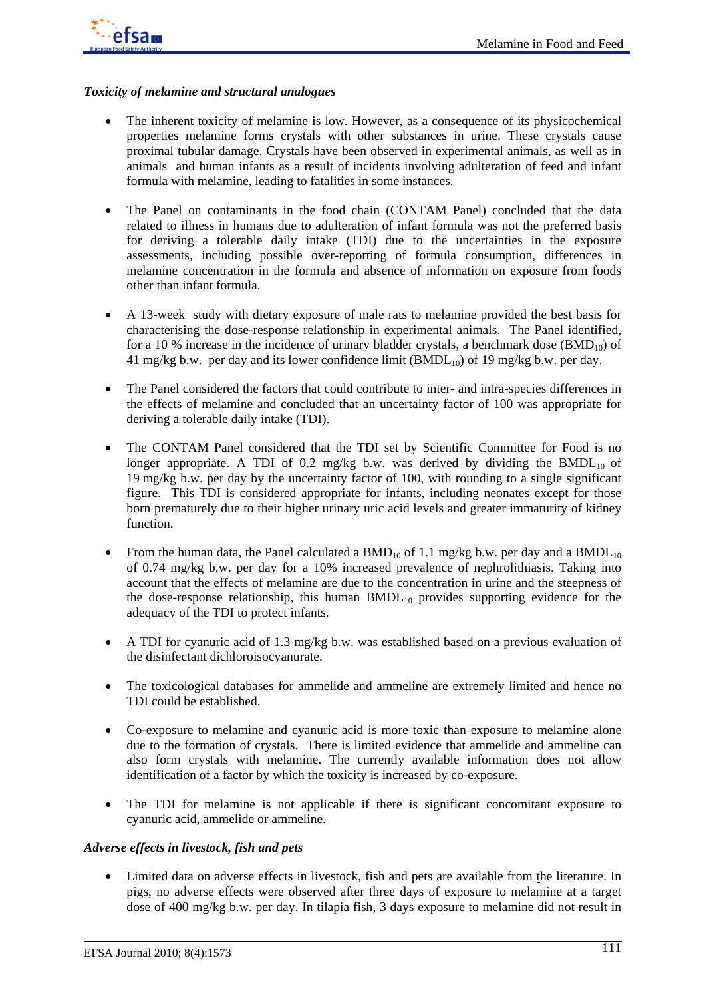

# *Toxicity of melamine and structural analogues*

- The inherent toxicity of melamine is low. However, as a consequence of its physicochemical properties melamine forms crystals with other substances in urine. These crystals cause proximal tubular damage. Crystals have been observed in experimental animals, as well as in animals and human infants as a result of incidents involving adulteration of feed and infant formula with melamine, leading to fatalities in some instances.
- The Panel on contaminants in the food chain (CONTAM Panel) concluded that the data related to illness in humans due to adulteration of infant formula was not the preferred basis for deriving a tolerable daily intake (TDI) due to the uncertainties in the exposure assessments, including possible over-reporting of formula consumption, differences in melamine concentration in the formula and absence of information on exposure from foods other than infant formula.
- A 13-week study with dietary exposure of male rats to melamine provided the best basis for characterising the dose-response relationship in experimental animals. The Panel identified, for a 10 % increase in the incidence of urinary bladder crystals, a benchmark dose  $(BMD_{10})$  of 41 mg/kg b.w. per day and its lower confidence limit  $(BMDL_{10})$  of 19 mg/kg b.w. per day.
- The Panel considered the factors that could contribute to inter- and intra-species differences in the effects of melamine and concluded that an uncertainty factor of 100 was appropriate for deriving a tolerable daily intake (TDI).
- The CONTAM Panel considered that the TDI set by Scientific Committee for Food is no longer appropriate. A TDI of 0.2 mg/kg b.w. was derived by dividing the  $BMDL_{10}$  of 19 mg/kg b.w. per day by the uncertainty factor of 100, with rounding to a single significant figure. This TDI is considered appropriate for infants, including neonates except for those born prematurely due to their higher urinary uric acid levels and greater immaturity of kidney function.
- From the human data, the Panel calculated a  $BMD_{10}$  of 1.1 mg/kg b.w. per day and a  $BMDL_{10}$ of 0.74 mg/kg b.w. per day for a 10% increased prevalence of nephrolithiasis. Taking into account that the effects of melamine are due to the concentration in urine and the steepness of the dose-response relationship, this human  $BMDL_{10}$  provides supporting evidence for the adequacy of the TDI to protect infants.
- A TDI for cyanuric acid of 1.3 mg/kg b.w. was established based on a previous evaluation of the disinfectant dichloroisocyanurate.
- The toxicological databases for ammelide and ammeline are extremely limited and hence no TDI could be established.
- Co-exposure to melamine and cyanuric acid is more toxic than exposure to melamine alone due to the formation of crystals. There is limited evidence that ammelide and ammeline can also form crystals with melamine. The currently available information does not allow identification of a factor by which the toxicity is increased by co-exposure.
- The TDI for melamine is not applicable if there is significant concomitant exposure to cyanuric acid, ammelide or ammeline.

# *Adverse effects in livestock, fish and pets*

• Limited data on adverse effects in livestock, fish and pets are available from the literature. In pigs, no adverse effects were observed after three days of exposure to melamine at a target dose of 400 mg/kg b.w. per day. In tilapia fish, 3 days exposure to melamine did not result in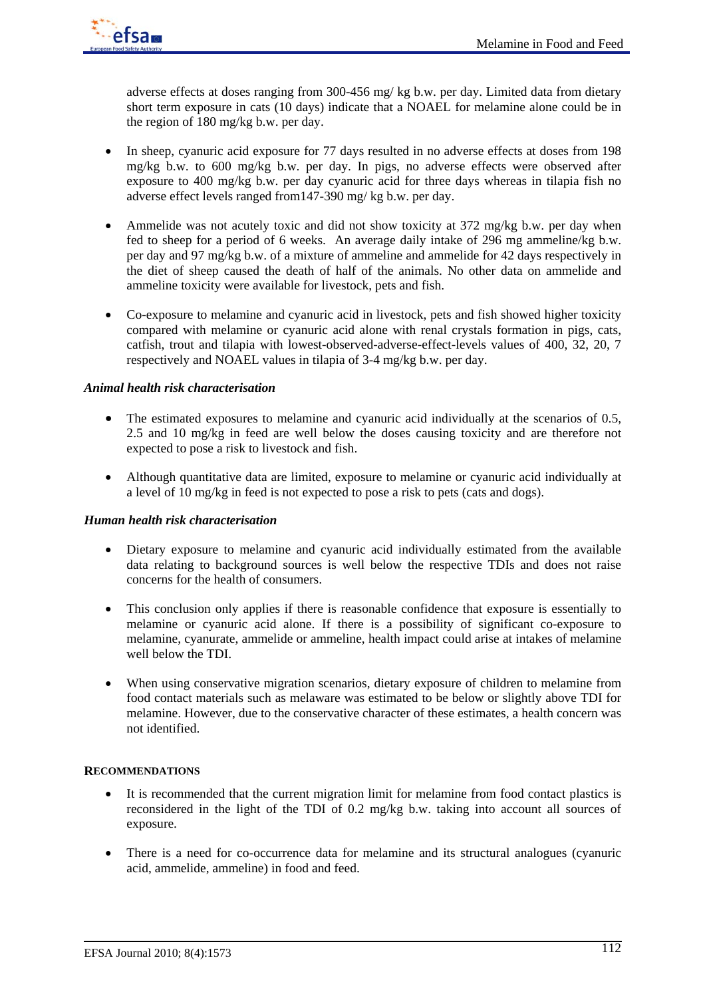

adverse effects at doses ranging from 300-456 mg/ kg b.w. per day. Limited data from dietary short term exposure in cats (10 days) indicate that a NOAEL for melamine alone could be in the region of 180 mg/kg b.w. per day.

- In sheep, cyanuric acid exposure for 77 days resulted in no adverse effects at doses from 198 mg/kg b.w. to 600 mg/kg b.w. per day. In pigs, no adverse effects were observed after exposure to 400 mg/kg b.w. per day cyanuric acid for three days whereas in tilapia fish no adverse effect levels ranged from147-390 mg/ kg b.w. per day.
- Ammelide was not acutely toxic and did not show toxicity at 372 mg/kg b.w. per day when fed to sheep for a period of 6 weeks. An average daily intake of 296 mg ammeline/kg b.w. per day and 97 mg/kg b.w. of a mixture of ammeline and ammelide for 42 days respectively in the diet of sheep caused the death of half of the animals. No other data on ammelide and ammeline toxicity were available for livestock, pets and fish.
- Co-exposure to melamine and cyanuric acid in livestock, pets and fish showed higher toxicity compared with melamine or cyanuric acid alone with renal crystals formation in pigs, cats, catfish, trout and tilapia with lowest-observed-adverse-effect-levels values of 400, 32, 20, 7 respectively and NOAEL values in tilapia of 3-4 mg/kg b.w. per day.

# *Animal health risk characterisation*

- The estimated exposures to melamine and cyanuric acid individually at the scenarios of 0.5, 2.5 and 10 mg/kg in feed are well below the doses causing toxicity and are therefore not expected to pose a risk to livestock and fish.
- Although quantitative data are limited, exposure to melamine or cyanuric acid individually at a level of 10 mg/kg in feed is not expected to pose a risk to pets (cats and dogs).

## *Human health risk characterisation*

- Dietary exposure to melamine and cyanuric acid individually estimated from the available data relating to background sources is well below the respective TDIs and does not raise concerns for the health of consumers.
- This conclusion only applies if there is reasonable confidence that exposure is essentially to melamine or cyanuric acid alone. If there is a possibility of significant co-exposure to melamine, cyanurate, ammelide or ammeline, health impact could arise at intakes of melamine well below the TDI.
- When using conservative migration scenarios, dietary exposure of children to melamine from food contact materials such as melaware was estimated to be below or slightly above TDI for melamine. However, due to the conservative character of these estimates, a health concern was not identified.

## **RECOMMENDATIONS**

- It is recommended that the current migration limit for melamine from food contact plastics is reconsidered in the light of the TDI of 0.2 mg/kg b.w. taking into account all sources of exposure.
- There is a need for co-occurrence data for melamine and its structural analogues (cyanuric acid, ammelide, ammeline) in food and feed.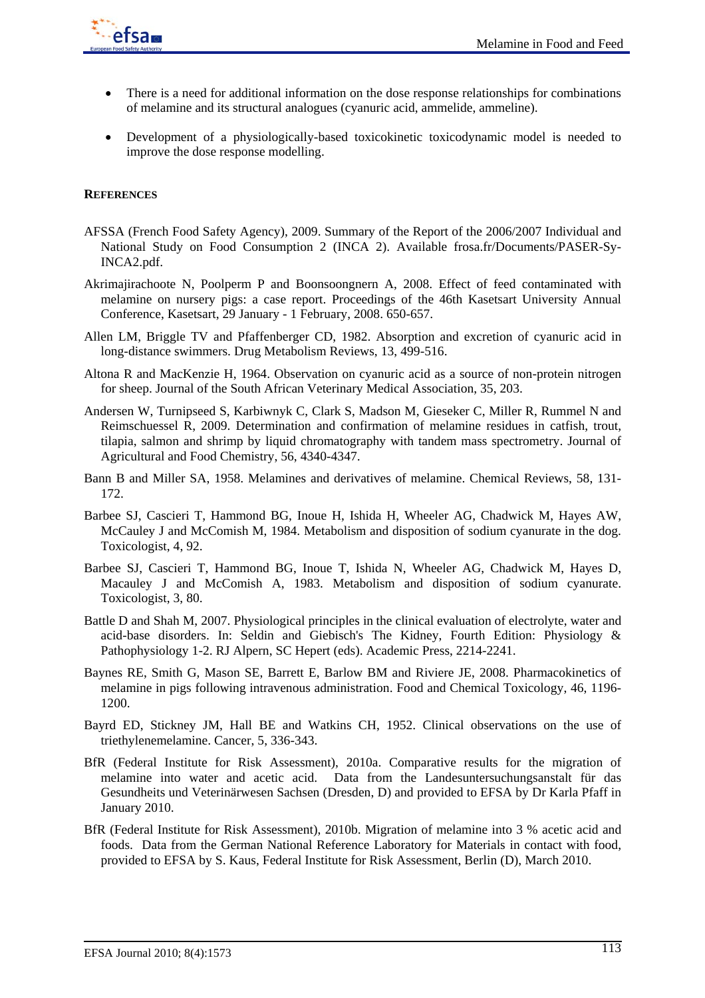

- There is a need for additional information on the dose response relationships for combinations of melamine and its structural analogues (cyanuric acid, ammelide, ammeline).
- Development of a physiologically-based toxicokinetic toxicodynamic model is needed to improve the dose response modelling.

# **REFERENCES**

- AFSSA (French Food Safety Agency), 2009. Summary of the Report of the 2006/2007 Individual and National Study on Food Consumption 2 (INCA 2). Available frosa.fr/Documents/PASER-Sy-INCA2.pdf.
- Akrimajirachoote N, Poolperm P and Boonsoongnern A, 2008. Effect of feed contaminated with melamine on nursery pigs: a case report. Proceedings of the 46th Kasetsart University Annual Conference, Kasetsart, 29 January - 1 February, 2008. 650-657.
- Allen LM, Briggle TV and Pfaffenberger CD, 1982. Absorption and excretion of cyanuric acid in long-distance swimmers. Drug Metabolism Reviews, 13, 499-516.
- Altona R and MacKenzie H, 1964. Observation on cyanuric acid as a source of non-protein nitrogen for sheep. Journal of the South African Veterinary Medical Association, 35, 203.
- Andersen W, Turnipseed S, Karbiwnyk C, Clark S, Madson M, Gieseker C, Miller R, Rummel N and Reimschuessel R, 2009. Determination and confirmation of melamine residues in catfish, trout, tilapia, salmon and shrimp by liquid chromatography with tandem mass spectrometry. Journal of Agricultural and Food Chemistry, 56, 4340-4347.
- Bann B and Miller SA, 1958. Melamines and derivatives of melamine. Chemical Reviews, 58, 131- 172.
- Barbee SJ, Cascieri T, Hammond BG, Inoue H, Ishida H, Wheeler AG, Chadwick M, Hayes AW, McCauley J and McComish M, 1984. Metabolism and disposition of sodium cyanurate in the dog. Toxicologist, 4, 92.
- Barbee SJ, Cascieri T, Hammond BG, Inoue T, Ishida N, Wheeler AG, Chadwick M, Hayes D, Macauley J and McComish A, 1983. Metabolism and disposition of sodium cyanurate. Toxicologist, 3, 80.
- Battle D and Shah M, 2007. Physiological principles in the clinical evaluation of electrolyte, water and acid-base disorders. In: Seldin and Giebisch's The Kidney, Fourth Edition: Physiology & Pathophysiology 1-2. RJ Alpern, SC Hepert (eds). Academic Press, 2214-2241.
- Baynes RE, Smith G, Mason SE, Barrett E, Barlow BM and Riviere JE, 2008. Pharmacokinetics of melamine in pigs following intravenous administration. Food and Chemical Toxicology, 46, 1196- 1200.
- Bayrd ED, Stickney JM, Hall BE and Watkins CH, 1952. Clinical observations on the use of triethylenemelamine. Cancer, 5, 336-343.
- BfR (Federal Institute for Risk Assessment), 2010a. Comparative results for the migration of melamine into water and acetic acid. Data from the Landesuntersuchungsanstalt für das Gesundheits und Veterinärwesen Sachsen (Dresden, D) and provided to EFSA by Dr Karla Pfaff in January 2010.
- BfR (Federal Institute for Risk Assessment), 2010b. Migration of melamine into 3 % acetic acid and foods. Data from the German National Reference Laboratory for Materials in contact with food, provided to EFSA by S. Kaus, Federal Institute for Risk Assessment, Berlin (D), March 2010.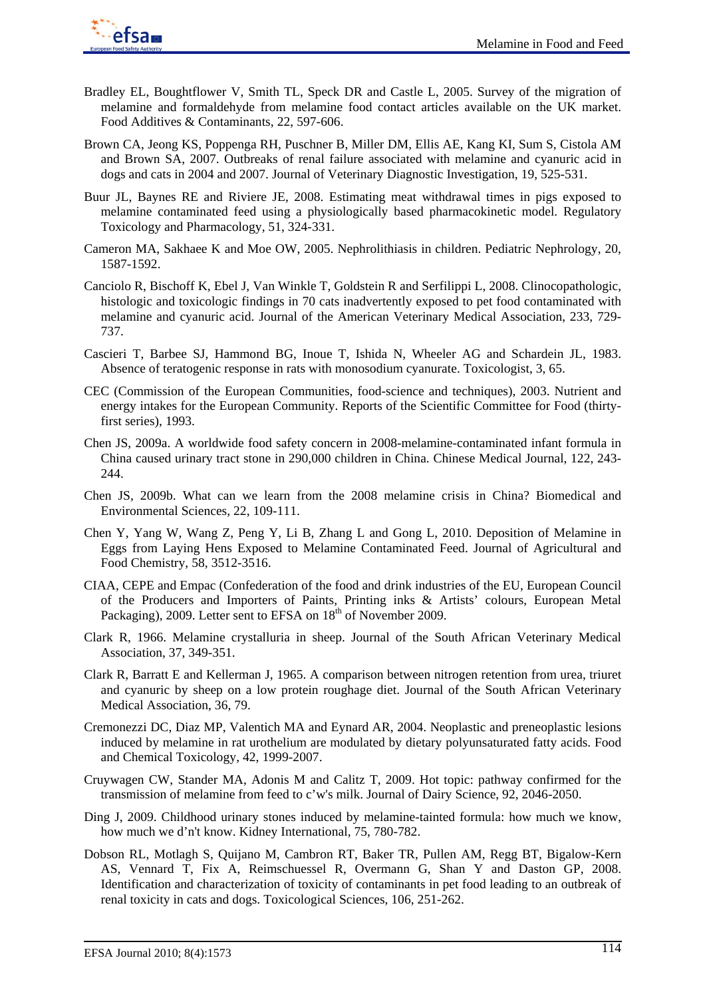

- Bradley EL, Boughtflower V, Smith TL, Speck DR and Castle L, 2005. Survey of the migration of melamine and formaldehyde from melamine food contact articles available on the UK market. Food Additives & Contaminants, 22, 597-606.
- Brown CA, Jeong KS, Poppenga RH, Puschner B, Miller DM, Ellis AE, Kang KI, Sum S, Cistola AM and Brown SA, 2007. Outbreaks of renal failure associated with melamine and cyanuric acid in dogs and cats in 2004 and 2007. Journal of Veterinary Diagnostic Investigation, 19, 525-531.
- Buur JL, Baynes RE and Riviere JE, 2008. Estimating meat withdrawal times in pigs exposed to melamine contaminated feed using a physiologically based pharmacokinetic model. Regulatory Toxicology and Pharmacology, 51, 324-331.
- Cameron MA, Sakhaee K and Moe OW, 2005. Nephrolithiasis in children. Pediatric Nephrology, 20, 1587-1592.
- Canciolo R, Bischoff K, Ebel J, Van Winkle T, Goldstein R and Serfilippi L, 2008. Clinocopathologic, histologic and toxicologic findings in 70 cats inadvertently exposed to pet food contaminated with melamine and cyanuric acid. Journal of the American Veterinary Medical Association, 233, 729- 737.
- Cascieri T, Barbee SJ, Hammond BG, Inoue T, Ishida N, Wheeler AG and Schardein JL, 1983. Absence of teratogenic response in rats with monosodium cyanurate. Toxicologist, 3, 65.
- CEC (Commission of the European Communities, food-science and techniques), 2003. Nutrient and energy intakes for the European Community. Reports of the Scientific Committee for Food (thirtyfirst series), 1993.
- Chen JS, 2009a. A worldwide food safety concern in 2008-melamine-contaminated infant formula in China caused urinary tract stone in 290,000 children in China. Chinese Medical Journal, 122, 243- 244.
- Chen JS, 2009b. What can we learn from the 2008 melamine crisis in China? Biomedical and Environmental Sciences, 22, 109-111.
- Chen Y, Yang W, Wang Z, Peng Y, Li B, Zhang L and Gong L, 2010. Deposition of Melamine in Eggs from Laying Hens Exposed to Melamine Contaminated Feed. Journal of Agricultural and Food Chemistry, 58, 3512-3516.
- CIAA, CEPE and Empac (Confederation of the food and drink industries of the EU, European Council of the Producers and Importers of Paints, Printing inks & Artists' colours, European Metal Packaging), 2009. Letter sent to EFSA on 18<sup>th</sup> of November 2009.
- Clark R, 1966. Melamine crystalluria in sheep. Journal of the South African Veterinary Medical Association, 37, 349-351.
- Clark R, Barratt E and Kellerman J, 1965. A comparison between nitrogen retention from urea, triuret and cyanuric by sheep on a low protein roughage diet. Journal of the South African Veterinary Medical Association, 36, 79.
- Cremonezzi DC, Diaz MP, Valentich MA and Eynard AR, 2004. Neoplastic and preneoplastic lesions induced by melamine in rat urothelium are modulated by dietary polyunsaturated fatty acids. Food and Chemical Toxicology, 42, 1999-2007.
- Cruywagen CW, Stander MA, Adonis M and Calitz T, 2009. Hot topic: pathway confirmed for the transmission of melamine from feed to c'w's milk. Journal of Dairy Science, 92, 2046-2050.
- Ding J, 2009. Childhood urinary stones induced by melamine-tainted formula: how much we know, how much we d'n't know. Kidney International, 75, 780-782.
- Dobson RL, Motlagh S, Quijano M, Cambron RT, Baker TR, Pullen AM, Regg BT, Bigalow-Kern AS, Vennard T, Fix A, Reimschuessel R, Overmann G, Shan Y and Daston GP, 2008. Identification and characterization of toxicity of contaminants in pet food leading to an outbreak of renal toxicity in cats and dogs. Toxicological Sciences, 106, 251-262.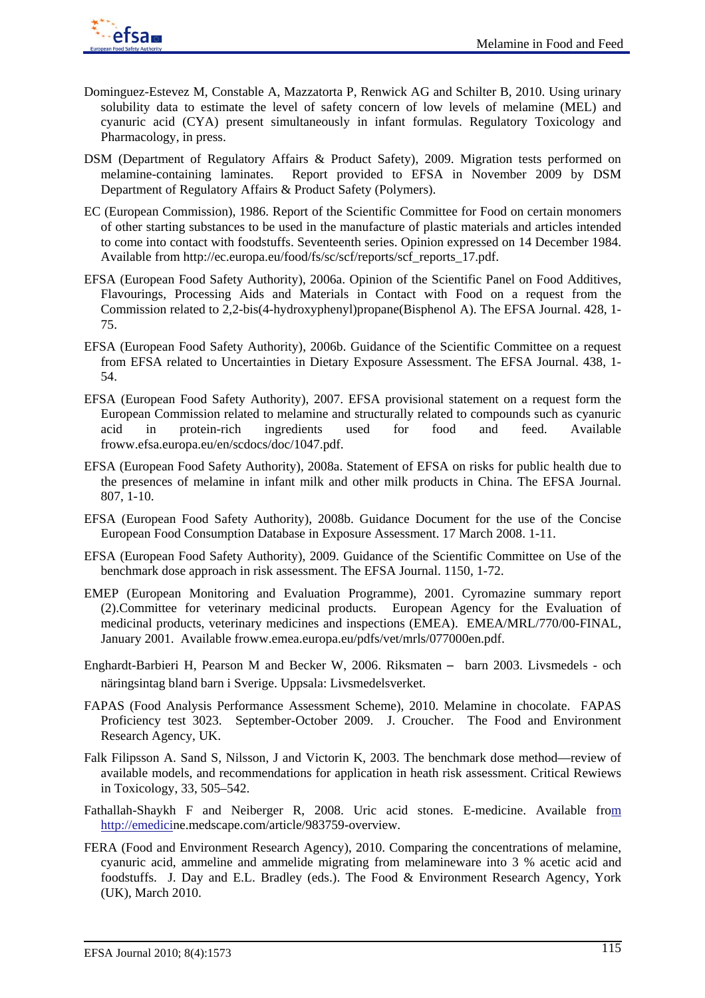

- Dominguez-Estevez M, Constable A, Mazzatorta P, Renwick AG and Schilter B, 2010. Using urinary solubility data to estimate the level of safety concern of low levels of melamine (MEL) and cyanuric acid (CYA) present simultaneously in infant formulas. Regulatory Toxicology and Pharmacology, in press.
- DSM (Department of Regulatory Affairs & Product Safety), 2009. Migration tests performed on melamine-containing laminates. Report provided to EFSA in November 2009 by DSM Department of Regulatory Affairs & Product Safety (Polymers).
- EC (European Commission), 1986. Report of the Scientific Committee for Food on certain monomers of other starting substances to be used in the manufacture of plastic materials and articles intended to come into contact with foodstuffs. Seventeenth series. Opinion expressed on 14 December 1984. Available from http://ec.europa.eu/food/fs/sc/scf/reports/scf\_reports\_17.pdf.
- EFSA (European Food Safety Authority), 2006a. Opinion of the Scientific Panel on Food Additives, Flavourings, Processing Aids and Materials in Contact with Food on a request from the Commission related to 2,2-bis(4-hydroxyphenyl)propane(Bisphenol A). The EFSA Journal. 428, 1- 75.
- EFSA (European Food Safety Authority), 2006b. Guidance of the Scientific Committee on a request from EFSA related to Uncertainties in Dietary Exposure Assessment. The EFSA Journal. 438, 1- 54.
- EFSA (European Food Safety Authority), 2007. EFSA provisional statement on a request form the European Commission related to melamine and structurally related to compounds such as cyanuric acid in protein-rich ingredients used for food and feed. Available froww.efsa.europa.eu/en/scdocs/doc/1047.pdf.
- EFSA (European Food Safety Authority), 2008a. Statement of EFSA on risks for public health due to the presences of melamine in infant milk and other milk products in China. The EFSA Journal. 807, 1-10.
- EFSA (European Food Safety Authority), 2008b. Guidance Document for the use of the Concise European Food Consumption Database in Exposure Assessment. 17 March 2008. 1-11.
- EFSA (European Food Safety Authority), 2009. Guidance of the Scientific Committee on Use of the benchmark dose approach in risk assessment. The EFSA Journal. 1150, 1-72.
- EMEP (European Monitoring and Evaluation Programme), 2001. Cyromazine summary report (2).Committee for veterinary medicinal products. European Agency for the Evaluation of medicinal products, veterinary medicines and inspections (EMEA). EMEA/MRL/770/00-FINAL, January 2001. Available froww.emea.europa.eu/pdfs/vet/mrls/077000en.pdf.
- Enghardt-Barbieri H, Pearson M and Becker W, 2006. Riksmaten barn 2003. Livsmedels och näringsintag bland barn i Sverige. Uppsala: Livsmedelsverket.
- FAPAS (Food Analysis Performance Assessment Scheme), 2010. Melamine in chocolate. FAPAS Proficiency test 3023. September-October 2009. J. Croucher. The Food and Environment Research Agency, UK.
- Falk Filipsson A. Sand S, Nilsson, J and Victorin K, 2003. The benchmark dose method—review of available models, and recommendations for application in heath risk assessment. Critical Rewiews in Toxicology, 33, 505–542.
- Fathallah-Shaykh F and Neiberger R, 2008. Uric acid stones. E-medicine. Available from http://emedicine.medscape.com/article/983759-overview.
- FERA (Food and Environment Research Agency), 2010. Comparing the concentrations of melamine, cyanuric acid, ammeline and ammelide migrating from melamineware into 3 % acetic acid and foodstuffs. J. Day and E.L. Bradley (eds.). The Food & Environment Research Agency, York (UK), March 2010.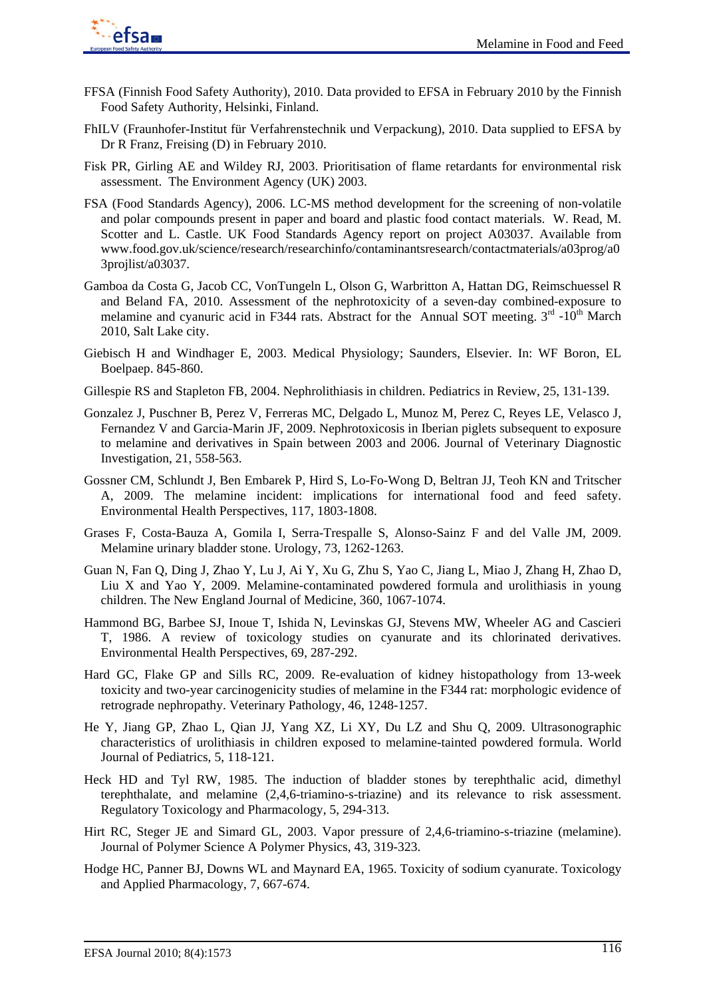

- FFSA (Finnish Food Safety Authority), 2010. Data provided to EFSA in February 2010 by the Finnish Food Safety Authority, Helsinki, Finland.
- FhILV (Fraunhofer-Institut für Verfahrenstechnik und Verpackung), 2010. Data supplied to EFSA by Dr R Franz, Freising (D) in February 2010.
- Fisk PR, Girling AE and Wildey RJ, 2003. Prioritisation of flame retardants for environmental risk assessment. The Environment Agency (UK) 2003.
- FSA (Food Standards Agency), 2006. LC-MS method development for the screening of non-volatile and polar compounds present in paper and board and plastic food contact materials. W. Read, M. Scotter and L. Castle. UK Food Standards Agency report on project A03037. Available from www.food.gov.uk/science/research/researchinfo/contaminantsresearch/contactmaterials/a03prog/a0 3projlist/a03037.
- Gamboa da Costa G, Jacob CC, VonTungeln L, Olson G, Warbritton A, Hattan DG, Reimschuessel R and Beland FA, 2010. Assessment of the nephrotoxicity of a seven-day combined-exposure to melamine and cyanuric acid in F344 rats. Abstract for the Annual SOT meeting.  $3<sup>rd</sup>$  -10<sup>th</sup> March 2010, Salt Lake city.
- Giebisch H and Windhager E, 2003. Medical Physiology; Saunders, Elsevier. In: WF Boron, EL Boelpaep. 845-860.
- Gillespie RS and Stapleton FB, 2004. Nephrolithiasis in children. Pediatrics in Review, 25, 131-139.
- Gonzalez J, Puschner B, Perez V, Ferreras MC, Delgado L, Munoz M, Perez C, Reyes LE, Velasco J, Fernandez V and Garcia-Marin JF, 2009. Nephrotoxicosis in Iberian piglets subsequent to exposure to melamine and derivatives in Spain between 2003 and 2006. Journal of Veterinary Diagnostic Investigation, 21, 558-563.
- Gossner CM, Schlundt J, Ben Embarek P, Hird S, Lo-Fo-Wong D, Beltran JJ, Teoh KN and Tritscher A, 2009. The melamine incident: implications for international food and feed safety. Environmental Health Perspectives, 117, 1803-1808.
- Grases F, Costa-Bauza A, Gomila I, Serra-Trespalle S, Alonso-Sainz F and del Valle JM, 2009. Melamine urinary bladder stone. Urology, 73, 1262-1263.
- Guan N, Fan Q, Ding J, Zhao Y, Lu J, Ai Y, Xu G, Zhu S, Yao C, Jiang L, Miao J, Zhang H, Zhao D, Liu X and Yao Y, 2009. Melamine-contaminated powdered formula and urolithiasis in young children. The New England Journal of Medicine, 360, 1067-1074.
- Hammond BG, Barbee SJ, Inoue T, Ishida N, Levinskas GJ, Stevens MW, Wheeler AG and Cascieri T, 1986. A review of toxicology studies on cyanurate and its chlorinated derivatives. Environmental Health Perspectives, 69, 287-292.
- Hard GC, Flake GP and Sills RC, 2009. Re-evaluation of kidney histopathology from 13-week toxicity and two-year carcinogenicity studies of melamine in the F344 rat: morphologic evidence of retrograde nephropathy. Veterinary Pathology, 46, 1248-1257.
- He Y, Jiang GP, Zhao L, Qian JJ, Yang XZ, Li XY, Du LZ and Shu Q, 2009. Ultrasonographic characteristics of urolithiasis in children exposed to melamine-tainted powdered formula. World Journal of Pediatrics, 5, 118-121.
- Heck HD and Tyl RW, 1985. The induction of bladder stones by terephthalic acid, dimethyl terephthalate, and melamine (2,4,6-triamino-s-triazine) and its relevance to risk assessment. Regulatory Toxicology and Pharmacology, 5, 294-313.
- Hirt RC, Steger JE and Simard GL, 2003. Vapor pressure of 2,4,6-triamino-s-triazine (melamine). Journal of Polymer Science A Polymer Physics, 43, 319-323.
- Hodge HC, Panner BJ, Downs WL and Maynard EA, 1965. Toxicity of sodium cyanurate. Toxicology and Applied Pharmacology, 7, 667-674.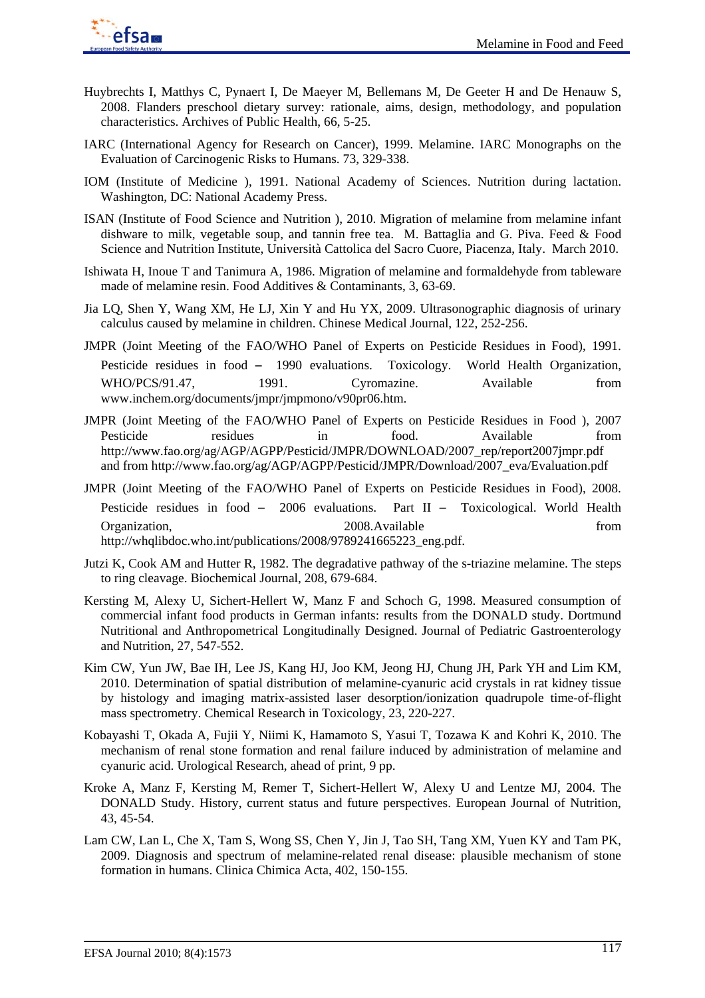

- Huybrechts I, Matthys C, Pynaert I, De Maeyer M, Bellemans M, De Geeter H and De Henauw S, 2008. Flanders preschool dietary survey: rationale, aims, design, methodology, and population characteristics. Archives of Public Health, 66, 5-25.
- IARC (International Agency for Research on Cancer), 1999. Melamine. IARC Monographs on the Evaluation of Carcinogenic Risks to Humans. 73, 329-338.
- IOM (Institute of Medicine ), 1991. National Academy of Sciences. Nutrition during lactation. Washington, DC: National Academy Press.
- ISAN (Institute of Food Science and Nutrition ), 2010. Migration of melamine from melamine infant dishware to milk, vegetable soup, and tannin free tea. M. Battaglia and G. Piva. Feed & Food Science and Nutrition Institute, Università Cattolica del Sacro Cuore, Piacenza, Italy. March 2010.
- Ishiwata H, Inoue T and Tanimura A, 1986. Migration of melamine and formaldehyde from tableware made of melamine resin. Food Additives & Contaminants, 3, 63-69.
- Jia LQ, Shen Y, Wang XM, He LJ, Xin Y and Hu YX, 2009. Ultrasonographic diagnosis of urinary calculus caused by melamine in children. Chinese Medical Journal, 122, 252-256.
- JMPR (Joint Meeting of the FAO/WHO Panel of Experts on Pesticide Residues in Food), 1991. Pesticide residues in food – 1990 evaluations. Toxicology. World Health Organization, WHO/PCS/91.47, 1991. Cyromazine. Available from www.inchem.org/documents/jmpr/jmpmono/v90pr06.htm.
- JMPR (Joint Meeting of the FAO/WHO Panel of Experts on Pesticide Residues in Food ), 2007 Pesticide residues in food. Available from http://www.fao.org/ag/AGP/AGPP/Pesticid/JMPR/DOWNLOAD/2007\_rep/report2007impr.pdf and from http://www.fao.org/ag/AGP/AGPP/Pesticid/JMPR/Download/2007\_eva/Evaluation.pdf
- JMPR (Joint Meeting of the FAO/WHO Panel of Experts on Pesticide Residues in Food), 2008. Pesticide residues in food – 2006 evaluations. Part II – Toxicological. World Health Organization, 2008.Available from the from the contract of the from the contract of the contract of the contract of the from the contract of the contract of the contract of the contract of the contract of the contract of t http://whqlibdoc.who.int/publications/2008/9789241665223\_eng.pdf.
- Jutzi K, Cook AM and Hutter R, 1982. The degradative pathway of the s-triazine melamine. The steps to ring cleavage. Biochemical Journal, 208, 679-684.
- Kersting M, Alexy U, Sichert-Hellert W, Manz F and Schoch G, 1998. Measured consumption of commercial infant food products in German infants: results from the DONALD study. Dortmund Nutritional and Anthropometrical Longitudinally Designed. Journal of Pediatric Gastroenterology and Nutrition, 27, 547-552.
- Kim CW, Yun JW, Bae IH, Lee JS, Kang HJ, Joo KM, Jeong HJ, Chung JH, Park YH and Lim KM, 2010. Determination of spatial distribution of melamine-cyanuric acid crystals in rat kidney tissue by histology and imaging matrix-assisted laser desorption/ionization quadrupole time-of-flight mass spectrometry. Chemical Research in Toxicology, 23, 220-227.
- Kobayashi T, Okada A, Fujii Y, Niimi K, Hamamoto S, Yasui T, Tozawa K and Kohri K, 2010. The mechanism of renal stone formation and renal failure induced by administration of melamine and cyanuric acid. Urological Research, ahead of print, 9 pp.
- Kroke A, Manz F, Kersting M, Remer T, Sichert-Hellert W, Alexy U and Lentze MJ, 2004. The DONALD Study. History, current status and future perspectives. European Journal of Nutrition, 43, 45-54.
- Lam CW, Lan L, Che X, Tam S, Wong SS, Chen Y, Jin J, Tao SH, Tang XM, Yuen KY and Tam PK, 2009. Diagnosis and spectrum of melamine-related renal disease: plausible mechanism of stone formation in humans. Clinica Chimica Acta, 402, 150-155.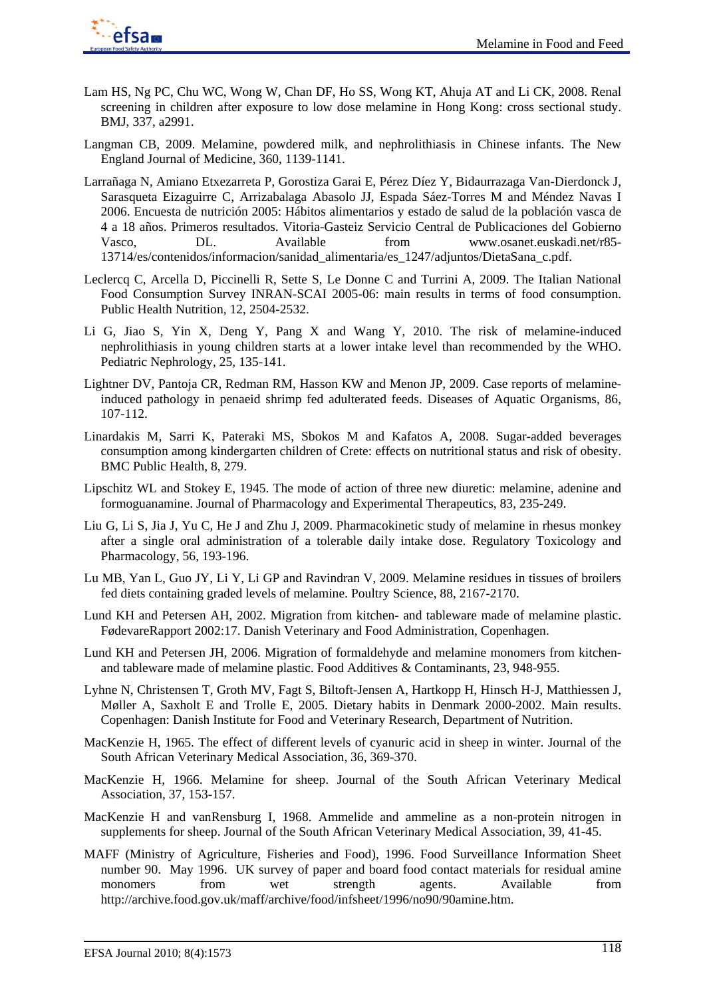

- Lam HS, Ng PC, Chu WC, Wong W, Chan DF, Ho SS, Wong KT, Ahuja AT and Li CK, 2008. Renal screening in children after exposure to low dose melamine in Hong Kong: cross sectional study. BMJ, 337, a2991.
- Langman CB, 2009. Melamine, powdered milk, and nephrolithiasis in Chinese infants. The New England Journal of Medicine, 360, 1139-1141.
- Larrañaga N, Amiano Etxezarreta P, Gorostiza Garai E, Pérez Díez Y, Bidaurrazaga Van-Dierdonck J, Sarasqueta Eizaguirre C, Arrizabalaga Abasolo JJ, Espada Sáez-Torres M and Méndez Navas I 2006. Encuesta de nutrición 2005: Hábitos alimentarios y estado de salud de la población vasca de 4 a 18 años. Primeros resultados. Vitoria-Gasteiz Servicio Central de Publicaciones del Gobierno Vasco, DL. Available from www.osanet.euskadi.net/r85- 13714/es/contenidos/informacion/sanidad\_alimentaria/es\_1247/adjuntos/DietaSana\_c.pdf.
- Leclercq C, Arcella D, Piccinelli R, Sette S, Le Donne C and Turrini A, 2009. The Italian National Food Consumption Survey INRAN-SCAI 2005-06: main results in terms of food consumption. Public Health Nutrition, 12, 2504-2532.
- Li G, Jiao S, Yin X, Deng Y, Pang X and Wang Y, 2010. The risk of melamine-induced nephrolithiasis in young children starts at a lower intake level than recommended by the WHO. Pediatric Nephrology, 25, 135-141.
- Lightner DV, Pantoja CR, Redman RM, Hasson KW and Menon JP, 2009. Case reports of melamineinduced pathology in penaeid shrimp fed adulterated feeds. Diseases of Aquatic Organisms, 86, 107-112.
- Linardakis M, Sarri K, Pateraki MS, Sbokos M and Kafatos A, 2008. Sugar-added beverages consumption among kindergarten children of Crete: effects on nutritional status and risk of obesity. BMC Public Health, 8, 279.
- Lipschitz WL and Stokey E, 1945. The mode of action of three new diuretic: melamine, adenine and formoguanamine. Journal of Pharmacology and Experimental Therapeutics, 83, 235-249.
- Liu G, Li S, Jia J, Yu C, He J and Zhu J, 2009. Pharmacokinetic study of melamine in rhesus monkey after a single oral administration of a tolerable daily intake dose. Regulatory Toxicology and Pharmacology, 56, 193-196.
- Lu MB, Yan L, Guo JY, Li Y, Li GP and Ravindran V, 2009. Melamine residues in tissues of broilers fed diets containing graded levels of melamine. Poultry Science, 88, 2167-2170.
- Lund KH and Petersen AH, 2002. Migration from kitchen- and tableware made of melamine plastic. FødevareRapport 2002:17. Danish Veterinary and Food Administration, Copenhagen.
- Lund KH and Petersen JH, 2006. Migration of formaldehyde and melamine monomers from kitchenand tableware made of melamine plastic. Food Additives & Contaminants, 23, 948-955.
- Lyhne N, Christensen T, Groth MV, Fagt S, Biltoft-Jensen A, Hartkopp H, Hinsch H-J, Matthiessen J, Møller A, Saxholt E and Trolle E, 2005. Dietary habits in Denmark 2000-2002. Main results. Copenhagen: Danish Institute for Food and Veterinary Research, Department of Nutrition.
- MacKenzie H, 1965. The effect of different levels of cyanuric acid in sheep in winter. Journal of the South African Veterinary Medical Association, 36, 369-370.
- MacKenzie H, 1966. Melamine for sheep. Journal of the South African Veterinary Medical Association, 37, 153-157.
- MacKenzie H and vanRensburg I, 1968. Ammelide and ammeline as a non-protein nitrogen in supplements for sheep. Journal of the South African Veterinary Medical Association, 39, 41-45.
- MAFF (Ministry of Agriculture, Fisheries and Food), 1996. Food Surveillance Information Sheet number 90. May 1996. UK survey of paper and board food contact materials for residual amine monomers from wet strength agents. Available from http://archive.food.gov.uk/maff/archive/food/infsheet/1996/no90/90amine.htm.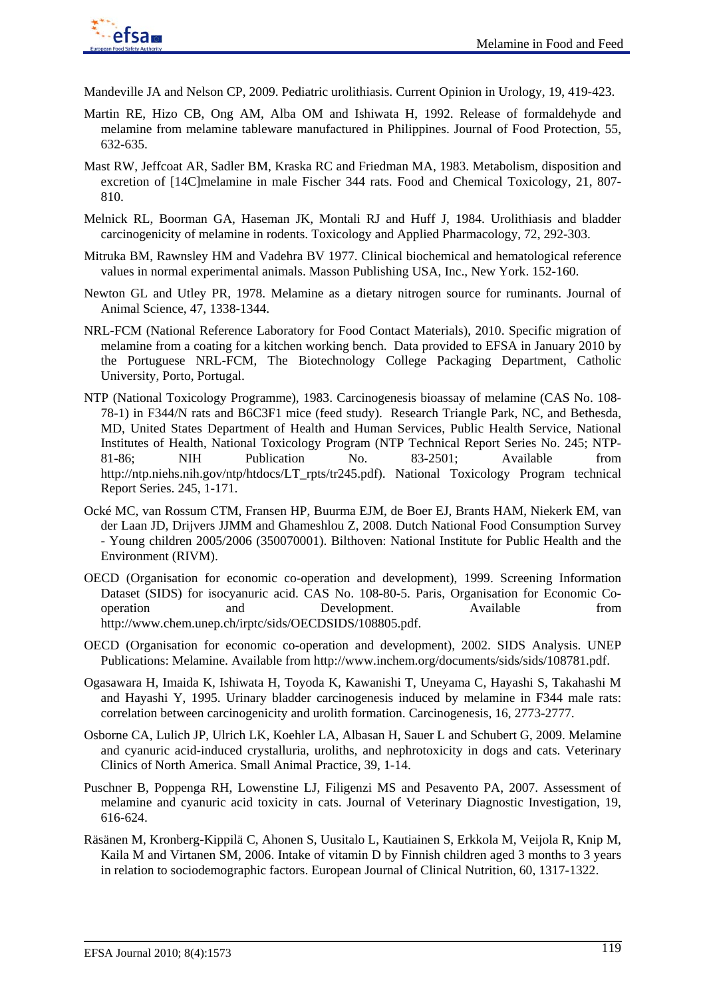

Mandeville JA and Nelson CP, 2009. Pediatric urolithiasis. Current Opinion in Urology, 19, 419-423.

- Martin RE, Hizo CB, Ong AM, Alba OM and Ishiwata H, 1992. Release of formaldehyde and melamine from melamine tableware manufactured in Philippines. Journal of Food Protection, 55, 632-635.
- Mast RW, Jeffcoat AR, Sadler BM, Kraska RC and Friedman MA, 1983. Metabolism, disposition and excretion of [14C]melamine in male Fischer 344 rats. Food and Chemical Toxicology, 21, 807- 810.
- Melnick RL, Boorman GA, Haseman JK, Montali RJ and Huff J, 1984. Urolithiasis and bladder carcinogenicity of melamine in rodents. Toxicology and Applied Pharmacology, 72, 292-303.
- Mitruka BM, Rawnsley HM and Vadehra BV 1977. Clinical biochemical and hematological reference values in normal experimental animals. Masson Publishing USA, Inc., New York. 152-160.
- Newton GL and Utley PR, 1978. Melamine as a dietary nitrogen source for ruminants. Journal of Animal Science, 47, 1338-1344.
- NRL-FCM (National Reference Laboratory for Food Contact Materials), 2010. Specific migration of melamine from a coating for a kitchen working bench. Data provided to EFSA in January 2010 by the Portuguese NRL-FCM, The Biotechnology College Packaging Department, Catholic University, Porto, Portugal.
- NTP (National Toxicology Programme), 1983. Carcinogenesis bioassay of melamine (CAS No. 108- 78-1) in F344/N rats and B6C3F1 mice (feed study). Research Triangle Park, NC, and Bethesda, MD, United States Department of Health and Human Services, Public Health Service, National Institutes of Health, National Toxicology Program (NTP Technical Report Series No. 245; NTP-81-86; NIH Publication No. 83-2501; Available from http://ntp.niehs.nih.gov/ntp/htdocs/LT\_rpts/tr245.pdf). National Toxicology Program technical Report Series. 245, 1-171.
- Ocké MC, van Rossum CTM, Fransen HP, Buurma EJM, de Boer EJ, Brants HAM, Niekerk EM, van der Laan JD, Drijvers JJMM and Ghameshlou Z, 2008. Dutch National Food Consumption Survey - Young children 2005/2006 (350070001). Bilthoven: National Institute for Public Health and the Environment (RIVM).
- OECD (Organisation for economic co-operation and development), 1999. Screening Information Dataset (SIDS) for isocyanuric acid. CAS No. 108-80-5. Paris, Organisation for Economic Cooperation and Development. Available from http://www.chem.unep.ch/irptc/sids/OECDSIDS/108805.pdf.
- OECD (Organisation for economic co-operation and development), 2002. SIDS Analysis. UNEP Publications: Melamine. Available from http://www.inchem.org/documents/sids/sids/108781.pdf.
- Ogasawara H, Imaida K, Ishiwata H, Toyoda K, Kawanishi T, Uneyama C, Hayashi S, Takahashi M and Hayashi Y, 1995. Urinary bladder carcinogenesis induced by melamine in F344 male rats: correlation between carcinogenicity and urolith formation. Carcinogenesis, 16, 2773-2777.
- Osborne CA, Lulich JP, Ulrich LK, Koehler LA, Albasan H, Sauer L and Schubert G, 2009. Melamine and cyanuric acid-induced crystalluria, uroliths, and nephrotoxicity in dogs and cats. Veterinary Clinics of North America. Small Animal Practice, 39, 1-14.
- Puschner B, Poppenga RH, Lowenstine LJ, Filigenzi MS and Pesavento PA, 2007. Assessment of melamine and cyanuric acid toxicity in cats. Journal of Veterinary Diagnostic Investigation, 19, 616-624.
- Räsänen M, Kronberg-Kippilä C, Ahonen S, Uusitalo L, Kautiainen S, Erkkola M, Veijola R, Knip M, Kaila M and Virtanen SM, 2006. Intake of vitamin D by Finnish children aged 3 months to 3 years in relation to sociodemographic factors. European Journal of Clinical Nutrition, 60, 1317-1322.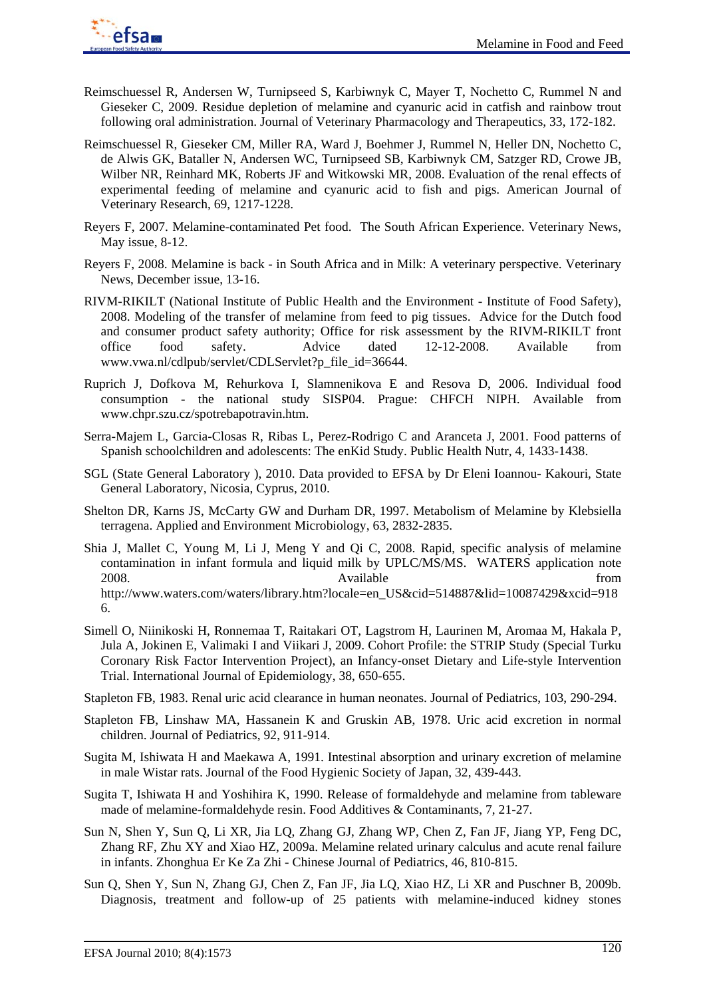

- Reimschuessel R, Andersen W, Turnipseed S, Karbiwnyk C, Mayer T, Nochetto C, Rummel N and Gieseker C, 2009. Residue depletion of melamine and cyanuric acid in catfish and rainbow trout following oral administration. Journal of Veterinary Pharmacology and Therapeutics, 33, 172-182.
- Reimschuessel R, Gieseker CM, Miller RA, Ward J, Boehmer J, Rummel N, Heller DN, Nochetto C, de Alwis GK, Bataller N, Andersen WC, Turnipseed SB, Karbiwnyk CM, Satzger RD, Crowe JB, Wilber NR, Reinhard MK, Roberts JF and Witkowski MR, 2008. Evaluation of the renal effects of experimental feeding of melamine and cyanuric acid to fish and pigs. American Journal of Veterinary Research, 69, 1217-1228.
- Reyers F, 2007. Melamine-contaminated Pet food. The South African Experience. Veterinary News, May issue, 8-12.
- Reyers F, 2008. Melamine is back in South Africa and in Milk: A veterinary perspective. Veterinary News, December issue, 13-16.
- RIVM-RIKILT (National Institute of Public Health and the Environment Institute of Food Safety), 2008. Modeling of the transfer of melamine from feed to pig tissues. Advice for the Dutch food and consumer product safety authority; Office for risk assessment by the RIVM-RIKILT front office food safety. Advice dated 12-12-2008. Available from www.vwa.nl/cdlpub/servlet/CDLServlet?p\_file\_id=36644.
- Ruprich J, Dofkova M, Rehurkova I, Slamnenikova E and Resova D, 2006. Individual food consumption - the national study SISP04. Prague: CHFCH NIPH. Available from www.chpr.szu.cz/spotrebapotravin.htm.
- Serra-Majem L, Garcia-Closas R, Ribas L, Perez-Rodrigo C and Aranceta J, 2001. Food patterns of Spanish schoolchildren and adolescents: The enKid Study. Public Health Nutr, 4, 1433-1438.
- SGL (State General Laboratory ), 2010. Data provided to EFSA by Dr Eleni Ioannou- Kakouri, State General Laboratory, Nicosia, Cyprus, 2010.
- Shelton DR, Karns JS, McCarty GW and Durham DR, 1997. Metabolism of Melamine by Klebsiella terragena. Applied and Environment Microbiology, 63, 2832-2835.
- Shia J, Mallet C, Young M, Li J, Meng Y and Qi C, 2008. Rapid, specific analysis of melamine contamination in infant formula and liquid milk by UPLC/MS/MS. WATERS application note 2008. COME Available from the set of the set of the set of the set of the set of the set of the set of the set of the set of the set of the set of the set of the set of the set of the set of the set of the set of the set o http://www.waters.com/waters/library.htm?locale=en\_US&cid=514887&lid=10087429&xcid=918 6.
- Simell O, Niinikoski H, Ronnemaa T, Raitakari OT, Lagstrom H, Laurinen M, Aromaa M, Hakala P, Jula A, Jokinen E, Valimaki I and Viikari J, 2009. Cohort Profile: the STRIP Study (Special Turku Coronary Risk Factor Intervention Project), an Infancy-onset Dietary and Life-style Intervention Trial. International Journal of Epidemiology, 38, 650-655.
- Stapleton FB, 1983. Renal uric acid clearance in human neonates. Journal of Pediatrics, 103, 290-294.
- Stapleton FB, Linshaw MA, Hassanein K and Gruskin AB, 1978. Uric acid excretion in normal children. Journal of Pediatrics, 92, 911-914.
- Sugita M, Ishiwata H and Maekawa A, 1991. Intestinal absorption and urinary excretion of melamine in male Wistar rats. Journal of the Food Hygienic Society of Japan, 32, 439-443.
- Sugita T, Ishiwata H and Yoshihira K, 1990. Release of formaldehyde and melamine from tableware made of melamine-formaldehyde resin. Food Additives & Contaminants, 7, 21-27.
- Sun N, Shen Y, Sun Q, Li XR, Jia LQ, Zhang GJ, Zhang WP, Chen Z, Fan JF, Jiang YP, Feng DC, Zhang RF, Zhu XY and Xiao HZ, 2009a. Melamine related urinary calculus and acute renal failure in infants. Zhonghua Er Ke Za Zhi - Chinese Journal of Pediatrics, 46, 810-815.
- Sun Q, Shen Y, Sun N, Zhang GJ, Chen Z, Fan JF, Jia LQ, Xiao HZ, Li XR and Puschner B, 2009b. Diagnosis, treatment and follow-up of 25 patients with melamine-induced kidney stones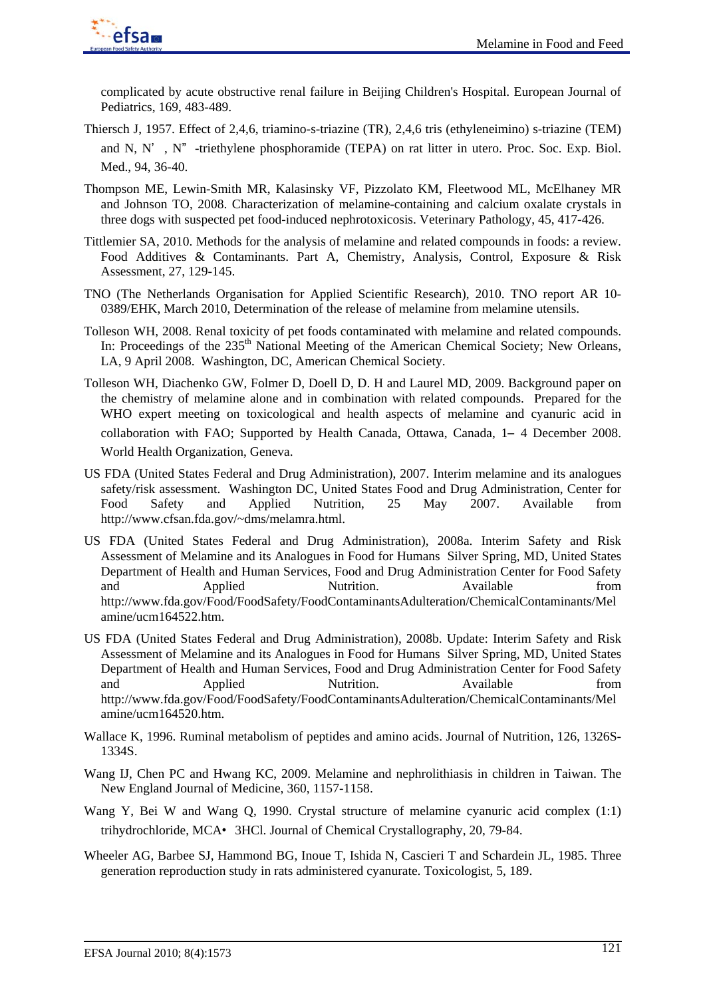

complicated by acute obstructive renal failure in Beijing Children's Hospital. European Journal of Pediatrics, 169, 483-489.

- Thiersch J, 1957. Effect of 2,4,6, triamino-s-triazine (TR), 2,4,6 tris (ethyleneimino) s-triazine (TEM) and N, N' , N" -triethylene phosphoramide (TEPA) on rat litter in utero. Proc. Soc. Exp. Biol. Med., 94, 36-40.
- Thompson ME, Lewin-Smith MR, Kalasinsky VF, Pizzolato KM, Fleetwood ML, McElhaney MR and Johnson TO, 2008. Characterization of melamine-containing and calcium oxalate crystals in three dogs with suspected pet food-induced nephrotoxicosis. Veterinary Pathology, 45, 417-426.
- Tittlemier SA, 2010. Methods for the analysis of melamine and related compounds in foods: a review. Food Additives & Contaminants. Part A, Chemistry, Analysis, Control, Exposure & Risk Assessment, 27, 129-145.
- TNO (The Netherlands Organisation for Applied Scientific Research), 2010. TNO report AR 10- 0389/EHK, March 2010, Determination of the release of melamine from melamine utensils.
- Tolleson WH, 2008. Renal toxicity of pet foods contaminated with melamine and related compounds. In: Proceedings of the 235<sup>th</sup> National Meeting of the American Chemical Society; New Orleans, LA, 9 April 2008. Washington, DC, American Chemical Society.
- Tolleson WH, Diachenko GW, Folmer D, Doell D, D. H and Laurel MD, 2009. Background paper on the chemistry of melamine alone and in combination with related compounds. Prepared for the WHO expert meeting on toxicological and health aspects of melamine and cyanuric acid in collaboration with FAO; Supported by Health Canada, Ottawa, Canada, 1– 4 December 2008. World Health Organization, Geneva.
- US FDA (United States Federal and Drug Administration), 2007. Interim melamine and its analogues safety/risk assessment. Washington DC, United States Food and Drug Administration, Center for Food Safety and Applied Nutrition, 25 May 2007. Available from http://www.cfsan.fda.gov/~dms/melamra.html.
- US FDA (United States Federal and Drug Administration), 2008a. Interim Safety and Risk Assessment of Melamine and its Analogues in Food for Humans Silver Spring, MD, United States Department of Health and Human Services, Food and Drug Administration Center for Food Safety and Applied Nutrition. Available from http://www.fda.gov/Food/FoodSafety/FoodContaminantsAdulteration/ChemicalContaminants/Mel amine/ucm164522.htm.
- US FDA (United States Federal and Drug Administration), 2008b. Update: Interim Safety and Risk Assessment of Melamine and its Analogues in Food for Humans Silver Spring, MD, United States Department of Health and Human Services, Food and Drug Administration Center for Food Safety and Applied Nutrition. Available from http://www.fda.gov/Food/FoodSafety/FoodContaminantsAdulteration/ChemicalContaminants/Mel amine/ucm164520.htm.
- Wallace K, 1996. Ruminal metabolism of peptides and amino acids. Journal of Nutrition, 126, 1326S-1334S.
- Wang IJ, Chen PC and Hwang KC, 2009. Melamine and nephrolithiasis in children in Taiwan. The New England Journal of Medicine, 360, 1157-1158.
- Wang Y, Bei W and Wang Q, 1990. Crystal structure of melamine cyanuric acid complex (1:1) trihydrochloride, MCA• 3HCl. Journal of Chemical Crystallography, 20, 79-84.
- Wheeler AG, Barbee SJ, Hammond BG, Inoue T, Ishida N, Cascieri T and Schardein JL, 1985. Three generation reproduction study in rats administered cyanurate. Toxicologist, 5, 189.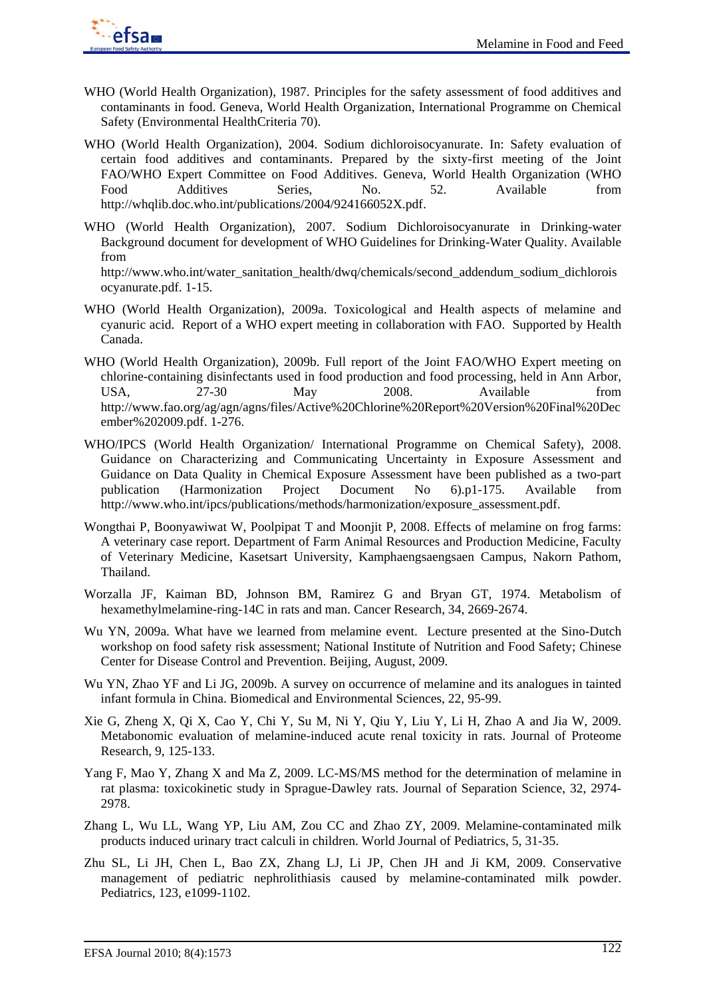

- WHO (World Health Organization), 1987. Principles for the safety assessment of food additives and contaminants in food. Geneva, World Health Organization, International Programme on Chemical Safety (Environmental HealthCriteria 70).
- WHO (World Health Organization), 2004. Sodium dichloroisocyanurate. In: Safety evaluation of certain food additives and contaminants. Prepared by the sixty-first meeting of the Joint FAO/WHO Expert Committee on Food Additives. Geneva, World Health Organization (WHO Food Additives Series, No. 52. Available from http://whqlib.doc.who.int/publications/2004/924166052X.pdf.
- WHO (World Health Organization), 2007. Sodium Dichloroisocyanurate in Drinking-water Background document for development of WHO Guidelines for Drinking-Water Quality. Available from

http://www.who.int/water\_sanitation\_health/dwq/chemicals/second\_addendum\_sodium\_dichlorois ocyanurate.pdf. 1-15.

- WHO (World Health Organization), 2009a. Toxicological and Health aspects of melamine and cyanuric acid. Report of a WHO expert meeting in collaboration with FAO. Supported by Health Canada.
- WHO (World Health Organization), 2009b. Full report of the Joint FAO/WHO Expert meeting on chlorine-containing disinfectants used in food production and food processing, held in Ann Arbor, USA, 27-30 May 2008. Available from http://www.fao.org/ag/agn/agns/files/Active%20Chlorine%20Report%20Version%20Final%20Dec ember%202009.pdf. 1-276.
- WHO/IPCS (World Health Organization/ International Programme on Chemical Safety), 2008. Guidance on Characterizing and Communicating Uncertainty in Exposure Assessment and Guidance on Data Quality in Chemical Exposure Assessment have been published as a two-part publication (Harmonization Project Document No 6).p1-175. Available from http://www.who.int/ipcs/publications/methods/harmonization/exposure\_assessment.pdf.
- Wongthai P, Boonyawiwat W, Poolpipat T and Moonjit P, 2008. Effects of melamine on frog farms: A veterinary case report. Department of Farm Animal Resources and Production Medicine, Faculty of Veterinary Medicine, Kasetsart University, Kamphaengsaengsaen Campus, Nakorn Pathom, Thailand.
- Worzalla JF, Kaiman BD, Johnson BM, Ramirez G and Bryan GT, 1974. Metabolism of hexamethylmelamine-ring-14C in rats and man. Cancer Research, 34, 2669-2674.
- Wu YN, 2009a. What have we learned from melamine event. Lecture presented at the Sino-Dutch workshop on food safety risk assessment; National Institute of Nutrition and Food Safety; Chinese Center for Disease Control and Prevention. Beijing, August, 2009.
- Wu YN, Zhao YF and Li JG, 2009b. A survey on occurrence of melamine and its analogues in tainted infant formula in China. Biomedical and Environmental Sciences, 22, 95-99.
- Xie G, Zheng X, Qi X, Cao Y, Chi Y, Su M, Ni Y, Qiu Y, Liu Y, Li H, Zhao A and Jia W, 2009. Metabonomic evaluation of melamine-induced acute renal toxicity in rats. Journal of Proteome Research, 9, 125-133.
- Yang F, Mao Y, Zhang X and Ma Z, 2009. LC-MS/MS method for the determination of melamine in rat plasma: toxicokinetic study in Sprague-Dawley rats. Journal of Separation Science, 32, 2974- 2978.
- Zhang L, Wu LL, Wang YP, Liu AM, Zou CC and Zhao ZY, 2009. Melamine-contaminated milk products induced urinary tract calculi in children. World Journal of Pediatrics, 5, 31-35.
- Zhu SL, Li JH, Chen L, Bao ZX, Zhang LJ, Li JP, Chen JH and Ji KM, 2009. Conservative management of pediatric nephrolithiasis caused by melamine-contaminated milk powder. Pediatrics, 123, e1099-1102.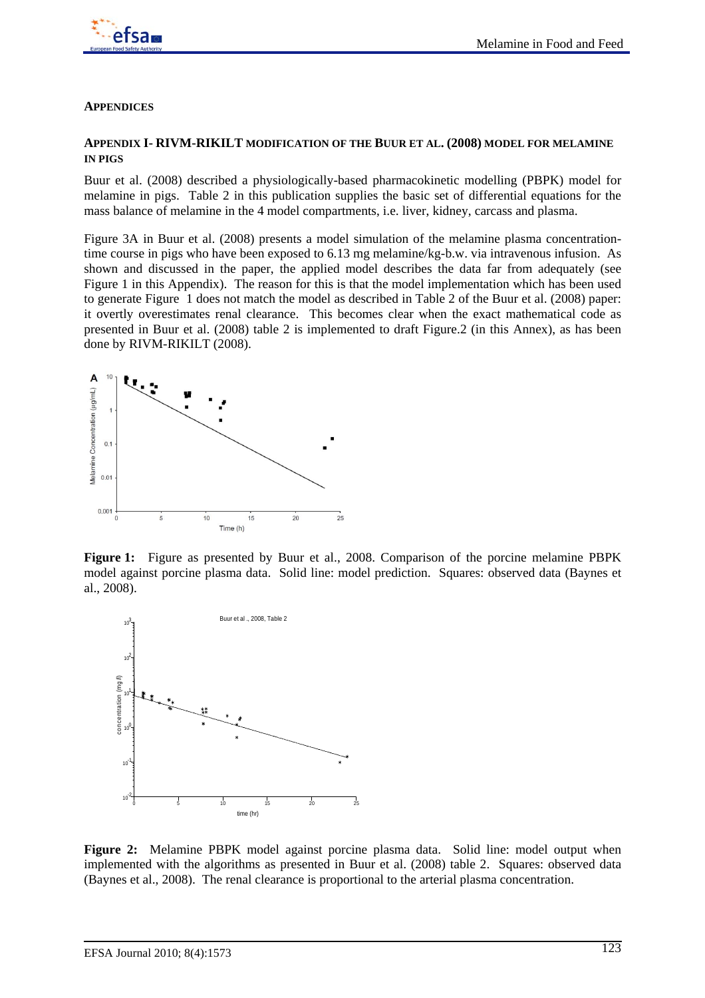

# **APPENDICES**

## **APPENDIX I- RIVM-RIKILT MODIFICATION OF THE BUUR ET AL. (2008) MODEL FOR MELAMINE IN PIGS**

Buur et al. (2008) described a physiologically-based pharmacokinetic modelling (PBPK) model for melamine in pigs. Table 2 in this publication supplies the basic set of differential equations for the mass balance of melamine in the 4 model compartments, i.e. liver, kidney, carcass and plasma.

Figure 3A in Buur et al. (2008) presents a model simulation of the melamine plasma concentrationtime course in pigs who have been exposed to 6.13 mg melamine/kg-b.w. via intravenous infusion. As shown and discussed in the paper, the applied model describes the data far from adequately (see Figure 1 in this Appendix). The reason for this is that the model implementation which has been used to generate Figure 1 does not match the model as described in Table 2 of the Buur et al. (2008) paper: it overtly overestimates renal clearance. This becomes clear when the exact mathematical code as presented in Buur et al. (2008) table 2 is implemented to draft Figure.2 (in this Annex), as has been done by RIVM-RIKILT (2008).



**Figure 1:** Figure as presented by Buur et al., 2008. Comparison of the porcine melamine PBPK model against porcine plasma data. Solid line: model prediction. Squares: observed data (Baynes et al., 2008).



**Figure 2:** Melamine PBPK model against porcine plasma data. Solid line: model output when implemented with the algorithms as presented in Buur et al. (2008) table 2. Squares: observed data (Baynes et al., 2008). The renal clearance is proportional to the arterial plasma concentration.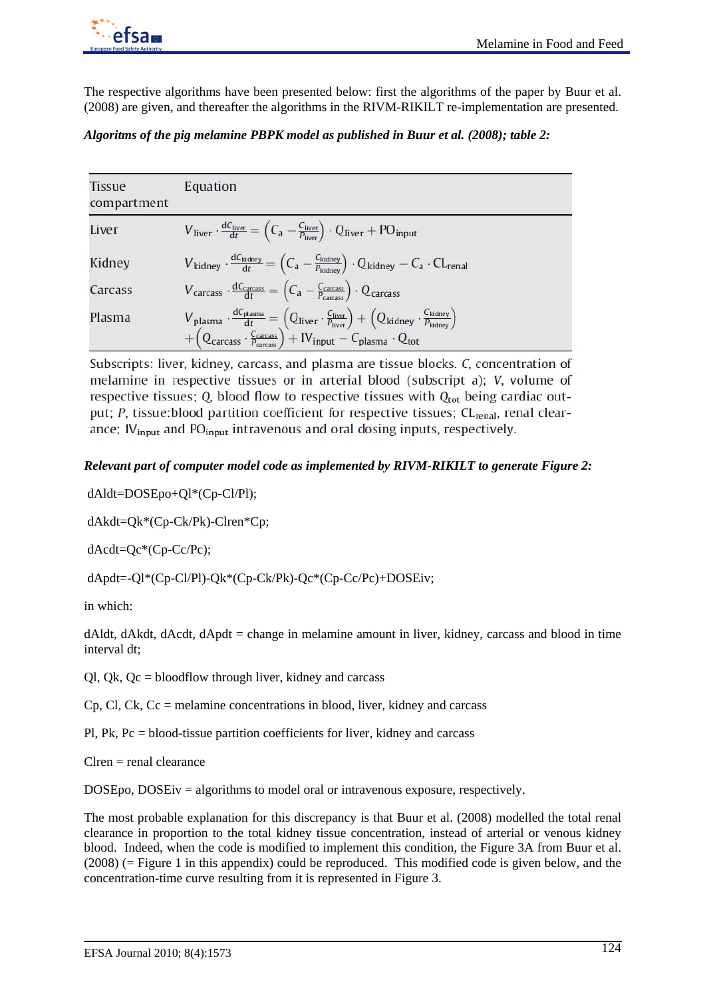

The respective algorithms have been presented below: first the algorithms of the paper by Buur et al. (2008) are given, and thereafter the algorithms in the RIVM-RIKILT re-implementation are presented.

# *Algoritms of the pig melamine PBPK model as published in Buur et al. (2008); table 2:*

| <b>Tissue</b><br>compartment | Equation                                                                                                                                                                                                                                                                                                                                                                                     |
|------------------------------|----------------------------------------------------------------------------------------------------------------------------------------------------------------------------------------------------------------------------------------------------------------------------------------------------------------------------------------------------------------------------------------------|
| Liver                        | $V_{\text{liver}} \cdot \frac{dC_{\text{liver}}}{dt} = \left(C_a - \frac{C_{\text{liver}}}{P_{\text{liver}}}\right) \cdot Q_{\text{liver}} + PO_{\text{input}}$                                                                                                                                                                                                                              |
| Kidney                       | $V_{\text{kidney}} \cdot \frac{dC_{\text{kidney}}}{dt} = \left(C_a - \frac{C_{\text{kidney}}}{P_{\text{kidney}}}\right) \cdot Q_{\text{kidney}} - C_a \cdot CL_{\text{real}}$                                                                                                                                                                                                                |
| Carcass                      | $V_{\text{carcass}} \cdot \frac{\text{dC} \cdot \text{arcass}}{\text{d}t} = \left(C_{\text{a}} - \frac{C \cdot \text{carcass}}{P_{\text{carcass}}}\right) \cdot Q_{\text{carcass}}$                                                                                                                                                                                                          |
| Plasma                       | $\begin{array}{l} \displaystyle V_{\rm plasma} \cdot \frac{\rm dC_{plasma}}{\rm d t} = \left( Q_{\rm liver} \cdot \frac{C_{\rm liver}}{P_{\rm liver}} \right) + \left( Q_{\rm kidney} \cdot \frac{C_{\rm kidney}}{P_{\rm kidney}} \right) \\ + \left( Q_{\rm carcess} \cdot \frac{C_{\rm carcess}}{P_{\rm carcess}} \right) + IV_{\rm input} - C_{\rm plasma} \cdot Q_{\rm tot} \end{array}$ |

Subscripts: liver, kidney, carcass, and plasma are tissue blocks. C, concentration of melamine in respective tissues or in arterial blood (subscript a); V, volume of respective tissues; Q, blood flow to respective tissues with Q<sub>tot</sub> being cardiac output; P, tissue:blood partition coefficient for respective tissues; CL<sub>renal</sub>, renal clearance; IV<sub>input</sub> and PO<sub>input</sub> intravenous and oral dosing inputs, respectively.

# *Relevant part of computer model code as implemented by RIVM-RIKILT to generate Figure 2:*

dAldt=DOSEpo+Ql\*(Cp-Cl/Pl);

dAkdt=Qk\*(Cp-Ck/Pk)-Clren\*Cp;

dAcdt=Qc\*(Cp-Cc/Pc);

dApdt=-Ql\*(Cp-Cl/Pl)-Qk\*(Cp-Ck/Pk)-Qc\*(Cp-Cc/Pc)+DOSEiv;

in which:

dAldt, dAkdt, dAcdt, dApdt = change in melamine amount in liver, kidney, carcass and blood in time interval dt;

Ql,  $Qk$ ,  $Qc =$  bloodflow through liver, kidney and carcass

Cp, Cl, Ck, Cc = melamine concentrations in blood, liver, kidney and carcass

Pl, Pk, Pc = blood-tissue partition coefficients for liver, kidney and carcass

 $C$ lren  $=$  renal clearance

DOSEpo, DOSEiv = algorithms to model oral or intravenous exposure, respectively.

The most probable explanation for this discrepancy is that Buur et al. (2008) modelled the total renal clearance in proportion to the total kidney tissue concentration, instead of arterial or venous kidney blood. Indeed, when the code is modified to implement this condition, the Figure 3A from Buur et al. (2008) (= Figure 1 in this appendix) could be reproduced. This modified code is given below, and the concentration-time curve resulting from it is represented in Figure 3.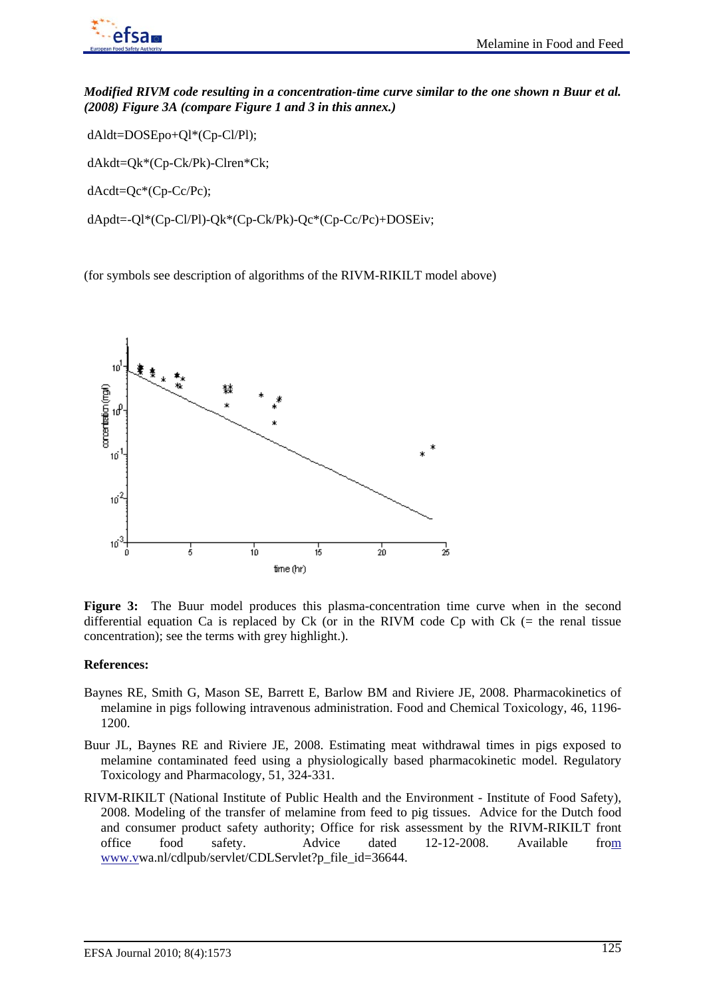

*Modified RIVM code resulting in a concentration-time curve similar to the one shown n Buur et al. (2008) Figure 3A (compare Figure 1 and 3 in this annex.)* 

dAldt=DOSEpo+Ql\*(Cp-Cl/Pl);

dAkdt=Qk\*(Cp-Ck/Pk)-Clren\*Ck;

dAcdt=Qc\*(Cp-Cc/Pc);

dApdt=-Ql\*(Cp-Cl/Pl)-Qk\*(Cp-Ck/Pk)-Qc\*(Cp-Cc/Pc)+DOSEiv;

(for symbols see description of algorithms of the RIVM-RIKILT model above)



Figure 3: The Buur model produces this plasma-concentration time curve when in the second differential equation Ca is replaced by Ck (or in the RIVM code Cp with Ck  $(=$  the renal tissue concentration); see the terms with grey highlight.).

## **References:**

- Baynes RE, Smith G, Mason SE, Barrett E, Barlow BM and Riviere JE, 2008. Pharmacokinetics of melamine in pigs following intravenous administration. Food and Chemical Toxicology, 46, 1196- 1200.
- Buur JL, Baynes RE and Riviere JE, 2008. Estimating meat withdrawal times in pigs exposed to melamine contaminated feed using a physiologically based pharmacokinetic model. Regulatory Toxicology and Pharmacology, 51, 324-331.
- RIVM-RIKILT (National Institute of Public Health and the Environment Institute of Food Safety), 2008. Modeling of the transfer of melamine from feed to pig tissues. Advice for the Dutch food and consumer product safety authority; Office for risk assessment by the RIVM-RIKILT front office food safety. Advice dated 12-12-2008. Available from www.vwa.nl/cdlpub/servlet/CDLServlet?p\_file\_id=36644.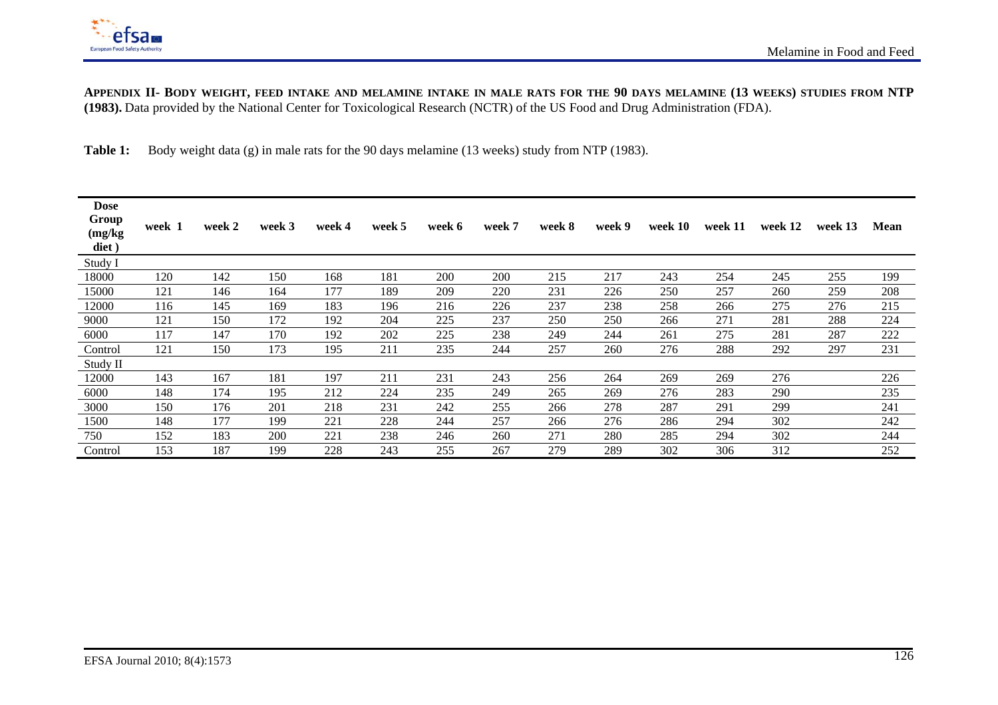

**APPENDIX II- BODY WEIGHT, FEED INTAKE AND MELAMINE INTAKE IN MALE RATS FOR THE 90 DAYS MELAMINE (13 WEEKS) STUDIES FROM NTP (1983).** Data provided by the National Center for Toxicological Research (NCTR) of the US Food and Drug Administration (FDA).

**Table 1:** Body weight data (g) in male rats for the 90 days melamine (13 weeks) study from NTP (1983).

| <b>Dose</b><br>Group<br>(mg/kg) | week 1 | week 2 | week 3 | week 4 | week 5 | week 6 | week 7 | week 8 | week 9 | week 10 | week 11 | week 12 | week 13 | <b>Mean</b> |
|---------------------------------|--------|--------|--------|--------|--------|--------|--------|--------|--------|---------|---------|---------|---------|-------------|
| diet)                           |        |        |        |        |        |        |        |        |        |         |         |         |         |             |
| Study I                         |        |        |        |        |        |        |        |        |        |         |         |         |         |             |
| 18000                           | 120    | 142    | 150    | 168    | 181    | 200    | 200    | 215    | 217    | 243     | 254     | 245     | 255     | 199         |
| 15000                           | 121    | 146    | 164    | 177    | 189    | 209    | 220    | 231    | 226    | 250     | 257     | 260     | 259     | 208         |
| 12000                           | 116    | 145    | 169    | 183    | 196    | 216    | 226    | 237    | 238    | 258     | 266     | 275     | 276     | 215         |
| 9000                            | 121    | 150    | 172    | 192    | 204    | 225    | 237    | 250    | 250    | 266     | 271     | 281     | 288     | 224         |
| 6000                            | 117    | 147    | 170    | 192    | 202    | 225    | 238    | 249    | 244    | 261     | 275     | 281     | 287     | 222         |
| Control                         | 121    | 150    | 173    | 195    | 211    | 235    | 244    | 257    | 260    | 276     | 288     | 292     | 297     | 231         |
| Study II                        |        |        |        |        |        |        |        |        |        |         |         |         |         |             |
| 12000                           | 143    | 167    | 181    | 197    | 211    | 231    | 243    | 256    | 264    | 269     | 269     | 276     |         | 226         |
| 6000                            | 148    | 174    | 195    | 212    | 224    | 235    | 249    | 265    | 269    | 276     | 283     | 290     |         | 235         |
| 3000                            | 150    | 176    | 201    | 218    | 231    | 242    | 255    | 266    | 278    | 287     | 291     | 299     |         | 241         |
| 1500                            | 148    | 177    | 199    | 221    | 228    | 244    | 257    | 266    | 276    | 286     | 294     | 302     |         | 242         |
| 750                             | 152    | 183    | 200    | 221    | 238    | 246    | 260    | 271    | 280    | 285     | 294     | 302     |         | 244         |
| Control                         | 153    | 187    | 199    | 228    | 243    | 255    | 267    | 279    | 289    | 302     | 306     | 312     |         | 252         |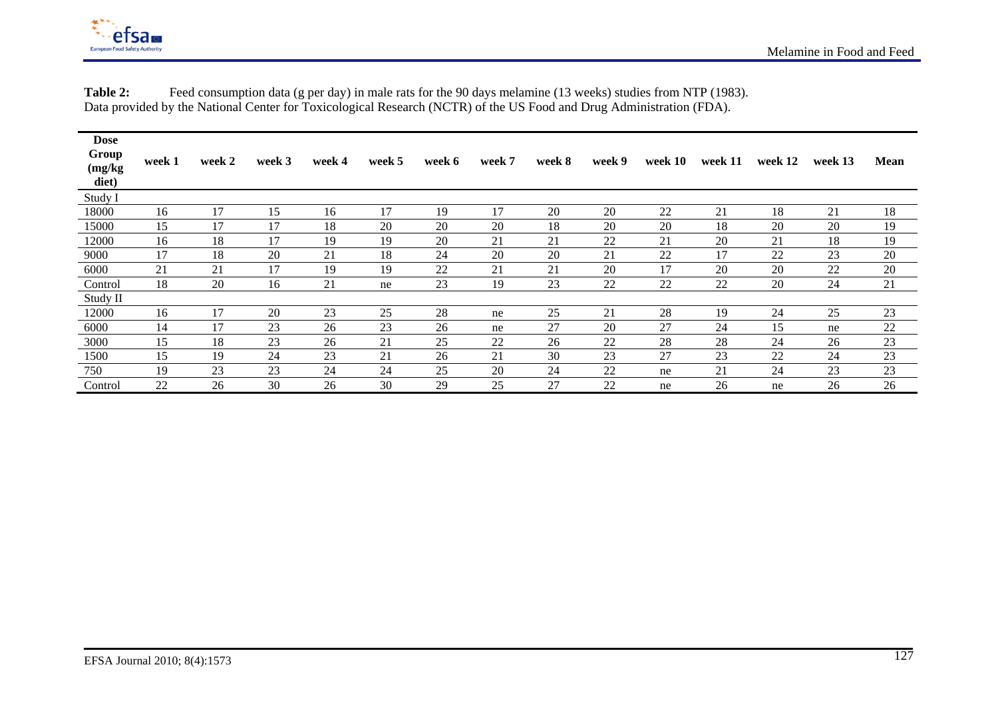

| <b>Dose</b><br>Group<br>(mg/kg)<br>diet) | week 1 | week 2 | week 3 | week 4 | week 5 | week 6 | week 7 | week 8 | week 9 | week 10 | week 11 | week 12 | week 13 | <b>Mean</b> |
|------------------------------------------|--------|--------|--------|--------|--------|--------|--------|--------|--------|---------|---------|---------|---------|-------------|
| Study I                                  |        |        |        |        |        |        |        |        |        |         |         |         |         |             |
| 18000                                    | 16     | 17     | 15     | 16     | 17     | 19     | 17     | 20     | 20     | 22      | 21      | 18      | 21      | 18          |
| 15000                                    | 15     | 17     | 17     | 18     | 20     | 20     | 20     | 18     | 20     | 20      | 18      | 20      | 20      | 19          |
| 12000                                    | 16     | 18     | 17     | 19     | 19     | 20     | 21     | 21     | 22     | 21      | 20      | 21      | 18      | 19          |
| 9000                                     | 17     | 18     | 20     | 21     | 18     | 24     | 20     | 20     | 21     | 22      | 17      | 22      | 23      | 20          |
| 6000                                     | 21     | 21     | 17     | 19     | 19     | 22     | 21     | 21     | 20     | 17      | 20      | 20      | 22      | 20          |
| Control                                  | 18     | 20     | 16     | 21     | ne     | 23     | 19     | 23     | 22     | 22      | 22      | 20      | 24      | 21          |
| Study II                                 |        |        |        |        |        |        |        |        |        |         |         |         |         |             |
| 12000                                    | 16     | 17     | 20     | 23     | 25     | 28     | ne     | 25     | 21     | 28      | 19      | 24      | 25      | 23          |
| 6000                                     | 14     | 17     | 23     | 26     | 23     | 26     | ne     | 27     | 20     | 27      | 24      | 15      | ne      | 22          |
| 3000                                     | 15     | 18     | 23     | 26     | 21     | 25     | 22     | 26     | 22     | 28      | 28      | 24      | 26      | 23          |
| 1500                                     | 15     | 19     | 24     | 23     | 21     | 26     | 21     | 30     | 23     | 27      | 23      | 22      | 24      | 23          |
| 750                                      | 19     | 23     | 23     | 24     | 24     | 25     | 20     | 24     | 22     | ne      | 21      | 24      | 23      | 23          |
| Control                                  | 22     | 26     | 30     | 26     | 30     | 29     | 25     | 27     | 22     | ne      | 26      | ne      | 26      | 26          |

Table 2: Feed consumption data (g per day) in male rats for the 90 days melamine (13 weeks) studies from NTP (1983). Data provided by the National Center for Toxicological Research (NCTR) of the US Food and Drug Administration (FDA).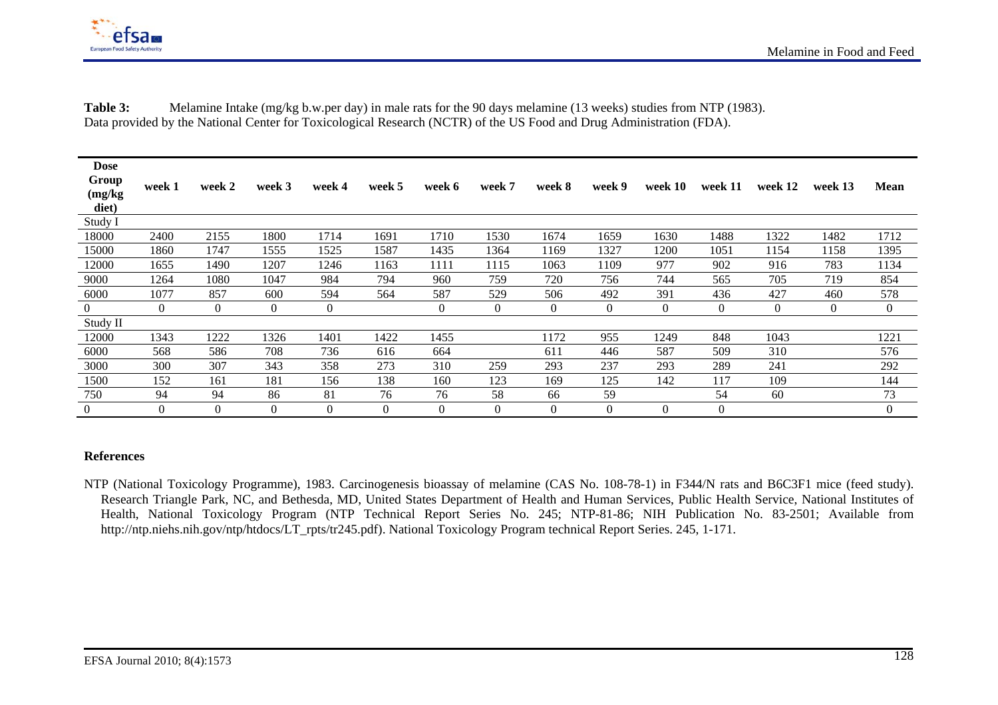

| <b>Dose</b><br>Group<br>(mg/kg)<br>diet) | week 1         | week 2   | week 3   | week 4         | week 5   | week 6           | week 7   | week 8       | week 9   | week 10        | week 11      | week 12  | week 13  | <b>Mean</b>    |
|------------------------------------------|----------------|----------|----------|----------------|----------|------------------|----------|--------------|----------|----------------|--------------|----------|----------|----------------|
| Study I                                  |                |          |          |                |          |                  |          |              |          |                |              |          |          |                |
| 18000                                    | 2400           | 2155     | 1800     | 1714           | 1691     | 1710             | 1530     | 1674         | 1659     | 1630           | 1488         | 1322     | 1482     | 1712           |
| 15000                                    | 1860           | 1747     | 1555     | 1525           | 1587     | 1435             | 1364     | 1169         | 1327     | 1200           | 1051         | 1154     | 1158     | 1395           |
| 12000                                    | 1655           | 1490     | 1207     | 1246           | 1163     | 1111             | 1115     | 1063         | 1109     | 977            | 902          | 916      | 783      | 1134           |
| 9000                                     | 1264           | 1080     | 1047     | 984            | 794      | 960              | 759      | 720          | 756      | 744            | 565          | 705      | 719      | 854            |
| 6000                                     | 1077           | 857      | 600      | 594            | 564      | 587              | 529      | 506          | 492      | 391            | 436          | 427      | 460      | 578            |
| $\Omega$                                 | $\Omega$       | $\theta$ | $\Omega$ | $\overline{0}$ |          | $\theta$         | $\theta$ | $\mathbf{0}$ | $\theta$ | $\overline{0}$ | $\theta$     | $\Omega$ | $\Omega$ | $\overline{0}$ |
| Study II                                 |                |          |          |                |          |                  |          |              |          |                |              |          |          |                |
| 12000                                    | 1343           | 1222     | 1326     | 1401           | 1422     | 1455             |          | 1172         | 955      | 1249           | 848          | 1043     |          | 1221           |
| 6000                                     | 568            | 586      | 708      | 736            | 616      | 664              |          | 611          | 446      | 587            | 509          | 310      |          | 576            |
| 3000                                     | 300            | 307      | 343      | 358            | 273      | 310              | 259      | 293          | 237      | 293            | 289          | 241      |          | 292            |
| 1500                                     | 152            | 161      | 181      | 156            | 138      | 160              | 123      | 169          | 125      | 142            | 117          | 109      |          | 144            |
| 750                                      | 94             | 94       | 86       | 81             | 76       | 76               | 58       | 66           | 59       |                | 54           | 60       |          | 73             |
| $\theta$                                 | $\overline{0}$ | $\theta$ | $\theta$ | $\overline{0}$ | $\theta$ | $\boldsymbol{0}$ | $\Omega$ | $\mathbf{0}$ | $\Omega$ | $\overline{0}$ | $\mathbf{0}$ |          |          | $\theta$       |

**Table 3:** Melamine Intake (mg/kg b.w.per day) in male rats for the 90 days melamine (13 weeks) studies from NTP (1983). Data provided by the National Center for Toxicological Research (NCTR) of the US Food and Drug Administration (FDA).

#### **References**

NTP (National Toxicology Programme), 1983. Carcinogenesis bioassay of melamine (CAS No. 108-78-1) in F344/N rats and B6C3F1 mice (feed study). Research Triangle Park, NC, and Bethesda, MD, United States Department of Health and Human Services, Public Health Service, National Institutes of Health, National Toxicology Program (NTP Technical Report Series No. 245; NTP-81-86; NIH Publication No. 83-2501; Available from http://ntp.niehs.nih.gov/ntp/htdocs/LT\_rpts/tr245.pdf). National Toxicology Program technical Report Series. 245, 1-171.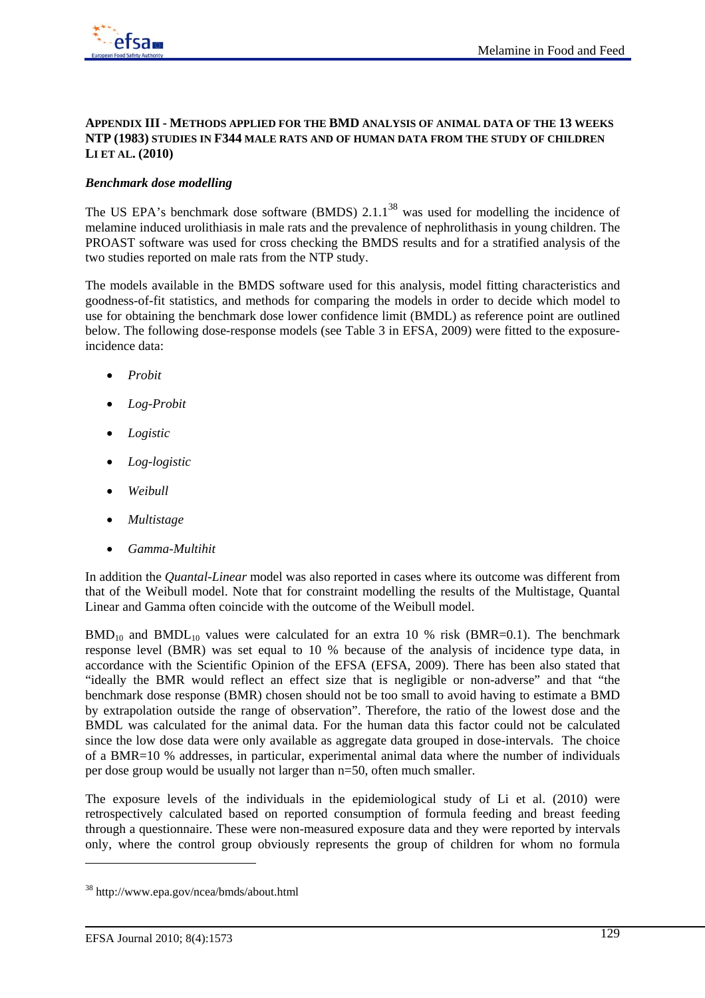

# **APPENDIX III - METHODS APPLIED FOR THE BMD ANALYSIS OF ANIMAL DATA OF THE 13 WEEKS NTP (1983) STUDIES IN F344 MALE RATS AND OF HUMAN DATA FROM THE STUDY OF CHILDREN LI ET AL. (2010)**

# *Benchmark dose modelling*

The US EPA's benchmark dose software (BMDS)  $2.1.1^{38}$  was used for modelling the incidence of melamine induced urolithiasis in male rats and the prevalence of nephrolithasis in young children. The PROAST software was used for cross checking the BMDS results and for a stratified analysis of the two studies reported on male rats from the NTP study.

The models available in the BMDS software used for this analysis, model fitting characteristics and goodness-of-fit statistics, and methods for comparing the models in order to decide which model to use for obtaining the benchmark dose lower confidence limit (BMDL) as reference point are outlined below. The following dose-response models (see Table 3 in EFSA, 2009) were fitted to the exposureincidence data:

- *Probit*
- *Log-Probit*
- *Logistic*
- *Log-logistic*
- *Weibull*
- *Multistage*
- *Gamma-Multihit*

In addition the *Quantal-Linear* model was also reported in cases where its outcome was different from that of the Weibull model. Note that for constraint modelling the results of the Multistage, Quantal Linear and Gamma often coincide with the outcome of the Weibull model.

 $BMD_{10}$  and  $BMDL_{10}$  values were calculated for an extra 10 % risk (BMR=0.1). The benchmark response level (BMR) was set equal to 10 % because of the analysis of incidence type data, in accordance with the Scientific Opinion of the EFSA (EFSA, 2009). There has been also stated that "ideally the BMR would reflect an effect size that is negligible or non-adverse" and that "the benchmark dose response (BMR) chosen should not be too small to avoid having to estimate a BMD by extrapolation outside the range of observation". Therefore, the ratio of the lowest dose and the BMDL was calculated for the animal data. For the human data this factor could not be calculated since the low dose data were only available as aggregate data grouped in dose-intervals. The choice of a BMR=10 % addresses, in particular, experimental animal data where the number of individuals per dose group would be usually not larger than n=50, often much smaller.

The exposure levels of the individuals in the epidemiological study of Li et al. (2010) were retrospectively calculated based on reported consumption of formula feeding and breast feeding through a questionnaire. These were non-measured exposure data and they were reported by intervals only, where the control group obviously represents the group of children for whom no formula

l

<sup>38</sup> http://www.epa.gov/ncea/bmds/about.html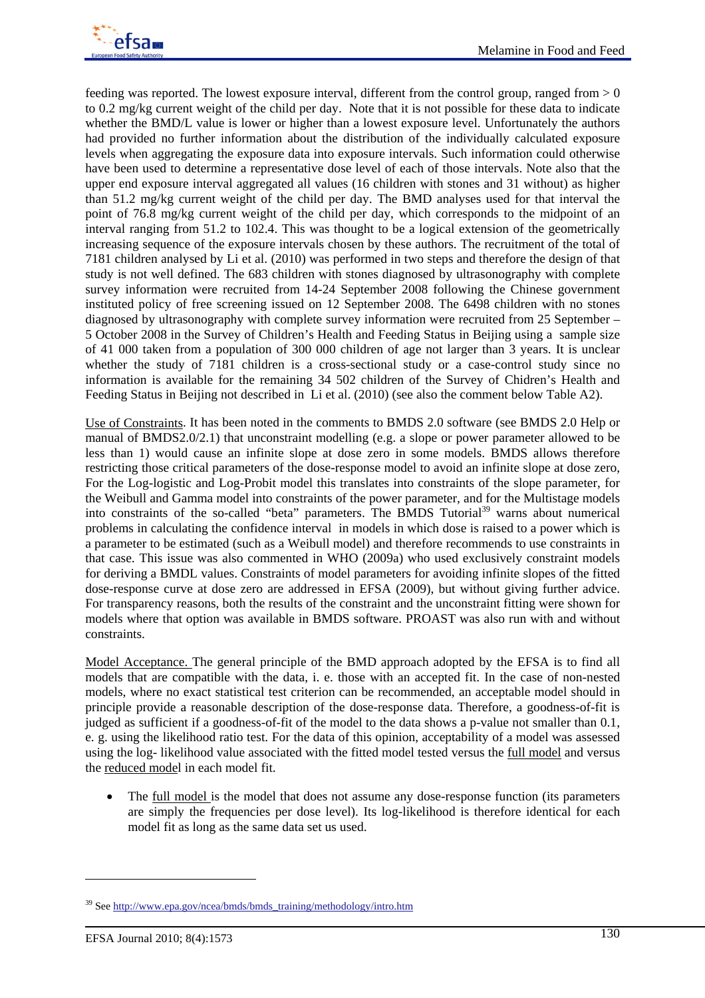

feeding was reported. The lowest exposure interval, different from the control group, ranged from  $> 0$ to 0.2 mg/kg current weight of the child per day. Note that it is not possible for these data to indicate whether the BMD/L value is lower or higher than a lowest exposure level. Unfortunately the authors had provided no further information about the distribution of the individually calculated exposure levels when aggregating the exposure data into exposure intervals. Such information could otherwise have been used to determine a representative dose level of each of those intervals. Note also that the upper end exposure interval aggregated all values (16 children with stones and 31 without) as higher than 51.2 mg/kg current weight of the child per day. The BMD analyses used for that interval the point of 76.8 mg/kg current weight of the child per day, which corresponds to the midpoint of an interval ranging from 51.2 to 102.4. This was thought to be a logical extension of the geometrically increasing sequence of the exposure intervals chosen by these authors. The recruitment of the total of 7181 children analysed by Li et al. (2010) was performed in two steps and therefore the design of that study is not well defined. The 683 children with stones diagnosed by ultrasonography with complete survey information were recruited from 14-24 September 2008 following the Chinese government instituted policy of free screening issued on 12 September 2008. The 6498 children with no stones diagnosed by ultrasonography with complete survey information were recruited from 25 September – 5 October 2008 in the Survey of Children's Health and Feeding Status in Beijing using a sample size of 41 000 taken from a population of 300 000 children of age not larger than 3 years. It is unclear whether the study of 7181 children is a cross-sectional study or a case-control study since no information is available for the remaining 34 502 children of the Survey of Chidren's Health and Feeding Status in Beijing not described in Li et al. (2010) (see also the comment below Table A2).

Use of Constraints. It has been noted in the comments to BMDS 2.0 software (see BMDS 2.0 Help or manual of BMDS2.0/2.1) that unconstraint modelling (e.g. a slope or power parameter allowed to be less than 1) would cause an infinite slope at dose zero in some models. BMDS allows therefore restricting those critical parameters of the dose-response model to avoid an infinite slope at dose zero, For the Log-logistic and Log-Probit model this translates into constraints of the slope parameter, for the Weibull and Gamma model into constraints of the power parameter, and for the Multistage models into constraints of the so-called "beta" parameters. The BMDS Tutorial<sup>39</sup> warns about numerical problems in calculating the confidence interval in models in which dose is raised to a power which is a parameter to be estimated (such as a Weibull model) and therefore recommends to use constraints in that case. This issue was also commented in WHO (2009a) who used exclusively constraint models for deriving a BMDL values. Constraints of model parameters for avoiding infinite slopes of the fitted dose-response curve at dose zero are addressed in EFSA (2009), but without giving further advice. For transparency reasons, both the results of the constraint and the unconstraint fitting were shown for models where that option was available in BMDS software. PROAST was also run with and without constraints.

Model Acceptance. The general principle of the BMD approach adopted by the EFSA is to find all models that are compatible with the data, i. e. those with an accepted fit. In the case of non-nested models, where no exact statistical test criterion can be recommended, an acceptable model should in principle provide a reasonable description of the dose-response data. Therefore, a goodness-of-fit is judged as sufficient if a goodness-of-fit of the model to the data shows a p-value not smaller than 0.1, e. g. using the likelihood ratio test. For the data of this opinion, acceptability of a model was assessed using the log- likelihood value associated with the fitted model tested versus the full model and versus the reduced model in each model fit.

The full model is the model that does not assume any dose-response function (its parameters are simply the frequencies per dose level). Its log-likelihood is therefore identical for each model fit as long as the same data set us used.

l

<sup>&</sup>lt;sup>39</sup> See http://www.epa.gov/ncea/bmds/bmds\_training/methodology/intro.htm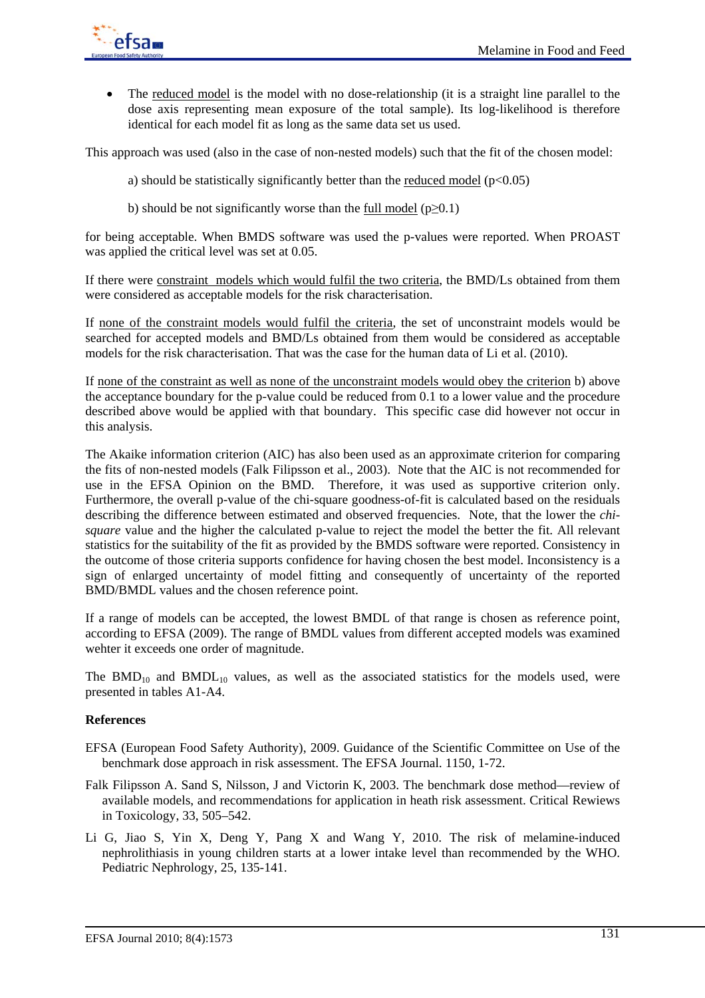

• The <u>reduced model</u> is the model with no dose-relationship (it is a straight line parallel to the dose axis representing mean exposure of the total sample). Its log-likelihood is therefore identical for each model fit as long as the same data set us used.

This approach was used (also in the case of non-nested models) such that the fit of the chosen model:

- a) should be statistically significantly better than the reduced model  $(p<0.05)$
- b) should be not significantly worse than the full model ( $p\geq 0.1$ )

for being acceptable. When BMDS software was used the p-values were reported. When PROAST was applied the critical level was set at 0.05.

If there were constraint models which would fulfil the two criteria, the BMD/Ls obtained from them were considered as acceptable models for the risk characterisation.

If none of the constraint models would fulfil the criteria, the set of unconstraint models would be searched for accepted models and BMD/Ls obtained from them would be considered as acceptable models for the risk characterisation. That was the case for the human data of Li et al. (2010).

If none of the constraint as well as none of the unconstraint models would obey the criterion b) above the acceptance boundary for the p-value could be reduced from 0.1 to a lower value and the procedure described above would be applied with that boundary. This specific case did however not occur in this analysis.

The Akaike information criterion (AIC) has also been used as an approximate criterion for comparing the fits of non-nested models (Falk Filipsson et al., 2003). Note that the AIC is not recommended for use in the EFSA Opinion on the BMD. Therefore, it was used as supportive criterion only. Furthermore, the overall p-value of the chi-square goodness-of-fit is calculated based on the residuals describing the difference between estimated and observed frequencies. Note, that the lower the *chisquare* value and the higher the calculated p-value to reject the model the better the fit. All relevant statistics for the suitability of the fit as provided by the BMDS software were reported. Consistency in the outcome of those criteria supports confidence for having chosen the best model. Inconsistency is a sign of enlarged uncertainty of model fitting and consequently of uncertainty of the reported BMD/BMDL values and the chosen reference point.

If a range of models can be accepted, the lowest BMDL of that range is chosen as reference point, according to EFSA (2009). The range of BMDL values from different accepted models was examined wehter it exceeds one order of magnitude.

The  $BMD<sub>10</sub>$  and  $BMD<sub>10</sub>$  values, as well as the associated statistics for the models used, were presented in tables A1-A4.

## **References**

- EFSA (European Food Safety Authority), 2009. Guidance of the Scientific Committee on Use of the benchmark dose approach in risk assessment. The EFSA Journal. 1150, 1-72.
- Falk Filipsson A. Sand S, Nilsson, J and Victorin K, 2003. The benchmark dose method—review of available models, and recommendations for application in heath risk assessment. Critical Rewiews in Toxicology, 33, 505–542.
- Li G, Jiao S, Yin X, Deng Y, Pang X and Wang Y, 2010. The risk of melamine-induced nephrolithiasis in young children starts at a lower intake level than recommended by the WHO. Pediatric Nephrology, 25, 135-141.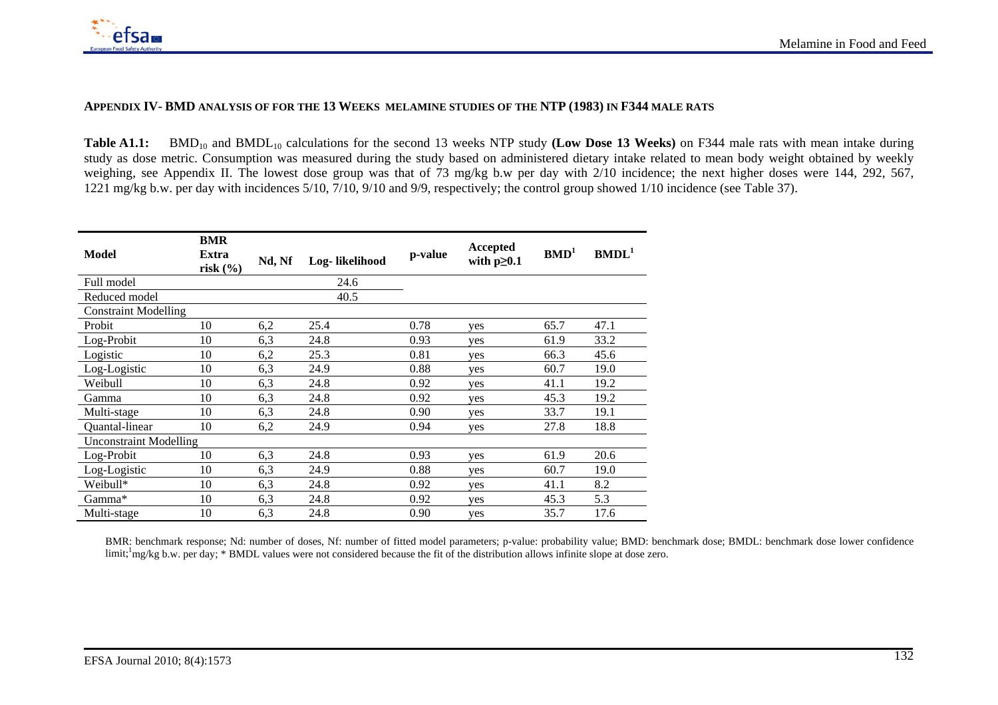

#### **APPENDIX IV- BMD ANALYSIS OF FOR THE 13 WEEKS MELAMINE STUDIES OF THE NTP (1983) IN F344 MALE RATS**

**Table A1.1:** BMD<sub>10</sub> and BMDL<sub>10</sub> calculations for the second 13 weeks NTP study (Low Dose 13 Weeks) on F344 male rats with mean intake during study as dose metric. Consumption was measured during the study based on administered dietary intake related to mean body weight obtained by weekly weighing, see Appendix II. The lowest dose group was that of 73 mg/kg b.w per day with 2/10 incidence; the next higher doses were 144, 292, 567, 1221 mg/kg b.w. per day with incidences 5/10, 7/10, 9/10 and 9/9, respectively; the control group showed 1/10 incidence (see Table 37).

| <b>Model</b>                  | <b>BMR</b><br>Extra<br>risk $(\% )$ | Nd, Nf | Log-likelihood | p-value | Accepted<br>with $p \geq 0.1$ | BMD <sup>1</sup> | BMDL <sup>1</sup> |
|-------------------------------|-------------------------------------|--------|----------------|---------|-------------------------------|------------------|-------------------|
| Full model                    |                                     |        | 24.6           |         |                               |                  |                   |
| Reduced model                 |                                     |        | 40.5           |         |                               |                  |                   |
| <b>Constraint Modelling</b>   |                                     |        |                |         |                               |                  |                   |
| Probit                        | 10                                  | 6,2    | 25.4           | 0.78    | yes                           | 65.7             | 47.1              |
| Log-Probit                    | 10                                  | 6,3    | 24.8           | 0.93    | ves                           | 61.9             | 33.2              |
| Logistic                      | 10                                  | 6,2    | 25.3           | 0.81    | yes                           | 66.3             | 45.6              |
| Log-Logistic                  | 10                                  | 6,3    | 24.9           | 0.88    | yes                           | 60.7             | 19.0              |
| Weibull                       | 10                                  | 6,3    | 24.8           | 0.92    | yes                           | 41.1             | 19.2              |
| Gamma                         | 10                                  | 6,3    | 24.8           | 0.92    | yes                           | 45.3             | 19.2              |
| Multi-stage                   | 10                                  | 6,3    | 24.8           | 0.90    | yes                           | 33.7             | 19.1              |
| Quantal-linear                | 10                                  | 6,2    | 24.9           | 0.94    | yes                           | 27.8             | 18.8              |
| <b>Unconstraint Modelling</b> |                                     |        |                |         |                               |                  |                   |
| Log-Probit                    | 10                                  | 6,3    | 24.8           | 0.93    | yes                           | 61.9             | 20.6              |
| Log-Logistic                  | 10                                  | 6,3    | 24.9           | 0.88    | yes                           | 60.7             | 19.0              |
| Weibull*                      | 10                                  | 6,3    | 24.8           | 0.92    | yes                           | 41.1             | 8.2               |
| Gamma*                        | 10                                  | 6,3    | 24.8           | 0.92    | yes                           | 45.3             | 5.3               |
| Multi-stage                   | 10                                  | 6,3    | 24.8           | 0.90    | yes                           | 35.7             | 17.6              |

 BMR: benchmark response; Nd: number of doses, Nf: number of fitted model parameters; p-value: probability value; BMD: benchmark dose; BMDL: benchmark dose lower confidence limit;<sup>1</sup>mg/kg b.w. per day; \* BMDL values were not considered because the fit of the distribution allows infinite slope at dose zero.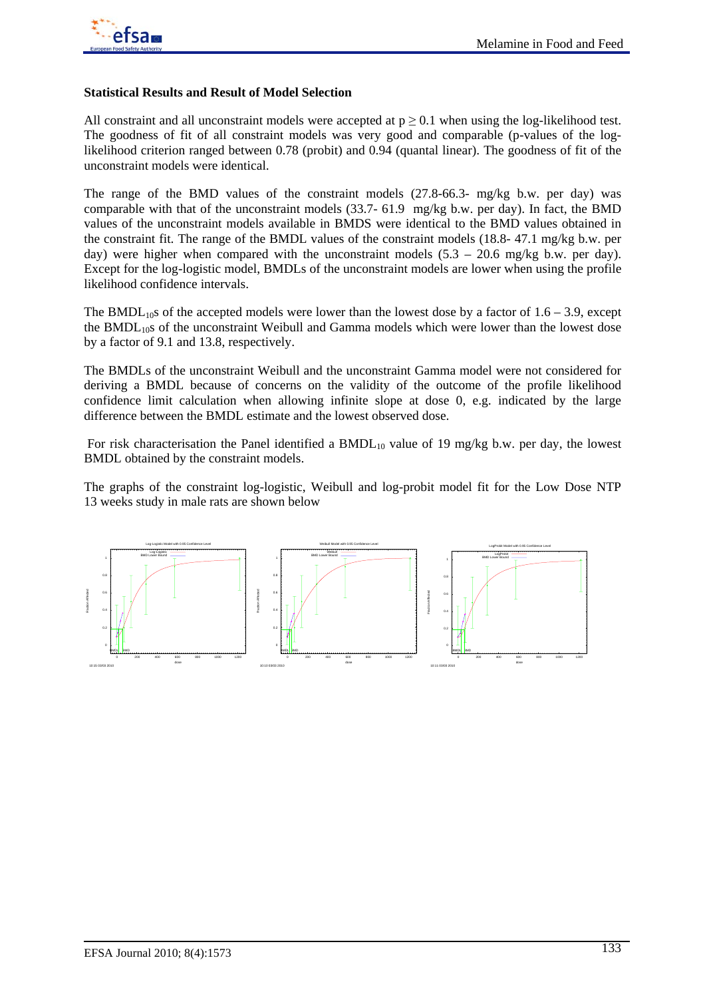

# **Statistical Results and Result of Model Selection**

All constraint and all unconstraint models were accepted at  $p \ge 0.1$  when using the log-likelihood test. The goodness of fit of all constraint models was very good and comparable (p-values of the loglikelihood criterion ranged between 0.78 (probit) and 0.94 (quantal linear). The goodness of fit of the unconstraint models were identical.

The range of the BMD values of the constraint models (27.8-66.3- mg/kg b.w. per day) was comparable with that of the unconstraint models (33.7- 61.9 mg/kg b.w. per day). In fact, the BMD values of the unconstraint models available in BMDS were identical to the BMD values obtained in the constraint fit. The range of the BMDL values of the constraint models (18.8- 47.1 mg/kg b.w. per day) were higher when compared with the unconstraint models  $(5.3 - 20.6 \text{ mg/kg})$ . per day). Except for the log-logistic model, BMDLs of the unconstraint models are lower when using the profile likelihood confidence intervals.

The BMDL<sub>10</sub>s of the accepted models were lower than the lowest dose by a factor of  $1.6 - 3.9$ , except the  $BMDL<sub>10</sub>$  of the unconstraint Weibull and Gamma models which were lower than the lowest dose by a factor of 9.1 and 13.8, respectively.

The BMDLs of the unconstraint Weibull and the unconstraint Gamma model were not considered for deriving a BMDL because of concerns on the validity of the outcome of the profile likelihood confidence limit calculation when allowing infinite slope at dose 0, e.g. indicated by the large difference between the BMDL estimate and the lowest observed dose.

For risk characterisation the Panel identified a  $BMDL_{10}$  value of 19 mg/kg b.w. per day, the lowest BMDL obtained by the constraint models.

The graphs of the constraint log-logistic, Weibull and log-probit model fit for the Low Dose NTP 13 weeks study in male rats are shown below

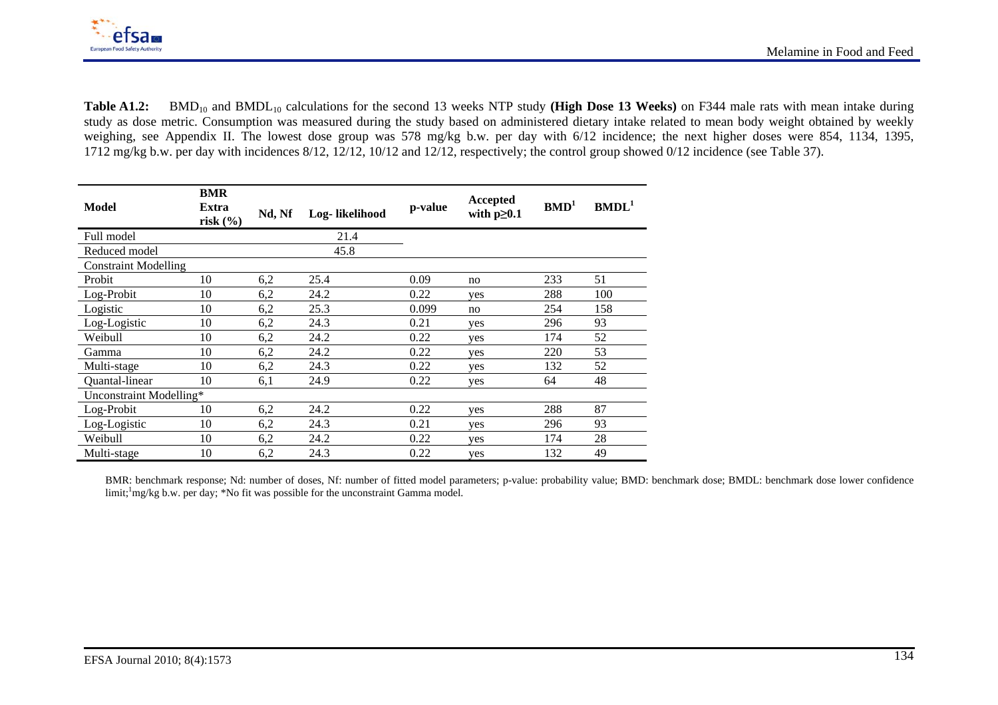

**Table A1.2:** BMD<sub>10</sub> and BMDL<sub>10</sub> calculations for the second 13 weeks NTP study (High Dose 13 Weeks) on F344 male rats with mean intake during study as dose metric. Consumption was measured during the study based on administered dietary intake related to mean body weight obtained by weekly weighing, see Appendix II. The lowest dose group was 578 mg/kg b.w. per day with 6/12 incidence; the next higher doses were 854, 1134, 1395, 1712 mg/kg b.w. per day with incidences 8/12, 12/12, 10/12 and 12/12, respectively; the control group showed 0/12 incidence (see Table 37).

| <b>Model</b>                | <b>BMR</b><br>Extra<br>risk $(\% )$ | Nd, Nf | Log-likelihood | p-value | Accepted<br>with $p \geq 0.1$ | BMD <sup>1</sup> | BMDL <sup>1</sup> |
|-----------------------------|-------------------------------------|--------|----------------|---------|-------------------------------|------------------|-------------------|
| Full model                  |                                     |        | 21.4           |         |                               |                  |                   |
| Reduced model               |                                     |        | 45.8           |         |                               |                  |                   |
| <b>Constraint Modelling</b> |                                     |        |                |         |                               |                  |                   |
| Probit                      | 10                                  | 6,2    | 25.4           | 0.09    | no                            | 233              | 51                |
| Log-Probit                  | 10                                  | 6,2    | 24.2           | 0.22    | yes                           | 288              | 100               |
| Logistic                    | 10                                  | 6,2    | 25.3           | 0.099   | no                            | 254              | 158               |
| Log-Logistic                | 10                                  | 6,2    | 24.3           | 0.21    | yes                           | 296              | 93                |
| Weibull                     | 10                                  | 6,2    | 24.2           | 0.22    | yes                           | 174              | 52                |
| Gamma                       | 10                                  | 6,2    | 24.2           | 0.22    | yes                           | 220              | 53                |
| Multi-stage                 | 10                                  | 6,2    | 24.3           | 0.22    | yes                           | 132              | 52                |
| Quantal-linear              | 10                                  | 6,1    | 24.9           | 0.22    | yes                           | 64               | 48                |
| Unconstraint Modelling*     |                                     |        |                |         |                               |                  |                   |
| Log-Probit                  | 10                                  | 6,2    | 24.2           | 0.22    | yes                           | 288              | 87                |
| Log-Logistic                | 10                                  | 6,2    | 24.3           | 0.21    | yes                           | 296              | 93                |
| Weibull                     | 10                                  | 6,2    | 24.2           | 0.22    | yes                           | 174              | 28                |
| Multi-stage                 | 10                                  | 6,2    | 24.3           | 0.22    | yes                           | 132              | 49                |

 BMR: benchmark response; Nd: number of doses, Nf: number of fitted model parameters; p-value: probability value; BMD: benchmark dose; BMDL: benchmark dose lower confidence limit;<sup>1</sup>mg/kg b.w. per day; \*No fit was possible for the unconstraint Gamma model.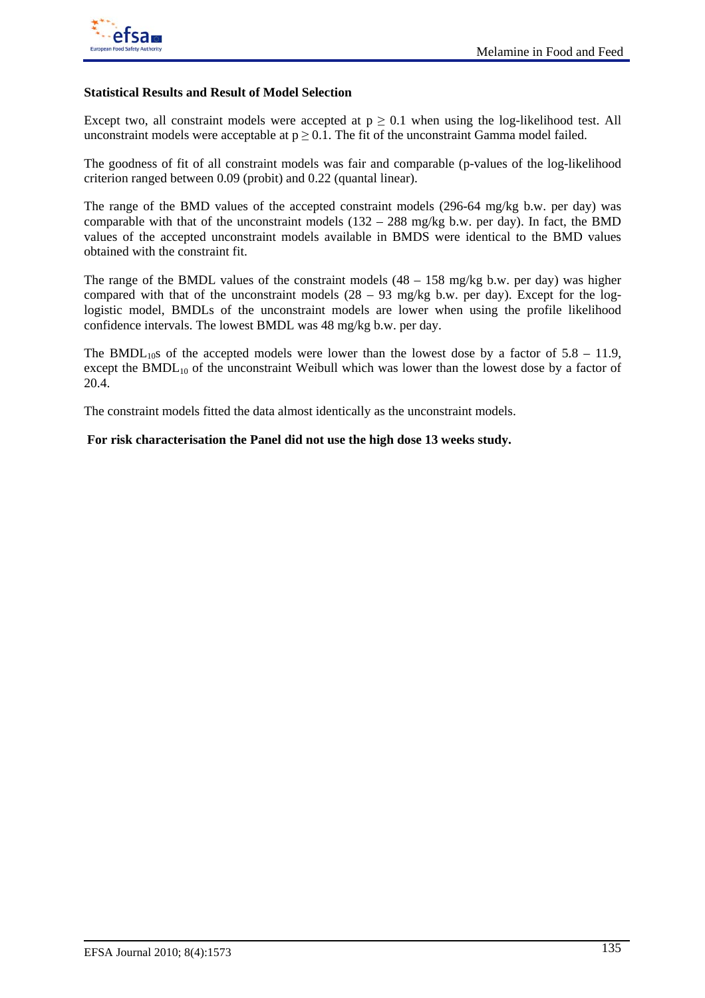

## **Statistical Results and Result of Model Selection**

Except two, all constraint models were accepted at  $p \ge 0.1$  when using the log-likelihood test. All unconstraint models were acceptable at  $p \ge 0.1$ . The fit of the unconstraint Gamma model failed.

The goodness of fit of all constraint models was fair and comparable (p-values of the log-likelihood criterion ranged between 0.09 (probit) and 0.22 (quantal linear).

The range of the BMD values of the accepted constraint models (296-64 mg/kg b.w. per day) was comparable with that of the unconstraint models  $(132 - 288 \text{ mg/kg b.w. per day})$ . In fact, the BMD values of the accepted unconstraint models available in BMDS were identical to the BMD values obtained with the constraint fit.

The range of the BMDL values of the constraint models  $(48 - 158 \text{ mg/kg b.w.} \text{ per day})$  was higher compared with that of the unconstraint models  $(28 - 93 \text{ mg/kg})$  b.w. per day). Except for the loglogistic model, BMDLs of the unconstraint models are lower when using the profile likelihood confidence intervals. The lowest BMDL was 48 mg/kg b.w. per day.

The BMDL<sub>10</sub>s of the accepted models were lower than the lowest dose by a factor of  $5.8 - 11.9$ , except the BMDL $_{10}$  of the unconstraint Weibull which was lower than the lowest dose by a factor of 20.4.

The constraint models fitted the data almost identically as the unconstraint models.

## **For risk characterisation the Panel did not use the high dose 13 weeks study.**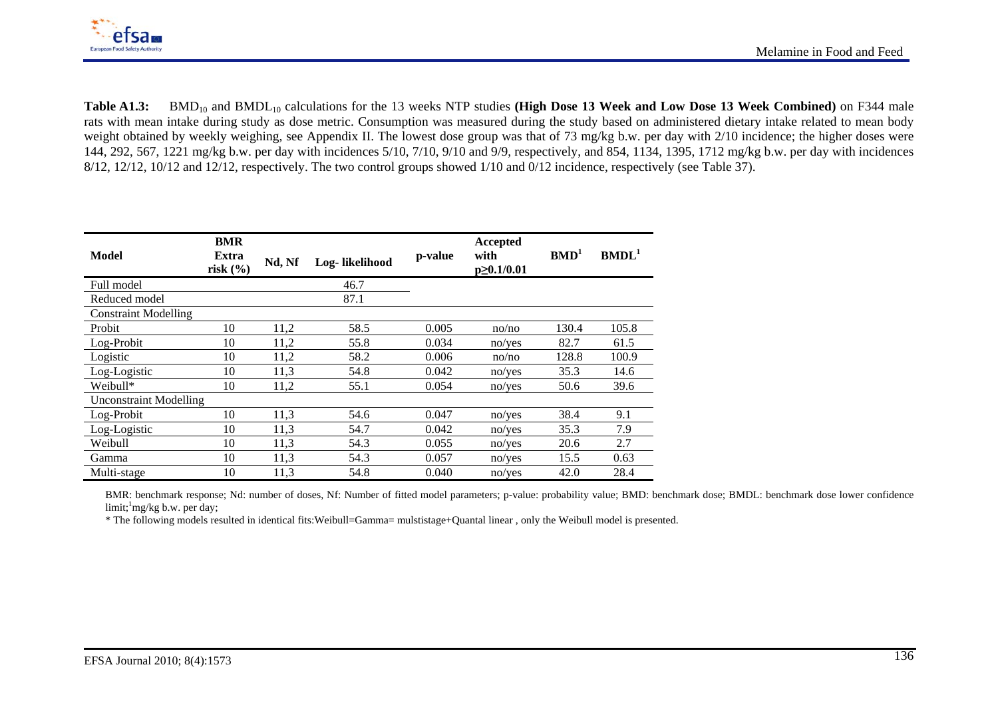

Table A1.3: BMD<sub>10</sub> and BMDL<sub>10</sub> calculations for the 13 weeks NTP studies (High Dose 13 Week and Low Dose 13 Week Combined) on F344 male rats with mean intake during study as dose metric. Consumption was measured during the study based on administered dietary intake related to mean body weight obtained by weekly weighing, see Appendix II. The lowest dose group was that of 73 mg/kg b.w. per day with 2/10 incidence; the higher doses were 144, 292, 567, 1221 mg/kg b.w. per day with incidences 5/10, 7/10, 9/10 and 9/9, respectively, and 854, 1134, 1395, 1712 mg/kg b.w. per day with incidences 8/12, 12/12, 10/12 and 12/12, respectively. The two control groups showed 1/10 and 0/12 incidence, respectively (see Table 37).

| <b>Model</b>                  | <b>BMR</b><br>Extra<br>risk $(\% )$ | Nd, Nf | Log-likelihood | p-value | Accepted<br>with<br>$p \ge 0.1/0.01$ | BMD <sup>1</sup> | BMDL <sup>1</sup> |
|-------------------------------|-------------------------------------|--------|----------------|---------|--------------------------------------|------------------|-------------------|
| Full model                    |                                     |        | 46.7           |         |                                      |                  |                   |
| Reduced model                 |                                     |        | 87.1           |         |                                      |                  |                   |
| <b>Constraint Modelling</b>   |                                     |        |                |         |                                      |                  |                   |
| Probit                        | 10                                  | 11,2   | 58.5           | 0.005   | no/no                                | 130.4            | 105.8             |
| Log-Probit                    | 10                                  | 11,2   | 55.8           | 0.034   | no/ves                               | 82.7             | 61.5              |
| Logistic                      | 10                                  | 11,2   | 58.2           | 0.006   | no/no                                | 128.8            | 100.9             |
| Log-Logistic                  | 10                                  | 11,3   | 54.8           | 0.042   | no/ves                               | 35.3             | 14.6              |
| Weibull*                      | 10                                  | 11,2   | 55.1           | 0.054   | no/ves                               | 50.6             | 39.6              |
| <b>Unconstraint Modelling</b> |                                     |        |                |         |                                      |                  |                   |
| Log-Probit                    | 10                                  | 11,3   | 54.6           | 0.047   | no/ves                               | 38.4             | 9.1               |
| Log-Logistic                  | 10                                  | 11,3   | 54.7           | 0.042   | no/ves                               | 35.3             | 7.9               |
| Weibull                       | 10                                  | 11,3   | 54.3           | 0.055   | no/ves                               | 20.6             | 2.7               |
| Gamma                         | 10                                  | 11,3   | 54.3           | 0.057   | no/ves                               | 15.5             | 0.63              |
| Multi-stage                   | 10                                  | 11,3   | 54.8           | 0.040   | no/ves                               | 42.0             | 28.4              |

 BMR: benchmark response; Nd: number of doses, Nf: Number of fitted model parameters; p-value: probability value; BMD: benchmark dose; BMDL: benchmark dose lower confidence  $\lim$ it;  $\ln \frac{g}{kg}$  b.w. per day;

\* The following models resulted in identical fits:Weibull=Gamma= mulstistage+Quantal linear , only the Weibull model is presented.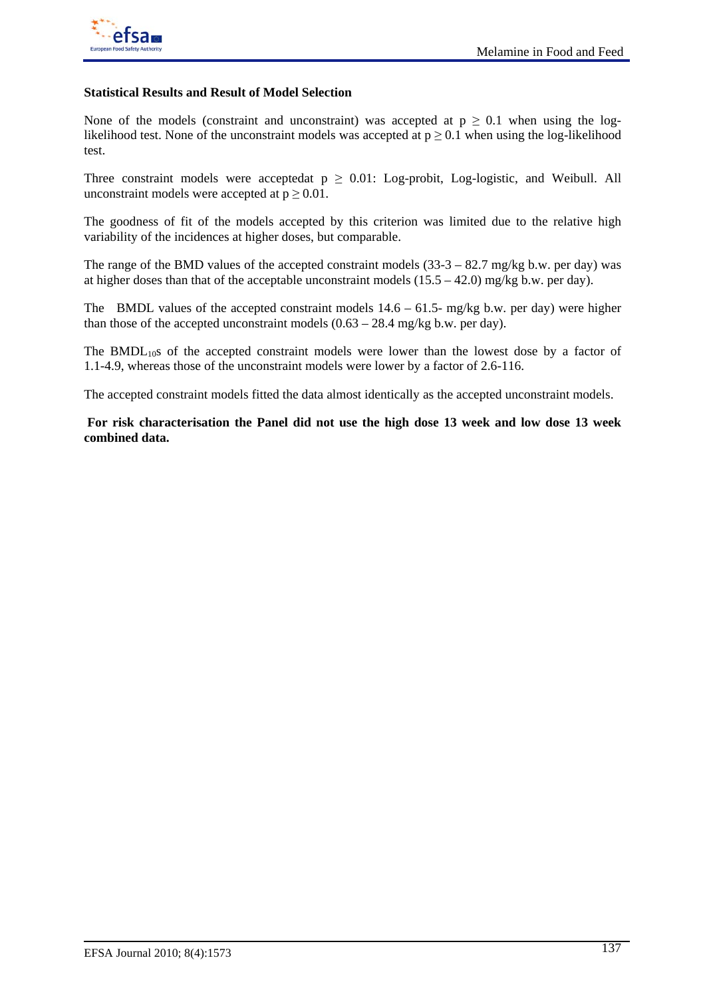

# **Statistical Results and Result of Model Selection**

None of the models (constraint and unconstraint) was accepted at  $p \ge 0.1$  when using the loglikelihood test. None of the unconstraint models was accepted at  $p \ge 0.1$  when using the log-likelihood test.

Three constraint models were acceptedat  $p \ge 0.01$ : Log-probit, Log-logistic, and Weibull. All unconstraint models were accepted at  $p \geq 0.01$ .

The goodness of fit of the models accepted by this criterion was limited due to the relative high variability of the incidences at higher doses, but comparable.

The range of the BMD values of the accepted constraint models  $(33-3 - 82.7 \text{ mg/kg b.w.} \text{ per day})$  was at higher doses than that of the acceptable unconstraint models  $(15.5 - 42.0)$  mg/kg b.w. per day).

The BMDL values of the accepted constraint models  $14.6 - 61.5$ - mg/kg b.w. per day) were higher than those of the accepted unconstraint models  $(0.63 - 28.4 \text{ mg/kg b.w. per day})$ .

The BMDL $_{10}$ s of the accepted constraint models were lower than the lowest dose by a factor of 1.1-4.9, whereas those of the unconstraint models were lower by a factor of 2.6-116.

The accepted constraint models fitted the data almost identically as the accepted unconstraint models.

**For risk characterisation the Panel did not use the high dose 13 week and low dose 13 week combined data.**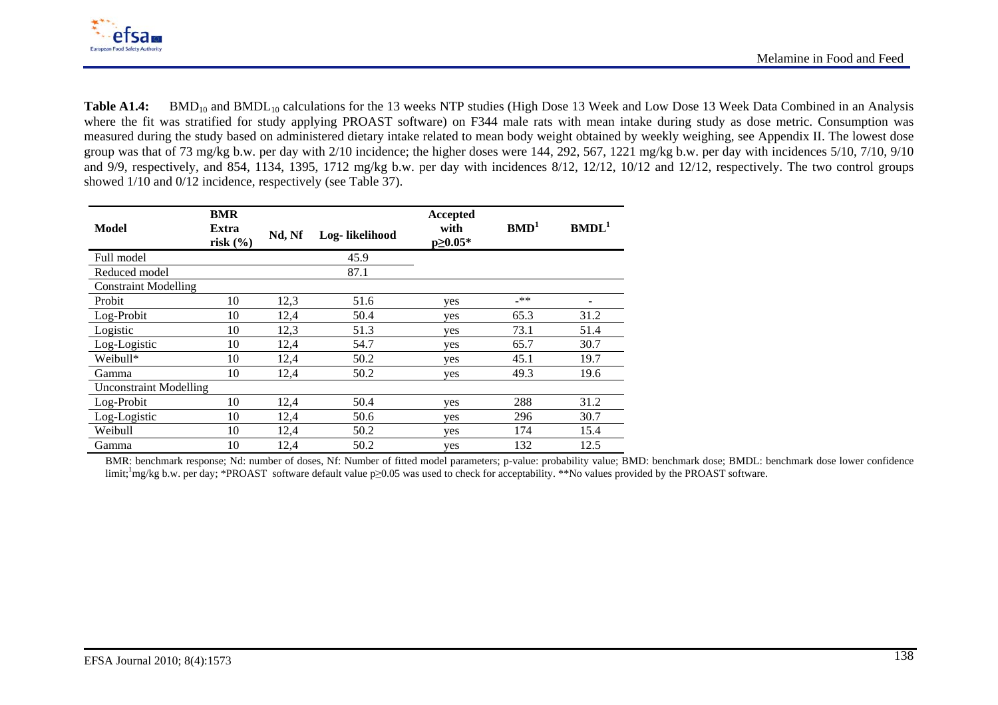

Table A1.4: BMD<sub>10</sub> and BMDL<sub>10</sub> calculations for the 13 weeks NTP studies (High Dose 13 Week and Low Dose 13 Week Data Combined in an Analysis where the fit was stratified for study applying PROAST software) on F344 male rats with mean intake during study as dose metric. Consumption was measured during the study based on administered dietary intake related to mean body weight obtained by weekly weighing, see Appendix II. The lowest dose group was that of 73 mg/kg b.w. per day with  $2/10$  incidence; the higher doses were 144, 292, 567, 1221 mg/kg b.w. per day with incidences  $5/10$ ,  $7/10$ ,  $9/10$ and 9/9, respectively, and 854, 1134, 1395, 1712 mg/kg b.w. per day with incidences 8/12, 12/12, 10/12 and 12/12, respectively. The two control groups showed 1/10 and 0/12 incidence, respectively (see Table 37).

| <b>Model</b>                  | <b>BMR</b><br>Extra<br>risk $(\% )$ | Nd, Nf | Log-likelihood | Accepted<br>with<br>p≥0.05* | BMD <sup>1</sup> | BMDL <sup>1</sup> |
|-------------------------------|-------------------------------------|--------|----------------|-----------------------------|------------------|-------------------|
| Full model                    |                                     |        | 45.9           |                             |                  |                   |
| Reduced model                 |                                     |        | 87.1           |                             |                  |                   |
| <b>Constraint Modelling</b>   |                                     |        |                |                             |                  |                   |
| Probit                        | 10                                  | 12,3   | 51.6           | yes                         | _**              |                   |
| Log-Probit                    | 10                                  | 12,4   | 50.4           | yes                         | 65.3             | 31.2              |
| Logistic                      | 10                                  | 12,3   | 51.3           | yes                         | 73.1             | 51.4              |
| Log-Logistic                  | 10                                  | 12,4   | 54.7           | yes                         | 65.7             | 30.7              |
| Weibull*                      | 10                                  | 12,4   | 50.2           | yes                         | 45.1             | 19.7              |
| Gamma                         | 10                                  | 12,4   | 50.2           | yes                         | 49.3             | 19.6              |
| <b>Unconstraint Modelling</b> |                                     |        |                |                             |                  |                   |
| Log-Probit                    | 10                                  | 12,4   | 50.4           | yes                         | 288              | 31.2              |
| Log-Logistic                  | 10                                  | 12,4   | 50.6           | yes                         | 296              | 30.7              |
| Weibull                       | 10                                  | 12,4   | 50.2           | yes                         | 174              | 15.4              |
| Gamma                         | 10                                  | 12,4   | 50.2           | yes                         | 132              | 12.5              |

 BMR: benchmark response; Nd: number of doses, Nf: Number of fitted model parameters; p-value: probability value; BMD: benchmark dose; BMDL: benchmark dose lower confidence limit;<sup>1</sup>mg/kg b.w. per day; \*PROAST software default value  $p\geq 0.05$  was used to check for acceptability. \*\*No values provided by the PROAST software.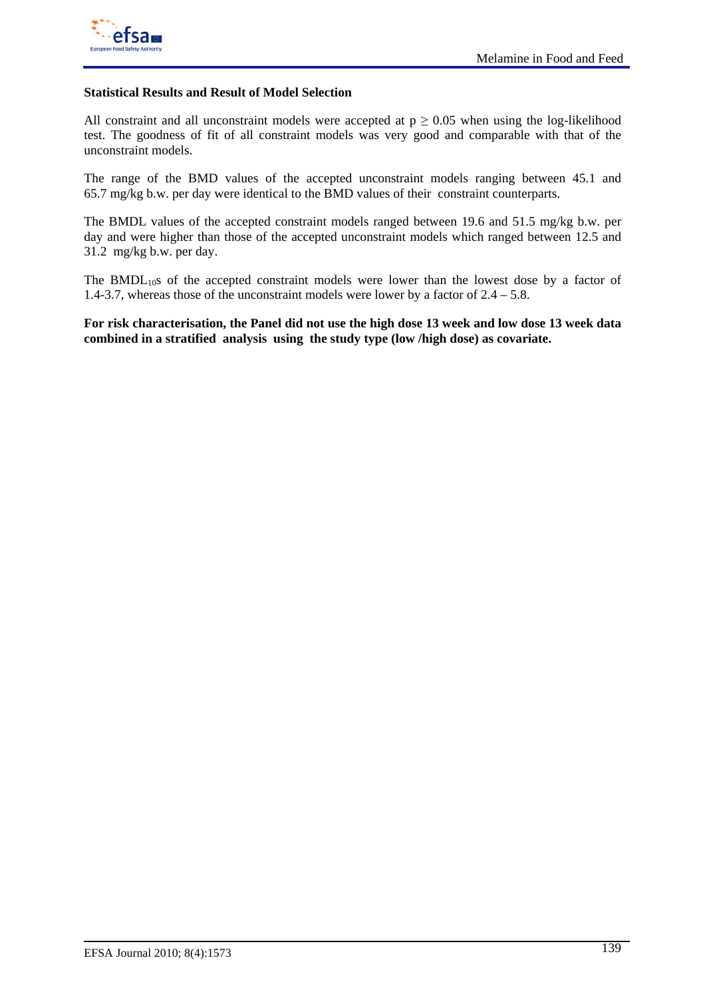

## **Statistical Results and Result of Model Selection**

All constraint and all unconstraint models were accepted at  $p \ge 0.05$  when using the log-likelihood test. The goodness of fit of all constraint models was very good and comparable with that of the unconstraint models.

The range of the BMD values of the accepted unconstraint models ranging between 45.1 and 65.7 mg/kg b.w. per day were identical to the BMD values of their constraint counterparts.

The BMDL values of the accepted constraint models ranged between 19.6 and 51.5 mg/kg b.w. per day and were higher than those of the accepted unconstraint models which ranged between 12.5 and 31.2 mg/kg b.w. per day.

The BMDL $_{10}$ s of the accepted constraint models were lower than the lowest dose by a factor of 1.4-3.7, whereas those of the unconstraint models were lower by a factor of 2.4 – 5.8.

**For risk characterisation, the Panel did not use the high dose 13 week and low dose 13 week data combined in a stratified analysis using the study type (low /high dose) as covariate.**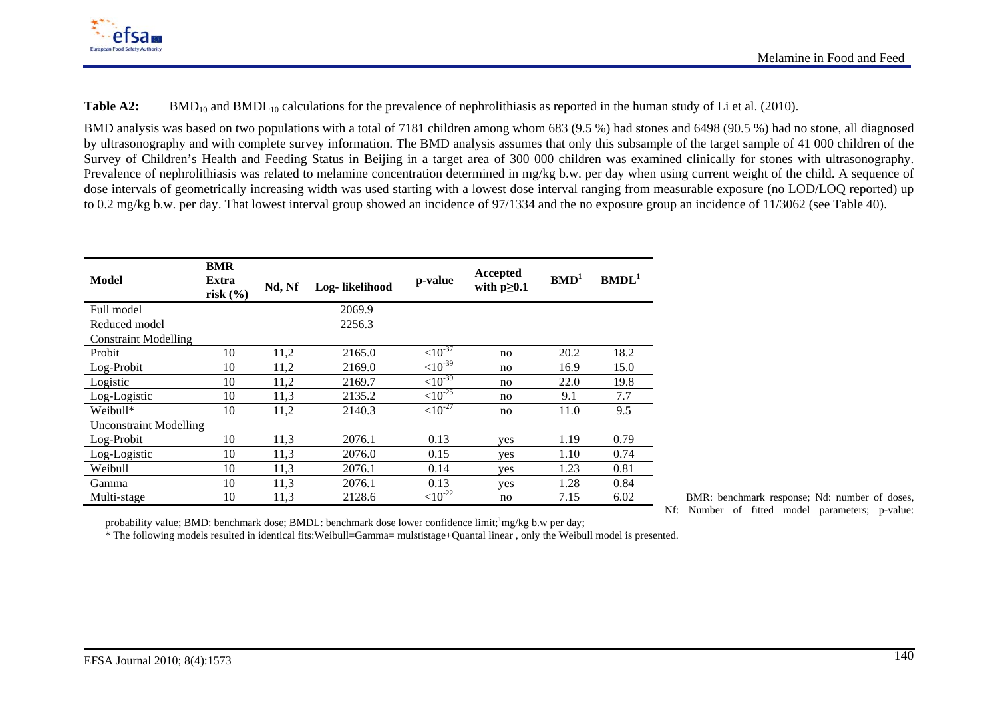

**Table A2:** BMD<sub>10</sub> and BMDL<sub>10</sub> calculations for the prevalence of nephrolithiasis as reported in the human study of Li et al. (2010).

BMD analysis was based on two populations with a total of 7181 children among whom 683 (9.5 %) had stones and 6498 (90.5 %) had no stone, all diagnosed by ultrasonography and with complete survey information. The BMD analysis assumes that only this subsample of the target sample of 41 000 children of the Survey of Children's Health and Feeding Status in Beijing in a target area of 300 000 children was examined clinically for stones with ultrasonography. Prevalence of nephrolithiasis was related to melamine concentration determined in mg/kg b.w. per day when using current weight of the child. A sequence of dose intervals of geometrically increasing width was used starting with a lowest dose interval ranging from measurable exposure (no LOD/LOQ reported) up to 0.2 mg/kg b.w. per day. That lowest interval group showed an incidence of 97/1334 and the no exposure group an incidence of 11/3062 (see Table 40).

| <b>Model</b>                  | <b>BMR</b><br>Extra<br>risk $(\%$ | Nd, Nf | Log-likelihood | p-value       | Accepted<br>with $p \geq 0.1$ | BMD <sup>1</sup> | BMDL <sup>1</sup> |
|-------------------------------|-----------------------------------|--------|----------------|---------------|-------------------------------|------------------|-------------------|
| Full model                    |                                   |        | 2069.9         |               |                               |                  |                   |
| Reduced model                 |                                   |        | 2256.3         |               |                               |                  |                   |
| <b>Constraint Modelling</b>   |                                   |        |                |               |                               |                  |                   |
| Probit                        | 10                                | 11,2   | 2165.0         | $<10^{-37}$   | no                            | 20.2             | 18.2              |
| Log-Probit                    | 10                                | 11,2   | 2169.0         | $<10^{-39}$   | no                            | 16.9             | 15.0              |
| Logistic                      | 10                                | 11,2   | 2169.7         | ${<}10^{-39}$ | no                            | 22.0             | 19.8              |
| Log-Logistic                  | 10                                | 11,3   | 2135.2         | ${<}10^{-25}$ | no                            | 9.1              | 7.7               |
| Weibull*                      | 10                                | 11,2   | 2140.3         | ${10}^{27}$   | no                            | 11.0             | 9.5               |
| <b>Unconstraint Modelling</b> |                                   |        |                |               |                               |                  |                   |
| Log-Probit                    | 10                                | 11,3   | 2076.1         | 0.13          | yes                           | 1.19             | 0.79              |
| Log-Logistic                  | 10                                | 11,3   | 2076.0         | 0.15          | yes                           | 1.10             | 0.74              |
| Weibull                       | 10                                | 11,3   | 2076.1         | 0.14          | yes                           | 1.23             | 0.81              |
| Gamma                         | 10                                | 11,3   | 2076.1         | 0.13          | yes                           | 1.28             | 0.84              |
| Multi-stage                   | 10                                | 11,3   | 2128.6         | ${<}10^{-22}$ | no                            | 7.15             | 6.02              |

 BMR: benchmark response; Nd: number of doses, Nf: Number of fitted model parameters; p-value:

probability value; BMD: benchmark dose; BMDL: benchmark dose lower confidence limit; $\frac{1}{n}$ mg/kg b.w per day;

\* The following models resulted in identical fits:Weibull=Gamma= mulstistage+Quantal linear , only the Weibull model is presented.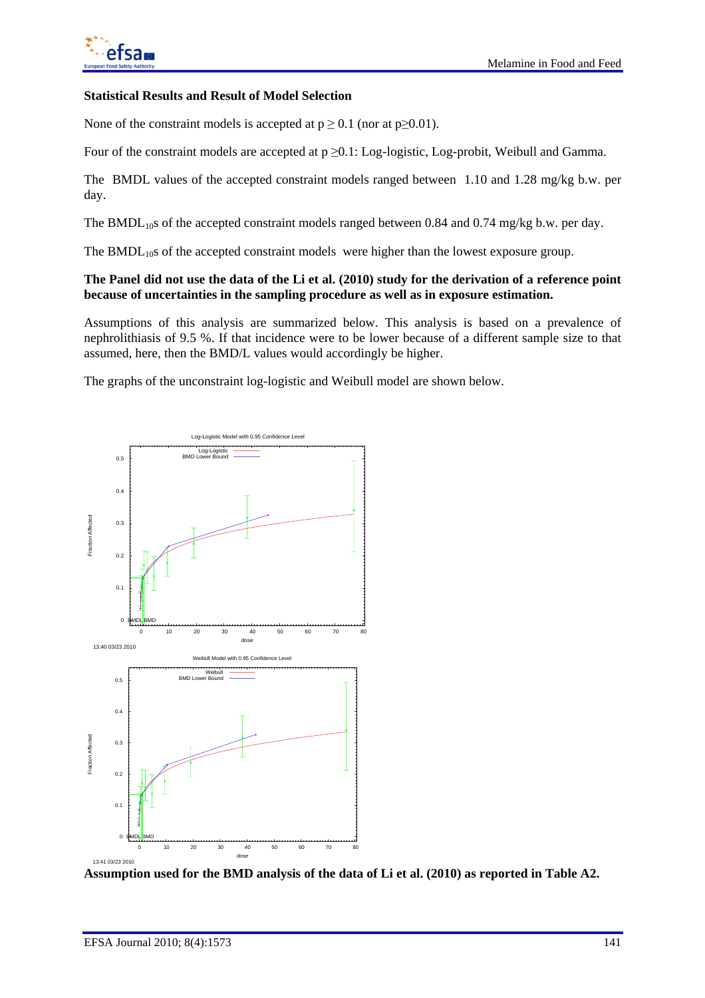# **Statistical Results and Result of Model Selection**

None of the constraint models is accepted at  $p \ge 0.1$  (nor at  $p \ge 0.01$ ).

Four of the constraint models are accepted at  $p \ge 0.1$ : Log-logistic, Log-probit, Weibull and Gamma.

The BMDL values of the accepted constraint models ranged between 1.10 and 1.28 mg/kg b.w. per day.

The BMDL<sub>10</sub>s of the accepted constraint models ranged between 0.84 and 0.74 mg/kg b.w. per day.

The  $BMDL_{10}s$  of the accepted constraint models were higher than the lowest exposure group.

# **The Panel did not use the data of the Li et al. (2010) study for the derivation of a reference point because of uncertainties in the sampling procedure as well as in exposure estimation.**

Assumptions of this analysis are summarized below. This analysis is based on a prevalence of nephrolithiasis of 9.5 %. If that incidence were to be lower because of a different sample size to that assumed, here, then the BMD/L values would accordingly be higher.

The graphs of the unconstraint log-logistic and Weibull model are shown below.



**Assumption used for the BMD analysis of the data of Li et al. (2010) as reported in Table A2.**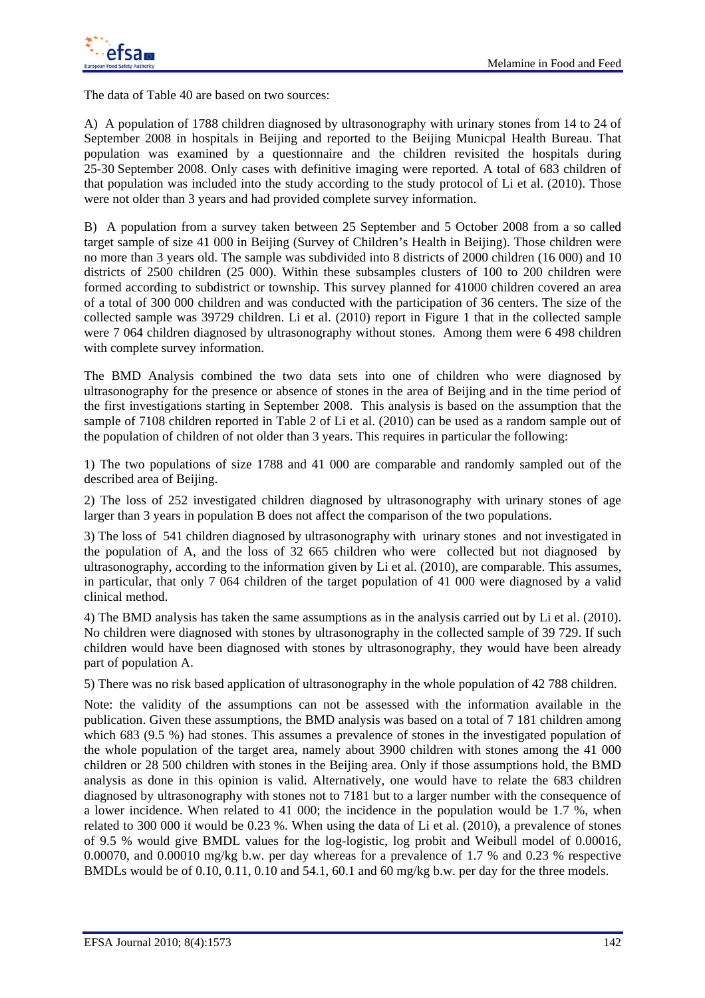The data of Table 40 are based on two sources:

A) A population of 1788 children diagnosed by ultrasonography with urinary stones from 14 to 24 of September 2008 in hospitals in Beijing and reported to the Beijing Municpal Health Bureau. That population was examined by a questionnaire and the children revisited the hospitals during 25-30 September 2008. Only cases with definitive imaging were reported. A total of 683 children of that population was included into the study according to the study protocol of Li et al. (2010). Those were not older than 3 years and had provided complete survey information.

B) A population from a survey taken between 25 September and 5 October 2008 from a so called target sample of size 41 000 in Beijing (Survey of Children's Health in Beijing). Those children were no more than 3 years old. The sample was subdivided into 8 districts of 2000 children (16 000) and 10 districts of 2500 children (25 000). Within these subsamples clusters of 100 to 200 children were formed according to subdistrict or township. This survey planned for 41000 children covered an area of a total of 300 000 children and was conducted with the participation of 36 centers. The size of the collected sample was 39729 children. Li et al. (2010) report in Figure 1 that in the collected sample were 7 064 children diagnosed by ultrasonography without stones. Among them were 6 498 children with complete survey information.

The BMD Analysis combined the two data sets into one of children who were diagnosed by ultrasonography for the presence or absence of stones in the area of Beijing and in the time period of the first investigations starting in September 2008. This analysis is based on the assumption that the sample of 7108 children reported in Table 2 of Li et al. (2010) can be used as a random sample out of the population of children of not older than 3 years. This requires in particular the following:

1) The two populations of size 1788 and 41 000 are comparable and randomly sampled out of the described area of Beijing.

2) The loss of 252 investigated children diagnosed by ultrasonography with urinary stones of age larger than 3 years in population B does not affect the comparison of the two populations.

3) The loss of 541 children diagnosed by ultrasonography with urinary stones and not investigated in the population of A, and the loss of 32 665 children who were collected but not diagnosed by ultrasonography, according to the information given by Li et al. (2010), are comparable. This assumes, in particular, that only 7 064 children of the target population of 41 000 were diagnosed by a valid clinical method.

4) The BMD analysis has taken the same assumptions as in the analysis carried out by Li et al. (2010). No children were diagnosed with stones by ultrasonography in the collected sample of 39 729. If such children would have been diagnosed with stones by ultrasonography, they would have been already part of population A.

5) There was no risk based application of ultrasonography in the whole population of 42 788 children.

Note: the validity of the assumptions can not be assessed with the information available in the publication. Given these assumptions, the BMD analysis was based on a total of 7 181 children among which 683 (9.5 %) had stones. This assumes a prevalence of stones in the investigated population of the whole population of the target area, namely about 3900 children with stones among the 41 000 children or 28 500 children with stones in the Beijing area. Only if those assumptions hold, the BMD analysis as done in this opinion is valid. Alternatively, one would have to relate the 683 children diagnosed by ultrasonography with stones not to 7181 but to a larger number with the consequence of a lower incidence. When related to 41 000; the incidence in the population would be 1.7 %, when related to 300 000 it would be 0.23 %. When using the data of Li et al. (2010), a prevalence of stones of 9.5 % would give BMDL values for the log-logistic, log probit and Weibull model of 0.00016, 0.00070, and 0.00010 mg/kg b.w. per day whereas for a prevalence of 1.7 % and 0.23 % respective BMDLs would be of 0.10, 0.11, 0.10 and 54.1, 60.1 and 60 mg/kg b.w. per day for the three models.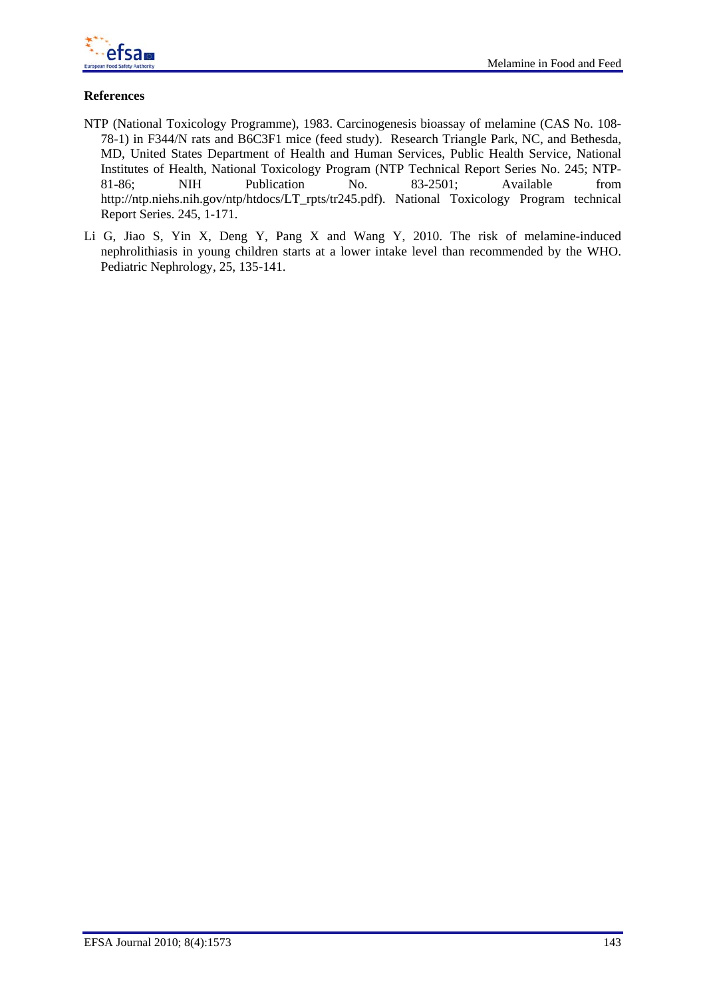# **References**

- NTP (National Toxicology Programme), 1983. Carcinogenesis bioassay of melamine (CAS No. 108- 78-1) in F344/N rats and B6C3F1 mice (feed study). Research Triangle Park, NC, and Bethesda, MD, United States Department of Health and Human Services, Public Health Service, National Institutes of Health, National Toxicology Program (NTP Technical Report Series No. 245; NTP-81-86; NIH Publication No. 83-2501; Available from http://ntp.niehs.nih.gov/ntp/htdocs/LT\_rpts/tr245.pdf). National Toxicology Program technical Report Series. 245, 1-171.
- Li G, Jiao S, Yin X, Deng Y, Pang X and Wang Y, 2010. The risk of melamine-induced nephrolithiasis in young children starts at a lower intake level than recommended by the WHO. Pediatric Nephrology, 25, 135-141.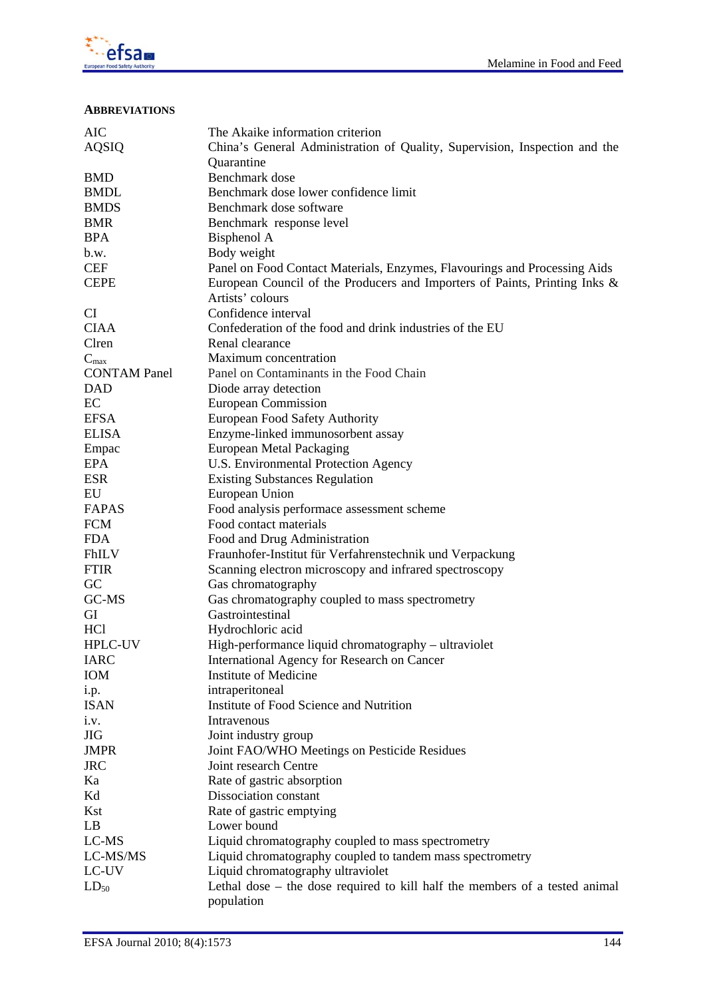# efsam

# **ABBREVIATIONS**

| AIC                 | The Akaike information criterion                                            |
|---------------------|-----------------------------------------------------------------------------|
| <b>AQSIQ</b>        | China's General Administration of Quality, Supervision, Inspection and the  |
|                     | Quarantine                                                                  |
| <b>BMD</b>          | Benchmark dose                                                              |
| <b>BMDL</b>         | Benchmark dose lower confidence limit                                       |
| <b>BMDS</b>         | Benchmark dose software                                                     |
| <b>BMR</b>          | Benchmark response level                                                    |
| <b>BPA</b>          | Bisphenol A                                                                 |
| b.w.                | Body weight                                                                 |
| <b>CEF</b>          | Panel on Food Contact Materials, Enzymes, Flavourings and Processing Aids   |
| <b>CEPE</b>         | European Council of the Producers and Importers of Paints, Printing Inks &  |
|                     | Artists' colours                                                            |
| <b>CI</b>           | Confidence interval                                                         |
| <b>CIAA</b>         | Confederation of the food and drink industries of the EU                    |
| Clren               | Renal clearance                                                             |
| $C_{max}$           | Maximum concentration                                                       |
| <b>CONTAM Panel</b> | Panel on Contaminants in the Food Chain                                     |
| <b>DAD</b>          | Diode array detection                                                       |
| EC                  | <b>European Commission</b>                                                  |
| <b>EFSA</b>         | European Food Safety Authority                                              |
| <b>ELISA</b>        | Enzyme-linked immunosorbent assay                                           |
| Empac               | <b>European Metal Packaging</b>                                             |
| <b>EPA</b>          | U.S. Environmental Protection Agency                                        |
| <b>ESR</b>          | <b>Existing Substances Regulation</b>                                       |
| EU                  | European Union                                                              |
| <b>FAPAS</b>        | Food analysis performace assessment scheme                                  |
| <b>FCM</b>          | Food contact materials                                                      |
| <b>FDA</b>          | Food and Drug Administration                                                |
| FhILV               | Fraunhofer-Institut für Verfahrenstechnik und Verpackung                    |
| <b>FTIR</b>         | Scanning electron microscopy and infrared spectroscopy                      |
| GC                  | Gas chromatography                                                          |
| GC-MS               | Gas chromatography coupled to mass spectrometry                             |
| GI                  | Gastrointestinal                                                            |
| HC <sub>1</sub>     |                                                                             |
|                     | Hydrochloric acid                                                           |
| <b>HPLC-UV</b>      | High-performance liquid chromatography – ultraviolet                        |
| <b>IARC</b>         | International Agency for Research on Cancer<br><b>Institute of Medicine</b> |
| <b>IOM</b>          |                                                                             |
| i.p.                | intraperitoneal                                                             |
| <b>ISAN</b>         | Institute of Food Science and Nutrition                                     |
| i.v.                | Intravenous                                                                 |
| <b>JIG</b>          | Joint industry group                                                        |
| <b>JMPR</b>         | Joint FAO/WHO Meetings on Pesticide Residues                                |
| <b>JRC</b>          | Joint research Centre                                                       |
| Ka                  | Rate of gastric absorption                                                  |
| Kd                  | Dissociation constant                                                       |
| Kst                 | Rate of gastric emptying                                                    |
| LB                  | Lower bound                                                                 |
| LC-MS               | Liquid chromatography coupled to mass spectrometry                          |
| LC-MS/MS            | Liquid chromatography coupled to tandem mass spectrometry                   |
| LC-UV               | Liquid chromatography ultraviolet                                           |
| $LD_{50}$           | Lethal dose – the dose required to kill half the members of a tested animal |
|                     | population                                                                  |